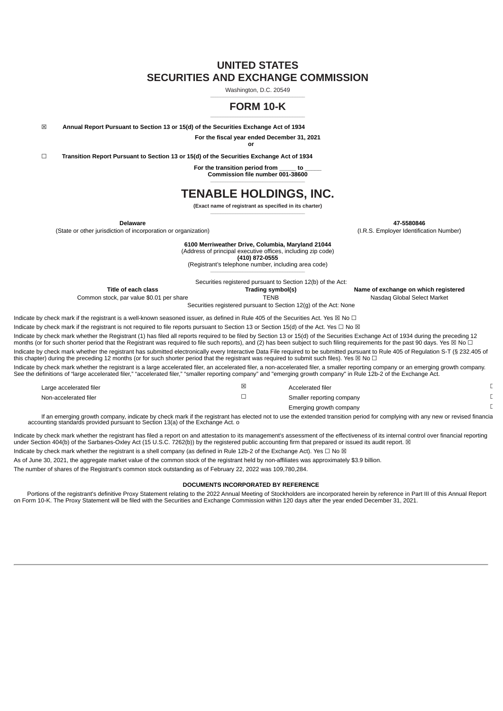# **UNITED STATES SECURITIES AND EXCHANGE COMMISSION**

Washington, D.C. 20549 **\_\_\_\_\_\_\_\_\_\_\_\_\_\_\_\_\_\_\_\_\_\_\_\_\_\_\_\_\_\_\_\_\_\_\_\_\_\_**

#### **FORM 10-K \_\_\_\_\_\_\_\_\_\_\_\_\_\_\_\_\_\_\_\_\_\_\_\_\_\_\_\_\_\_\_\_\_\_\_\_\_\_**

☒ **Annual Report Pursuant to Section 13 or 15(d) of the Securities Exchange Act of 1934**

**For the fiscal year ended December 31, 2021 or**

☐ **Transition Report Pursuant to Section 13 or 15(d) of the Securities Exchange Act of 1934**

**For the transition period from \_\_\_\_\_ to \_\_\_\_\_ Commission file number 001-38600 \_\_\_\_\_\_\_\_\_\_\_\_\_\_\_\_\_\_\_\_\_\_\_\_\_\_\_\_\_\_\_\_\_\_\_\_\_\_**

# **TENABLE HOLDINGS, INC.**

**(Exact name of registrant as specified in its charter) \_\_\_\_\_\_\_\_\_\_\_\_\_\_\_\_\_\_\_\_\_\_\_\_\_\_\_\_\_\_\_\_\_\_\_\_\_\_**

**Delaware 47-5580846**

(State or other jurisdiction of incorporation or organization) (I.R.S. Employer Identification Number)

**6100 Merriweather Drive, Columbia, Maryland 21044** (Address of principal executive offices, including zip code) **(410) 872-0555**

(Registrant's telephone number, including area code) **\_\_\_\_\_\_\_\_\_\_\_\_\_\_\_\_\_\_\_\_\_\_\_\_\_\_\_\_\_\_\_\_\_\_\_\_\_\_**

Common stock, par value \$0.01 per share Nastaq Global Select Market Nastaq Global Select Market

Securities registered pursuant to Section 12(b) of the Act:

**Title of each class Trading symbol(s) Name of exchange on which registered**

Indicate by check mark if the registrant is a well-known seasoned issuer, as defined in Rule 405 of the Securities Act. Yes  $\boxtimes$  No  $\Box$ 

Indicate by check mark if the registrant is not required to file reports pursuant to Section 13 or Section 15(d) of the Act. Yes □ No ⊠ Indicate by check mark whether the Registrant (1) has filed all reports required to be filed by Section 13 or 15(d) of the Securities Exchange Act of 1934 during the preceding 12 months (or for such shorter period that the Registrant was required to file such reports), and (2) has been subject to such filing requirements for the past 90 days. Yes ⊠ No □ Indicate by check mark whether the registrant has submitted electronically every Interactive Data File required to be submitted pursuant to Rule 405 of Regulation S-T (§ 232.405 of this chapter) during the preceding 12 months (or for such shorter period that the registrant was required to submit such files). Yes  $\boxtimes$  No  $\Box$ Indicate by check mark whether the registrant is a large accelerated filer, an accelerated filer, a non-accelerated filer, a smaller reporting company or an emerging growth company. See the definitions of "large accelerated filer," "accelerated filer," "smaller reporting company" and "emerging growth company" in Rule 12b-2 of the Exchange Act.

| Large accelerated filer | X | Accelerated filer         |  |
|-------------------------|---|---------------------------|--|
| Non-accelerated filer   |   | Smaller reporting company |  |
|                         |   | Emerging growth company   |  |

If an emerging growth company, indicate by check mark if the registrant has elected not to use the extended transition period for complying with any new or revised financia<br>accounting standards provided pursuant to Section

Indicate by check mark whether the registrant has filed a report on and attestation to its management's assessment of the effectiveness of its internal control over financial reporting<br>under Section 404(b) of the Sarbanes

Indicate by check mark whether the registrant is a shell company (as defined in Rule 12b-2 of the Exchange Act). Yes  $\Box$  No  $\boxtimes$ As of June 30, 2021, the aggregate market value of the common stock of the registrant held by non-affiliates was approximately \$3.9 billion.

The number of shares of the Registrant's common stock outstanding as of February 22, 2022 was 109,780,284.

## **DOCUMENTS INCORPORATED BY REFERENCE**

<span id="page-0-0"></span>Portions of the registrant's definitive Proxy Statement relating to the 2022 Annual Meeting of Stockholders are incorporated herein by reference in Part III of this Annual Report on Form 10-K. The Proxy Statement will be filed with the Securities and Exchange Commission within 120 days after the year ended December 31, 2021.

Securities registered pursuant to Section 12(g) of the Act: None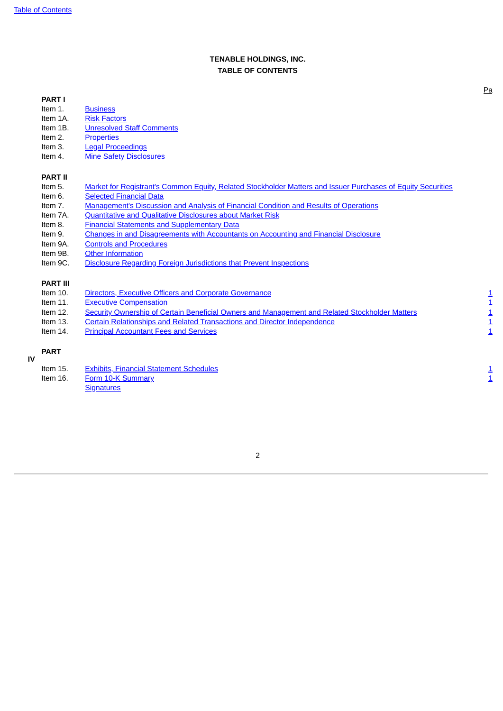# **TENABLE HOLDINGS, INC. TABLE OF CONTENTS**

# **PART I**

- Item 1. [Business](#page-2-0)
- Item 1A. Risk [Factors](#page-11-0)
- Item 1B. [Unresolved](#page-38-0) Staff Comments
- Item 2. [Properties](#page-38-1)
- Item 3. Legal [Proceedings](#page-38-2)
- Item 4. Mine Safety [Disclosures](#page-39-0)

#### **PART II**

- Item 5. Market for Registrant's Common Equity, Related [Stockholder](#page-40-0) Matters and Issuer Purchases of Equity Securities
- Item 6. Selected [Financial](#page-40-1) Data
- Item 7. [Management's](#page-42-0) Discussion and Analysis of Financial Condition and Results of Operations
- Item 7A. [Quantitative](#page-64-0) and Qualitative Disclosures about Market Risk
- Item 8. **Financial Statements and [Supplementary](#page-65-0) Data**
- Item 9. Changes in and [Disagreements](#page-96-0) with Accountants on Accounting and Financial Disclosure
- Item 9A. Controls and [Procedures](#page-97-0)
- Item 9B. Other [Information](#page-98-0)
- Item 9C. Disclosure Regarding Foreign [Jurisdictions](#page-98-1) that Prevent Inspections

# **PART III**

- 
- Item 11. Executive [Compensation](#page-99-1)
- 11. <u>Directors, Executive Officers and Corporate [Governance](#page-99-0)</u><br> [1](#page-99-0)4. <u>Executive Compensation</u><br>
16. <u>Security Ownership of Certain Beneficial Owners and Management and Related Stockholder Matters<br>
16. 11. **11.** <u>Certain Relati</u></u> Item 12. Security Ownership of Certain Beneficial Owners and [Management](#page-99-2) and Related Stockholder Matters
- Item 13. Certain Relationships and Related Transactions and Director [Independence](#page-99-3)
- Item 14. Principal [Accountant](#page-99-4) Fees and Services

# **PART**

**IV**

Item 15. Exhibits, Financial Statement [Schedules](#page-100-0) [1](#page-100-0) Item 16. Form 10-K [Summary](#page-102-0) **[Signatures](#page-102-1)**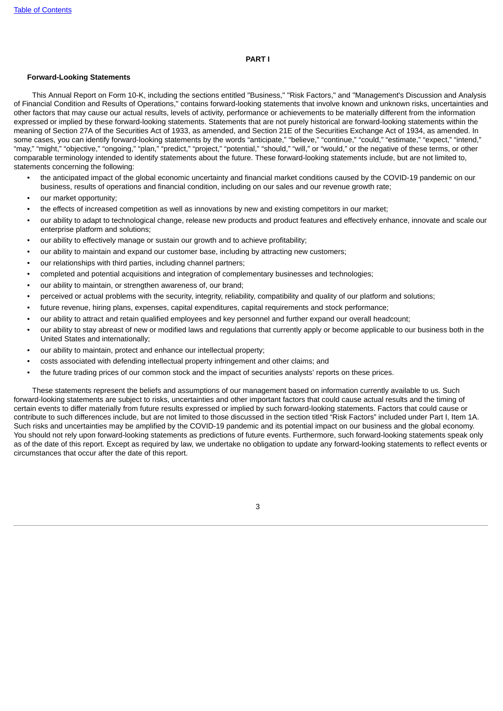#### **PART I**

# **Forward-Looking Statements**

This Annual Report on Form 10-K, including the sections entitled "Business," "Risk Factors," and "Management's Discussion and Analysis of Financial Condition and Results of Operations," contains forward-looking statements that involve known and unknown risks, uncertainties and other factors that may cause our actual results, levels of activity, performance or achievements to be materially different from the information expressed or implied by these forward-looking statements. Statements that are not purely historical are forward-looking statements within the meaning of Section 27A of the Securities Act of 1933, as amended, and Section 21E of the Securities Exchange Act of 1934, as amended. In some cases, you can identify forward-looking statements by the words "anticipate," "believe," "continue," "could," "estimate," "expect," "intend," "may," "might," "objective," "ongoing," "plan," "predict," "project," "potential," "should," "will," or "would," or the negative of these terms, or other comparable terminology intended to identify statements about the future. These forward-looking statements include, but are not limited to, statements concerning the following:

- the anticipated impact of the global economic uncertainty and financial market conditions caused by the COVID-19 pandemic on our business, results of operations and financial condition, including on our sales and our revenue growth rate;
- our market opportunity;
- the effects of increased competition as well as innovations by new and existing competitors in our market;
- our ability to adapt to technological change, release new products and product features and effectively enhance, innovate and scale our enterprise platform and solutions;
- our ability to effectively manage or sustain our growth and to achieve profitability;
- our ability to maintain and expand our customer base, including by attracting new customers;
- our relationships with third parties, including channel partners;
- completed and potential acquisitions and integration of complementary businesses and technologies;
- our ability to maintain, or strengthen awareness of, our brand;
- perceived or actual problems with the security, integrity, reliability, compatibility and quality of our platform and solutions;
- future revenue, hiring plans, expenses, capital expenditures, capital requirements and stock performance;
- our ability to attract and retain qualified employees and key personnel and further expand our overall headcount;
- our ability to stay abreast of new or modified laws and regulations that currently apply or become applicable to our business both in the United States and internationally;
- our ability to maintain, protect and enhance our intellectual property;
- costs associated with defending intellectual property infringement and other claims; and
- the future trading prices of our common stock and the impact of securities analysts' reports on these prices.

<span id="page-2-0"></span>These statements represent the beliefs and assumptions of our management based on information currently available to us. Such forward-looking statements are subject to risks, uncertainties and other important factors that could cause actual results and the timing of certain events to differ materially from future results expressed or implied by such forward-looking statements. Factors that could cause or contribute to such differences include, but are not limited to those discussed in the section titled "Risk Factors" included under Part I, Item 1A. Such risks and uncertainties may be amplified by the COVID-19 pandemic and its potential impact on our business and the global economy. You should not rely upon forward-looking statements as predictions of future events. Furthermore, such forward-looking statements speak only as of the date of this report. Except as required by law, we undertake no obligation to update any forward-looking statements to reflect events or circumstances that occur after the date of this report.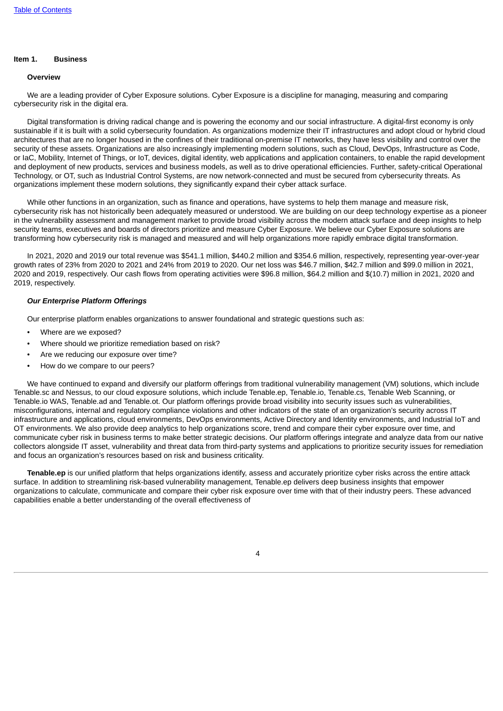# **Item 1. Business**

#### **Overview**

We are a leading provider of Cyber Exposure solutions. Cyber Exposure is a discipline for managing, measuring and comparing cybersecurity risk in the digital era.

Digital transformation is driving radical change and is powering the economy and our social infrastructure. A digital-first economy is only sustainable if it is built with a solid cybersecurity foundation. As organizations modernize their IT infrastructures and adopt cloud or hybrid cloud architectures that are no longer housed in the confines of their traditional on-premise IT networks, they have less visibility and control over the security of these assets. Organizations are also increasingly implementing modern solutions, such as Cloud, DevOps, Infrastructure as Code, or IaC, Mobility, Internet of Things, or IoT, devices, digital identity, web applications and application containers, to enable the rapid development and deployment of new products, services and business models, as well as to drive operational efficiencies. Further, safety-critical Operational Technology, or OT, such as Industrial Control Systems, are now network-connected and must be secured from cybersecurity threats. As organizations implement these modern solutions, they significantly expand their cyber attack surface.

While other functions in an organization, such as finance and operations, have systems to help them manage and measure risk, cybersecurity risk has not historically been adequately measured or understood. We are building on our deep technology expertise as a pioneer in the vulnerability assessment and management market to provide broad visibility across the modern attack surface and deep insights to help security teams, executives and boards of directors prioritize and measure Cyber Exposure. We believe our Cyber Exposure solutions are transforming how cybersecurity risk is managed and measured and will help organizations more rapidly embrace digital transformation.

In 2021, 2020 and 2019 our total revenue was \$541.1 million, \$440.2 million and \$354.6 million, respectively, representing year-over-year growth rates of 23% from 2020 to 2021 and 24% from 2019 to 2020. Our net loss was \$46.7 million, \$42.7 million and \$99.0 million in 2021, 2020 and 2019, respectively. Our cash flows from operating activities were \$96.8 million, \$64.2 million and \$(10.7) million in 2021, 2020 and 2019, respectively.

#### *Our Enterprise Platform Offerings*

Our enterprise platform enables organizations to answer foundational and strategic questions such as:

- Where are we exposed?
- Where should we prioritize remediation based on risk?
- Are we reducing our exposure over time?
- How do we compare to our peers?

We have continued to expand and diversify our platform offerings from traditional vulnerability management (VM) solutions, which include Tenable.sc and Nessus, to our cloud exposure solutions, which include Tenable.ep, Tenable.io, Tenable.cs, Tenable Web Scanning, or Tenable.io WAS, Tenable.ad and Tenable.ot. Our platform offerings provide broad visibility into security issues such as vulnerabilities, misconfigurations, internal and regulatory compliance violations and other indicators of the state of an organization's security across IT infrastructure and applications, cloud environments, DevOps environments, Active Directory and Identity environments, and Industrial IoT and OT environments. We also provide deep analytics to help organizations score, trend and compare their cyber exposure over time, and communicate cyber risk in business terms to make better strategic decisions. Our platform offerings integrate and analyze data from our native collectors alongside IT asset, vulnerability and threat data from third-party systems and applications to prioritize security issues for remediation and focus an organization's resources based on risk and business criticality.

**Tenable.ep** is our unified platform that helps organizations identify, assess and accurately prioritize cyber risks across the entire attack surface. In addition to streamlining risk-based vulnerability management, Tenable.ep delivers deep business insights that empower organizations to calculate, communicate and compare their cyber risk exposure over time with that of their industry peers. These advanced capabilities enable a better understanding of the overall effectiveness of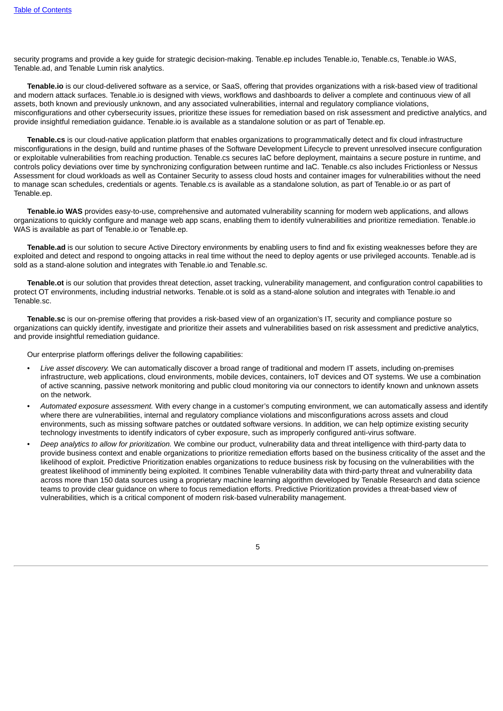security programs and provide a key guide for strategic decision-making. Tenable.ep includes Tenable.io, Tenable.cs, Tenable.io WAS, Tenable.ad, and Tenable Lumin risk analytics.

**Tenable.io** is our cloud-delivered software as a service, or SaaS, offering that provides organizations with a risk-based view of traditional and modern attack surfaces. Tenable.io is designed with views, workflows and dashboards to deliver a complete and continuous view of all assets, both known and previously unknown, and any associated vulnerabilities, internal and regulatory compliance violations, misconfigurations and other cybersecurity issues, prioritize these issues for remediation based on risk assessment and predictive analytics, and provide insightful remediation guidance. Tenable.io is available as a standalone solution or as part of Tenable.ep.

**Tenable.cs** is our cloud-native application platform that enables organizations to programmatically detect and fix cloud infrastructure misconfigurations in the design, build and runtime phases of the Software Development Lifecycle to prevent unresolved insecure configuration or exploitable vulnerabilities from reaching production. Tenable.cs secures IaC before deployment, maintains a secure posture in runtime, and controls policy deviations over time by synchronizing configuration between runtime and IaC. Tenable.cs also includes Frictionless or Nessus Assessment for cloud workloads as well as Container Security to assess cloud hosts and container images for vulnerabilities without the need to manage scan schedules, credentials or agents. Tenable.cs is available as a standalone solution, as part of Tenable.io or as part of Tenable.ep.

**Tenable.io WAS** provides easy-to-use, comprehensive and automated vulnerability scanning for modern web applications, and allows organizations to quickly configure and manage web app scans, enabling them to identify vulnerabilities and prioritize remediation. Tenable.io WAS is available as part of Tenable.io or Tenable.ep.

**Tenable.ad** is our solution to secure Active Directory environments by enabling users to find and fix existing weaknesses before they are exploited and detect and respond to ongoing attacks in real time without the need to deploy agents or use privileged accounts. Tenable.ad is sold as a stand-alone solution and integrates with Tenable.io and Tenable.sc.

**Tenable.ot** is our solution that provides threat detection, asset tracking, vulnerability management, and configuration control capabilities to protect OT environments, including industrial networks. Tenable.ot is sold as a stand-alone solution and integrates with Tenable.io and Tenable.sc.

**Tenable.sc** is our on-premise offering that provides a risk-based view of an organization's IT, security and compliance posture so organizations can quickly identify, investigate and prioritize their assets and vulnerabilities based on risk assessment and predictive analytics, and provide insightful remediation guidance.

Our enterprise platform offerings deliver the following capabilities:

- *Live asset discovery.* We can automatically discover a broad range of traditional and modern IT assets, including on-premises infrastructure, web applications, cloud environments, mobile devices, containers, IoT devices and OT systems. We use a combination of active scanning, passive network monitoring and public cloud monitoring via our connectors to identify known and unknown assets on the network.
- *Automated exposure assessment.* With every change in a customer's computing environment, we can automatically assess and identify where there are vulnerabilities, internal and regulatory compliance violations and misconfigurations across assets and cloud environments, such as missing software patches or outdated software versions. In addition, we can help optimize existing security technology investments to identify indicators of cyber exposure, such as improperly configured anti-virus software.
- *Deep analytics to allow for prioritization.* We combine our product, vulnerability data and threat intelligence with third-party data to provide business context and enable organizations to prioritize remediation efforts based on the business criticality of the asset and the likelihood of exploit. Predictive Prioritization enables organizations to reduce business risk by focusing on the vulnerabilities with the greatest likelihood of imminently being exploited. It combines Tenable vulnerability data with third-party threat and vulnerability data across more than 150 data sources using a proprietary machine learning algorithm developed by Tenable Research and data science teams to provide clear guidance on where to focus remediation efforts. Predictive Prioritization provides a threat-based view of vulnerabilities, which is a critical component of modern risk-based vulnerability management.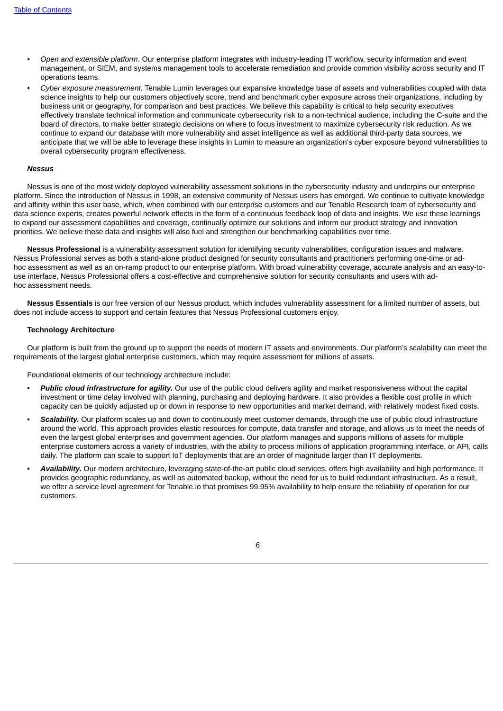- *• Open and extensible platform*. Our enterprise platform integrates with industry-leading IT workflow, security information and event management, or SIEM, and systems management tools to accelerate remediation and provide common visibility across security and IT operations teams.
- *Cyber exposure measurement.* Tenable Lumin leverages our expansive knowledge base of assets and vulnerabilities coupled with data science insights to help our customers objectively score, trend and benchmark cyber exposure across their organizations, including by business unit or geography, for comparison and best practices. We believe this capability is critical to help security executives effectively translate technical information and communicate cybersecurity risk to a non-technical audience, including the C-suite and the board of directors, to make better strategic decisions on where to focus investment to maximize cybersecurity risk reduction. As we continue to expand our database with more vulnerability and asset intelligence as well as additional third-party data sources, we anticipate that we will be able to leverage these insights in Lumin to measure an organization's cyber exposure beyond vulnerabilities to overall cybersecurity program effectiveness.

#### *Nessus*

Nessus is one of the most widely deployed vulnerability assessment solutions in the cybersecurity industry and underpins our enterprise platform. Since the introduction of Nessus in 1998, an extensive community of Nessus users has emerged. We continue to cultivate knowledge and affinity within this user base, which, when combined with our enterprise customers and our Tenable Research team of cybersecurity and data science experts, creates powerful network effects in the form of a continuous feedback loop of data and insights. We use these learnings to expand our assessment capabilities and coverage, continually optimize our solutions and inform our product strategy and innovation priorities. We believe these data and insights will also fuel and strengthen our benchmarking capabilities over time.

**Nessus Professional** is a vulnerability assessment solution for identifying security vulnerabilities, configuration issues and malware. Nessus Professional serves as both a stand-alone product designed for security consultants and practitioners performing one-time or adhoc assessment as well as an on-ramp product to our enterprise platform. With broad vulnerability coverage, accurate analysis and an easy-touse interface, Nessus Professional offers a cost-effective and comprehensive solution for security consultants and users with adhoc assessment needs.

**Nessus Essentials** is our free version of our Nessus product, which includes vulnerability assessment for a limited number of assets, but does not include access to support and certain features that Nessus Professional customers enjoy.

#### **Technology Architecture**

Our platform is built from the ground up to support the needs of modern IT assets and environments. Our platform's scalability can meet the requirements of the largest global enterprise customers, which may require assessment for millions of assets.

Foundational elements of our technology architecture include:

- *Public cloud infrastructure for agility.* Our use of the public cloud delivers agility and market responsiveness without the capital investment or time delay involved with planning, purchasing and deploying hardware. It also provides a flexible cost profile in which capacity can be quickly adjusted up or down in response to new opportunities and market demand, with relatively modest fixed costs.
- *Scalability.* Our platform scales up and down to continuously meet customer demands, through the use of public cloud infrastructure around the world. This approach provides elastic resources for compute, data transfer and storage, and allows us to meet the needs of even the largest global enterprises and government agencies. Our platform manages and supports millions of assets for multiple enterprise customers across a variety of industries, with the ability to process millions of application programming interface, or API, calls daily. The platform can scale to support IoT deployments that are an order of magnitude larger than IT deployments.
- *Availability.* Our modern architecture, leveraging state-of-the-art public cloud services, offers high availability and high performance. It provides geographic redundancy, as well as automated backup, without the need for us to build redundant infrastructure. As a result, we offer a service level agreement for Tenable.io that promises 99.95% availability to help ensure the reliability of operation for our customers.

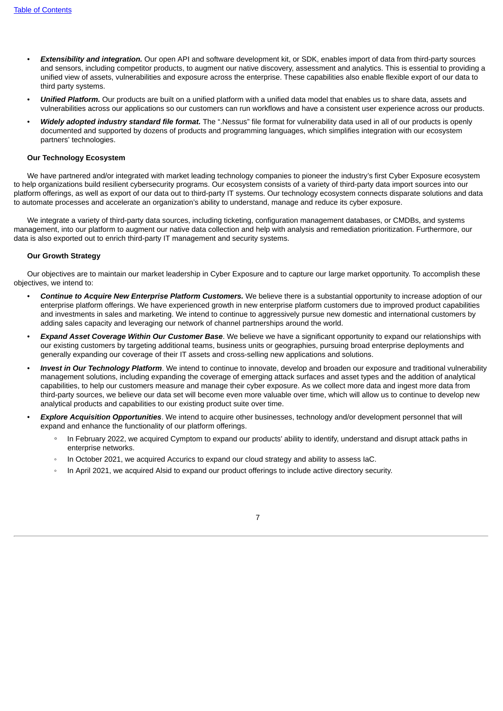- *Extensibility and integration.* Our open API and software development kit, or SDK, enables import of data from third-party sources and sensors, including competitor products, to augment our native discovery, assessment and analytics. This is essential to providing a unified view of assets, vulnerabilities and exposure across the enterprise. These capabilities also enable flexible export of our data to third party systems.
- *Unified Platform.* Our products are built on a unified platform with a unified data model that enables us to share data, assets and vulnerabilities across our applications so our customers can run workflows and have a consistent user experience across our products.
- *Widely adopted industry standard file format.* The ".Nessus" file format for vulnerability data used in all of our products is openly documented and supported by dozens of products and programming languages, which simplifies integration with our ecosystem partners' technologies.

#### **Our Technology Ecosystem**

We have partnered and/or integrated with market leading technology companies to pioneer the industry's first Cyber Exposure ecosystem to help organizations build resilient cybersecurity programs. Our ecosystem consists of a variety of third-party data import sources into our platform offerings, as well as export of our data out to third-party IT systems. Our technology ecosystem connects disparate solutions and data to automate processes and accelerate an organization's ability to understand, manage and reduce its cyber exposure.

We integrate a variety of third-party data sources, including ticketing, configuration management databases, or CMDBs, and systems management, into our platform to augment our native data collection and help with analysis and remediation prioritization. Furthermore, our data is also exported out to enrich third-party IT management and security systems.

#### **Our Growth Strategy**

Our objectives are to maintain our market leadership in Cyber Exposure and to capture our large market opportunity. To accomplish these objectives, we intend to:

- *Continue to Acquire New Enterprise Platform Customers.* We believe there is a substantial opportunity to increase adoption of our enterprise platform offerings. We have experienced growth in new enterprise platform customers due to improved product capabilities and investments in sales and marketing. We intend to continue to aggressively pursue new domestic and international customers by adding sales capacity and leveraging our network of channel partnerships around the world.
- *Expand Asset Coverage Within Our Customer Base*. We believe we have a significant opportunity to expand our relationships with our existing customers by targeting additional teams, business units or geographies, pursuing broad enterprise deployments and generally expanding our coverage of their IT assets and cross-selling new applications and solutions.
- *Invest in Our Technology Platform*. We intend to continue to innovate, develop and broaden our exposure and traditional vulnerability management solutions, including expanding the coverage of emerging attack surfaces and asset types and the addition of analytical capabilities, to help our customers measure and manage their cyber exposure. As we collect more data and ingest more data from third-party sources, we believe our data set will become even more valuable over time, which will allow us to continue to develop new analytical products and capabilities to our existing product suite over time.
- *Explore Acquisition Opportunities*. We intend to acquire other businesses, technology and/or development personnel that will expand and enhance the functionality of our platform offerings.
	- In February 2022, we acquired Cymptom to expand our products' ability to identify, understand and disrupt attack paths in enterprise networks.
	- In October 2021, we acquired Accurics to expand our cloud strategy and ability to assess IaC.
	- In April 2021, we acquired Alsid to expand our product offerings to include active directory security.

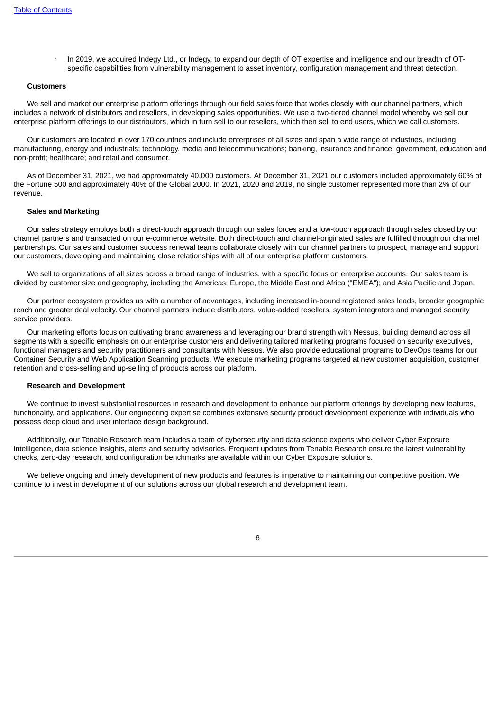◦ In 2019, we acquired Indegy Ltd., or Indegy, to expand our depth of OT expertise and intelligence and our breadth of OTspecific capabilities from vulnerability management to asset inventory, configuration management and threat detection.

#### **Customers**

We sell and market our enterprise platform offerings through our field sales force that works closely with our channel partners, which includes a network of distributors and resellers, in developing sales opportunities. We use a two-tiered channel model whereby we sell our enterprise platform offerings to our distributors, which in turn sell to our resellers, which then sell to end users, which we call customers.

Our customers are located in over 170 countries and include enterprises of all sizes and span a wide range of industries, including manufacturing, energy and industrials; technology, media and telecommunications; banking, insurance and finance; government, education and non-profit; healthcare; and retail and consumer.

As of December 31, 2021, we had approximately 40,000 customers. At December 31, 2021 our customers included approximately 60% of the Fortune 500 and approximately 40% of the Global 2000. In 2021, 2020 and 2019, no single customer represented more than 2% of our revenue.

#### **Sales and Marketing**

Our sales strategy employs both a direct-touch approach through our sales forces and a low-touch approach through sales closed by our channel partners and transacted on our e-commerce website. Both direct-touch and channel-originated sales are fulfilled through our channel partnerships. Our sales and customer success renewal teams collaborate closely with our channel partners to prospect, manage and support our customers, developing and maintaining close relationships with all of our enterprise platform customers.

We sell to organizations of all sizes across a broad range of industries, with a specific focus on enterprise accounts. Our sales team is divided by customer size and geography, including the Americas; Europe, the Middle East and Africa ("EMEA"); and Asia Pacific and Japan.

Our partner ecosystem provides us with a number of advantages, including increased in-bound registered sales leads, broader geographic reach and greater deal velocity. Our channel partners include distributors, value-added resellers, system integrators and managed security service providers.

Our marketing efforts focus on cultivating brand awareness and leveraging our brand strength with Nessus, building demand across all segments with a specific emphasis on our enterprise customers and delivering tailored marketing programs focused on security executives, functional managers and security practitioners and consultants with Nessus. We also provide educational programs to DevOps teams for our Container Security and Web Application Scanning products. We execute marketing programs targeted at new customer acquisition, customer retention and cross-selling and up-selling of products across our platform.

#### **Research and Development**

We continue to invest substantial resources in research and development to enhance our platform offerings by developing new features. functionality, and applications. Our engineering expertise combines extensive security product development experience with individuals who possess deep cloud and user interface design background.

Additionally, our Tenable Research team includes a team of cybersecurity and data science experts who deliver Cyber Exposure intelligence, data science insights, alerts and security advisories. Frequent updates from Tenable Research ensure the latest vulnerability checks, zero-day research, and configuration benchmarks are available within our Cyber Exposure solutions.

We believe ongoing and timely development of new products and features is imperative to maintaining our competitive position. We continue to invest in development of our solutions across our global research and development team.

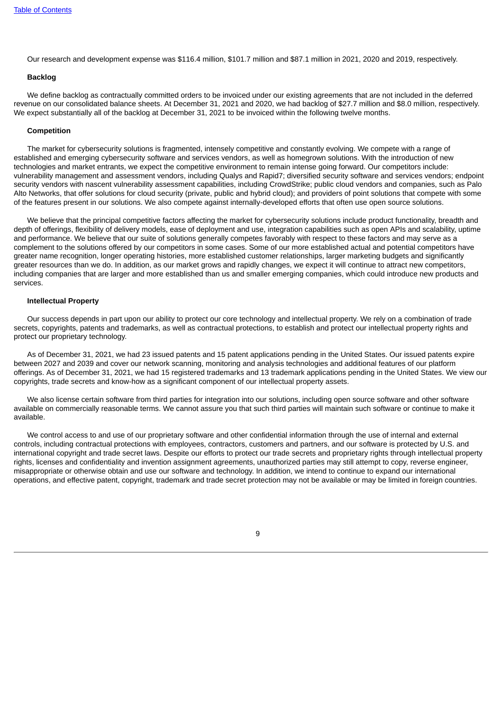Our research and development expense was \$116.4 million, \$101.7 million and \$87.1 million in 2021, 2020 and 2019, respectively.

#### **Backlog**

We define backlog as contractually committed orders to be invoiced under our existing agreements that are not included in the deferred revenue on our consolidated balance sheets. At December 31, 2021 and 2020, we had backlog of \$27.7 million and \$8.0 million, respectively. We expect substantially all of the backlog at December 31, 2021 to be invoiced within the following twelve months.

#### **Competition**

The market for cybersecurity solutions is fragmented, intensely competitive and constantly evolving. We compete with a range of established and emerging cybersecurity software and services vendors, as well as homegrown solutions. With the introduction of new technologies and market entrants, we expect the competitive environment to remain intense going forward. Our competitors include: vulnerability management and assessment vendors, including Qualys and Rapid7; diversified security software and services vendors; endpoint security vendors with nascent vulnerability assessment capabilities, including CrowdStrike; public cloud vendors and companies, such as Palo Alto Networks, that offer solutions for cloud security (private, public and hybrid cloud); and providers of point solutions that compete with some of the features present in our solutions. We also compete against internally-developed efforts that often use open source solutions.

We believe that the principal competitive factors affecting the market for cybersecurity solutions include product functionality, breadth and depth of offerings, flexibility of delivery models, ease of deployment and use, integration capabilities such as open APIs and scalability, uptime and performance. We believe that our suite of solutions generally competes favorably with respect to these factors and may serve as a complement to the solutions offered by our competitors in some cases. Some of our more established actual and potential competitors have greater name recognition, longer operating histories, more established customer relationships, larger marketing budgets and significantly greater resources than we do. In addition, as our market grows and rapidly changes, we expect it will continue to attract new competitors, including companies that are larger and more established than us and smaller emerging companies, which could introduce new products and services.

#### **Intellectual Property**

Our success depends in part upon our ability to protect our core technology and intellectual property. We rely on a combination of trade secrets, copyrights, patents and trademarks, as well as contractual protections, to establish and protect our intellectual property rights and protect our proprietary technology.

As of December 31, 2021, we had 23 issued patents and 15 patent applications pending in the United States. Our issued patents expire between 2027 and 2039 and cover our network scanning, monitoring and analysis technologies and additional features of our platform offerings. As of December 31, 2021, we had 15 registered trademarks and 13 trademark applications pending in the United States. We view our copyrights, trade secrets and know-how as a significant component of our intellectual property assets.

We also license certain software from third parties for integration into our solutions, including open source software and other software available on commercially reasonable terms. We cannot assure you that such third parties will maintain such software or continue to make it available.

We control access to and use of our proprietary software and other confidential information through the use of internal and external controls, including contractual protections with employees, contractors, customers and partners, and our software is protected by U.S. and international copyright and trade secret laws. Despite our efforts to protect our trade secrets and proprietary rights through intellectual property rights, licenses and confidentiality and invention assignment agreements, unauthorized parties may still attempt to copy, reverse engineer, misappropriate or otherwise obtain and use our software and technology. In addition, we intend to continue to expand our international operations, and effective patent, copyright, trademark and trade secret protection may not be available or may be limited in foreign countries.

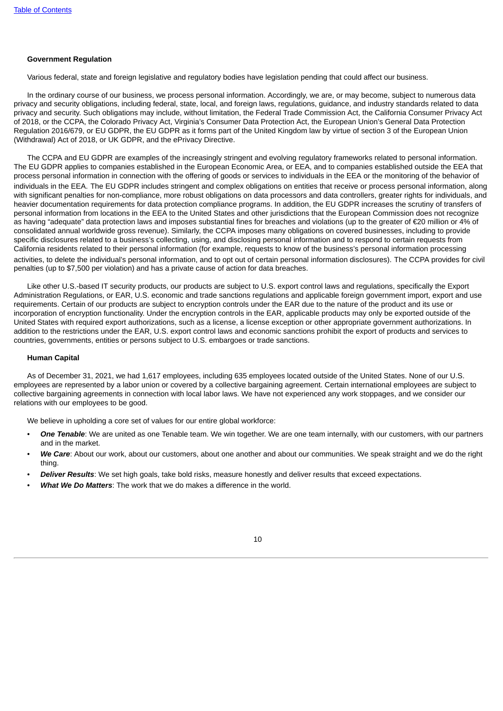#### **Government Regulation**

Various federal, state and foreign legislative and regulatory bodies have legislation pending that could affect our business.

In the ordinary course of our business, we process personal information. Accordingly, we are, or may become, subject to numerous data privacy and security obligations, including federal, state, local, and foreign laws, regulations, guidance, and industry standards related to data privacy and security. Such obligations may include, without limitation, the Federal Trade Commission Act, the California Consumer Privacy Act of 2018, or the CCPA, the Colorado Privacy Act, Virginia's Consumer Data Protection Act, the European Union's General Data Protection Regulation 2016/679, or EU GDPR, the EU GDPR as it forms part of the United Kingdom law by virtue of section 3 of the European Union (Withdrawal) Act of 2018, or UK GDPR, and the ePrivacy Directive.

The CCPA and EU GDPR are examples of the increasingly stringent and evolving regulatory frameworks related to personal information. The EU GDPR applies to companies established in the European Economic Area, or EEA, and to companies established outside the EEA that process personal information in connection with the offering of goods or services to individuals in the EEA or the monitoring of the behavior of individuals in the EEA. The EU GDPR includes stringent and complex obligations on entities that receive or process personal information, along with significant penalties for non-compliance, more robust obligations on data processors and data controllers, greater rights for individuals, and heavier documentation requirements for data protection compliance programs. In addition, the EU GDPR increases the scrutiny of transfers of personal information from locations in the EEA to the United States and other jurisdictions that the European Commission does not recognize as having "adequate" data protection laws and imposes substantial fines for breaches and violations (up to the greater of €20 million or 4% of consolidated annual worldwide gross revenue). Similarly, the CCPA imposes many obligations on covered businesses, including to provide specific disclosures related to a business's collecting, using, and disclosing personal information and to respond to certain requests from California residents related to their personal information (for example, requests to know of the business's personal information processing activities, to delete the individual's personal information, and to opt out of certain personal information disclosures). The CCPA provides for civil penalties (up to \$7,500 per violation) and has a private cause of action for data breaches.

Like other U.S.-based IT security products, our products are subject to U.S. export control laws and regulations, specifically the Export Administration Regulations, or EAR, U.S. economic and trade sanctions regulations and applicable foreign government import, export and use requirements. Certain of our products are subject to encryption controls under the EAR due to the nature of the product and its use or incorporation of encryption functionality. Under the encryption controls in the EAR, applicable products may only be exported outside of the United States with required export authorizations, such as a license, a license exception or other appropriate government authorizations. In addition to the restrictions under the EAR, U.S. export control laws and economic sanctions prohibit the export of products and services to countries, governments, entities or persons subject to U.S. embargoes or trade sanctions.

#### **Human Capital**

As of December 31, 2021, we had 1,617 employees, including 635 employees located outside of the United States. None of our U.S. employees are represented by a labor union or covered by a collective bargaining agreement. Certain international employees are subject to collective bargaining agreements in connection with local labor laws. We have not experienced any work stoppages, and we consider our relations with our employees to be good.

We believe in upholding a core set of values for our entire global workforce:

- *One Tenable*: We are united as one Tenable team. We win together. We are one team internally, with our customers, with our partners and in the market.
- *We Care*: About our work, about our customers, about one another and about our communities. We speak straight and we do the right thing.
- *Deliver Results:* We set high goals, take bold risks, measure honestly and deliver results that exceed expectations.
- *What We Do Matters*: The work that we do makes a difference in the world.

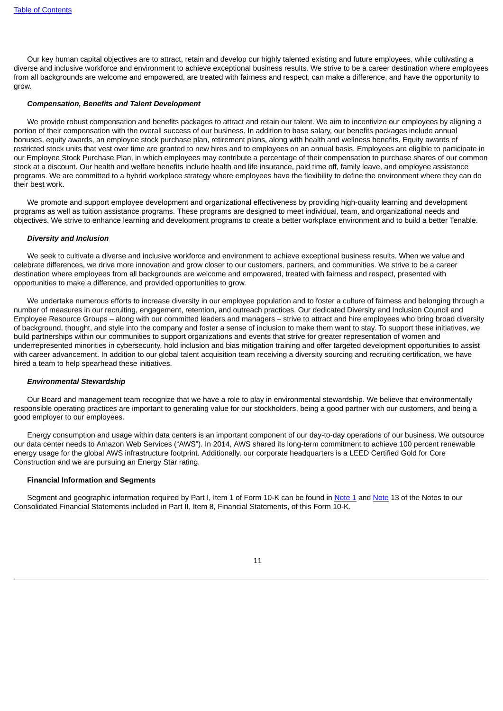Our key human capital objectives are to attract, retain and develop our highly talented existing and future employees, while cultivating a diverse and inclusive workforce and environment to achieve exceptional business results. We strive to be a career destination where employees from all backgrounds are welcome and empowered, are treated with fairness and respect, can make a difference, and have the opportunity to grow.

#### *Compensation, Benefits and Talent Development*

We provide robust compensation and benefits packages to attract and retain our talent. We aim to incentivize our employees by aligning a portion of their compensation with the overall success of our business. In addition to base salary, our benefits packages include annual bonuses, equity awards, an employee stock purchase plan, retirement plans, along with health and wellness benefits. Equity awards of restricted stock units that vest over time are granted to new hires and to employees on an annual basis. Employees are eligible to participate in our Employee Stock Purchase Plan, in which employees may contribute a percentage of their compensation to purchase shares of our common stock at a discount. Our health and welfare benefits include health and life insurance, paid time off, family leave, and employee assistance programs. We are committed to a hybrid workplace strategy where employees have the flexibility to define the environment where they can do their best work.

We promote and support employee development and organizational effectiveness by providing high-quality learning and development programs as well as tuition assistance programs. These programs are designed to meet individual, team, and organizational needs and objectives. We strive to enhance learning and development programs to create a better workplace environment and to build a better Tenable.

#### *Diversity and Inclusion*

We seek to cultivate a diverse and inclusive workforce and environment to achieve exceptional business results. When we value and celebrate differences, we drive more innovation and grow closer to our customers, partners, and communities. We strive to be a career destination where employees from all backgrounds are welcome and empowered, treated with fairness and respect, presented with opportunities to make a difference, and provided opportunities to grow.

We undertake numerous efforts to increase diversity in our employee population and to foster a culture of fairness and belonging through a number of measures in our recruiting, engagement, retention, and outreach practices. Our dedicated Diversity and Inclusion Council and Employee Resource Groups – along with our committed leaders and managers – strive to attract and hire employees who bring broad diversity of background, thought, and style into the company and foster a sense of inclusion to make them want to stay. To support these initiatives, we build partnerships within our communities to support organizations and events that strive for greater representation of women and underrepresented minorities in cybersecurity, hold inclusion and bias mitigation training and offer targeted development opportunities to assist with career advancement. In addition to our global talent acquisition team receiving a diversity sourcing and recruiting certification, we have hired a team to help spearhead these initiatives.

#### *Environmental Stewardship*

Our Board and management team recognize that we have a role to play in environmental stewardship. We believe that environmentally responsible operating practices are important to generating value for our stockholders, being a good partner with our customers, and being a good employer to our employees.

Energy consumption and usage within data centers is an important component of our day-to-day operations of our business. We outsource our data center needs to Amazon Web Services ("AWS"). In 2014, AWS shared its long-term commitment to achieve 100 percent renewable energy usage for the global AWS infrastructure footprint. Additionally, our corporate headquarters is a LEED Certified Gold for Core Construction and we are pursuing an Energy Star rating.

#### **Financial Information and Segments**

Segment and geographic information required by Part I, Item 1 of Form 10-K can be found in [Note](#page-96-1) 1 and Note 13 of the Notes to our Consolidated Financial Statements included in Part II, Item 8, Financial Statements, of this Form 10-K.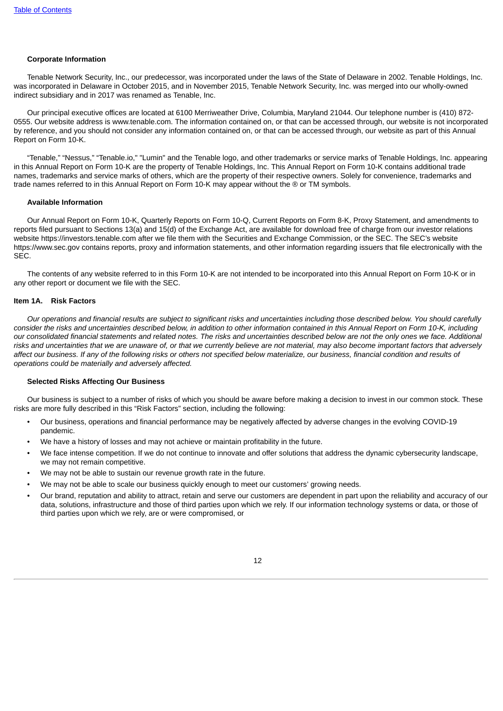#### **Corporate Information**

Tenable Network Security, Inc., our predecessor, was incorporated under the laws of the State of Delaware in 2002. Tenable Holdings, Inc. was incorporated in Delaware in October 2015, and in November 2015, Tenable Network Security, Inc. was merged into our wholly-owned indirect subsidiary and in 2017 was renamed as Tenable, Inc.

Our principal executive offices are located at 6100 Merriweather Drive, Columbia, Maryland 21044. Our telephone number is (410) 872- 0555. Our website address is www.tenable.com. The information contained on, or that can be accessed through, our website is not incorporated by reference, and you should not consider any information contained on, or that can be accessed through, our website as part of this Annual Report on Form 10-K.

"Tenable," "Nessus," "Tenable.io," "Lumin" and the Tenable logo, and other trademarks or service marks of Tenable Holdings, Inc. appearing in this Annual Report on Form 10-K are the property of Tenable Holdings, Inc. This Annual Report on Form 10-K contains additional trade names, trademarks and service marks of others, which are the property of their respective owners. Solely for convenience, trademarks and trade names referred to in this Annual Report on Form 10-K may appear without the ® or TM symbols.

#### **Available Information**

Our Annual Report on Form 10-K, Quarterly Reports on Form 10-Q, Current Reports on Form 8-K, Proxy Statement, and amendments to reports filed pursuant to Sections 13(a) and 15(d) of the Exchange Act, are available for download free of charge from our investor relations website https://investors.tenable.com after we file them with the Securities and Exchange Commission, or the SEC. The SEC's website https://www.sec.gov contains reports, proxy and information statements, and other information regarding issuers that file electronically with the SEC.

The contents of any website referred to in this Form 10-K are not intended to be incorporated into this Annual Report on Form 10-K or in any other report or document we file with the SEC.

#### <span id="page-11-0"></span>**Item 1A. Risk Factors**

Our operations and financial results are subject to significant risks and uncertainties including those described below. You should carefully consider the risks and uncertainties described below, in addition to other information contained in this Annual Report on Form 10-K, including our consolidated financial statements and related notes. The risks and uncertainties described below are not the only ones we face. Additional risks and uncertainties that we are unaware of, or that we currently believe are not material, may also become important factors that adversely affect our business. If any of the following risks or others not specified below materialize, our business, financial condition and results of *operations could be materially and adversely affected.*

#### **Selected Risks Affecting Our Business**

Our business is subject to a number of risks of which you should be aware before making a decision to invest in our common stock. These risks are more fully described in this "Risk Factors" section, including the following:

- Our business, operations and financial performance may be negatively affected by adverse changes in the evolving COVID-19 pandemic.
- We have a history of losses and may not achieve or maintain profitability in the future.
- We face intense competition. If we do not continue to innovate and offer solutions that address the dynamic cybersecurity landscape, we may not remain competitive.
- We may not be able to sustain our revenue growth rate in the future.
- We may not be able to scale our business quickly enough to meet our customers' growing needs.
- Our brand, reputation and ability to attract, retain and serve our customers are dependent in part upon the reliability and accuracy of our data, solutions, infrastructure and those of third parties upon which we rely. If our information technology systems or data, or those of third parties upon which we rely, are or were compromised, or

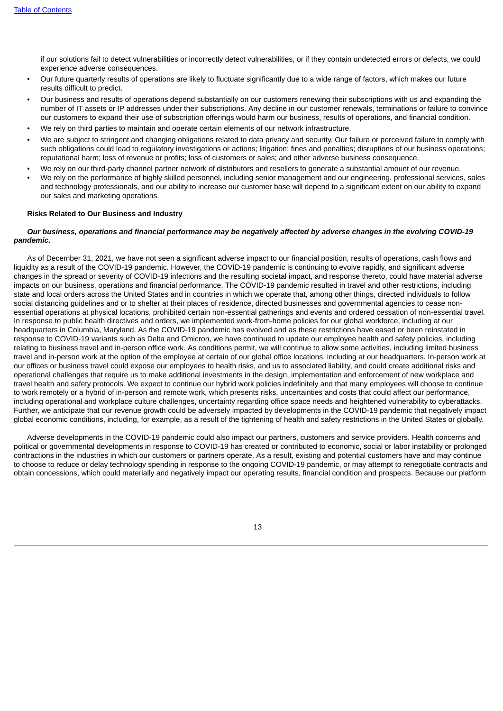if our solutions fail to detect vulnerabilities or incorrectly detect vulnerabilities, or if they contain undetected errors or defects, we could experience adverse consequences.

- Our future quarterly results of operations are likely to fluctuate significantly due to a wide range of factors, which makes our future results difficult to predict.
- Our business and results of operations depend substantially on our customers renewing their subscriptions with us and expanding the number of IT assets or IP addresses under their subscriptions. Any decline in our customer renewals, terminations or failure to convince our customers to expand their use of subscription offerings would harm our business, results of operations, and financial condition.
- We rely on third parties to maintain and operate certain elements of our network infrastructure.
- We are subject to stringent and changing obligations related to data privacy and security. Our failure or perceived failure to comply with such obligations could lead to regulatory investigations or actions; litigation; fines and penalties; disruptions of our business operations; reputational harm; loss of revenue or profits; loss of customers or sales; and other adverse business consequence.
- We rely on our third-party channel partner network of distributors and resellers to generate a substantial amount of our revenue.
- We rely on the performance of highly skilled personnel, including senior management and our engineering, professional services, sales and technology professionals, and our ability to increase our customer base will depend to a significant extent on our ability to expand our sales and marketing operations.

# **Risks Related to Our Business and Industry**

#### Our business, operations and financial performance may be negatively affected by adverse changes in the evolving COVID-19 *pandemic.*

As of December 31, 2021, we have not seen a significant adverse impact to our financial position, results of operations, cash flows and liquidity as a result of the COVID-19 pandemic. However, the COVID-19 pandemic is continuing to evolve rapidly, and significant adverse changes in the spread or severity of COVID-19 infections and the resulting societal impact, and response thereto, could have material adverse impacts on our business, operations and financial performance. The COVID-19 pandemic resulted in travel and other restrictions, including state and local orders across the United States and in countries in which we operate that, among other things, directed individuals to follow social distancing guidelines and or to shelter at their places of residence, directed businesses and governmental agencies to cease nonessential operations at physical locations, prohibited certain non-essential gatherings and events and ordered cessation of non-essential travel. In response to public health directives and orders, we implemented work-from-home policies for our global workforce, including at our headquarters in Columbia, Maryland. As the COVID-19 pandemic has evolved and as these restrictions have eased or been reinstated in response to COVID-19 variants such as Delta and Omicron, we have continued to update our employee health and safety policies, including relating to business travel and in-person office work. As conditions permit, we will continue to allow some activities, including limited business travel and in-person work at the option of the employee at certain of our global office locations, including at our headquarters. In-person work at our offices or business travel could expose our employees to health risks, and us to associated liability, and could create additional risks and operational challenges that require us to make additional investments in the design, implementation and enforcement of new workplace and travel health and safety protocols. We expect to continue our hybrid work policies indefinitely and that many employees will choose to continue to work remotely or a hybrid of in-person and remote work, which presents risks, uncertainties and costs that could affect our performance, including operational and workplace culture challenges, uncertainty regarding office space needs and heightened vulnerability to cyberattacks. Further, we anticipate that our revenue growth could be adversely impacted by developments in the COVID-19 pandemic that negatively impact global economic conditions, including, for example, as a result of the tightening of health and safety restrictions in the United States or globally.

Adverse developments in the COVID-19 pandemic could also impact our partners, customers and service providers. Health concerns and political or governmental developments in response to COVID-19 has created or contributed to economic, social or labor instability or prolonged contractions in the industries in which our customers or partners operate. As a result, existing and potential customers have and may continue to choose to reduce or delay technology spending in response to the ongoing COVID-19 pandemic, or may attempt to renegotiate contracts and obtain concessions, which could materially and negatively impact our operating results, financial condition and prospects. Because our platform

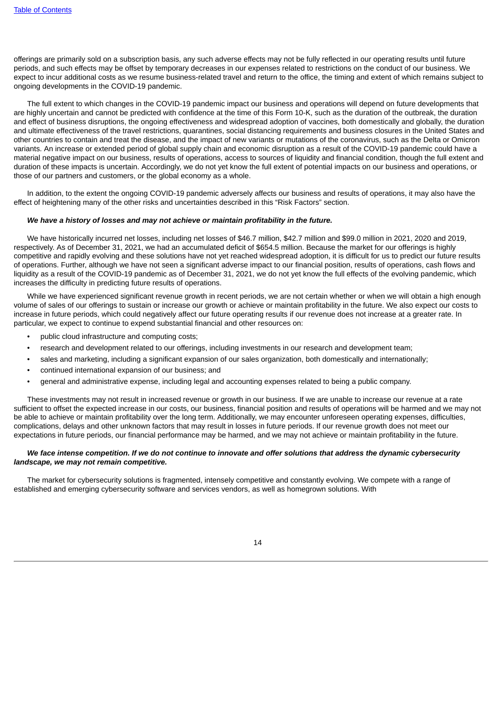offerings are primarily sold on a subscription basis, any such adverse effects may not be fully reflected in our operating results until future periods, and such effects may be offset by temporary decreases in our expenses related to restrictions on the conduct of our business. We expect to incur additional costs as we resume business-related travel and return to the office, the timing and extent of which remains subject to ongoing developments in the COVID-19 pandemic.

The full extent to which changes in the COVID-19 pandemic impact our business and operations will depend on future developments that are highly uncertain and cannot be predicted with confidence at the time of this Form 10-K, such as the duration of the outbreak, the duration and effect of business disruptions, the ongoing effectiveness and widespread adoption of vaccines, both domestically and globally, the duration and ultimate effectiveness of the travel restrictions, quarantines, social distancing requirements and business closures in the United States and other countries to contain and treat the disease, and the impact of new variants or mutations of the coronavirus, such as the Delta or Omicron variants. An increase or extended period of global supply chain and economic disruption as a result of the COVID-19 pandemic could have a material negative impact on our business, results of operations, access to sources of liquidity and financial condition, though the full extent and duration of these impacts is uncertain. Accordingly, we do not yet know the full extent of potential impacts on our business and operations, or those of our partners and customers, or the global economy as a whole.

In addition, to the extent the ongoing COVID-19 pandemic adversely affects our business and results of operations, it may also have the effect of heightening many of the other risks and uncertainties described in this "Risk Factors" section.

#### *We have a history of losses and may not achieve or maintain profitability in the future.*

We have historically incurred net losses, including net losses of \$46.7 million, \$42.7 million and \$99.0 million in 2021, 2020 and 2019, respectively. As of December 31, 2021, we had an accumulated deficit of \$654.5 million. Because the market for our offerings is highly competitive and rapidly evolving and these solutions have not yet reached widespread adoption, it is difficult for us to predict our future results of operations. Further, although we have not seen a significant adverse impact to our financial position, results of operations, cash flows and liquidity as a result of the COVID-19 pandemic as of December 31, 2021, we do not yet know the full effects of the evolving pandemic, which increases the difficulty in predicting future results of operations.

While we have experienced significant revenue growth in recent periods, we are not certain whether or when we will obtain a high enough volume of sales of our offerings to sustain or increase our growth or achieve or maintain profitability in the future. We also expect our costs to increase in future periods, which could negatively affect our future operating results if our revenue does not increase at a greater rate. In particular, we expect to continue to expend substantial financial and other resources on:

- public cloud infrastructure and computing costs;
- research and development related to our offerings, including investments in our research and development team;
- sales and marketing, including a significant expansion of our sales organization, both domestically and internationally;
- continued international expansion of our business; and
- general and administrative expense, including legal and accounting expenses related to being a public company.

These investments may not result in increased revenue or growth in our business. If we are unable to increase our revenue at a rate sufficient to offset the expected increase in our costs, our business, financial position and results of operations will be harmed and we may not be able to achieve or maintain profitability over the long term. Additionally, we may encounter unforeseen operating expenses, difficulties, complications, delays and other unknown factors that may result in losses in future periods. If our revenue growth does not meet our expectations in future periods, our financial performance may be harmed, and we may not achieve or maintain profitability in the future.

# We face intense competition. If we do not continue to innovate and offer solutions that address the dynamic cybersecurity *landscape, we may not remain competitive.*

The market for cybersecurity solutions is fragmented, intensely competitive and constantly evolving. We compete with a range of established and emerging cybersecurity software and services vendors, as well as homegrown solutions. With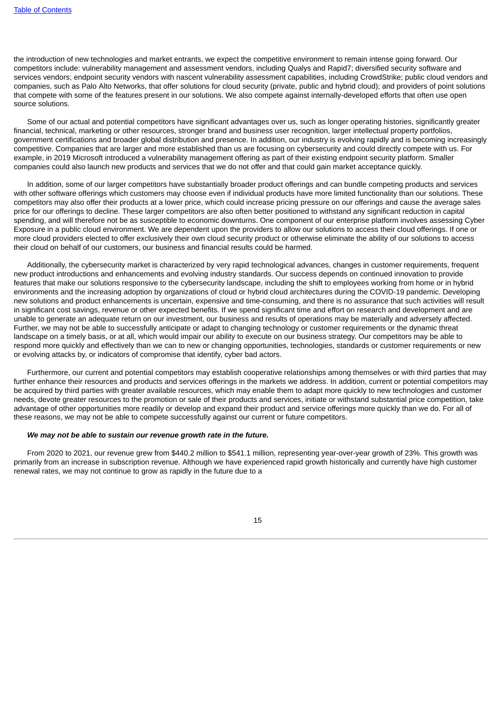the introduction of new technologies and market entrants, we expect the competitive environment to remain intense going forward. Our competitors include: vulnerability management and assessment vendors, including Qualys and Rapid7; diversified security software and services vendors; endpoint security vendors with nascent vulnerability assessment capabilities, including CrowdStrike; public cloud vendors and companies, such as Palo Alto Networks, that offer solutions for cloud security (private, public and hybrid cloud); and providers of point solutions that compete with some of the features present in our solutions. We also compete against internally-developed efforts that often use open source solutions.

Some of our actual and potential competitors have significant advantages over us, such as longer operating histories, significantly greater financial, technical, marketing or other resources, stronger brand and business user recognition, larger intellectual property portfolios, government certifications and broader global distribution and presence. In addition, our industry is evolving rapidly and is becoming increasingly competitive. Companies that are larger and more established than us are focusing on cybersecurity and could directly compete with us. For example, in 2019 Microsoft introduced a vulnerability management offering as part of their existing endpoint security platform. Smaller companies could also launch new products and services that we do not offer and that could gain market acceptance quickly.

In addition, some of our larger competitors have substantially broader product offerings and can bundle competing products and services with other software offerings which customers may choose even if individual products have more limited functionality than our solutions. These competitors may also offer their products at a lower price, which could increase pricing pressure on our offerings and cause the average sales price for our offerings to decline. These larger competitors are also often better positioned to withstand any significant reduction in capital spending, and will therefore not be as susceptible to economic downturns. One component of our enterprise platform involves assessing Cyber Exposure in a public cloud environment. We are dependent upon the providers to allow our solutions to access their cloud offerings. If one or more cloud providers elected to offer exclusively their own cloud security product or otherwise eliminate the ability of our solutions to access their cloud on behalf of our customers, our business and financial results could be harmed.

Additionally, the cybersecurity market is characterized by very rapid technological advances, changes in customer requirements, frequent new product introductions and enhancements and evolving industry standards. Our success depends on continued innovation to provide features that make our solutions responsive to the cybersecurity landscape, including the shift to employees working from home or in hybrid environments and the increasing adoption by organizations of cloud or hybrid cloud architectures during the COVID-19 pandemic. Developing new solutions and product enhancements is uncertain, expensive and time-consuming, and there is no assurance that such activities will result in significant cost savings, revenue or other expected benefits. If we spend significant time and effort on research and development and are unable to generate an adequate return on our investment, our business and results of operations may be materially and adversely affected. Further, we may not be able to successfully anticipate or adapt to changing technology or customer requirements or the dynamic threat landscape on a timely basis, or at all, which would impair our ability to execute on our business strategy. Our competitors may be able to respond more quickly and effectively than we can to new or changing opportunities, technologies, standards or customer requirements or new or evolving attacks by, or indicators of compromise that identify, cyber bad actors.

Furthermore, our current and potential competitors may establish cooperative relationships among themselves or with third parties that may further enhance their resources and products and services offerings in the markets we address. In addition, current or potential competitors may be acquired by third parties with greater available resources, which may enable them to adapt more quickly to new technologies and customer needs, devote greater resources to the promotion or sale of their products and services, initiate or withstand substantial price competition, take advantage of other opportunities more readily or develop and expand their product and service offerings more quickly than we do. For all of these reasons, we may not be able to compete successfully against our current or future competitors.

#### *We may not be able to sustain our revenue growth rate in the future.*

From 2020 to 2021, our revenue grew from \$440.2 million to \$541.1 million, representing year-over-year growth of 23%. This growth was primarily from an increase in subscription revenue. Although we have experienced rapid growth historically and currently have high customer renewal rates, we may not continue to grow as rapidly in the future due to a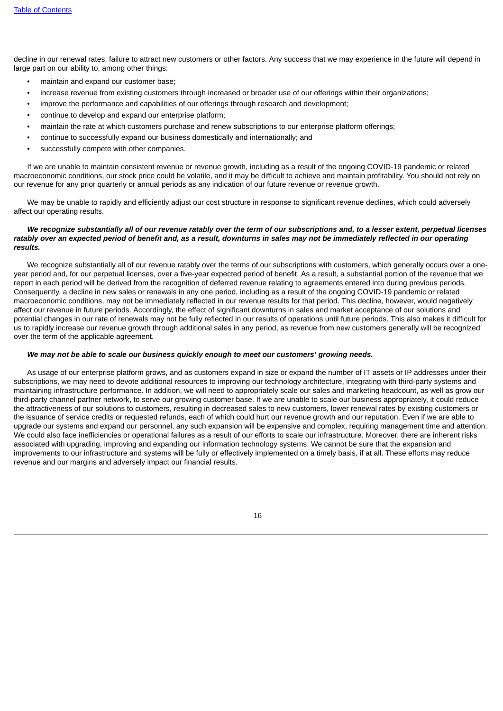decline in our renewal rates, failure to attract new customers or other factors. Any success that we may experience in the future will depend in large part on our ability to, among other things:

- maintain and expand our customer base;
- increase revenue from existing customers through increased or broader use of our offerings within their organizations;
- improve the performance and capabilities of our offerings through research and development;
- continue to develop and expand our enterprise platform;
- maintain the rate at which customers purchase and renew subscriptions to our enterprise platform offerings;
- continue to successfully expand our business domestically and internationally; and
- successfully compete with other companies.

If we are unable to maintain consistent revenue or revenue growth, including as a result of the ongoing COVID-19 pandemic or related macroeconomic conditions, our stock price could be volatile, and it may be difficult to achieve and maintain profitability. You should not rely on our revenue for any prior quarterly or annual periods as any indication of our future revenue or revenue growth.

We may be unable to rapidly and efficiently adjust our cost structure in response to significant revenue declines, which could adversely affect our operating results.

# We recognize substantially all of our revenue ratably over the term of our subscriptions and, to a lesser extent, perpetual licenses ratably over an expected period of benefit and, as a result, downturns in sales may not be immediately reflected in our operating *results.*

We recognize substantially all of our revenue ratably over the terms of our subscriptions with customers, which generally occurs over a oneyear period and, for our perpetual licenses, over a five-year expected period of benefit. As a result, a substantial portion of the revenue that we report in each period will be derived from the recognition of deferred revenue relating to agreements entered into during previous periods. Consequently, a decline in new sales or renewals in any one period, including as a result of the ongoing COVID-19 pandemic or related macroeconomic conditions, may not be immediately reflected in our revenue results for that period. This decline, however, would negatively affect our revenue in future periods. Accordingly, the effect of significant downturns in sales and market acceptance of our solutions and potential changes in our rate of renewals may not be fully reflected in our results of operations until future periods. This also makes it difficult for us to rapidly increase our revenue growth through additional sales in any period, as revenue from new customers generally will be recognized over the term of the applicable agreement.

### *We may not be able to scale our business quickly enough to meet our customers' growing needs.*

As usage of our enterprise platform grows, and as customers expand in size or expand the number of IT assets or IP addresses under their subscriptions, we may need to devote additional resources to improving our technology architecture, integrating with third-party systems and maintaining infrastructure performance. In addition, we will need to appropriately scale our sales and marketing headcount, as well as grow our third-party channel partner network, to serve our growing customer base. If we are unable to scale our business appropriately, it could reduce the attractiveness of our solutions to customers, resulting in decreased sales to new customers, lower renewal rates by existing customers or the issuance of service credits or requested refunds, each of which could hurt our revenue growth and our reputation. Even if we are able to upgrade our systems and expand our personnel, any such expansion will be expensive and complex, requiring management time and attention. We could also face inefficiencies or operational failures as a result of our efforts to scale our infrastructure. Moreover, there are inherent risks associated with upgrading, improving and expanding our information technology systems. We cannot be sure that the expansion and improvements to our infrastructure and systems will be fully or effectively implemented on a timely basis, if at all. These efforts may reduce revenue and our margins and adversely impact our financial results.

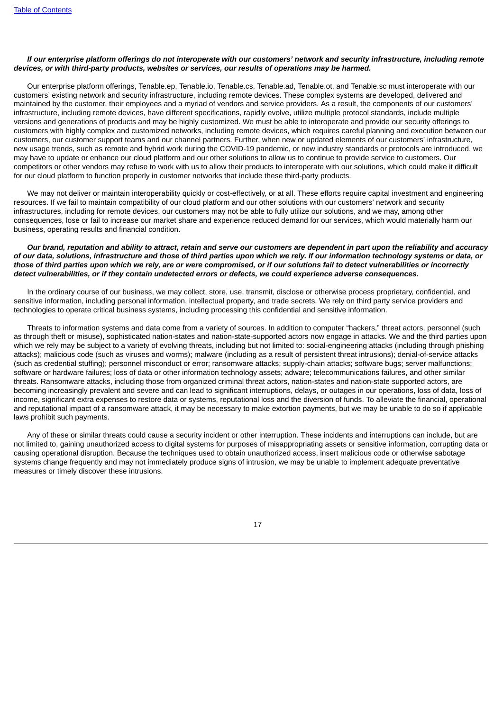# If our enterprise platform offerings do not interoperate with our customers' network and security infrastructure, including remote *devices, or with third-party products, websites or services, our results of operations may be harmed.*

Our enterprise platform offerings, Tenable.ep, Tenable.io, Tenable.cs, Tenable.ad, Tenable.ot, and Tenable.sc must interoperate with our customers' existing network and security infrastructure, including remote devices. These complex systems are developed, delivered and maintained by the customer, their employees and a myriad of vendors and service providers. As a result, the components of our customers' infrastructure, including remote devices, have different specifications, rapidly evolve, utilize multiple protocol standards, include multiple versions and generations of products and may be highly customized. We must be able to interoperate and provide our security offerings to customers with highly complex and customized networks, including remote devices, which requires careful planning and execution between our customers, our customer support teams and our channel partners. Further, when new or updated elements of our customers' infrastructure, new usage trends, such as remote and hybrid work during the COVID-19 pandemic, or new industry standards or protocols are introduced, we may have to update or enhance our cloud platform and our other solutions to allow us to continue to provide service to customers. Our competitors or other vendors may refuse to work with us to allow their products to interoperate with our solutions, which could make it difficult for our cloud platform to function properly in customer networks that include these third-party products.

We may not deliver or maintain interoperability quickly or cost-effectively, or at all. These efforts require capital investment and engineering resources. If we fail to maintain compatibility of our cloud platform and our other solutions with our customers' network and security infrastructures, including for remote devices, our customers may not be able to fully utilize our solutions, and we may, among other consequences, lose or fail to increase our market share and experience reduced demand for our services, which would materially harm our business, operating results and financial condition.

#### Our brand, reputation and ability to attract, retain and serve our customers are dependent in part upon the reliability and accuracy of our data, solutions, infrastructure and those of third parties upon which we rely. If our information technology systems or data, or those of third parties upon which we rely, are or were compromised, or if our solutions fail to detect vulnerabilities or incorrectly *detect vulnerabilities, or if they contain undetected errors or defects, we could experience adverse consequences.*

In the ordinary course of our business, we may collect, store, use, transmit, disclose or otherwise process proprietary, confidential, and sensitive information, including personal information, intellectual property, and trade secrets. We rely on third party service providers and technologies to operate critical business systems, including processing this confidential and sensitive information.

Threats to information systems and data come from a variety of sources. In addition to computer "hackers," threat actors, personnel (such as through theft or misuse), sophisticated nation-states and nation-state-supported actors now engage in attacks. We and the third parties upon which we rely may be subject to a variety of evolving threats, including but not limited to: social-engineering attacks (including through phishing attacks); malicious code (such as viruses and worms); malware (including as a result of persistent threat intrusions); denial-of-service attacks (such as credential stuffing); personnel misconduct or error; ransomware attacks; supply-chain attacks; software bugs; server malfunctions; software or hardware failures; loss of data or other information technology assets; adware; telecommunications failures, and other similar threats. Ransomware attacks, including those from organized criminal threat actors, nation-states and nation-state supported actors, are becoming increasingly prevalent and severe and can lead to significant interruptions, delays, or outages in our operations, loss of data, loss of income, significant extra expenses to restore data or systems, reputational loss and the diversion of funds. To alleviate the financial, operational and reputational impact of a ransomware attack, it may be necessary to make extortion payments, but we may be unable to do so if applicable laws prohibit such payments.

Any of these or similar threats could cause a security incident or other interruption. These incidents and interruptions can include, but are not limited to, gaining unauthorized access to digital systems for purposes of misappropriating assets or sensitive information, corrupting data or causing operational disruption. Because the techniques used to obtain unauthorized access, insert malicious code or otherwise sabotage systems change frequently and may not immediately produce signs of intrusion, we may be unable to implement adequate preventative measures or timely discover these intrusions.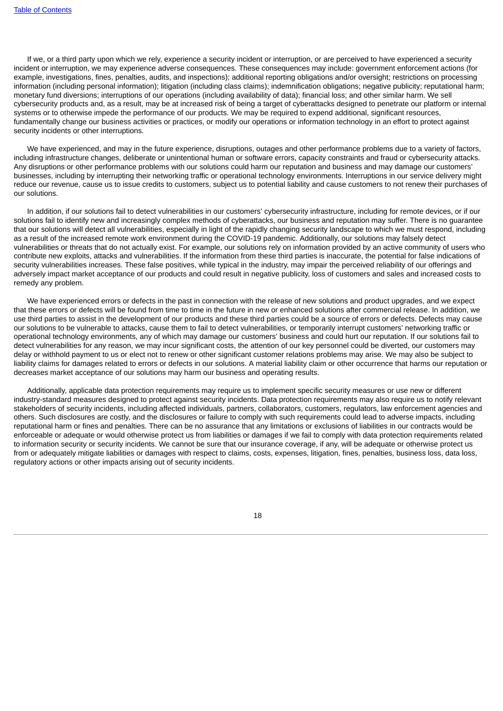If we, or a third party upon which we rely, experience a security incident or interruption, or are perceived to have experienced a security incident or interruption, we may experience adverse consequences. These consequences may include: government enforcement actions (for example, investigations, fines, penalties, audits, and inspections); additional reporting obligations and/or oversight; restrictions on processing information (including personal information); litigation (including class claims); indemnification obligations; negative publicity; reputational harm; monetary fund diversions; interruptions of our operations (including availability of data); financial loss; and other similar harm. We sell cybersecurity products and, as a result, may be at increased risk of being a target of cyberattacks designed to penetrate our platform or internal systems or to otherwise impede the performance of our products. We may be required to expend additional, significant resources, fundamentally change our business activities or practices, or modify our operations or information technology in an effort to protect against security incidents or other interruptions.

We have experienced, and may in the future experience, disruptions, outages and other performance problems due to a variety of factors, including infrastructure changes, deliberate or unintentional human or software errors, capacity constraints and fraud or cybersecurity attacks. Any disruptions or other performance problems with our solutions could harm our reputation and business and may damage our customers' businesses, including by interrupting their networking traffic or operational technology environments. Interruptions in our service delivery might reduce our revenue, cause us to issue credits to customers, subject us to potential liability and cause customers to not renew their purchases of our solutions.

In addition, if our solutions fail to detect vulnerabilities in our customers' cybersecurity infrastructure, including for remote devices, or if our solutions fail to identify new and increasingly complex methods of cyberattacks, our business and reputation may suffer. There is no guarantee that our solutions will detect all vulnerabilities, especially in light of the rapidly changing security landscape to which we must respond, including as a result of the increased remote work environment during the COVID-19 pandemic. Additionally, our solutions may falsely detect vulnerabilities or threats that do not actually exist. For example, our solutions rely on information provided by an active community of users who contribute new exploits, attacks and vulnerabilities. If the information from these third parties is inaccurate, the potential for false indications of security vulnerabilities increases. These false positives, while typical in the industry, may impair the perceived reliability of our offerings and adversely impact market acceptance of our products and could result in negative publicity, loss of customers and sales and increased costs to remedy any problem.

We have experienced errors or defects in the past in connection with the release of new solutions and product upgrades, and we expect that these errors or defects will be found from time to time in the future in new or enhanced solutions after commercial release. In addition, we use third parties to assist in the development of our products and these third parties could be a source of errors or defects. Defects may cause our solutions to be vulnerable to attacks, cause them to fail to detect vulnerabilities, or temporarily interrupt customers' networking traffic or operational technology environments, any of which may damage our customers' business and could hurt our reputation. If our solutions fail to detect vulnerabilities for any reason, we may incur significant costs, the attention of our key personnel could be diverted, our customers may delay or withhold payment to us or elect not to renew or other significant customer relations problems may arise. We may also be subject to liability claims for damages related to errors or defects in our solutions. A material liability claim or other occurrence that harms our reputation or decreases market acceptance of our solutions may harm our business and operating results.

Additionally, applicable data protection requirements may require us to implement specific security measures or use new or different industry-standard measures designed to protect against security incidents. Data protection requirements may also require us to notify relevant stakeholders of security incidents, including affected individuals, partners, collaborators, customers, regulators, law enforcement agencies and others. Such disclosures are costly, and the disclosures or failure to comply with such requirements could lead to adverse impacts, including reputational harm or fines and penalties. There can be no assurance that any limitations or exclusions of liabilities in our contracts would be enforceable or adequate or would otherwise protect us from liabilities or damages if we fail to comply with data protection requirements related to information security or security incidents. We cannot be sure that our insurance coverage, if any, will be adequate or otherwise protect us from or adequately mitigate liabilities or damages with respect to claims, costs, expenses, litigation, fines, penalties, business loss, data loss, regulatory actions or other impacts arising out of security incidents.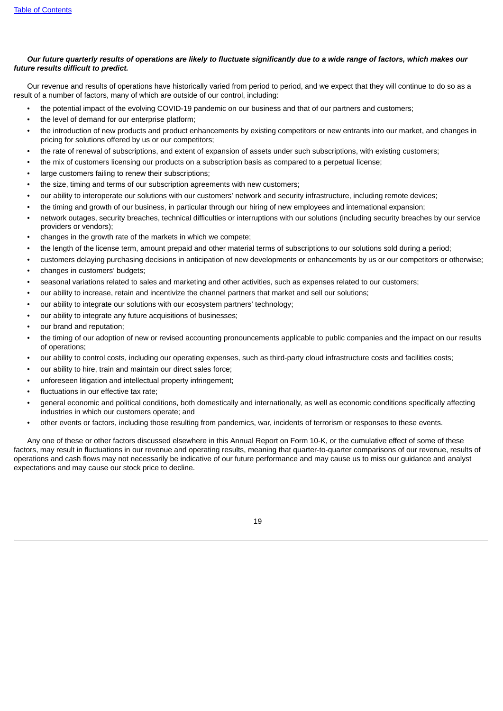# Our future quarterly results of operations are likely to fluctuate significantly due to a wide range of factors, which makes our *future results difficult to predict.*

Our revenue and results of operations have historically varied from period to period, and we expect that they will continue to do so as a result of a number of factors, many of which are outside of our control, including:

- the potential impact of the evolving COVID-19 pandemic on our business and that of our partners and customers;
- the level of demand for our enterprise platform;
- the introduction of new products and product enhancements by existing competitors or new entrants into our market, and changes in pricing for solutions offered by us or our competitors;
- the rate of renewal of subscriptions, and extent of expansion of assets under such subscriptions, with existing customers;
- the mix of customers licensing our products on a subscription basis as compared to a perpetual license;
- large customers failing to renew their subscriptions:
- the size, timing and terms of our subscription agreements with new customers;
- our ability to interoperate our solutions with our customers' network and security infrastructure, including remote devices;
- the timing and growth of our business, in particular through our hiring of new employees and international expansion;
- network outages, security breaches, technical difficulties or interruptions with our solutions (including security breaches by our service providers or vendors);
- changes in the growth rate of the markets in which we compete;
- the length of the license term, amount prepaid and other material terms of subscriptions to our solutions sold during a period;
- customers delaying purchasing decisions in anticipation of new developments or enhancements by us or our competitors or otherwise;
- changes in customers' budgets;
- seasonal variations related to sales and marketing and other activities, such as expenses related to our customers;
- our ability to increase, retain and incentivize the channel partners that market and sell our solutions;
- our ability to integrate our solutions with our ecosystem partners' technology;
- our ability to integrate any future acquisitions of businesses:
- our brand and reputation;
- the timing of our adoption of new or revised accounting pronouncements applicable to public companies and the impact on our results of operations;
- our ability to control costs, including our operating expenses, such as third-party cloud infrastructure costs and facilities costs;
- our ability to hire, train and maintain our direct sales force;
- unforeseen litigation and intellectual property infringement;
- fluctuations in our effective tax rate;
- general economic and political conditions, both domestically and internationally, as well as economic conditions specifically affecting industries in which our customers operate; and
- other events or factors, including those resulting from pandemics, war, incidents of terrorism or responses to these events.

Any one of these or other factors discussed elsewhere in this Annual Report on Form 10-K, or the cumulative effect of some of these factors, may result in fluctuations in our revenue and operating results, meaning that quarter-to-quarter comparisons of our revenue, results of operations and cash flows may not necessarily be indicative of our future performance and may cause us to miss our guidance and analyst expectations and may cause our stock price to decline.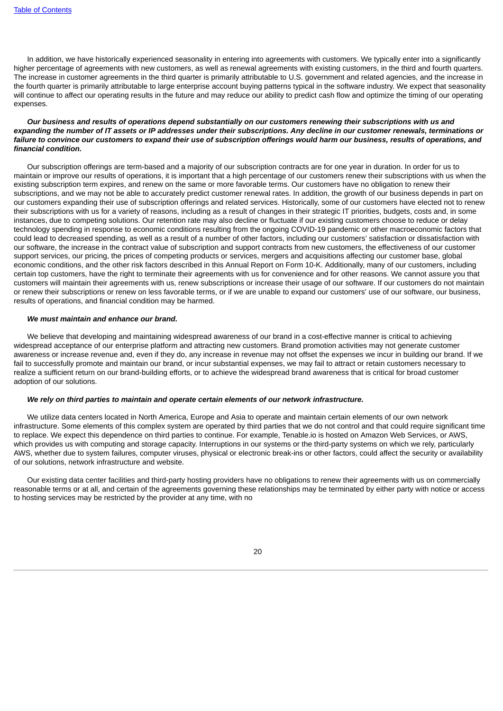In addition, we have historically experienced seasonality in entering into agreements with customers. We typically enter into a significantly higher percentage of agreements with new customers, as well as renewal agreements with existing customers, in the third and fourth quarters. The increase in customer agreements in the third quarter is primarily attributable to U.S. government and related agencies, and the increase in the fourth quarter is primarily attributable to large enterprise account buying patterns typical in the software industry. We expect that seasonality will continue to affect our operating results in the future and may reduce our ability to predict cash flow and optimize the timing of our operating expenses.

## Our business and results of operations depend substantially on our customers renewing their subscriptions with us and expanding the number of IT assets or IP addresses under their subscriptions. Any decline in our customer renewals, terminations or failure to convince our customers to expand their use of subscription offerings would harm our business, results of operations, and *financial condition.*

Our subscription offerings are term-based and a majority of our subscription contracts are for one year in duration. In order for us to maintain or improve our results of operations, it is important that a high percentage of our customers renew their subscriptions with us when the existing subscription term expires, and renew on the same or more favorable terms. Our customers have no obligation to renew their subscriptions, and we may not be able to accurately predict customer renewal rates. In addition, the growth of our business depends in part on our customers expanding their use of subscription offerings and related services. Historically, some of our customers have elected not to renew their subscriptions with us for a variety of reasons, including as a result of changes in their strategic IT priorities, budgets, costs and, in some instances, due to competing solutions. Our retention rate may also decline or fluctuate if our existing customers choose to reduce or delay technology spending in response to economic conditions resulting from the ongoing COVID-19 pandemic or other macroeconomic factors that could lead to decreased spending, as well as a result of a number of other factors, including our customers' satisfaction or dissatisfaction with our software, the increase in the contract value of subscription and support contracts from new customers, the effectiveness of our customer support services, our pricing, the prices of competing products or services, mergers and acquisitions affecting our customer base, global economic conditions, and the other risk factors described in this Annual Report on Form 10-K. Additionally, many of our customers, including certain top customers, have the right to terminate their agreements with us for convenience and for other reasons. We cannot assure you that customers will maintain their agreements with us, renew subscriptions or increase their usage of our software. If our customers do not maintain or renew their subscriptions or renew on less favorable terms, or if we are unable to expand our customers' use of our software, our business, results of operations, and financial condition may be harmed.

#### *We must maintain and enhance our brand.*

We believe that developing and maintaining widespread awareness of our brand in a cost-effective manner is critical to achieving widespread acceptance of our enterprise platform and attracting new customers. Brand promotion activities may not generate customer awareness or increase revenue and, even if they do, any increase in revenue may not offset the expenses we incur in building our brand. If we fail to successfully promote and maintain our brand, or incur substantial expenses, we may fail to attract or retain customers necessary to realize a sufficient return on our brand-building efforts, or to achieve the widespread brand awareness that is critical for broad customer adoption of our solutions.

#### *We rely on third parties to maintain and operate certain elements of our network infrastructure.*

We utilize data centers located in North America, Europe and Asia to operate and maintain certain elements of our own network infrastructure. Some elements of this complex system are operated by third parties that we do not control and that could require significant time to replace. We expect this dependence on third parties to continue. For example, Tenable.io is hosted on Amazon Web Services, or AWS, which provides us with computing and storage capacity. Interruptions in our systems or the third-party systems on which we rely, particularly AWS, whether due to system failures, computer viruses, physical or electronic break-ins or other factors, could affect the security or availability of our solutions, network infrastructure and website.

Our existing data center facilities and third-party hosting providers have no obligations to renew their agreements with us on commercially reasonable terms or at all, and certain of the agreements governing these relationships may be terminated by either party with notice or access to hosting services may be restricted by the provider at any time, with no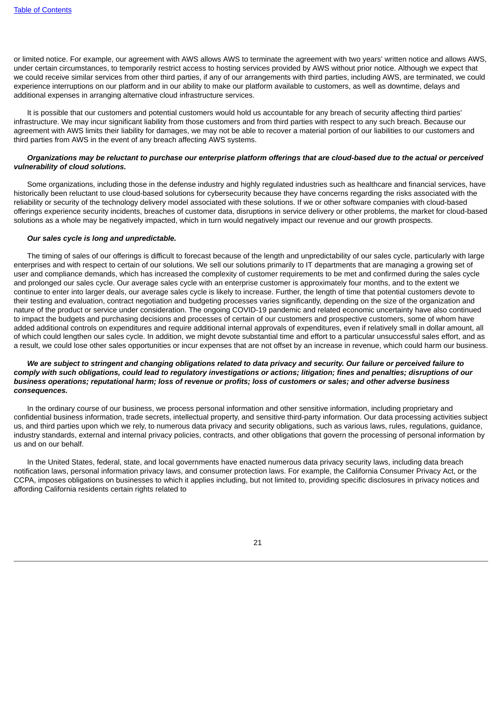or limited notice. For example, our agreement with AWS allows AWS to terminate the agreement with two years' written notice and allows AWS, under certain circumstances, to temporarily restrict access to hosting services provided by AWS without prior notice. Although we expect that we could receive similar services from other third parties, if any of our arrangements with third parties, including AWS, are terminated, we could experience interruptions on our platform and in our ability to make our platform available to customers, as well as downtime, delays and additional expenses in arranging alternative cloud infrastructure services.

It is possible that our customers and potential customers would hold us accountable for any breach of security affecting third parties' infrastructure. We may incur significant liability from those customers and from third parties with respect to any such breach. Because our agreement with AWS limits their liability for damages, we may not be able to recover a material portion of our liabilities to our customers and third parties from AWS in the event of any breach affecting AWS systems.

### Organizations may be reluctant to purchase our enterprise platform offerings that are cloud-based due to the actual or perceived *vulnerability of cloud solutions.*

Some organizations, including those in the defense industry and highly regulated industries such as healthcare and financial services, have historically been reluctant to use cloud-based solutions for cybersecurity because they have concerns regarding the risks associated with the reliability or security of the technology delivery model associated with these solutions. If we or other software companies with cloud-based offerings experience security incidents, breaches of customer data, disruptions in service delivery or other problems, the market for cloud-based solutions as a whole may be negatively impacted, which in turn would negatively impact our revenue and our growth prospects.

#### *Our sales cycle is long and unpredictable.*

The timing of sales of our offerings is difficult to forecast because of the length and unpredictability of our sales cycle, particularly with large enterprises and with respect to certain of our solutions. We sell our solutions primarily to IT departments that are managing a growing set of user and compliance demands, which has increased the complexity of customer requirements to be met and confirmed during the sales cycle and prolonged our sales cycle. Our average sales cycle with an enterprise customer is approximately four months, and to the extent we continue to enter into larger deals, our average sales cycle is likely to increase. Further, the length of time that potential customers devote to their testing and evaluation, contract negotiation and budgeting processes varies significantly, depending on the size of the organization and nature of the product or service under consideration. The ongoing COVID-19 pandemic and related economic uncertainty have also continued to impact the budgets and purchasing decisions and processes of certain of our customers and prospective customers, some of whom have added additional controls on expenditures and require additional internal approvals of expenditures, even if relatively small in dollar amount, all of which could lengthen our sales cycle. In addition, we might devote substantial time and effort to a particular unsuccessful sales effort, and as a result, we could lose other sales opportunities or incur expenses that are not offset by an increase in revenue, which could harm our business.

# We are subject to stringent and changing obligations related to data privacy and security. Our failure or perceived failure to comply with such obligations, could lead to regulatory investigations or actions; litigation; fines and penalties; disruptions of our business operations; reputational harm; loss of revenue or profits; loss of customers or sales; and other adverse business *consequences.*

In the ordinary course of our business, we process personal information and other sensitive information, including proprietary and confidential business information, trade secrets, intellectual property, and sensitive third-party information. Our data processing activities subject us, and third parties upon which we rely, to numerous data privacy and security obligations, such as various laws, rules, regulations, guidance, industry standards, external and internal privacy policies, contracts, and other obligations that govern the processing of personal information by us and on our behalf.

In the United States, federal, state, and local governments have enacted numerous data privacy security laws, including data breach notification laws, personal information privacy laws, and consumer protection laws. For example, the California Consumer Privacy Act, or the CCPA, imposes obligations on businesses to which it applies including, but not limited to, providing specific disclosures in privacy notices and affording California residents certain rights related to

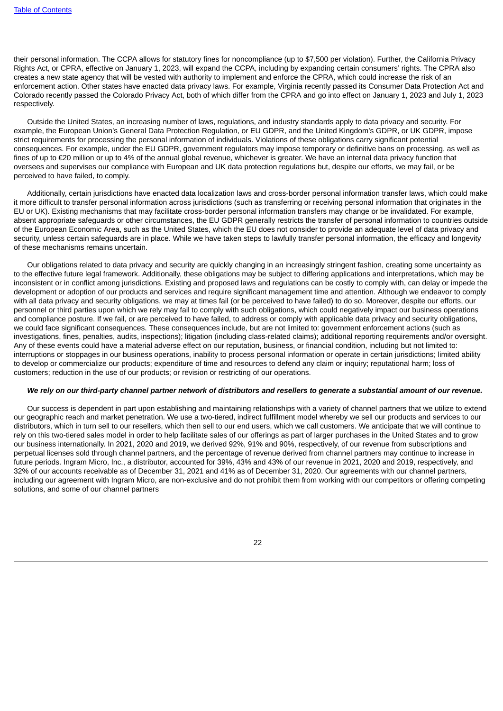their personal information. The CCPA allows for statutory fines for noncompliance (up to \$7,500 per violation). Further, the California Privacy Rights Act, or CPRA, effective on January 1, 2023, will expand the CCPA, including by expanding certain consumers' rights. The CPRA also creates a new state agency that will be vested with authority to implement and enforce the CPRA, which could increase the risk of an enforcement action. Other states have enacted data privacy laws. For example, Virginia recently passed its Consumer Data Protection Act and Colorado recently passed the Colorado Privacy Act, both of which differ from the CPRA and go into effect on January 1, 2023 and July 1, 2023 respectively.

Outside the United States, an increasing number of laws, regulations, and industry standards apply to data privacy and security. For example, the European Union's General Data Protection Regulation, or EU GDPR, and the United Kingdom's GDPR, or UK GDPR, impose strict requirements for processing the personal information of individuals. Violations of these obligations carry significant potential consequences. For example, under the EU GDPR, government regulators may impose temporary or definitive bans on processing, as well as fines of up to €20 million or up to 4% of the annual global revenue, whichever is greater. We have an internal data privacy function that oversees and supervises our compliance with European and UK data protection regulations but, despite our efforts, we may fail, or be perceived to have failed, to comply.

Additionally, certain jurisdictions have enacted data localization laws and cross-border personal information transfer laws, which could make it more difficult to transfer personal information across jurisdictions (such as transferring or receiving personal information that originates in the EU or UK). Existing mechanisms that may facilitate cross-border personal information transfers may change or be invalidated. For example, absent appropriate safeguards or other circumstances, the EU GDPR generally restricts the transfer of personal information to countries outside of the European Economic Area, such as the United States, which the EU does not consider to provide an adequate level of data privacy and security, unless certain safeguards are in place. While we have taken steps to lawfully transfer personal information, the efficacy and longevity of these mechanisms remains uncertain.

Our obligations related to data privacy and security are quickly changing in an increasingly stringent fashion, creating some uncertainty as to the effective future legal framework. Additionally, these obligations may be subject to differing applications and interpretations, which may be inconsistent or in conflict among jurisdictions. Existing and proposed laws and regulations can be costly to comply with, can delay or impede the development or adoption of our products and services and require significant management time and attention. Although we endeavor to comply with all data privacy and security obligations, we may at times fail (or be perceived to have failed) to do so. Moreover, despite our efforts, our personnel or third parties upon which we rely may fail to comply with such obligations, which could negatively impact our business operations and compliance posture. If we fail, or are perceived to have failed, to address or comply with applicable data privacy and security obligations, we could face significant consequences. These consequences include, but are not limited to: government enforcement actions (such as investigations, fines, penalties, audits, inspections); litigation (including class-related claims); additional reporting requirements and/or oversight. Any of these events could have a material adverse effect on our reputation, business, or financial condition, including but not limited to: interruptions or stoppages in our business operations, inability to process personal information or operate in certain jurisdictions; limited ability to develop or commercialize our products; expenditure of time and resources to defend any claim or inquiry; reputational harm; loss of customers; reduction in the use of our products; or revision or restricting of our operations.

#### We rely on our third-party channel partner network of distributors and resellers to generate a substantial amount of our revenue.

Our success is dependent in part upon establishing and maintaining relationships with a variety of channel partners that we utilize to extend our geographic reach and market penetration. We use a two-tiered, indirect fulfillment model whereby we sell our products and services to our distributors, which in turn sell to our resellers, which then sell to our end users, which we call customers. We anticipate that we will continue to rely on this two-tiered sales model in order to help facilitate sales of our offerings as part of larger purchases in the United States and to grow our business internationally. In 2021, 2020 and 2019, we derived 92%, 91% and 90%, respectively, of our revenue from subscriptions and perpetual licenses sold through channel partners, and the percentage of revenue derived from channel partners may continue to increase in future periods. Ingram Micro, Inc., a distributor, accounted for 39%, 43% and 43% of our revenue in 2021, 2020 and 2019, respectively, and 32% of our accounts receivable as of December 31, 2021 and 41% as of December 31, 2020. Our agreements with our channel partners, including our agreement with Ingram Micro, are non-exclusive and do not prohibit them from working with our competitors or offering competing solutions, and some of our channel partners

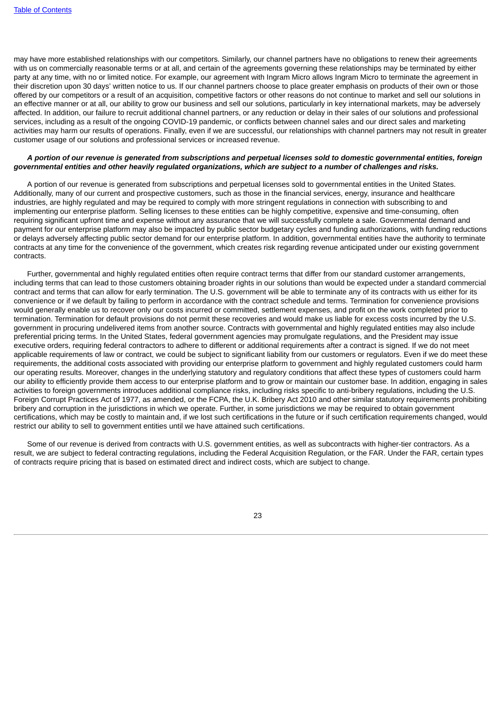may have more established relationships with our competitors. Similarly, our channel partners have no obligations to renew their agreements with us on commercially reasonable terms or at all, and certain of the agreements governing these relationships may be terminated by either party at any time, with no or limited notice. For example, our agreement with Ingram Micro allows Ingram Micro to terminate the agreement in their discretion upon 30 days' written notice to us. If our channel partners choose to place greater emphasis on products of their own or those offered by our competitors or a result of an acquisition, competitive factors or other reasons do not continue to market and sell our solutions in an effective manner or at all, our ability to grow our business and sell our solutions, particularly in key international markets, may be adversely affected. In addition, our failure to recruit additional channel partners, or any reduction or delay in their sales of our solutions and professional services, including as a result of the ongoing COVID-19 pandemic, or conflicts between channel sales and our direct sales and marketing activities may harm our results of operations. Finally, even if we are successful, our relationships with channel partners may not result in greater customer usage of our solutions and professional services or increased revenue.

#### A portion of our revenue is generated from subscriptions and perpetual licenses sold to domestic governmental entities, foreign governmental entities and other heavily regulated organizations, which are subject to a number of challenges and risks.

A portion of our revenue is generated from subscriptions and perpetual licenses sold to governmental entities in the United States. Additionally, many of our current and prospective customers, such as those in the financial services, energy, insurance and healthcare industries, are highly regulated and may be required to comply with more stringent regulations in connection with subscribing to and implementing our enterprise platform. Selling licenses to these entities can be highly competitive, expensive and time-consuming, often requiring significant upfront time and expense without any assurance that we will successfully complete a sale. Governmental demand and payment for our enterprise platform may also be impacted by public sector budgetary cycles and funding authorizations, with funding reductions or delays adversely affecting public sector demand for our enterprise platform. In addition, governmental entities have the authority to terminate contracts at any time for the convenience of the government, which creates risk regarding revenue anticipated under our existing government contracts.

Further, governmental and highly regulated entities often require contract terms that differ from our standard customer arrangements, including terms that can lead to those customers obtaining broader rights in our solutions than would be expected under a standard commercial contract and terms that can allow for early termination. The U.S. government will be able to terminate any of its contracts with us either for its convenience or if we default by failing to perform in accordance with the contract schedule and terms. Termination for convenience provisions would generally enable us to recover only our costs incurred or committed, settlement expenses, and profit on the work completed prior to termination. Termination for default provisions do not permit these recoveries and would make us liable for excess costs incurred by the U.S. government in procuring undelivered items from another source. Contracts with governmental and highly regulated entities may also include preferential pricing terms. In the United States, federal government agencies may promulgate regulations, and the President may issue executive orders, requiring federal contractors to adhere to different or additional requirements after a contract is signed. If we do not meet applicable requirements of law or contract, we could be subject to significant liability from our customers or regulators. Even if we do meet these requirements, the additional costs associated with providing our enterprise platform to government and highly regulated customers could harm our operating results. Moreover, changes in the underlying statutory and regulatory conditions that affect these types of customers could harm our ability to efficiently provide them access to our enterprise platform and to grow or maintain our customer base. In addition, engaging in sales activities to foreign governments introduces additional compliance risks, including risks specific to anti-bribery regulations, including the U.S. Foreign Corrupt Practices Act of 1977, as amended, or the FCPA, the U.K. Bribery Act 2010 and other similar statutory requirements prohibiting bribery and corruption in the jurisdictions in which we operate. Further, in some jurisdictions we may be required to obtain government certifications, which may be costly to maintain and, if we lost such certifications in the future or if such certification requirements changed, would restrict our ability to sell to government entities until we have attained such certifications.

Some of our revenue is derived from contracts with U.S. government entities, as well as subcontracts with higher-tier contractors. As a result, we are subject to federal contracting regulations, including the Federal Acquisition Regulation, or the FAR. Under the FAR, certain types of contracts require pricing that is based on estimated direct and indirect costs, which are subject to change.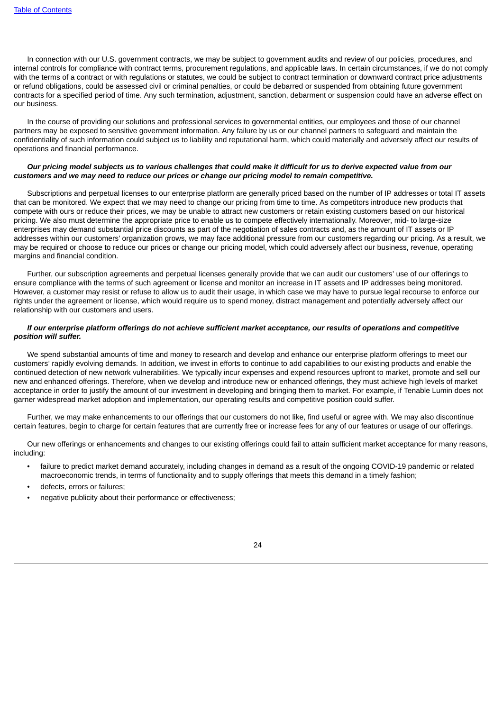In connection with our U.S. government contracts, we may be subject to government audits and review of our policies, procedures, and internal controls for compliance with contract terms, procurement regulations, and applicable laws. In certain circumstances, if we do not comply with the terms of a contract or with regulations or statutes, we could be subject to contract termination or downward contract price adjustments or refund obligations, could be assessed civil or criminal penalties, or could be debarred or suspended from obtaining future government contracts for a specified period of time. Any such termination, adjustment, sanction, debarment or suspension could have an adverse effect on our business.

In the course of providing our solutions and professional services to governmental entities, our employees and those of our channel partners may be exposed to sensitive government information. Any failure by us or our channel partners to safeguard and maintain the confidentiality of such information could subject us to liability and reputational harm, which could materially and adversely affect our results of operations and financial performance.

## Our pricing model subjects us to various challenges that could make it difficult for us to derive expected value from our *customers and we may need to reduce our prices or change our pricing model to remain competitive.*

Subscriptions and perpetual licenses to our enterprise platform are generally priced based on the number of IP addresses or total IT assets that can be monitored. We expect that we may need to change our pricing from time to time. As competitors introduce new products that compete with ours or reduce their prices, we may be unable to attract new customers or retain existing customers based on our historical pricing. We also must determine the appropriate price to enable us to compete effectively internationally. Moreover, mid- to large-size enterprises may demand substantial price discounts as part of the negotiation of sales contracts and, as the amount of IT assets or IP addresses within our customers' organization grows, we may face additional pressure from our customers regarding our pricing. As a result, we may be required or choose to reduce our prices or change our pricing model, which could adversely affect our business, revenue, operating margins and financial condition.

Further, our subscription agreements and perpetual licenses generally provide that we can audit our customers' use of our offerings to ensure compliance with the terms of such agreement or license and monitor an increase in IT assets and IP addresses being monitored. However, a customer may resist or refuse to allow us to audit their usage, in which case we may have to pursue legal recourse to enforce our rights under the agreement or license, which would require us to spend money, distract management and potentially adversely affect our relationship with our customers and users.

# If our enterprise platform offerings do not achieve sufficient market acceptance, our results of operations and competitive *position will suffer.*

We spend substantial amounts of time and money to research and develop and enhance our enterprise platform offerings to meet our customers' rapidly evolving demands. In addition, we invest in efforts to continue to add capabilities to our existing products and enable the continued detection of new network vulnerabilities. We typically incur expenses and expend resources upfront to market, promote and sell our new and enhanced offerings. Therefore, when we develop and introduce new or enhanced offerings, they must achieve high levels of market acceptance in order to justify the amount of our investment in developing and bringing them to market. For example, if Tenable Lumin does not garner widespread market adoption and implementation, our operating results and competitive position could suffer.

Further, we may make enhancements to our offerings that our customers do not like, find useful or agree with. We may also discontinue certain features, begin to charge for certain features that are currently free or increase fees for any of our features or usage of our offerings.

Our new offerings or enhancements and changes to our existing offerings could fail to attain sufficient market acceptance for many reasons, including:

- failure to predict market demand accurately, including changes in demand as a result of the ongoing COVID-19 pandemic or related macroeconomic trends, in terms of functionality and to supply offerings that meets this demand in a timely fashion;
- defects, errors or failures;
- negative publicity about their performance or effectiveness;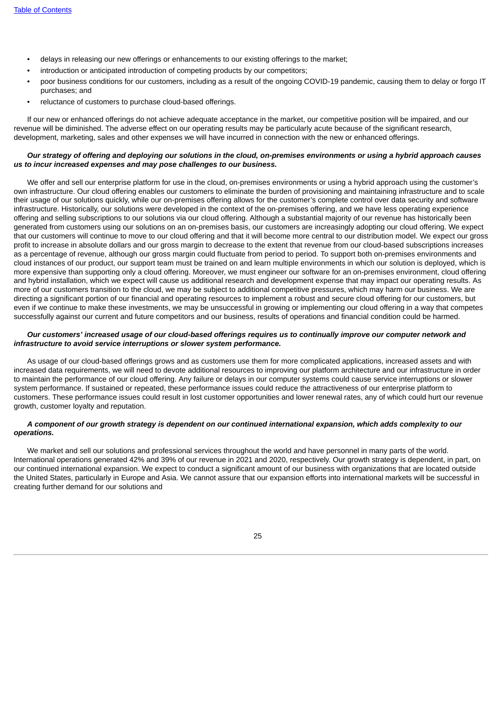- delays in releasing our new offerings or enhancements to our existing offerings to the market;
- introduction or anticipated introduction of competing products by our competitors:
- poor business conditions for our customers, including as a result of the ongoing COVID-19 pandemic, causing them to delay or forgo IT purchases; and
- reluctance of customers to purchase cloud-based offerings.

If our new or enhanced offerings do not achieve adequate acceptance in the market, our competitive position will be impaired, and our revenue will be diminished. The adverse effect on our operating results may be particularly acute because of the significant research, development, marketing, sales and other expenses we will have incurred in connection with the new or enhanced offerings.

# Our strategy of offering and deploying our solutions in the cloud, on-premises environments or using a hybrid approach causes *us to incur increased expenses and may pose challenges to our business.*

We offer and sell our enterprise platform for use in the cloud, on-premises environments or using a hybrid approach using the customer's own infrastructure. Our cloud offering enables our customers to eliminate the burden of provisioning and maintaining infrastructure and to scale their usage of our solutions quickly, while our on-premises offering allows for the customer's complete control over data security and software infrastructure. Historically, our solutions were developed in the context of the on-premises offering, and we have less operating experience offering and selling subscriptions to our solutions via our cloud offering. Although a substantial majority of our revenue has historically been generated from customers using our solutions on an on-premises basis, our customers are increasingly adopting our cloud offering. We expect that our customers will continue to move to our cloud offering and that it will become more central to our distribution model. We expect our gross profit to increase in absolute dollars and our gross margin to decrease to the extent that revenue from our cloud-based subscriptions increases as a percentage of revenue, although our gross margin could fluctuate from period to period. To support both on-premises environments and cloud instances of our product, our support team must be trained on and learn multiple environments in which our solution is deployed, which is more expensive than supporting only a cloud offering. Moreover, we must engineer our software for an on-premises environment, cloud offering and hybrid installation, which we expect will cause us additional research and development expense that may impact our operating results. As more of our customers transition to the cloud, we may be subject to additional competitive pressures, which may harm our business. We are directing a significant portion of our financial and operating resources to implement a robust and secure cloud offering for our customers, but even if we continue to make these investments, we may be unsuccessful in growing or implementing our cloud offering in a way that competes successfully against our current and future competitors and our business, results of operations and financial condition could be harmed.

# Our customers' increased usage of our cloud-based offerings requires us to continually improve our computer network and *infrastructure to avoid service interruptions or slower system performance.*

As usage of our cloud-based offerings grows and as customers use them for more complicated applications, increased assets and with increased data requirements, we will need to devote additional resources to improving our platform architecture and our infrastructure in order to maintain the performance of our cloud offering. Any failure or delays in our computer systems could cause service interruptions or slower system performance. If sustained or repeated, these performance issues could reduce the attractiveness of our enterprise platform to customers. These performance issues could result in lost customer opportunities and lower renewal rates, any of which could hurt our revenue growth, customer loyalty and reputation.

### A component of our growth strategy is dependent on our continued international expansion, which adds complexity to our *operations.*

We market and sell our solutions and professional services throughout the world and have personnel in many parts of the world. International operations generated 42% and 39% of our revenue in 2021 and 2020, respectively. Our growth strategy is dependent, in part, on our continued international expansion. We expect to conduct a significant amount of our business with organizations that are located outside the United States, particularly in Europe and Asia. We cannot assure that our expansion efforts into international markets will be successful in creating further demand for our solutions and

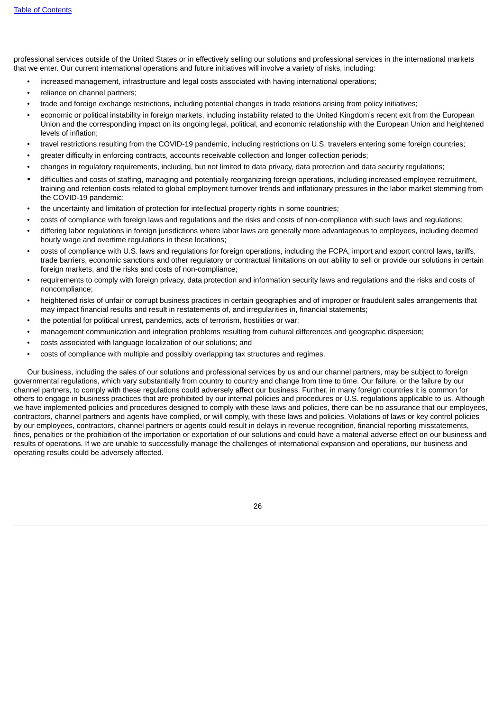professional services outside of the United States or in effectively selling our solutions and professional services in the international markets that we enter. Our current international operations and future initiatives will involve a variety of risks, including:

- increased management, infrastructure and legal costs associated with having international operations;
- reliance on channel partners:
- trade and foreign exchange restrictions, including potential changes in trade relations arising from policy initiatives;
- economic or political instability in foreign markets, including instability related to the United Kingdom's recent exit from the European Union and the corresponding impact on its ongoing legal, political, and economic relationship with the European Union and heightened levels of inflation;
- travel restrictions resulting from the COVID-19 pandemic, including restrictions on U.S. travelers entering some foreign countries;
- greater difficulty in enforcing contracts, accounts receivable collection and longer collection periods;
- changes in regulatory requirements, including, but not limited to data privacy, data protection and data security regulations;
- difficulties and costs of staffing, managing and potentially reorganizing foreign operations, including increased employee recruitment, training and retention costs related to global employment turnover trends and inflationary pressures in the labor market stemming from the COVID-19 pandemic;
- the uncertainty and limitation of protection for intellectual property rights in some countries;
- costs of compliance with foreign laws and regulations and the risks and costs of non-compliance with such laws and regulations;
- differing labor regulations in foreign jurisdictions where labor laws are generally more advantageous to employees, including deemed hourly wage and overtime regulations in these locations;
- costs of compliance with U.S. laws and regulations for foreign operations, including the FCPA, import and export control laws, tariffs, trade barriers, economic sanctions and other regulatory or contractual limitations on our ability to sell or provide our solutions in certain foreign markets, and the risks and costs of non-compliance;
- requirements to comply with foreign privacy, data protection and information security laws and regulations and the risks and costs of noncompliance;
- heightened risks of unfair or corrupt business practices in certain geographies and of improper or fraudulent sales arrangements that may impact financial results and result in restatements of, and irregularities in, financial statements;
- the potential for political unrest, pandemics, acts of terrorism, hostilities or war;
- management communication and integration problems resulting from cultural differences and geographic dispersion;
- costs associated with language localization of our solutions; and
- costs of compliance with multiple and possibly overlapping tax structures and regimes.

Our business, including the sales of our solutions and professional services by us and our channel partners, may be subject to foreign governmental regulations, which vary substantially from country to country and change from time to time. Our failure, or the failure by our channel partners, to comply with these regulations could adversely affect our business. Further, in many foreign countries it is common for others to engage in business practices that are prohibited by our internal policies and procedures or U.S. regulations applicable to us. Although we have implemented policies and procedures designed to comply with these laws and policies, there can be no assurance that our employees, contractors, channel partners and agents have complied, or will comply, with these laws and policies. Violations of laws or key control policies by our employees, contractors, channel partners or agents could result in delays in revenue recognition, financial reporting misstatements, fines, penalties or the prohibition of the importation or exportation of our solutions and could have a material adverse effect on our business and results of operations. If we are unable to successfully manage the challenges of international expansion and operations, our business and operating results could be adversely affected.

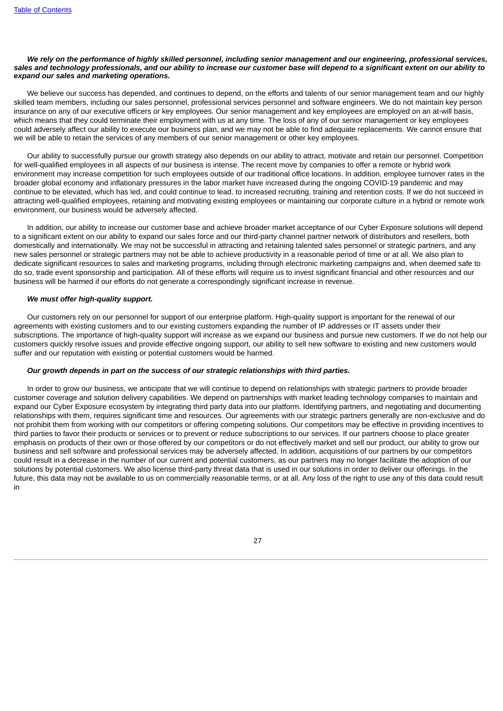#### We rely on the performance of highly skilled personnel, including senior management and our engineering, professional services, sales and technology professionals, and our ability to increase our customer base will depend to a significant extent on our ability to *expand our sales and marketing operations.*

We believe our success has depended, and continues to depend, on the efforts and talents of our senior management team and our highly skilled team members, including our sales personnel, professional services personnel and software engineers. We do not maintain key person insurance on any of our executive officers or key employees. Our senior management and key employees are employed on an at-will basis, which means that they could terminate their employment with us at any time. The loss of any of our senior management or key employees could adversely affect our ability to execute our business plan, and we may not be able to find adequate replacements. We cannot ensure that we will be able to retain the services of any members of our senior management or other key employees.

Our ability to successfully pursue our growth strategy also depends on our ability to attract, motivate and retain our personnel. Competition for well-qualified employees in all aspects of our business is intense. The recent move by companies to offer a remote or hybrid work environment may increase competition for such employees outside of our traditional office locations. In addition, employee turnover rates in the broader global economy and inflationary pressures in the labor market have increased during the ongoing COVID-19 pandemic and may continue to be elevated, which has led, and could continue to lead. to increased recruiting, training and retention costs. If we do not succeed in attracting well-qualified employees, retaining and motivating existing employees or maintaining our corporate culture in a hybrid or remote work environment, our business would be adversely affected.

In addition, our ability to increase our customer base and achieve broader market acceptance of our Cyber Exposure solutions will depend to a significant extent on our ability to expand our sales force and our third-party channel partner network of distributors and resellers, both domestically and internationally. We may not be successful in attracting and retaining talented sales personnel or strategic partners, and any new sales personnel or strategic partners may not be able to achieve productivity in a reasonable period of time or at all. We also plan to dedicate significant resources to sales and marketing programs, including through electronic marketing campaigns and, when deemed safe to do so, trade event sponsorship and participation. All of these efforts will require us to invest significant financial and other resources and our business will be harmed if our efforts do not generate a correspondingly significant increase in revenue.

# *We must offer high-quality support.*

Our customers rely on our personnel for support of our enterprise platform. High-quality support is important for the renewal of our agreements with existing customers and to our existing customers expanding the number of IP addresses or IT assets under their subscriptions. The importance of high-quality support will increase as we expand our business and pursue new customers. If we do not help our customers quickly resolve issues and provide effective ongoing support, our ability to sell new software to existing and new customers would suffer and our reputation with existing or potential customers would be harmed.

#### *Our growth depends in part on the success of our strategic relationships with third parties.*

In order to grow our business, we anticipate that we will continue to depend on relationships with strategic partners to provide broader customer coverage and solution delivery capabilities. We depend on partnerships with market leading technology companies to maintain and expand our Cyber Exposure ecosystem by integrating third party data into our platform. Identifying partners, and negotiating and documenting relationships with them, requires significant time and resources. Our agreements with our strategic partners generally are non-exclusive and do not prohibit them from working with our competitors or offering competing solutions. Our competitors may be effective in providing incentives to third parties to favor their products or services or to prevent or reduce subscriptions to our services. If our partners choose to place greater emphasis on products of their own or those offered by our competitors or do not effectively market and sell our product, our ability to grow our business and sell software and professional services may be adversely affected. In addition, acquisitions of our partners by our competitors could result in a decrease in the number of our current and potential customers, as our partners may no longer facilitate the adoption of our solutions by potential customers. We also license third-party threat data that is used in our solutions in order to deliver our offerings. In the future, this data may not be available to us on commercially reasonable terms, or at all. Any loss of the right to use any of this data could result in

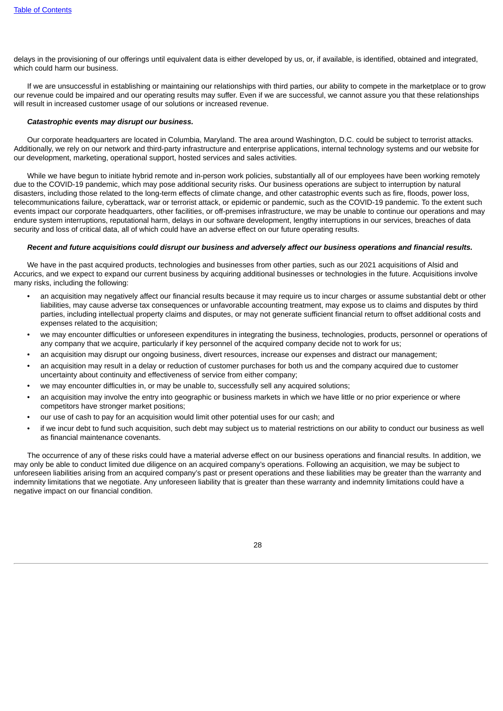delays in the provisioning of our offerings until equivalent data is either developed by us, or, if available, is identified, obtained and integrated, which could harm our business.

If we are unsuccessful in establishing or maintaining our relationships with third parties, our ability to compete in the marketplace or to grow our revenue could be impaired and our operating results may suffer. Even if we are successful, we cannot assure you that these relationships will result in increased customer usage of our solutions or increased revenue.

#### *Catastrophic events may disrupt our business.*

Our corporate headquarters are located in Columbia, Maryland. The area around Washington, D.C. could be subject to terrorist attacks. Additionally, we rely on our network and third-party infrastructure and enterprise applications, internal technology systems and our website for our development, marketing, operational support, hosted services and sales activities.

While we have begun to initiate hybrid remote and in-person work policies, substantially all of our employees have been working remotely due to the COVID-19 pandemic, which may pose additional security risks. Our business operations are subject to interruption by natural disasters, including those related to the long-term effects of climate change, and other catastrophic events such as fire, floods, power loss, telecommunications failure, cyberattack, war or terrorist attack, or epidemic or pandemic, such as the COVID-19 pandemic. To the extent such events impact our corporate headquarters, other facilities, or off-premises infrastructure, we may be unable to continue our operations and may endure system interruptions, reputational harm, delays in our software development, lengthy interruptions in our services, breaches of data security and loss of critical data, all of which could have an adverse effect on our future operating results.

## Recent and future acquisitions could disrupt our business and adversely affect our business operations and financial results.

We have in the past acquired products, technologies and businesses from other parties, such as our 2021 acquisitions of Alsid and Accurics, and we expect to expand our current business by acquiring additional businesses or technologies in the future. Acquisitions involve many risks, including the following:

- an acquisition may negatively affect our financial results because it may require us to incur charges or assume substantial debt or other liabilities, may cause adverse tax consequences or unfavorable accounting treatment, may expose us to claims and disputes by third parties, including intellectual property claims and disputes, or may not generate sufficient financial return to offset additional costs and expenses related to the acquisition;
- we may encounter difficulties or unforeseen expenditures in integrating the business, technologies, products, personnel or operations of any company that we acquire, particularly if key personnel of the acquired company decide not to work for us;
- an acquisition may disrupt our ongoing business, divert resources, increase our expenses and distract our management;
- an acquisition may result in a delay or reduction of customer purchases for both us and the company acquired due to customer uncertainty about continuity and effectiveness of service from either company;
- we may encounter difficulties in, or may be unable to, successfully sell any acquired solutions;
- an acquisition may involve the entry into geographic or business markets in which we have little or no prior experience or where competitors have stronger market positions;
- our use of cash to pay for an acquisition would limit other potential uses for our cash; and
- if we incur debt to fund such acquisition, such debt may subject us to material restrictions on our ability to conduct our business as well as financial maintenance covenants.

The occurrence of any of these risks could have a material adverse effect on our business operations and financial results. In addition, we may only be able to conduct limited due diligence on an acquired company's operations. Following an acquisition, we may be subject to unforeseen liabilities arising from an acquired company's past or present operations and these liabilities may be greater than the warranty and indemnity limitations that we negotiate. Any unforeseen liability that is greater than these warranty and indemnity limitations could have a negative impact on our financial condition.

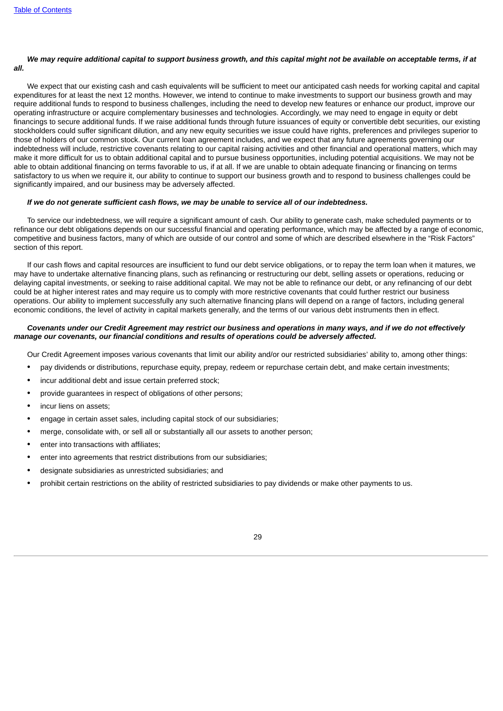# We may require additional capital to support business growth, and this capital might not be available on acceptable terms, if at

*all.*

We expect that our existing cash and cash equivalents will be sufficient to meet our anticipated cash needs for working capital and capital expenditures for at least the next 12 months. However, we intend to continue to make investments to support our business growth and may require additional funds to respond to business challenges, including the need to develop new features or enhance our product, improve our operating infrastructure or acquire complementary businesses and technologies. Accordingly, we may need to engage in equity or debt financings to secure additional funds. If we raise additional funds through future issuances of equity or convertible debt securities, our existing stockholders could suffer significant dilution, and any new equity securities we issue could have rights, preferences and privileges superior to those of holders of our common stock. Our current loan agreement includes, and we expect that any future agreements governing our indebtedness will include, restrictive covenants relating to our capital raising activities and other financial and operational matters, which may make it more difficult for us to obtain additional capital and to pursue business opportunities, including potential acquisitions. We may not be able to obtain additional financing on terms favorable to us, if at all. If we are unable to obtain adequate financing or financing on terms satisfactory to us when we require it, our ability to continue to support our business growth and to respond to business challenges could be significantly impaired, and our business may be adversely affected.

# *If we do not generate sufficient cash flows, we may be unable to service all of our indebtedness.*

To service our indebtedness, we will require a significant amount of cash. Our ability to generate cash, make scheduled payments or to refinance our debt obligations depends on our successful financial and operating performance, which may be affected by a range of economic, competitive and business factors, many of which are outside of our control and some of which are described elsewhere in the "Risk Factors" section of this report.

If our cash flows and capital resources are insufficient to fund our debt service obligations, or to repay the term loan when it matures, we may have to undertake alternative financing plans, such as refinancing or restructuring our debt, selling assets or operations, reducing or delaying capital investments, or seeking to raise additional capital. We may not be able to refinance our debt, or any refinancing of our debt could be at higher interest rates and may require us to comply with more restrictive covenants that could further restrict our business operations. Our ability to implement successfully any such alternative financing plans will depend on a range of factors, including general economic conditions, the level of activity in capital markets generally, and the terms of our various debt instruments then in effect.

### Covenants under our Credit Agreement may restrict our business and operations in many ways, and if we do not effectively *manage our covenants, our financial conditions and results of operations could be adversely affected.*

Our Credit Agreement imposes various covenants that limit our ability and/or our restricted subsidiaries' ability to, among other things:

- pay dividends or distributions, repurchase equity, prepay, redeem or repurchase certain debt, and make certain investments;
- incur additional debt and issue certain preferred stock;
- provide guarantees in respect of obligations of other persons;
- incur liens on assets;
- engage in certain asset sales, including capital stock of our subsidiaries;
- merge, consolidate with, or sell all or substantially all our assets to another person;
- enter into transactions with affiliates;
- enter into agreements that restrict distributions from our subsidiaries;
- designate subsidiaries as unrestricted subsidiaries; and
- prohibit certain restrictions on the ability of restricted subsidiaries to pay dividends or make other payments to us.

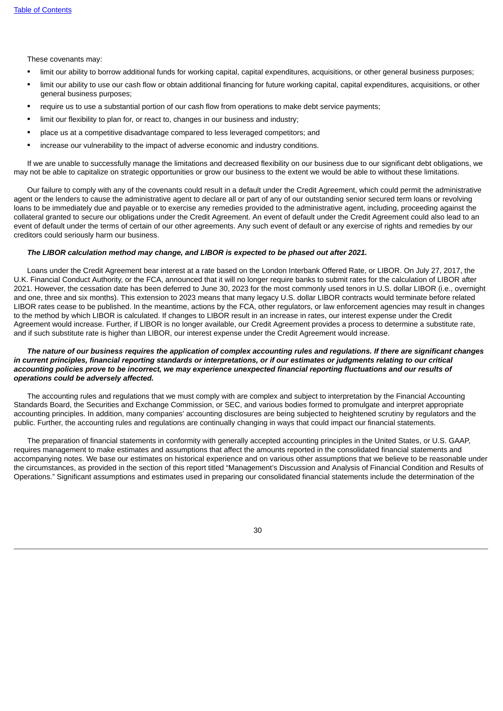These covenants may:

- limit our ability to borrow additional funds for working capital, capital expenditures, acquisitions, or other general business purposes;
- limit our ability to use our cash flow or obtain additional financing for future working capital, capital expenditures, acquisitions, or other general business purposes;
- require us to use a substantial portion of our cash flow from operations to make debt service payments;
- limit our flexibility to plan for, or react to, changes in our business and industry;
- place us at a competitive disadvantage compared to less leveraged competitors; and
- increase our vulnerability to the impact of adverse economic and industry conditions.

If we are unable to successfully manage the limitations and decreased flexibility on our business due to our significant debt obligations, we may not be able to capitalize on strategic opportunities or grow our business to the extent we would be able to without these limitations.

Our failure to comply with any of the covenants could result in a default under the Credit Agreement, which could permit the administrative agent or the lenders to cause the administrative agent to declare all or part of any of our outstanding senior secured term loans or revolving loans to be immediately due and payable or to exercise any remedies provided to the administrative agent, including, proceeding against the collateral granted to secure our obligations under the Credit Agreement. An event of default under the Credit Agreement could also lead to an event of default under the terms of certain of our other agreements. Any such event of default or any exercise of rights and remedies by our creditors could seriously harm our business.

#### *The LIBOR calculation method may change, and LIBOR is expected to be phased out after 2021.*

Loans under the Credit Agreement bear interest at a rate based on the London Interbank Offered Rate, or LIBOR. On July 27, 2017, the U.K. Financial Conduct Authority, or the FCA, announced that it will no longer require banks to submit rates for the calculation of LIBOR after 2021. However, the cessation date has been deferred to June 30, 2023 for the most commonly used tenors in U.S. dollar LIBOR (i.e., overnight and one, three and six months). This extension to 2023 means that many legacy U.S. dollar LIBOR contracts would terminate before related LIBOR rates cease to be published. In the meantime, actions by the FCA, other regulators, or law enforcement agencies may result in changes to the method by which LIBOR is calculated. If changes to LIBOR result in an increase in rates, our interest expense under the Credit Agreement would increase. Further, if LIBOR is no longer available, our Credit Agreement provides a process to determine a substitute rate, and if such substitute rate is higher than LIBOR, our interest expense under the Credit Agreement would increase.

# The nature of our business requires the application of complex accounting rules and requiations. If there are significant changes in current principles, financial reporting standards or interpretations, or if our estimates or judgments relating to our critical accounting policies prove to be incorrect, we may experience unexpected financial reporting fluctuations and our results of *operations could be adversely affected.*

The accounting rules and regulations that we must comply with are complex and subject to interpretation by the Financial Accounting Standards Board, the Securities and Exchange Commission, or SEC, and various bodies formed to promulgate and interpret appropriate accounting principles. In addition, many companies' accounting disclosures are being subjected to heightened scrutiny by regulators and the public. Further, the accounting rules and regulations are continually changing in ways that could impact our financial statements.

The preparation of financial statements in conformity with generally accepted accounting principles in the United States, or U.S. GAAP, requires management to make estimates and assumptions that affect the amounts reported in the consolidated financial statements and accompanying notes. We base our estimates on historical experience and on various other assumptions that we believe to be reasonable under the circumstances, as provided in the section of this report titled "Management's Discussion and Analysis of Financial Condition and Results of Operations." Significant assumptions and estimates used in preparing our consolidated financial statements include the determination of the

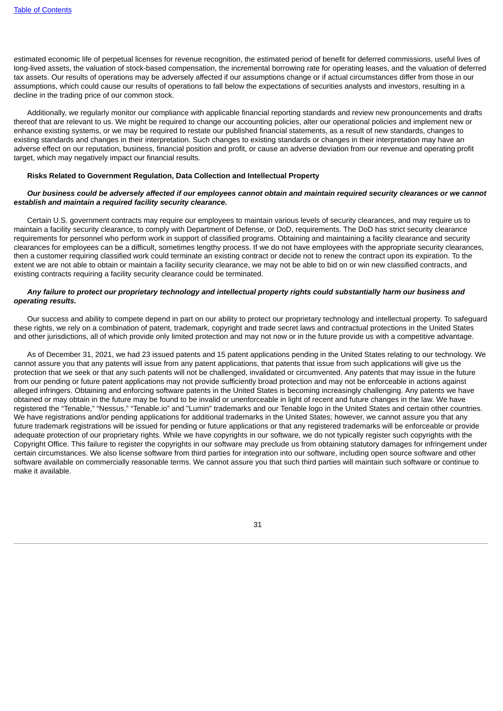estimated economic life of perpetual licenses for revenue recognition, the estimated period of benefit for deferred commissions, useful lives of long-lived assets, the valuation of stock-based compensation, the incremental borrowing rate for operating leases, and the valuation of deferred tax assets. Our results of operations may be adversely affected if our assumptions change or if actual circumstances differ from those in our assumptions, which could cause our results of operations to fall below the expectations of securities analysts and investors, resulting in a decline in the trading price of our common stock.

Additionally, we regularly monitor our compliance with applicable financial reporting standards and review new pronouncements and drafts thereof that are relevant to us. We might be required to change our accounting policies, alter our operational policies and implement new or enhance existing systems, or we may be required to restate our published financial statements, as a result of new standards, changes to existing standards and changes in their interpretation. Such changes to existing standards or changes in their interpretation may have an adverse effect on our reputation, business, financial position and profit, or cause an adverse deviation from our revenue and operating profit target, which may negatively impact our financial results.

#### **Risks Related to Government Regulation, Data Collection and Intellectual Property**

# Our business could be adversely affected if our employees cannot obtain and maintain required security clearances or we cannot *establish and maintain a required facility security clearance.*

Certain U.S. government contracts may require our employees to maintain various levels of security clearances, and may require us to maintain a facility security clearance, to comply with Department of Defense, or DoD, requirements. The DoD has strict security clearance requirements for personnel who perform work in support of classified programs. Obtaining and maintaining a facility clearance and security clearances for employees can be a difficult, sometimes lengthy process. If we do not have employees with the appropriate security clearances, then a customer requiring classified work could terminate an existing contract or decide not to renew the contract upon its expiration. To the extent we are not able to obtain or maintain a facility security clearance, we may not be able to bid on or win new classified contracts, and existing contracts requiring a facility security clearance could be terminated.

# Any failure to protect our proprietary technology and intellectual property rights could substantially harm our business and *operating results.*

Our success and ability to compete depend in part on our ability to protect our proprietary technology and intellectual property. To safeguard these rights, we rely on a combination of patent, trademark, copyright and trade secret laws and contractual protections in the United States and other jurisdictions, all of which provide only limited protection and may not now or in the future provide us with a competitive advantage.

As of December 31, 2021, we had 23 issued patents and 15 patent applications pending in the United States relating to our technology. We cannot assure you that any patents will issue from any patent applications, that patents that issue from such applications will give us the protection that we seek or that any such patents will not be challenged, invalidated or circumvented. Any patents that may issue in the future from our pending or future patent applications may not provide sufficiently broad protection and may not be enforceable in actions against alleged infringers. Obtaining and enforcing software patents in the United States is becoming increasingly challenging. Any patents we have obtained or may obtain in the future may be found to be invalid or unenforceable in light of recent and future changes in the law. We have registered the "Tenable," "Nessus," "Tenable.io" and "Lumin" trademarks and our Tenable logo in the United States and certain other countries. We have registrations and/or pending applications for additional trademarks in the United States; however, we cannot assure you that any future trademark registrations will be issued for pending or future applications or that any registered trademarks will be enforceable or provide adequate protection of our proprietary rights. While we have copyrights in our software, we do not typically register such copyrights with the Copyright Office. This failure to register the copyrights in our software may preclude us from obtaining statutory damages for infringement under certain circumstances. We also license software from third parties for integration into our software, including open source software and other software available on commercially reasonable terms. We cannot assure you that such third parties will maintain such software or continue to make it available.

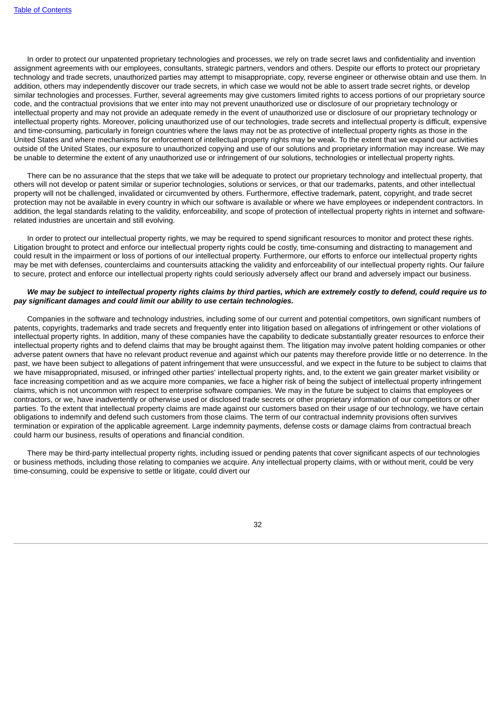In order to protect our unpatented proprietary technologies and processes, we rely on trade secret laws and confidentiality and invention assignment agreements with our employees, consultants, strategic partners, vendors and others. Despite our efforts to protect our proprietary technology and trade secrets, unauthorized parties may attempt to misappropriate, copy, reverse engineer or otherwise obtain and use them. In addition, others may independently discover our trade secrets, in which case we would not be able to assert trade secret rights, or develop similar technologies and processes. Further, several agreements may give customers limited rights to access portions of our proprietary source code, and the contractual provisions that we enter into may not prevent unauthorized use or disclosure of our proprietary technology or intellectual property and may not provide an adequate remedy in the event of unauthorized use or disclosure of our proprietary technology or intellectual property rights. Moreover, policing unauthorized use of our technologies, trade secrets and intellectual property is difficult, expensive and time-consuming, particularly in foreign countries where the laws may not be as protective of intellectual property rights as those in the United States and where mechanisms for enforcement of intellectual property rights may be weak. To the extent that we expand our activities outside of the United States, our exposure to unauthorized copying and use of our solutions and proprietary information may increase. We may be unable to determine the extent of any unauthorized use or infringement of our solutions, technologies or intellectual property rights.

There can be no assurance that the steps that we take will be adequate to protect our proprietary technology and intellectual property, that others will not develop or patent similar or superior technologies, solutions or services, or that our trademarks, patents, and other intellectual property will not be challenged, invalidated or circumvented by others. Furthermore, effective trademark, patent, copyright, and trade secret protection may not be available in every country in which our software is available or where we have employees or independent contractors. In addition, the legal standards relating to the validity, enforceability, and scope of protection of intellectual property rights in internet and softwarerelated industries are uncertain and still evolving.

In order to protect our intellectual property rights, we may be required to spend significant resources to monitor and protect these rights. Litigation brought to protect and enforce our intellectual property rights could be costly, time-consuming and distracting to management and could result in the impairment or loss of portions of our intellectual property. Furthermore, our efforts to enforce our intellectual property rights may be met with defenses, counterclaims and countersuits attacking the validity and enforceability of our intellectual property rights. Our failure to secure, protect and enforce our intellectual property rights could seriously adversely affect our brand and adversely impact our business.

# We may be subject to intellectual property rights claims by third parties, which are extremely costly to defend, could require us to *pay significant damages and could limit our ability to use certain technologies.*

Companies in the software and technology industries, including some of our current and potential competitors, own significant numbers of patents, copyrights, trademarks and trade secrets and frequently enter into litigation based on allegations of infringement or other violations of intellectual property rights. In addition, many of these companies have the capability to dedicate substantially greater resources to enforce their intellectual property rights and to defend claims that may be brought against them. The litigation may involve patent holding companies or other adverse patent owners that have no relevant product revenue and against which our patents may therefore provide little or no deterrence. In the past, we have been subject to allegations of patent infringement that were unsuccessful, and we expect in the future to be subject to claims that we have misappropriated, misused, or infringed other parties' intellectual property rights, and, to the extent we gain greater market visibility or face increasing competition and as we acquire more companies, we face a higher risk of being the subject of intellectual property infringement claims, which is not uncommon with respect to enterprise software companies. We may in the future be subject to claims that employees or contractors, or we, have inadvertently or otherwise used or disclosed trade secrets or other proprietary information of our competitors or other parties. To the extent that intellectual property claims are made against our customers based on their usage of our technology, we have certain obligations to indemnify and defend such customers from those claims. The term of our contractual indemnity provisions often survives termination or expiration of the applicable agreement. Large indemnity payments, defense costs or damage claims from contractual breach could harm our business, results of operations and financial condition.

There may be third-party intellectual property rights, including issued or pending patents that cover significant aspects of our technologies or business methods, including those relating to companies we acquire. Any intellectual property claims, with or without merit, could be very time-consuming, could be expensive to settle or litigate, could divert our

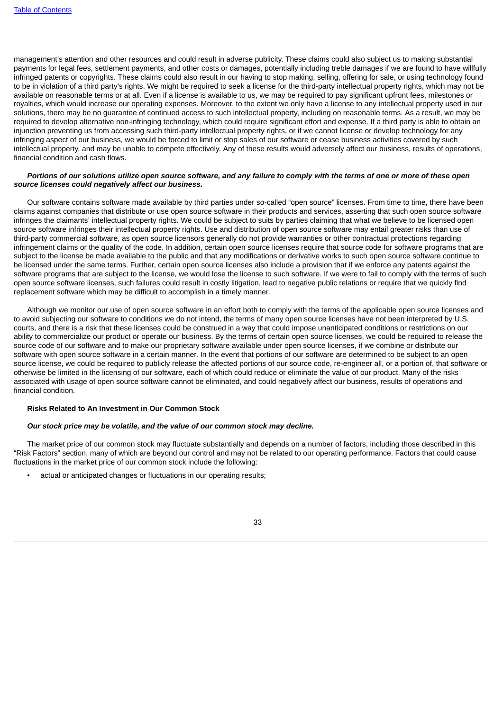management's attention and other resources and could result in adverse publicity. These claims could also subject us to making substantial payments for legal fees, settlement payments, and other costs or damages, potentially including treble damages if we are found to have willfully infringed patents or copyrights. These claims could also result in our having to stop making, selling, offering for sale, or using technology found to be in violation of a third party's rights. We might be required to seek a license for the third-party intellectual property rights, which may not be available on reasonable terms or at all. Even if a license is available to us, we may be required to pay significant upfront fees, milestones or royalties, which would increase our operating expenses. Moreover, to the extent we only have a license to any intellectual property used in our solutions, there may be no guarantee of continued access to such intellectual property, including on reasonable terms. As a result, we may be required to develop alternative non-infringing technology, which could require significant effort and expense. If a third party is able to obtain an injunction preventing us from accessing such third-party intellectual property rights, or if we cannot license or develop technology for any infringing aspect of our business, we would be forced to limit or stop sales of our software or cease business activities covered by such intellectual property, and may be unable to compete effectively. Any of these results would adversely affect our business, results of operations, financial condition and cash flows.

#### Portions of our solutions utilize open source software, and any failure to comply with the terms of one or more of these open *source licenses could negatively affect our business.*

Our software contains software made available by third parties under so-called "open source" licenses. From time to time, there have been claims against companies that distribute or use open source software in their products and services, asserting that such open source software infringes the claimants' intellectual property rights. We could be subject to suits by parties claiming that what we believe to be licensed open source software infringes their intellectual property rights. Use and distribution of open source software may entail greater risks than use of third-party commercial software, as open source licensors generally do not provide warranties or other contractual protections regarding infringement claims or the quality of the code. In addition, certain open source licenses require that source code for software programs that are subject to the license be made available to the public and that any modifications or derivative works to such open source software continue to be licensed under the same terms. Further, certain open source licenses also include a provision that if we enforce any patents against the software programs that are subject to the license, we would lose the license to such software. If we were to fail to comply with the terms of such open source software licenses, such failures could result in costly litigation, lead to negative public relations or require that we quickly find replacement software which may be difficult to accomplish in a timely manner.

Although we monitor our use of open source software in an effort both to comply with the terms of the applicable open source licenses and to avoid subjecting our software to conditions we do not intend, the terms of many open source licenses have not been interpreted by U.S. courts, and there is a risk that these licenses could be construed in a way that could impose unanticipated conditions or restrictions on our ability to commercialize our product or operate our business. By the terms of certain open source licenses, we could be required to release the source code of our software and to make our proprietary software available under open source licenses, if we combine or distribute our software with open source software in a certain manner. In the event that portions of our software are determined to be subject to an open source license, we could be required to publicly release the affected portions of our source code, re-engineer all, or a portion of, that software or otherwise be limited in the licensing of our software, each of which could reduce or eliminate the value of our product. Many of the risks associated with usage of open source software cannot be eliminated, and could negatively affect our business, results of operations and financial condition.

#### **Risks Related to An Investment in Our Common Stock**

#### *Our stock price may be volatile, and the value of our common stock may decline.*

The market price of our common stock may fluctuate substantially and depends on a number of factors, including those described in this "Risk Factors" section, many of which are beyond our control and may not be related to our operating performance. Factors that could cause fluctuations in the market price of our common stock include the following:

• actual or anticipated changes or fluctuations in our operating results;

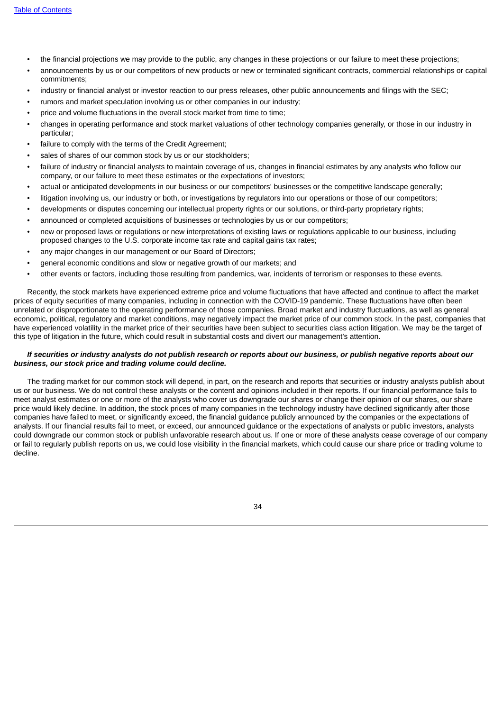- the financial projections we may provide to the public, any changes in these projections or our failure to meet these projections;
- announcements by us or our competitors of new products or new or terminated significant contracts, commercial relationships or capital commitments;
- industry or financial analyst or investor reaction to our press releases, other public announcements and filings with the SEC;
- rumors and market speculation involving us or other companies in our industry;
- price and volume fluctuations in the overall stock market from time to time;
- changes in operating performance and stock market valuations of other technology companies generally, or those in our industry in particular;
- failure to comply with the terms of the Credit Agreement;
- sales of shares of our common stock by us or our stockholders;
- failure of industry or financial analysts to maintain coverage of us, changes in financial estimates by any analysts who follow our company, or our failure to meet these estimates or the expectations of investors;
- actual or anticipated developments in our business or our competitors' businesses or the competitive landscape generally;
- litigation involving us, our industry or both, or investigations by regulators into our operations or those of our competitors;
- developments or disputes concerning our intellectual property rights or our solutions, or third-party proprietary rights;
- announced or completed acquisitions of businesses or technologies by us or our competitors;
- new or proposed laws or regulations or new interpretations of existing laws or regulations applicable to our business, including proposed changes to the U.S. corporate income tax rate and capital gains tax rates;
- any major changes in our management or our Board of Directors;
- general economic conditions and slow or negative growth of our markets; and
- other events or factors, including those resulting from pandemics, war, incidents of terrorism or responses to these events.

Recently, the stock markets have experienced extreme price and volume fluctuations that have affected and continue to affect the market prices of equity securities of many companies, including in connection with the COVID-19 pandemic. These fluctuations have often been unrelated or disproportionate to the operating performance of those companies. Broad market and industry fluctuations, as well as general economic, political, regulatory and market conditions, may negatively impact the market price of our common stock. In the past, companies that have experienced volatility in the market price of their securities have been subject to securities class action litigation. We may be the target of this type of litigation in the future, which could result in substantial costs and divert our management's attention.

# If securities or industry analysts do not publish research or reports about our business, or publish negative reports about our *business, our stock price and trading volume could decline.*

The trading market for our common stock will depend, in part, on the research and reports that securities or industry analysts publish about us or our business. We do not control these analysts or the content and opinions included in their reports. If our financial performance fails to meet analyst estimates or one or more of the analysts who cover us downgrade our shares or change their opinion of our shares, our share price would likely decline. In addition, the stock prices of many companies in the technology industry have declined significantly after those companies have failed to meet, or significantly exceed, the financial guidance publicly announced by the companies or the expectations of analysts. If our financial results fail to meet, or exceed, our announced guidance or the expectations of analysts or public investors, analysts could downgrade our common stock or publish unfavorable research about us. If one or more of these analysts cease coverage of our company or fail to regularly publish reports on us, we could lose visibility in the financial markets, which could cause our share price or trading volume to decline.

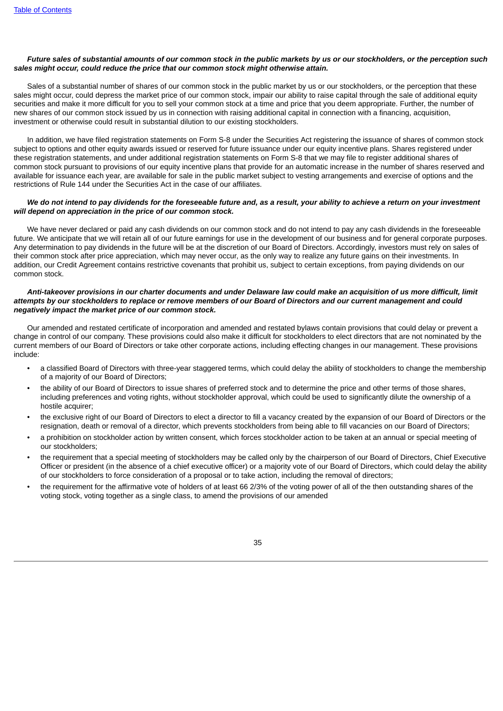# Future sales of substantial amounts of our common stock in the public markets by us or our stockholders, or the perception such *sales might occur, could reduce the price that our common stock might otherwise attain.*

Sales of a substantial number of shares of our common stock in the public market by us or our stockholders, or the perception that these sales might occur, could depress the market price of our common stock, impair our ability to raise capital through the sale of additional equity securities and make it more difficult for you to sell your common stock at a time and price that you deem appropriate. Further, the number of new shares of our common stock issued by us in connection with raising additional capital in connection with a financing, acquisition, investment or otherwise could result in substantial dilution to our existing stockholders.

In addition, we have filed registration statements on Form S-8 under the Securities Act registering the issuance of shares of common stock subject to options and other equity awards issued or reserved for future issuance under our equity incentive plans. Shares registered under these registration statements, and under additional registration statements on Form S-8 that we may file to register additional shares of common stock pursuant to provisions of our equity incentive plans that provide for an automatic increase in the number of shares reserved and available for issuance each year, are available for sale in the public market subject to vesting arrangements and exercise of options and the restrictions of Rule 144 under the Securities Act in the case of our affiliates.

## We do not intend to pay dividends for the foreseeable future and, as a result, your ability to achieve a return on your investment *will depend on appreciation in the price of our common stock.*

We have never declared or paid any cash dividends on our common stock and do not intend to pay any cash dividends in the foreseeable future. We anticipate that we will retain all of our future earnings for use in the development of our business and for general corporate purposes. Any determination to pay dividends in the future will be at the discretion of our Board of Directors. Accordingly, investors must rely on sales of their common stock after price appreciation, which may never occur, as the only way to realize any future gains on their investments. In addition, our Credit Agreement contains restrictive covenants that prohibit us, subject to certain exceptions, from paying dividends on our common stock.

# Anti-takeover provisions in our charter documents and under Delaware law could make an acquisition of us more difficult, limit attempts by our stockholders to replace or remove members of our Board of Directors and our current management and could *negatively impact the market price of our common stock.*

Our amended and restated certificate of incorporation and amended and restated bylaws contain provisions that could delay or prevent a change in control of our company. These provisions could also make it difficult for stockholders to elect directors that are not nominated by the current members of our Board of Directors or take other corporate actions, including effecting changes in our management. These provisions include:

- a classified Board of Directors with three-year staggered terms, which could delay the ability of stockholders to change the membership of a majority of our Board of Directors;
- the ability of our Board of Directors to issue shares of preferred stock and to determine the price and other terms of those shares, including preferences and voting rights, without stockholder approval, which could be used to significantly dilute the ownership of a hostile acquirer:
- the exclusive right of our Board of Directors to elect a director to fill a vacancy created by the expansion of our Board of Directors or the resignation, death or removal of a director, which prevents stockholders from being able to fill vacancies on our Board of Directors;
- a prohibition on stockholder action by written consent, which forces stockholder action to be taken at an annual or special meeting of our stockholders;
- the requirement that a special meeting of stockholders may be called only by the chairperson of our Board of Directors, Chief Executive Officer or president (in the absence of a chief executive officer) or a majority vote of our Board of Directors, which could delay the ability of our stockholders to force consideration of a proposal or to take action, including the removal of directors;
- the requirement for the affirmative vote of holders of at least 66 2/3% of the voting power of all of the then outstanding shares of the voting stock, voting together as a single class, to amend the provisions of our amended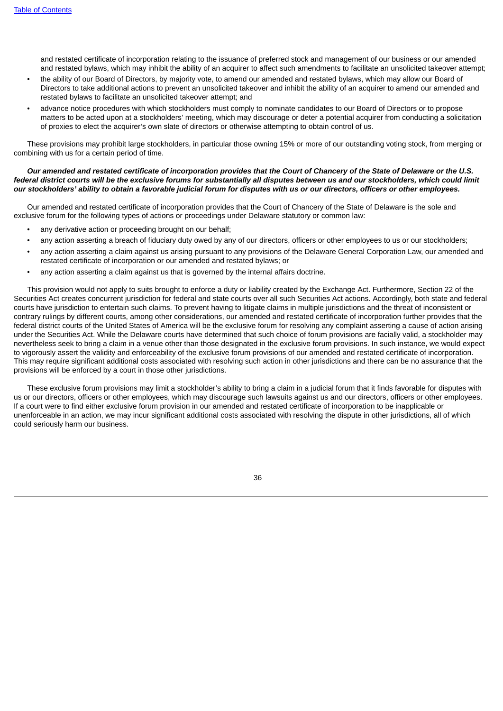and restated certificate of incorporation relating to the issuance of preferred stock and management of our business or our amended and restated bylaws, which may inhibit the ability of an acquirer to affect such amendments to facilitate an unsolicited takeover attempt;

- the ability of our Board of Directors, by majority vote, to amend our amended and restated bylaws, which may allow our Board of Directors to take additional actions to prevent an unsolicited takeover and inhibit the ability of an acquirer to amend our amended and restated bylaws to facilitate an unsolicited takeover attempt; and
- advance notice procedures with which stockholders must comply to nominate candidates to our Board of Directors or to propose matters to be acted upon at a stockholders' meeting, which may discourage or deter a potential acquirer from conducting a solicitation of proxies to elect the acquirer's own slate of directors or otherwise attempting to obtain control of us.

These provisions may prohibit large stockholders, in particular those owning 15% or more of our outstanding voting stock, from merging or combining with us for a certain period of time.

Our amended and restated certificate of incorporation provides that the Court of Chancery of the State of Delaware or the U.S. federal district courts will be the exclusive forums for substantially all disputes between us and our stockholders, which could limit our stockholders' ability to obtain a favorable judicial forum for disputes with us or our directors, officers or other employees.

Our amended and restated certificate of incorporation provides that the Court of Chancery of the State of Delaware is the sole and exclusive forum for the following types of actions or proceedings under Delaware statutory or common law:

- any derivative action or proceeding brought on our behalf;
- any action asserting a breach of fiduciary duty owed by any of our directors, officers or other employees to us or our stockholders;
- any action asserting a claim against us arising pursuant to any provisions of the Delaware General Corporation Law, our amended and restated certificate of incorporation or our amended and restated bylaws; or
- any action asserting a claim against us that is governed by the internal affairs doctrine.

This provision would not apply to suits brought to enforce a duty or liability created by the Exchange Act. Furthermore, Section 22 of the Securities Act creates concurrent jurisdiction for federal and state courts over all such Securities Act actions. Accordingly, both state and federal courts have jurisdiction to entertain such claims. To prevent having to litigate claims in multiple jurisdictions and the threat of inconsistent or contrary rulings by different courts, among other considerations, our amended and restated certificate of incorporation further provides that the federal district courts of the United States of America will be the exclusive forum for resolving any complaint asserting a cause of action arising under the Securities Act. While the Delaware courts have determined that such choice of forum provisions are facially valid, a stockholder may nevertheless seek to bring a claim in a venue other than those designated in the exclusive forum provisions. In such instance, we would expect to vigorously assert the validity and enforceability of the exclusive forum provisions of our amended and restated certificate of incorporation. This may require significant additional costs associated with resolving such action in other jurisdictions and there can be no assurance that the provisions will be enforced by a court in those other jurisdictions.

These exclusive forum provisions may limit a stockholder's ability to bring a claim in a judicial forum that it finds favorable for disputes with us or our directors, officers or other employees, which may discourage such lawsuits against us and our directors, officers or other employees. If a court were to find either exclusive forum provision in our amended and restated certificate of incorporation to be inapplicable or unenforceable in an action, we may incur significant additional costs associated with resolving the dispute in other jurisdictions, all of which could seriously harm our business.

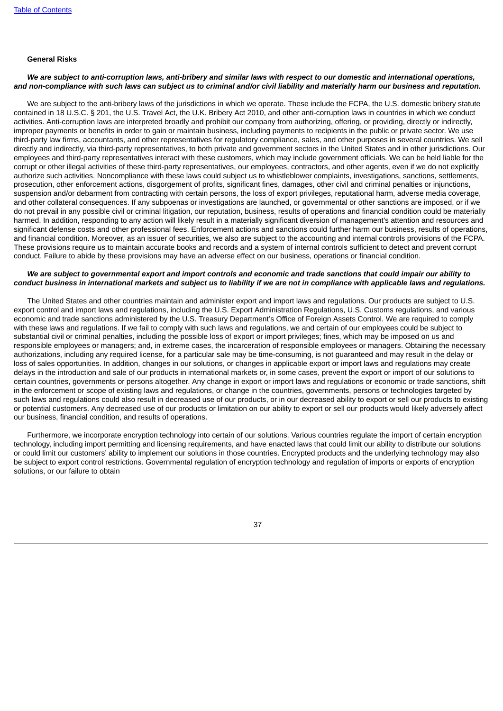# **General Risks**

## We are subject to anti-corruption laws, anti-bribery and similar laws with respect to our domestic and international operations, and non-compliance with such laws can subject us to criminal and/or civil liability and materially harm our business and reputation.

We are subject to the anti-bribery laws of the jurisdictions in which we operate. These include the FCPA, the U.S. domestic bribery statute contained in 18 U.S.C. § 201, the U.S. Travel Act, the U.K. Bribery Act 2010, and other anti-corruption laws in countries in which we conduct activities. Anti-corruption laws are interpreted broadly and prohibit our company from authorizing, offering, or providing, directly or indirectly, improper payments or benefits in order to gain or maintain business, including payments to recipients in the public or private sector. We use third-party law firms, accountants, and other representatives for regulatory compliance, sales, and other purposes in several countries. We sell directly and indirectly, via third-party representatives, to both private and government sectors in the United States and in other jurisdictions. Our employees and third-party representatives interact with these customers, which may include government officials. We can be held liable for the corrupt or other illegal activities of these third-party representatives, our employees, contractors, and other agents, even if we do not explicitly authorize such activities. Noncompliance with these laws could subject us to whistleblower complaints, investigations, sanctions, settlements, prosecution, other enforcement actions, disgorgement of profits, significant fines, damages, other civil and criminal penalties or injunctions, suspension and/or debarment from contracting with certain persons, the loss of export privileges, reputational harm, adverse media coverage, and other collateral consequences. If any subpoenas or investigations are launched, or governmental or other sanctions are imposed, or if we do not prevail in any possible civil or criminal litigation, our reputation, business, results of operations and financial condition could be materially harmed. In addition, responding to any action will likely result in a materially significant diversion of management's attention and resources and significant defense costs and other professional fees. Enforcement actions and sanctions could further harm our business, results of operations, and financial condition. Moreover, as an issuer of securities, we also are subject to the accounting and internal controls provisions of the FCPA. These provisions require us to maintain accurate books and records and a system of internal controls sufficient to detect and prevent corrupt conduct. Failure to abide by these provisions may have an adverse effect on our business, operations or financial condition.

# We are subject to governmental export and import controls and economic and trade sanctions that could impair our ability to conduct business in international markets and subject us to liability if we are not in compliance with applicable laws and regulations.

The United States and other countries maintain and administer export and import laws and regulations. Our products are subject to U.S. export control and import laws and regulations, including the U.S. Export Administration Regulations, U.S. Customs regulations, and various economic and trade sanctions administered by the U.S. Treasury Department's Office of Foreign Assets Control. We are required to comply with these laws and regulations. If we fail to comply with such laws and regulations, we and certain of our employees could be subject to substantial civil or criminal penalties, including the possible loss of export or import privileges; fines, which may be imposed on us and responsible employees or managers; and, in extreme cases, the incarceration of responsible employees or managers. Obtaining the necessary authorizations, including any required license, for a particular sale may be time-consuming, is not guaranteed and may result in the delay or loss of sales opportunities. In addition, changes in our solutions, or changes in applicable export or import laws and regulations may create delays in the introduction and sale of our products in international markets or, in some cases, prevent the export or import of our solutions to certain countries, governments or persons altogether. Any change in export or import laws and regulations or economic or trade sanctions, shift in the enforcement or scope of existing laws and regulations, or change in the countries, governments, persons or technologies targeted by such laws and regulations could also result in decreased use of our products, or in our decreased ability to export or sell our products to existing or potential customers. Any decreased use of our products or limitation on our ability to export or sell our products would likely adversely affect our business, financial condition, and results of operations.

Furthermore, we incorporate encryption technology into certain of our solutions. Various countries regulate the import of certain encryption technology, including import permitting and licensing requirements, and have enacted laws that could limit our ability to distribute our solutions or could limit our customers' ability to implement our solutions in those countries. Encrypted products and the underlying technology may also be subject to export control restrictions. Governmental regulation of encryption technology and regulation of imports or exports of encryption solutions, or our failure to obtain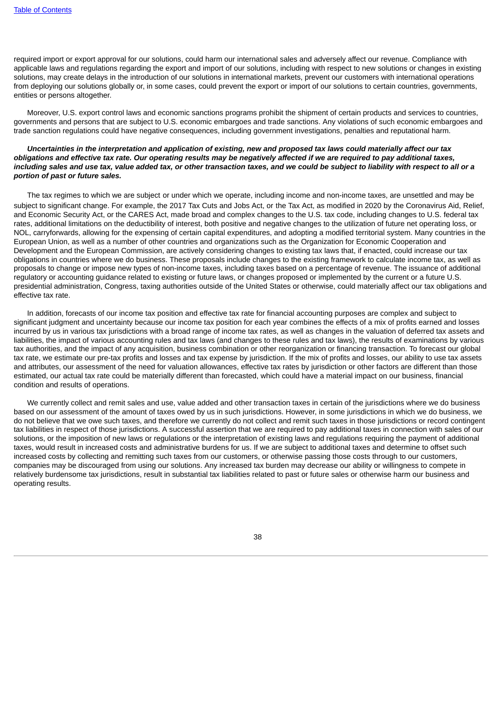required import or export approval for our solutions, could harm our international sales and adversely affect our revenue. Compliance with applicable laws and regulations regarding the export and import of our solutions, including with respect to new solutions or changes in existing solutions, may create delays in the introduction of our solutions in international markets, prevent our customers with international operations from deploying our solutions globally or, in some cases, could prevent the export or import of our solutions to certain countries, governments, entities or persons altogether.

Moreover, U.S. export control laws and economic sanctions programs prohibit the shipment of certain products and services to countries, governments and persons that are subject to U.S. economic embargoes and trade sanctions. Any violations of such economic embargoes and trade sanction regulations could have negative consequences, including government investigations, penalties and reputational harm.

# Uncertainties in the interpretation and application of existing, new and proposed tax laws could materially affect our tax obligations and effective tax rate. Our operating results may be negatively affected if we are required to pay additional taxes, including sales and use tax, value added tax, or other transaction taxes, and we could be subject to liability with respect to all or a *portion of past or future sales.*

The tax regimes to which we are subject or under which we operate, including income and non-income taxes, are unsettled and may be subject to significant change. For example, the 2017 Tax Cuts and Jobs Act, or the Tax Act, as modified in 2020 by the Coronavirus Aid, Relief, and Economic Security Act, or the CARES Act, made broad and complex changes to the U.S. tax code, including changes to U.S. federal tax rates, additional limitations on the deductibility of interest, both positive and negative changes to the utilization of future net operating loss, or NOL, carryforwards, allowing for the expensing of certain capital expenditures, and adopting a modified territorial system. Many countries in the European Union, as well as a number of other countries and organizations such as the Organization for Economic Cooperation and Development and the European Commission, are actively considering changes to existing tax laws that, if enacted, could increase our tax obligations in countries where we do business. These proposals include changes to the existing framework to calculate income tax, as well as proposals to change or impose new types of non-income taxes, including taxes based on a percentage of revenue. The issuance of additional regulatory or accounting guidance related to existing or future laws, or changes proposed or implemented by the current or a future U.S. presidential administration, Congress, taxing authorities outside of the United States or otherwise, could materially affect our tax obligations and effective tax rate.

In addition, forecasts of our income tax position and effective tax rate for financial accounting purposes are complex and subject to significant judgment and uncertainty because our income tax position for each year combines the effects of a mix of profits earned and losses incurred by us in various tax jurisdictions with a broad range of income tax rates, as well as changes in the valuation of deferred tax assets and liabilities, the impact of various accounting rules and tax laws (and changes to these rules and tax laws), the results of examinations by various tax authorities, and the impact of any acquisition, business combination or other reorganization or financing transaction. To forecast our global tax rate, we estimate our pre-tax profits and losses and tax expense by jurisdiction. If the mix of profits and losses, our ability to use tax assets and attributes, our assessment of the need for valuation allowances, effective tax rates by jurisdiction or other factors are different than those estimated, our actual tax rate could be materially different than forecasted, which could have a material impact on our business, financial condition and results of operations.

We currently collect and remit sales and use, value added and other transaction taxes in certain of the jurisdictions where we do business based on our assessment of the amount of taxes owed by us in such jurisdictions. However, in some jurisdictions in which we do business, we do not believe that we owe such taxes, and therefore we currently do not collect and remit such taxes in those jurisdictions or record contingent tax liabilities in respect of those jurisdictions. A successful assertion that we are required to pay additional taxes in connection with sales of our solutions, or the imposition of new laws or regulations or the interpretation of existing laws and regulations requiring the payment of additional taxes, would result in increased costs and administrative burdens for us. If we are subject to additional taxes and determine to offset such increased costs by collecting and remitting such taxes from our customers, or otherwise passing those costs through to our customers, companies may be discouraged from using our solutions. Any increased tax burden may decrease our ability or willingness to compete in relatively burdensome tax jurisdictions, result in substantial tax liabilities related to past or future sales or otherwise harm our business and operating results.

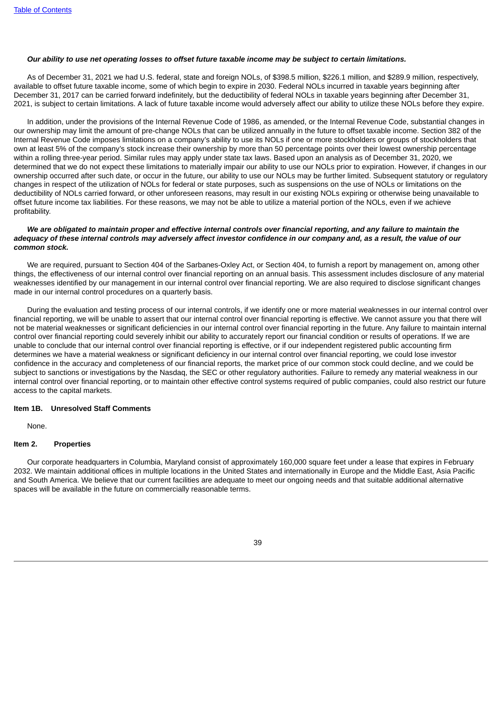### Our ability to use net operating losses to offset future taxable income may be subject to certain limitations.

As of December 31, 2021 we had U.S. federal, state and foreign NOLs, of \$398.5 million, \$226.1 million, and \$289.9 million, respectively, available to offset future taxable income, some of which begin to expire in 2030. Federal NOLs incurred in taxable years beginning after December 31, 2017 can be carried forward indefinitely, but the deductibility of federal NOLs in taxable years beginning after December 31, 2021, is subject to certain limitations. A lack of future taxable income would adversely affect our ability to utilize these NOLs before they expire.

In addition, under the provisions of the Internal Revenue Code of 1986, as amended, or the Internal Revenue Code, substantial changes in our ownership may limit the amount of pre-change NOLs that can be utilized annually in the future to offset taxable income. Section 382 of the Internal Revenue Code imposes limitations on a company's ability to use its NOLs if one or more stockholders or groups of stockholders that own at least 5% of the company's stock increase their ownership by more than 50 percentage points over their lowest ownership percentage within a rolling three-year period. Similar rules may apply under state tax laws. Based upon an analysis as of December 31, 2020, we determined that we do not expect these limitations to materially impair our ability to use our NOLs prior to expiration. However, if changes in our ownership occurred after such date, or occur in the future, our ability to use our NOLs may be further limited. Subsequent statutory or regulatory changes in respect of the utilization of NOLs for federal or state purposes, such as suspensions on the use of NOLs or limitations on the deductibility of NOLs carried forward, or other unforeseen reasons, may result in our existing NOLs expiring or otherwise being unavailable to offset future income tax liabilities. For these reasons, we may not be able to utilize a material portion of the NOLs, even if we achieve profitability.

# We are obligated to maintain proper and effective internal controls over financial reporting, and any failure to maintain the adequacy of these internal controls may adversely affect investor confidence in our company and, as a result, the value of our *common stock.*

We are required, pursuant to Section 404 of the Sarbanes-Oxley Act, or Section 404, to furnish a report by management on, among other things, the effectiveness of our internal control over financial reporting on an annual basis. This assessment includes disclosure of any material weaknesses identified by our management in our internal control over financial reporting. We are also required to disclose significant changes made in our internal control procedures on a quarterly basis.

During the evaluation and testing process of our internal controls, if we identify one or more material weaknesses in our internal control over financial reporting, we will be unable to assert that our internal control over financial reporting is effective. We cannot assure you that there will not be material weaknesses or significant deficiencies in our internal control over financial reporting in the future. Any failure to maintain internal control over financial reporting could severely inhibit our ability to accurately report our financial condition or results of operations. If we are unable to conclude that our internal control over financial reporting is effective, or if our independent registered public accounting firm determines we have a material weakness or significant deficiency in our internal control over financial reporting, we could lose investor confidence in the accuracy and completeness of our financial reports, the market price of our common stock could decline, and we could be subject to sanctions or investigations by the Nasdaq, the SEC or other regulatory authorities. Failure to remedy any material weakness in our internal control over financial reporting, or to maintain other effective control systems required of public companies, could also restrict our future access to the capital markets.

# **Item 1B. Unresolved Staff Comments**

None.

### **Item 2. Properties**

Our corporate headquarters in Columbia, Maryland consist of approximately 160,000 square feet under a lease that expires in February 2032. We maintain additional offices in multiple locations in the United States and internationally in Europe and the Middle East, Asia Pacific and South America. We believe that our current facilities are adequate to meet our ongoing needs and that suitable additional alternative spaces will be available in the future on commercially reasonable terms.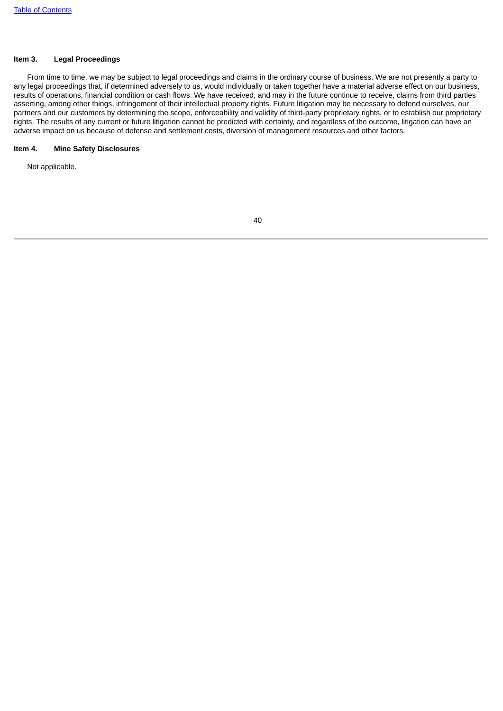# **Item 3. Legal Proceedings**

From time to time, we may be subject to legal proceedings and claims in the ordinary course of business. We are not presently a party to any legal proceedings that, if determined adversely to us, would individually or taken together have a material adverse effect on our business, results of operations, financial condition or cash flows. We have received, and may in the future continue to receive, claims from third parties asserting, among other things, infringement of their intellectual property rights. Future litigation may be necessary to defend ourselves, our partners and our customers by determining the scope, enforceability and validity of third-party proprietary rights, or to establish our proprietary rights. The results of any current or future litigation cannot be predicted with certainty, and regardless of the outcome, litigation can have an adverse impact on us because of defense and settlement costs, diversion of management resources and other factors.

# **Item 4. Mine Safety Disclosures**

Not applicable.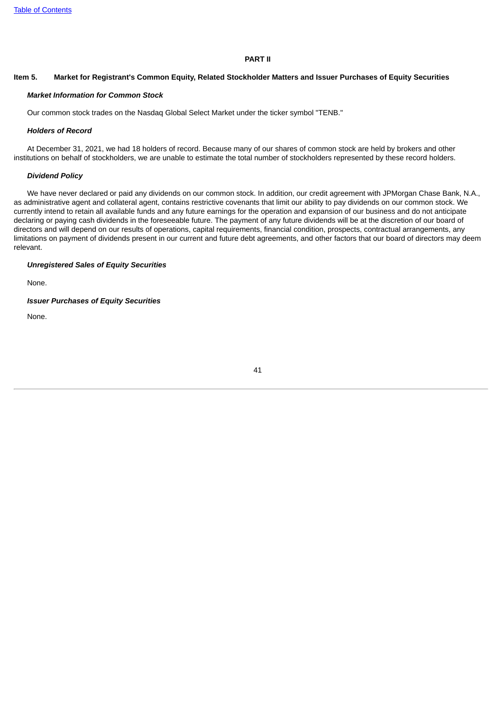# **PART II**

### Item 5. Market for Registrant's Common Equity, Related Stockholder Matters and Issuer Purchases of Equity Securities

#### *Market Information for Common Stock*

Our common stock trades on the Nasdaq Global Select Market under the ticker symbol "TENB."

### *Holders of Record*

At December 31, 2021, we had 18 holders of record. Because many of our shares of common stock are held by brokers and other institutions on behalf of stockholders, we are unable to estimate the total number of stockholders represented by these record holders.

## *Dividend Policy*

We have never declared or paid any dividends on our common stock. In addition, our credit agreement with JPMorgan Chase Bank, N.A., as administrative agent and collateral agent, contains restrictive covenants that limit our ability to pay dividends on our common stock. We currently intend to retain all available funds and any future earnings for the operation and expansion of our business and do not anticipate declaring or paying cash dividends in the foreseeable future. The payment of any future dividends will be at the discretion of our board of directors and will depend on our results of operations, capital requirements, financial condition, prospects, contractual arrangements, any limitations on payment of dividends present in our current and future debt agreements, and other factors that our board of directors may deem relevant.

#### *Unregistered Sales of Equity Securities*

None.

*Issuer Purchases of Equity Securities*

None.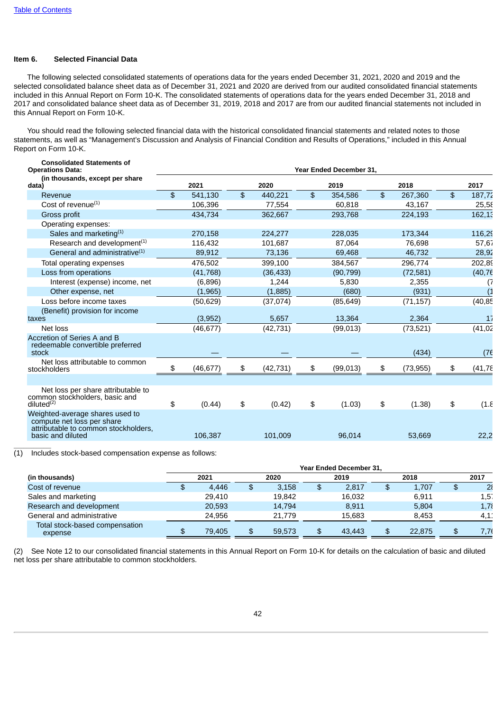# **Item 6. Selected Financial Data**

The following selected consolidated statements of operations data for the years ended December 31, 2021, 2020 and 2019 and the selected consolidated balance sheet data as of December 31, 2021 and 2020 are derived from our audited consolidated financial statements included in this Annual Report on Form 10-K. The consolidated statements of operations data for the years ended December 31, 2018 and 2017 and consolidated balance sheet data as of December 31, 2019, 2018 and 2017 are from our audited financial statements not included in this Annual Report on Form 10-K.

You should read the following selected financial data with the historical consolidated financial statements and related notes to those statements, as well as "Management's Discussion and Analysis of Financial Condition and Results of Operations," included in this Annual Report on Form 10-K.

| <b>Consolidated Statements of</b><br><b>Operations Data:</b>                                                               |                 |                 |                | Year Ended December 31, |                |           |                |
|----------------------------------------------------------------------------------------------------------------------------|-----------------|-----------------|----------------|-------------------------|----------------|-----------|----------------|
| (in thousands, except per share<br>data)                                                                                   | 2021            | 2020            |                | 2019                    |                | 2018      | 2017           |
| Revenue                                                                                                                    | \$<br>541,130   | \$<br>440,221   | $\mathfrak{P}$ | 354,586                 | $\mathfrak{P}$ | 267,360   | \$<br>187,72   |
| Cost of revenue $^{(1)}$                                                                                                   | 106,396         | 77,554          |                | 60,818                  |                | 43,167    | 25,58          |
| Gross profit                                                                                                               | 434,734         | 362,667         |                | 293,768                 |                | 224,193   | 162,13         |
| Operating expenses:                                                                                                        |                 |                 |                |                         |                |           |                |
| Sales and marketing <sup>(1)</sup>                                                                                         | 270,158         | 224,277         |                | 228,035                 |                | 173,344   | 116,29         |
| Research and development <sup>(1)</sup>                                                                                    | 116,432         | 101,687         |                | 87,064                  |                | 76.698    | 57,67          |
| General and administrative <sup>(1)</sup>                                                                                  | 89,912          | 73,136          |                | 69,468                  |                | 46,732    | 28,92          |
| Total operating expenses                                                                                                   | 476,502         | 399,100         |                | 384,567                 |                | 296,774   | 202,89         |
| Loss from operations                                                                                                       | (41, 768)       | (36, 433)       |                | (90, 799)               |                | (72, 581) | (40, 76)       |
| Interest (expense) income, net                                                                                             | (6,896)         | 1,244           |                | 5,830                   |                | 2,355     | (7)            |
| Other expense, net                                                                                                         | (1, 965)        | (1,885)         |                | (680)                   |                | (931)     | (1)            |
| Loss before income taxes                                                                                                   | (50, 629)       | (37,074)        |                | (85, 649)               |                | (71, 157) | (40, 85)       |
| (Benefit) provision for income<br>taxes                                                                                    | (3,952)         | 5,657           |                | 13,364                  |                | 2,364     | 17             |
| Net loss                                                                                                                   | (46, 677)       | (42, 731)       |                | (99, 013)               |                | (73, 521) | (41, 02)       |
| Accretion of Series A and B<br>redeemable convertible preferred<br>stock                                                   |                 |                 |                |                         |                | (434)     | (76)           |
| Net loss attributable to common<br>stockholders                                                                            | \$<br>(46, 677) | \$<br>(42, 731) | \$             | (99, 013)               | \$             | (73, 955) | \$<br>(41, 78) |
|                                                                                                                            |                 |                 |                |                         |                |           |                |
| Net loss per share attributable to<br>common stockholders, basic and<br>diluted $(2)$                                      | \$<br>(0.44)    | \$<br>(0.42)    | \$             | (1.03)                  | \$             | (1.38)    | \$<br>(1.8)    |
| Weighted-average shares used to<br>compute net loss per share<br>attributable to common stockholders,<br>basic and diluted | 106.387         | 101.009         |                | 96.014                  |                | 53.669    | 22,2           |

 $\mathcal{L}=\mathcal{L}=\mathcal{L}=\mathcal{L}=\mathcal{L}=\mathcal{L}=\mathcal{L}$ (1) Includes stock-based compensation expense as follows:

|                                           |              |              | <b>Year Ended December 31.</b> |              |            |
|-------------------------------------------|--------------|--------------|--------------------------------|--------------|------------|
| (in thousands)                            | 2021         | 2020         | 2019                           | 2018         | 2017       |
| Cost of revenue                           | 4.446        | \$<br>3.158  | \$<br>2.817                    | \$<br>1.707  | \$<br>28   |
| Sales and marketing                       | 29.410       | 19,842       | 16.032                         | 6.911        | 1,5        |
| Research and development                  | 20.593       | 14,794       | 8.911                          | 5.804        | 1,78       |
| General and administrative                | 24.956       | 21.779       | 15.683                         | 8.453        | 4,11       |
| Total stock-based compensation<br>expense | \$<br>79.405 | \$<br>59.573 | \$<br>43.443                   | \$<br>22,875 | \$<br>7.76 |

(2) See Note 12 to our consolidated financial statements in this Annual Report on Form 10-K for details on the calculation of basic and diluted net loss per share attributable to common stockholders.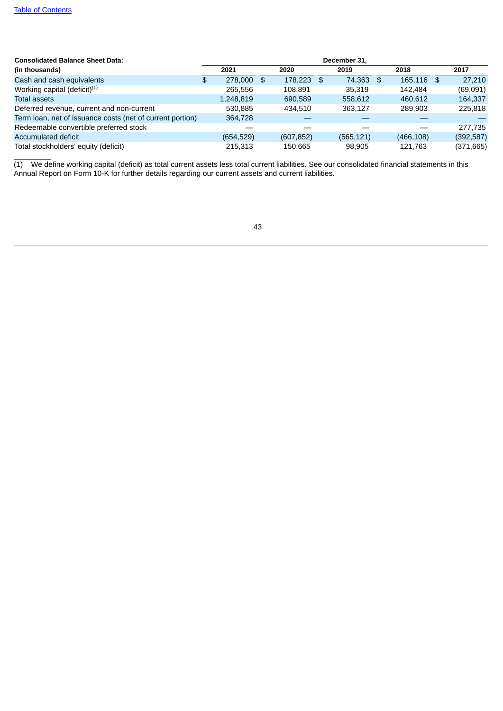| <b>Consolidated Balance Sheet Data:</b>                   |    |            |               | December 31, |            |      |            |            |
|-----------------------------------------------------------|----|------------|---------------|--------------|------------|------|------------|------------|
| (in thousands)                                            |    | 2021       | 2020          |              | 2019       |      | 2018       | 2017       |
| Cash and cash equivalents                                 | \$ | 278,000    | \$<br>178.223 | -\$          | 74.363     | - \$ | 165,116 \$ | 27,210     |
| Working capital (deficit) $(1)$                           |    | 265.556    | 108,891       |              | 35.319     |      | 142.484    | (69,091)   |
| <b>Total assets</b>                                       |    | 1,248,819  | 690.589       |              | 558.612    |      | 460.612    | 164,337    |
| Deferred revenue, current and non-current                 |    | 530.885    | 434.510       |              | 363.127    |      | 289.903    | 225.818    |
| Term loan, net of issuance costs (net of current portion) |    | 364,728    |               |              |            |      |            |            |
| Redeemable convertible preferred stock                    |    |            |               |              |            |      |            | 277.735    |
| <b>Accumulated deficit</b>                                |    | (654, 529) | (607, 852)    |              | (565, 121) |      | (466, 108) | (392, 587) |
| Total stockholders' equity (deficit)                      |    | 215,313    | 150,665       |              | 98.905     |      | 121.763    | (371,665)  |

\_\_\_\_\_\_\_\_\_\_\_\_\_\_\_ (1) We define working capital (deficit) as total current assets less total current liabilities. See our consolidated financial statements in this Annual Report on Form 10-K for further details regarding our current assets and current liabilities.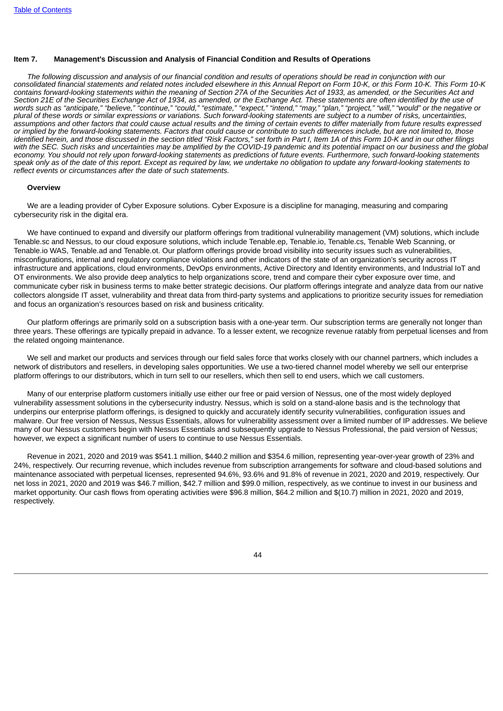# **Item 7. Management's Discussion and Analysis of Financial Condition and Results of Operations**

The following discussion and analysis of our financial condition and results of operations should be read in conjunction with our consolidated financial statements and related notes included elsewhere in this Annual Report on Form 10-K, or this Form 10-K. This Form 10-K. contains forward-looking statements within the meaning of Section 27A of the Securities Act of 1933, as amended, or the Securities Act and Section 21E of the Securities Exchange Act of 1934, as amended, or the Exchange Act. These statements are often identified by the use of words such as "anticipate," "believe," "continue," "could," "estimate," "expect," "intend," "may," "plan," "project," "will," "would" or the negative or plural of these words or similar expressions or variations. Such forward-looking statements are subject to a number of risks, uncertainties, assumptions and other factors that could cause actual results and the timing of certain events to differ materially from future results expressed or implied by the forward-looking statements. Factors that could cause or contribute to such differences include, but are not limited to, those identified herein, and those discussed in the section titled "Risk Factors," set forth in Part I, Item 1A of this Form 10-K and in our other filings with the SEC. Such risks and uncertainties may be amplified by the COVID-19 pandemic and its potential impact on our business and the global economy. You should not rely upon forward-looking statements as predictions of future events. Furthermore, such forward-looking statements speak only as of the date of this report. Except as required by law, we undertake no obligation to update any forward-looking statements to *reflect events or circumstances after the date of such statements.*

#### **Overview**

We are a leading provider of Cyber Exposure solutions. Cyber Exposure is a discipline for managing, measuring and comparing cybersecurity risk in the digital era.

We have continued to expand and diversify our platform offerings from traditional vulnerability management (VM) solutions, which include Tenable.sc and Nessus, to our cloud exposure solutions, which include Tenable.ep, Tenable.io, Tenable.cs, Tenable Web Scanning, or Tenable.io WAS, Tenable.ad and Tenable.ot. Our platform offerings provide broad visibility into security issues such as vulnerabilities, misconfigurations, internal and regulatory compliance violations and other indicators of the state of an organization's security across IT infrastructure and applications, cloud environments, DevOps environments, Active Directory and Identity environments, and Industrial IoT and OT environments. We also provide deep analytics to help organizations score, trend and compare their cyber exposure over time, and communicate cyber risk in business terms to make better strategic decisions. Our platform offerings integrate and analyze data from our native collectors alongside IT asset, vulnerability and threat data from third-party systems and applications to prioritize security issues for remediation and focus an organization's resources based on risk and business criticality.

Our platform offerings are primarily sold on a subscription basis with a one-year term. Our subscription terms are generally not longer than three years. These offerings are typically prepaid in advance. To a lesser extent, we recognize revenue ratably from perpetual licenses and from the related ongoing maintenance.

We sell and market our products and services through our field sales force that works closely with our channel partners, which includes a network of distributors and resellers, in developing sales opportunities. We use a two-tiered channel model whereby we sell our enterprise platform offerings to our distributors, which in turn sell to our resellers, which then sell to end users, which we call customers.

Many of our enterprise platform customers initially use either our free or paid version of Nessus, one of the most widely deployed vulnerability assessment solutions in the cybersecurity industry. Nessus, which is sold on a stand-alone basis and is the technology that underpins our enterprise platform offerings, is designed to quickly and accurately identify security vulnerabilities, configuration issues and malware. Our free version of Nessus, Nessus Essentials, allows for vulnerability assessment over a limited number of IP addresses. We believe many of our Nessus customers begin with Nessus Essentials and subsequently upgrade to Nessus Professional, the paid version of Nessus; however, we expect a significant number of users to continue to use Nessus Essentials.

Revenue in 2021, 2020 and 2019 was \$541.1 million, \$440.2 million and \$354.6 million, representing year-over-year growth of 23% and 24%, respectively. Our recurring revenue, which includes revenue from subscription arrangements for software and cloud-based solutions and maintenance associated with perpetual licenses, represented 94.6%, 93.6% and 91.8% of revenue in 2021, 2020 and 2019, respectively. Our net loss in 2021, 2020 and 2019 was \$46.7 million, \$42.7 million and \$99.0 million, respectively, as we continue to invest in our business and market opportunity. Our cash flows from operating activities were \$96.8 million, \$64.2 million and \$(10.7) million in 2021, 2020 and 2019, respectively.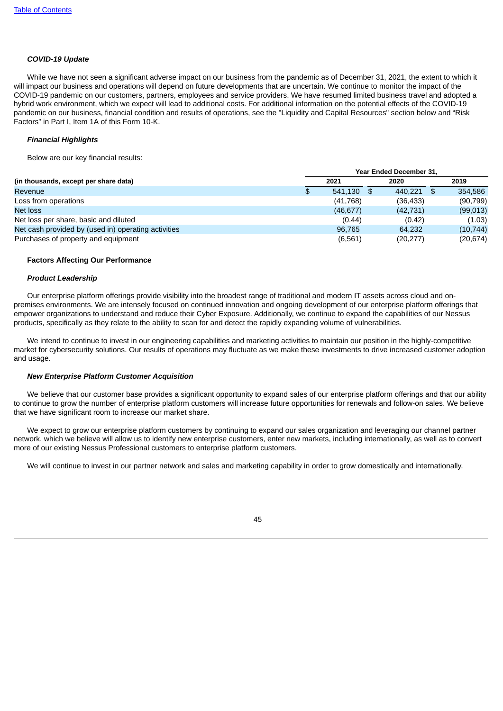# *COVID-19 Update*

While we have not seen a significant adverse impact on our business from the pandemic as of December 31, 2021, the extent to which it will impact our business and operations will depend on future developments that are uncertain. We continue to monitor the impact of the COVID-19 pandemic on our customers, partners, employees and service providers. We have resumed limited business travel and adopted a hybrid work environment, which we expect will lead to additional costs. For additional information on the potential effects of the COVID-19 pandemic on our business, financial condition and results of operations, see the "Liquidity and Capital Resources" section below and "Risk Factors" in Part I, Item 1A of this Form 10-K.

# *Financial Highlights*

Below are our key financial results:

|                                                     | <b>Year Ended December 31.</b> |           |     |            |  |           |  |  |
|-----------------------------------------------------|--------------------------------|-----------|-----|------------|--|-----------|--|--|
| (in thousands, except per share data)               |                                | 2021      |     | 2020       |  | 2019      |  |  |
| Revenue                                             | \$                             | 541.130   | -SS | 440.221 \$ |  | 354.586   |  |  |
| Loss from operations                                |                                | (41,768)  |     | (36, 433)  |  | (90, 799) |  |  |
| Net loss                                            |                                | (46, 677) |     | (42, 731)  |  | (99, 013) |  |  |
| Net loss per share, basic and diluted               |                                | (0.44)    |     | (0.42)     |  | (1.03)    |  |  |
| Net cash provided by (used in) operating activities |                                | 96.765    |     | 64.232     |  | (10, 744) |  |  |
| Purchases of property and equipment                 |                                | (6, 561)  |     | (20, 277)  |  | (20, 674) |  |  |

# **Factors Affecting Our Performance**

## *Product Leadership*

Our enterprise platform offerings provide visibility into the broadest range of traditional and modern IT assets across cloud and onpremises environments. We are intensely focused on continued innovation and ongoing development of our enterprise platform offerings that empower organizations to understand and reduce their Cyber Exposure. Additionally, we continue to expand the capabilities of our Nessus products, specifically as they relate to the ability to scan for and detect the rapidly expanding volume of vulnerabilities.

We intend to continue to invest in our engineering capabilities and marketing activities to maintain our position in the highly-competitive market for cybersecurity solutions. Our results of operations may fluctuate as we make these investments to drive increased customer adoption and usage.

#### *New Enterprise Platform Customer Acquisition*

We believe that our customer base provides a significant opportunity to expand sales of our enterprise platform offerings and that our ability to continue to grow the number of enterprise platform customers will increase future opportunities for renewals and follow-on sales. We believe that we have significant room to increase our market share.

We expect to grow our enterprise platform customers by continuing to expand our sales organization and leveraging our channel partner network, which we believe will allow us to identify new enterprise customers, enter new markets, including internationally, as well as to convert more of our existing Nessus Professional customers to enterprise platform customers.

We will continue to invest in our partner network and sales and marketing capability in order to grow domestically and internationally.

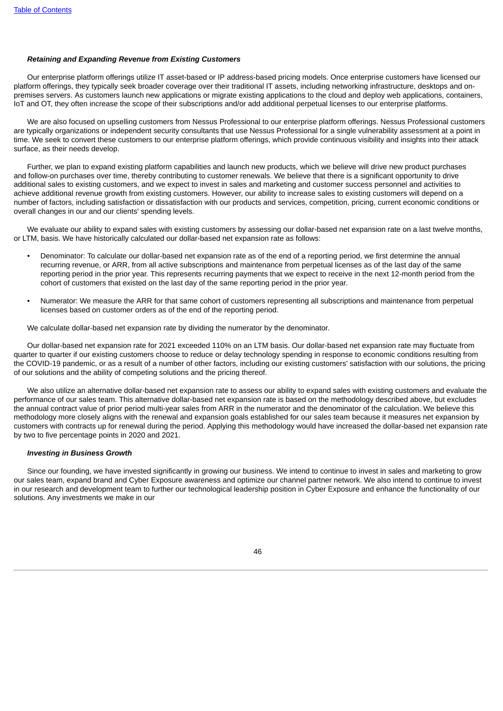## *Retaining and Expanding Revenue from Existing Customers*

Our enterprise platform offerings utilize IT asset-based or IP address-based pricing models. Once enterprise customers have licensed our platform offerings, they typically seek broader coverage over their traditional IT assets, including networking infrastructure, desktops and onpremises servers. As customers launch new applications or migrate existing applications to the cloud and deploy web applications, containers, IoT and OT, they often increase the scope of their subscriptions and/or add additional perpetual licenses to our enterprise platforms.

We are also focused on upselling customers from Nessus Professional to our enterprise platform offerings. Nessus Professional customers are typically organizations or independent security consultants that use Nessus Professional for a single vulnerability assessment at a point in time. We seek to convert these customers to our enterprise platform offerings, which provide continuous visibility and insights into their attack surface, as their needs develop.

Further, we plan to expand existing platform capabilities and launch new products, which we believe will drive new product purchases and follow-on purchases over time, thereby contributing to customer renewals. We believe that there is a significant opportunity to drive additional sales to existing customers, and we expect to invest in sales and marketing and customer success personnel and activities to achieve additional revenue growth from existing customers. However, our ability to increase sales to existing customers will depend on a number of factors, including satisfaction or dissatisfaction with our products and services, competition, pricing, current economic conditions or overall changes in our and our clients' spending levels.

We evaluate our ability to expand sales with existing customers by assessing our dollar-based net expansion rate on a last twelve months, or LTM, basis. We have historically calculated our dollar-based net expansion rate as follows:

- Denominator: To calculate our dollar-based net expansion rate as of the end of a reporting period, we first determine the annual recurring revenue, or ARR, from all active subscriptions and maintenance from perpetual licenses as of the last day of the same reporting period in the prior year. This represents recurring payments that we expect to receive in the next 12-month period from the cohort of customers that existed on the last day of the same reporting period in the prior year.
- Numerator: We measure the ARR for that same cohort of customers representing all subscriptions and maintenance from perpetual licenses based on customer orders as of the end of the reporting period.

We calculate dollar-based net expansion rate by dividing the numerator by the denominator.

Our dollar-based net expansion rate for 2021 exceeded 110% on an LTM basis. Our dollar-based net expansion rate may fluctuate from quarter to quarter if our existing customers choose to reduce or delay technology spending in response to economic conditions resulting from the COVID-19 pandemic, or as a result of a number of other factors, including our existing customers' satisfaction with our solutions, the pricing of our solutions and the ability of competing solutions and the pricing thereof.

We also utilize an alternative dollar-based net expansion rate to assess our ability to expand sales with existing customers and evaluate the performance of our sales team. This alternative dollar-based net expansion rate is based on the methodology described above, but excludes the annual contract value of prior period multi-year sales from ARR in the numerator and the denominator of the calculation. We believe this methodology more closely aligns with the renewal and expansion goals established for our sales team because it measures net expansion by customers with contracts up for renewal during the period. Applying this methodology would have increased the dollar-based net expansion rate by two to five percentage points in 2020 and 2021.

#### *Investing in Business Growth*

Since our founding, we have invested significantly in growing our business. We intend to continue to invest in sales and marketing to grow our sales team, expand brand and Cyber Exposure awareness and optimize our channel partner network. We also intend to continue to invest in our research and development team to further our technological leadership position in Cyber Exposure and enhance the functionality of our solutions. Any investments we make in our

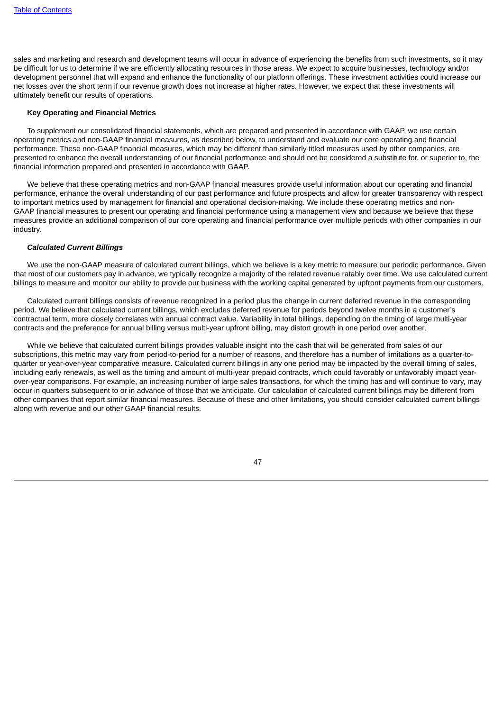sales and marketing and research and development teams will occur in advance of experiencing the benefits from such investments, so it may be difficult for us to determine if we are efficiently allocating resources in those areas. We expect to acquire businesses, technology and/or development personnel that will expand and enhance the functionality of our platform offerings. These investment activities could increase our net losses over the short term if our revenue growth does not increase at higher rates. However, we expect that these investments will ultimately benefit our results of operations.

#### **Key Operating and Financial Metrics**

To supplement our consolidated financial statements, which are prepared and presented in accordance with GAAP, we use certain operating metrics and non-GAAP financial measures, as described below, to understand and evaluate our core operating and financial performance. These non-GAAP financial measures, which may be different than similarly titled measures used by other companies, are presented to enhance the overall understanding of our financial performance and should not be considered a substitute for, or superior to, the financial information prepared and presented in accordance with GAAP.

We believe that these operating metrics and non-GAAP financial measures provide useful information about our operating and financial performance, enhance the overall understanding of our past performance and future prospects and allow for greater transparency with respect to important metrics used by management for financial and operational decision-making. We include these operating metrics and non-GAAP financial measures to present our operating and financial performance using a management view and because we believe that these measures provide an additional comparison of our core operating and financial performance over multiple periods with other companies in our industry.

### *Calculated Current Billings*

We use the non-GAAP measure of calculated current billings, which we believe is a key metric to measure our periodic performance. Given that most of our customers pay in advance, we typically recognize a majority of the related revenue ratably over time. We use calculated current billings to measure and monitor our ability to provide our business with the working capital generated by upfront payments from our customers.

Calculated current billings consists of revenue recognized in a period plus the change in current deferred revenue in the corresponding period. We believe that calculated current billings, which excludes deferred revenue for periods beyond twelve months in a customer's contractual term, more closely correlates with annual contract value. Variability in total billings, depending on the timing of large multi-year contracts and the preference for annual billing versus multi-year upfront billing, may distort growth in one period over another.

While we believe that calculated current billings provides valuable insight into the cash that will be generated from sales of our subscriptions, this metric may vary from period-to-period for a number of reasons, and therefore has a number of limitations as a quarter-toquarter or year-over-year comparative measure. Calculated current billings in any one period may be impacted by the overall timing of sales, including early renewals, as well as the timing and amount of multi-year prepaid contracts, which could favorably or unfavorably impact yearover-year comparisons. For example, an increasing number of large sales transactions, for which the timing has and will continue to vary, may occur in quarters subsequent to or in advance of those that we anticipate. Our calculation of calculated current billings may be different from other companies that report similar financial measures. Because of these and other limitations, you should consider calculated current billings along with revenue and our other GAAP financial results.

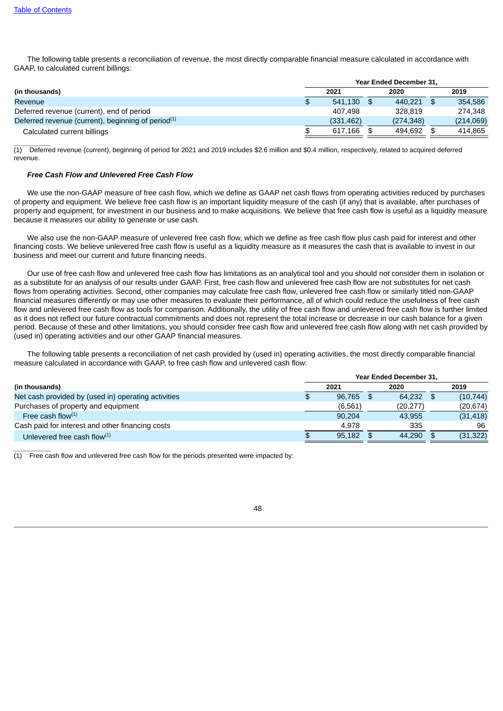$\mathcal{L}=\mathcal{L}=\mathcal{L}=\mathcal{L}=\mathcal{L}=\mathcal{L}=\mathcal{L}$ 

The following table presents a reconciliation of revenue, the most directly comparable financial measure calculated in accordance with GAAP, to calculated current billings:

|                                                       | Year Ended December 31. |            |  |            |      |           |  |  |  |
|-------------------------------------------------------|-------------------------|------------|--|------------|------|-----------|--|--|--|
| (in thousands)                                        |                         | 2021       |  | 2020       | 2019 |           |  |  |  |
| Revenue                                               | \$                      | 541.130    |  | 440.221 \$ |      | 354.586   |  |  |  |
| Deferred revenue (current), end of period             |                         | 407.498    |  | 328.819    |      | 274.348   |  |  |  |
| Deferred revenue (current), beginning of period $(1)$ |                         | (331, 462) |  | (274.348)  |      | (214,069) |  |  |  |
| Calculated current billings                           |                         | 617.166    |  | 494.692    |      | 414.865   |  |  |  |

(1) Deferred revenue (current), beginning of period for 2021 and 2019 includes \$2.6 million and \$0.4 million, respectively, related to acquired deferred revenue.

### *Free Cash Flow and Unlevered Free Cash Flow*

We use the non-GAAP measure of free cash flow, which we define as GAAP net cash flows from operating activities reduced by purchases of property and equipment. We believe free cash flow is an important liquidity measure of the cash (if any) that is available, after purchases of property and equipment, for investment in our business and to make acquisitions. We believe that free cash flow is useful as a liquidity measure because it measures our ability to generate or use cash.

We also use the non-GAAP measure of unlevered free cash flow, which we define as free cash flow plus cash paid for interest and other financing costs. We believe unlevered free cash flow is useful as a liquidity measure as it measures the cash that is available to invest in our business and meet our current and future financing needs.

Our use of free cash flow and unlevered free cash flow has limitations as an analytical tool and you should not consider them in isolation or as a substitute for an analysis of our results under GAAP. First, free cash flow and unlevered free cash flow are not substitutes for net cash flows from operating activities. Second, other companies may calculate free cash flow, unlevered free cash flow or similarly titled non-GAAP financial measures differently or may use other measures to evaluate their performance, all of which could reduce the usefulness of free cash flow and unlevered free cash flow as tools for comparison. Additionally, the utility of free cash flow and unlevered free cash flow is further limited as it does not reflect our future contractual commitments and does not represent the total increase or decrease in our cash balance for a given period. Because of these and other limitations, you should consider free cash flow and unlevered free cash flow along with net cash provided by (used in) operating activities and our other GAAP financial measures.

The following table presents a reconciliation of net cash provided by (used in) operating activities, the most directly comparable financial measure calculated in accordance with GAAP, to free cash flow and unlevered cash flow:

|                                                     | Year Ended December 31. |          |  |           |  |           |  |  |  |
|-----------------------------------------------------|-------------------------|----------|--|-----------|--|-----------|--|--|--|
| (in thousands)                                      |                         | 2021     |  | 2020      |  | 2019      |  |  |  |
| Net cash provided by (used in) operating activities | \$                      | 96.765   |  | 64.232 \$ |  | (10, 744) |  |  |  |
| Purchases of property and equipment                 |                         | (6, 561) |  | (20,277)  |  | (20, 674) |  |  |  |
| Free cash flow $(1)$                                |                         | 90.204   |  | 43.955    |  | (31, 418) |  |  |  |
| Cash paid for interest and other financing costs    |                         | 4.978    |  | 335       |  | 96        |  |  |  |
| Unlevered free cash flow $(1)$                      | \$                      | 95.182   |  | 44.290    |  | (31, 322) |  |  |  |

 $(1)$  Free cash flow and unlevered free cash flow for the periods presented were impacted by: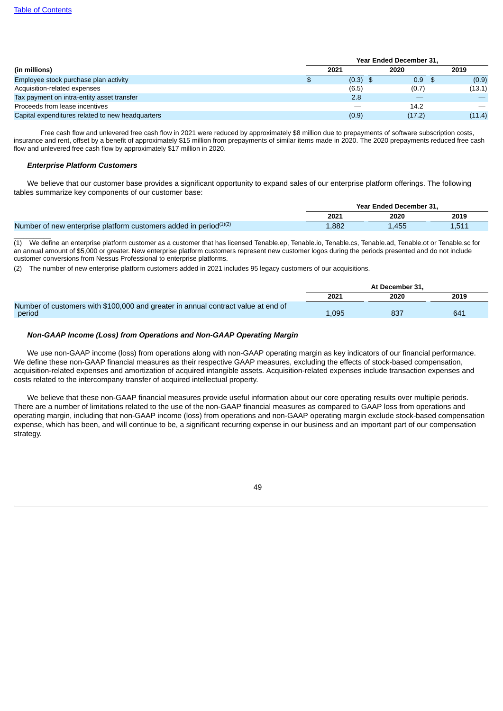|                                                  | <b>Year Ended December 31.</b> |  |          |  |        |  |  |  |  |
|--------------------------------------------------|--------------------------------|--|----------|--|--------|--|--|--|--|
| (in millions)                                    | 2021                           |  | 2020     |  | 2019   |  |  |  |  |
| Employee stock purchase plan activity            | $(0.3)$ \$                     |  | $0.9$ \$ |  | (0.9)  |  |  |  |  |
| Acquisition-related expenses                     | (6.5)                          |  | (0.7)    |  | (13.1) |  |  |  |  |
| Tax payment on intra-entity asset transfer       | 2.8                            |  |          |  |        |  |  |  |  |
| Proceeds from lease incentives                   |                                |  | 14.2     |  |        |  |  |  |  |
| Capital expenditures related to new headquarters | (0.9)                          |  | (17.2)   |  | (11.4) |  |  |  |  |

Free cash flow and unlevered free cash flow in 2021 were reduced by approximately \$8 million due to prepayments of software subscription costs, insurance and rent, offset by a benefit of approximately \$15 million from prepayments of similar items made in 2020. The 2020 prepayments reduced free cash flow and unlevered free cash flow by approximately \$17 million in 2020.

### *Enterprise Platform Customers*

We believe that our customer base provides a significant opportunity to expand sales of our enterprise platform offerings. The following tables summarize key components of our customer base:

|                                                                               | <b>Year Ended December 31.</b> |       |       |  |  |  |  |
|-------------------------------------------------------------------------------|--------------------------------|-------|-------|--|--|--|--|
|                                                                               | 2021                           | 2020  | 2019  |  |  |  |  |
| Number of new enterprise platform customers added in period <sup>(1)(2)</sup> | 1.882                          | 1.455 | 1.511 |  |  |  |  |

(1) We define an enterprise platform customer as a customer that has licensed Tenable.ep, Tenable.io, Tenable.cs, Tenable.ad, Tenable.ot or Tenable.sc for an annual amount of \$5,000 or greater. New enterprise platform customers represent new customer logos during the periods presented and do not include customer conversions from Nessus Professional to enterprise platforms.

(2) The number of new enterprise platform customers added in 2021 includes 95 legacy customers of our acquisitions.

|                                                                                   | At December 31. |      |      |  |  |  |
|-----------------------------------------------------------------------------------|-----------------|------|------|--|--|--|
|                                                                                   | 2021            | 2020 | 2019 |  |  |  |
| Number of customers with \$100,000 and greater in annual contract value at end of |                 |      |      |  |  |  |
| period                                                                            | 1.095           | 83.  | 641  |  |  |  |

## *Non-GAAP Income (Loss) from Operations and Non-GAAP Operating Margin*

We use non-GAAP income (loss) from operations along with non-GAAP operating margin as key indicators of our financial performance. We define these non-GAAP financial measures as their respective GAAP measures, excluding the effects of stock-based compensation, acquisition-related expenses and amortization of acquired intangible assets. Acquisition-related expenses include transaction expenses and costs related to the intercompany transfer of acquired intellectual property.

We believe that these non-GAAP financial measures provide useful information about our core operating results over multiple periods. There are a number of limitations related to the use of the non-GAAP financial measures as compared to GAAP loss from operations and operating margin, including that non-GAAP income (loss) from operations and non-GAAP operating margin exclude stock-based compensation expense, which has been, and will continue to be, a significant recurring expense in our business and an important part of our compensation strategy.

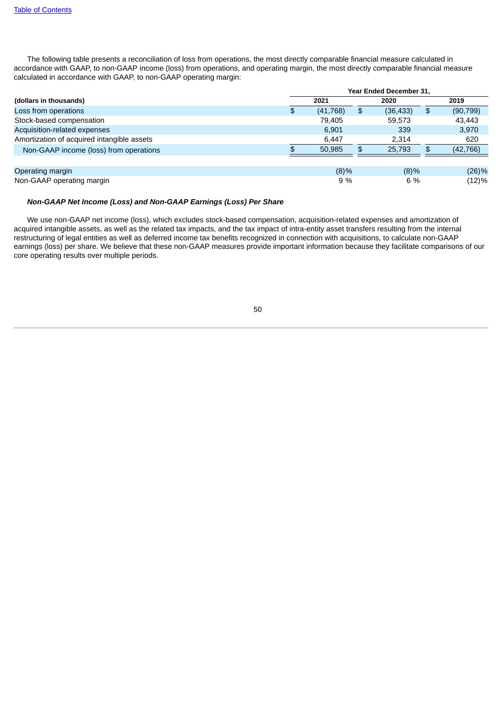The following table presents a reconciliation of loss from operations, the most directly comparable financial measure calculated in accordance with GAAP, to non-GAAP income (loss) from operations, and operating margin, the most directly comparable financial measure calculated in accordance with GAAP, to non-GAAP operating margin:

|                                            | Year Ended December 31, |          |    |           |     |           |  |  |
|--------------------------------------------|-------------------------|----------|----|-----------|-----|-----------|--|--|
| (dollars in thousands)                     |                         | 2021     |    | 2020      |     | 2019      |  |  |
| Loss from operations                       | \$                      | (41,768) | \$ | (36, 433) | \$. | (90, 799) |  |  |
| Stock-based compensation                   |                         | 79,405   |    | 59,573    |     | 43,443    |  |  |
| Acquisition-related expenses               |                         | 6.901    |    | 339       |     | 3,970     |  |  |
| Amortization of acquired intangible assets |                         | 6.447    |    | 2,314     |     | 620       |  |  |
| Non-GAAP income (loss) from operations     |                         | 50,985   | \$ | 25.793    | \$. | (42, 766) |  |  |
|                                            |                         |          |    |           |     |           |  |  |
| Operating margin                           |                         | (8)%     |    | (8)%      |     | (26)%     |  |  |
| Non-GAAP operating margin                  |                         | $9\%$    |    | 6 %       |     | (12)%     |  |  |

# *Non-GAAP Net Income (Loss) and Non-GAAP Earnings (Loss) Per Share*

We use non-GAAP net income (loss), which excludes stock-based compensation, acquisition-related expenses and amortization of acquired intangible assets, as well as the related tax impacts, and the tax impact of intra-entity asset transfers resulting from the internal restructuring of legal entities as well as deferred income tax benefits recognized in connection with acquisitions, to calculate non-GAAP earnings (loss) per share. We believe that these non-GAAP measures provide important information because they facilitate comparisons of our core operating results over multiple periods.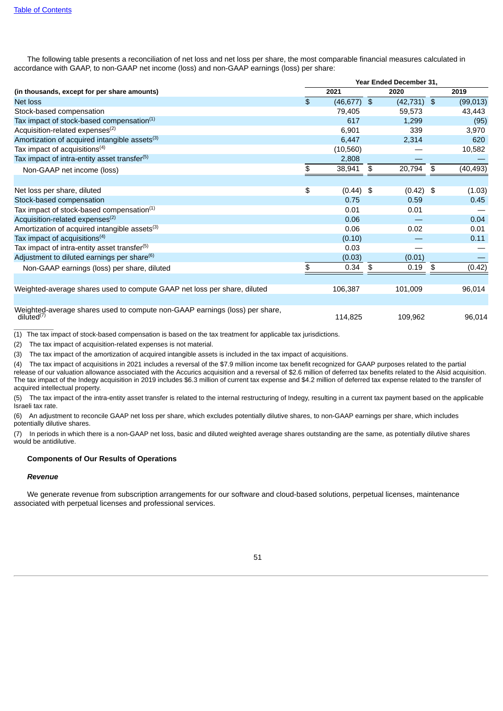The following table presents a reconciliation of net loss and net loss per share, the most comparable financial measures calculated in accordance with GAAP, to non-GAAP net income (loss) and non-GAAP earnings (loss) per share:

|                                                                                                       | Year Ended December 31, |             |               |                |    |           |
|-------------------------------------------------------------------------------------------------------|-------------------------|-------------|---------------|----------------|----|-----------|
| (in thousands, except for per share amounts)                                                          |                         | 2021        |               | 2020           |    | 2019      |
| Net loss                                                                                              | \$                      | (46, 677)   | $\frac{1}{2}$ | $(42, 731)$ \$ |    | (99, 013) |
| Stock-based compensation                                                                              |                         | 79,405      |               | 59,573         |    | 43,443    |
| Tax impact of stock-based compensation <sup>(1)</sup>                                                 |                         | 617         |               | 1,299          |    | (95)      |
| Acquisition-related expenses <sup>(2)</sup>                                                           |                         | 6,901       |               | 339            |    | 3,970     |
| Amortization of acquired intangible assets <sup>(3)</sup>                                             |                         | 6,447       |               | 2,314          |    | 620       |
| Tax impact of acquisitions <sup>(4)</sup>                                                             |                         | (10, 560)   |               |                |    | 10,582    |
| Tax impact of intra-entity asset transfer <sup>(5)</sup>                                              |                         | 2,808       |               |                |    |           |
| Non-GAAP net income (loss)                                                                            | \$                      | 38,941      | \$            | 20,794         | \$ | (40, 493) |
|                                                                                                       |                         |             |               |                |    |           |
| Net loss per share, diluted                                                                           | \$                      | $(0.44)$ \$ |               | $(0.42)$ \$    |    | (1.03)    |
| Stock-based compensation                                                                              |                         | 0.75        |               | 0.59           |    | 0.45      |
| Tax impact of stock-based compensation <sup>(1)</sup>                                                 |                         | 0.01        |               | 0.01           |    |           |
| Acquisition-related expenses <sup>(2)</sup>                                                           |                         | 0.06        |               |                |    | 0.04      |
| Amortization of acquired intangible assets <sup>(3)</sup>                                             |                         | 0.06        |               | 0.02           |    | 0.01      |
| Tax impact of acquisitions <sup>(4)</sup>                                                             |                         | (0.10)      |               |                |    | 0.11      |
| Tax impact of intra-entity asset transfer <sup>(5)</sup>                                              |                         | 0.03        |               |                |    |           |
| Adjustment to diluted earnings per share <sup>(6)</sup>                                               |                         | (0.03)      |               | (0.01)         |    |           |
| Non-GAAP earnings (loss) per share, diluted                                                           | \$                      | 0.34        | \$            | 0.19           | \$ | (0.42)    |
|                                                                                                       |                         |             |               |                |    |           |
| Weighted-average shares used to compute GAAP net loss per share, diluted                              |                         | 106,387     |               | 101,009        |    | 96,014    |
|                                                                                                       |                         |             |               |                |    |           |
| Weighted-average shares used to compute non-GAAP earnings (loss) per share,<br>diluted <sup>(7)</sup> |                         | 114,825     |               | 109,962        |    | 96,014    |

(1) The tax impact of stock-based compensation is based on the tax treatment for applicable tax jurisdictions.

(2) The tax impact of acquisition-related expenses is not material.

(3) The tax impact of the amortization of acquired intangible assets is included in the tax impact of acquisitions.

(4) The tax impact of acquisitions in 2021 includes a reversal of the \$7.9 million income tax benefit recognized for GAAP purposes related to the partial release of our valuation allowance associated with the Accurics acquisition and a reversal of \$2.6 million of deferred tax benefits related to the Alsid acquisition. The tax impact of the Indegy acquisition in 2019 includes \$6.3 million of current tax expense and \$4.2 million of deferred tax expense related to the transfer of acquired intellectual property.

(5) The tax impact of the intra-entity asset transfer is related to the internal restructuring of Indegy, resulting in a current tax payment based on the applicable Israeli tax rate.

(6) An adjustment to reconcile GAAP net loss per share, which excludes potentially dilutive shares, to non-GAAP earnings per share, which includes potentially dilutive shares.

(7) In periods in which there is a non-GAAP net loss, basic and diluted weighted average shares outstanding are the same, as potentially dilutive shares would be antidilutive.

## **Components of Our Results of Operations**

## *Revenue*

 $\overline{\phantom{a}}$ 

We generate revenue from subscription arrangements for our software and cloud-based solutions, perpetual licenses, maintenance associated with perpetual licenses and professional services.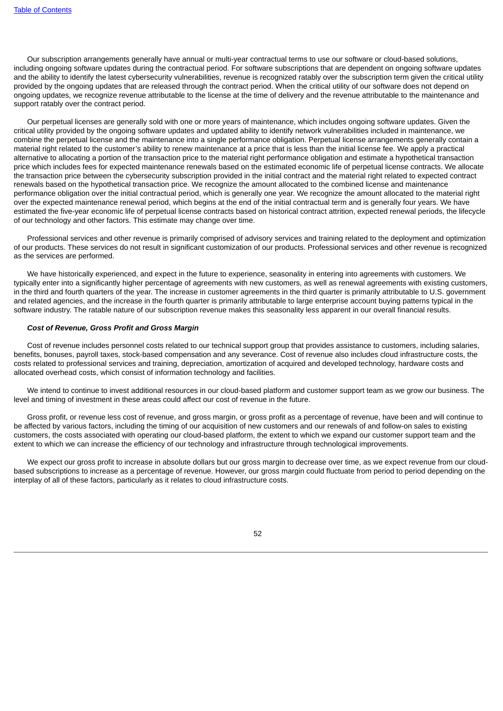Our subscription arrangements generally have annual or multi-year contractual terms to use our software or cloud-based solutions, including ongoing software updates during the contractual period. For software subscriptions that are dependent on ongoing software updates and the ability to identify the latest cybersecurity vulnerabilities, revenue is recognized ratably over the subscription term given the critical utility provided by the ongoing updates that are released through the contract period. When the critical utility of our software does not depend on ongoing updates, we recognize revenue attributable to the license at the time of delivery and the revenue attributable to the maintenance and support ratably over the contract period.

Our perpetual licenses are generally sold with one or more years of maintenance, which includes ongoing software updates. Given the critical utility provided by the ongoing software updates and updated ability to identify network vulnerabilities included in maintenance, we combine the perpetual license and the maintenance into a single performance obligation. Perpetual license arrangements generally contain a material right related to the customer's ability to renew maintenance at a price that is less than the initial license fee. We apply a practical alternative to allocating a portion of the transaction price to the material right performance obligation and estimate a hypothetical transaction price which includes fees for expected maintenance renewals based on the estimated economic life of perpetual license contracts. We allocate the transaction price between the cybersecurity subscription provided in the initial contract and the material right related to expected contract renewals based on the hypothetical transaction price. We recognize the amount allocated to the combined license and maintenance performance obligation over the initial contractual period, which is generally one year. We recognize the amount allocated to the material right over the expected maintenance renewal period, which begins at the end of the initial contractual term and is generally four years. We have estimated the five-year economic life of perpetual license contracts based on historical contract attrition, expected renewal periods, the lifecycle of our technology and other factors. This estimate may change over time.

Professional services and other revenue is primarily comprised of advisory services and training related to the deployment and optimization of our products. These services do not result in significant customization of our products. Professional services and other revenue is recognized as the services are performed.

We have historically experienced, and expect in the future to experience, seasonality in entering into agreements with customers. We typically enter into a significantly higher percentage of agreements with new customers, as well as renewal agreements with existing customers, in the third and fourth quarters of the year. The increase in customer agreements in the third quarter is primarily attributable to U.S. government and related agencies, and the increase in the fourth quarter is primarily attributable to large enterprise account buying patterns typical in the software industry. The ratable nature of our subscription revenue makes this seasonality less apparent in our overall financial results.

## *Cost of Revenue, Gross Profit and Gross Margin*

Cost of revenue includes personnel costs related to our technical support group that provides assistance to customers, including salaries, benefits, bonuses, payroll taxes, stock-based compensation and any severance. Cost of revenue also includes cloud infrastructure costs, the costs related to professional services and training, depreciation, amortization of acquired and developed technology, hardware costs and allocated overhead costs, which consist of information technology and facilities.

We intend to continue to invest additional resources in our cloud-based platform and customer support team as we grow our business. The level and timing of investment in these areas could affect our cost of revenue in the future.

Gross profit, or revenue less cost of revenue, and gross margin, or gross profit as a percentage of revenue, have been and will continue to be affected by various factors, including the timing of our acquisition of new customers and our renewals of and follow-on sales to existing customers, the costs associated with operating our cloud-based platform, the extent to which we expand our customer support team and the extent to which we can increase the efficiency of our technology and infrastructure through technological improvements.

We expect our gross profit to increase in absolute dollars but our gross margin to decrease over time, as we expect revenue from our cloudbased subscriptions to increase as a percentage of revenue. However, our gross margin could fluctuate from period to period depending on the interplay of all of these factors, particularly as it relates to cloud infrastructure costs.

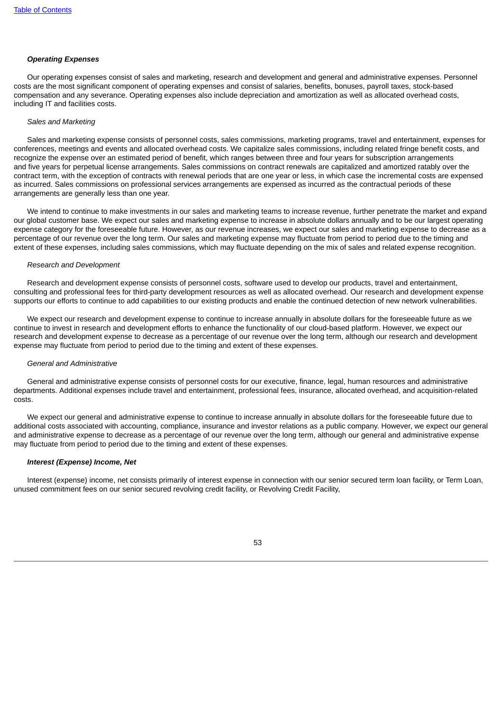## *Operating Expenses*

Our operating expenses consist of sales and marketing, research and development and general and administrative expenses. Personnel costs are the most significant component of operating expenses and consist of salaries, benefits, bonuses, payroll taxes, stock-based compensation and any severance. Operating expenses also include depreciation and amortization as well as allocated overhead costs, including IT and facilities costs.

#### *Sales and Marketing*

Sales and marketing expense consists of personnel costs, sales commissions, marketing programs, travel and entertainment, expenses for conferences, meetings and events and allocated overhead costs. We capitalize sales commissions, including related fringe benefit costs, and recognize the expense over an estimated period of benefit, which ranges between three and four years for subscription arrangements and five years for perpetual license arrangements. Sales commissions on contract renewals are capitalized and amortized ratably over the contract term, with the exception of contracts with renewal periods that are one year or less, in which case the incremental costs are expensed as incurred. Sales commissions on professional services arrangements are expensed as incurred as the contractual periods of these arrangements are generally less than one year.

We intend to continue to make investments in our sales and marketing teams to increase revenue, further penetrate the market and expand our global customer base. We expect our sales and marketing expense to increase in absolute dollars annually and to be our largest operating expense category for the foreseeable future. However, as our revenue increases, we expect our sales and marketing expense to decrease as a percentage of our revenue over the long term. Our sales and marketing expense may fluctuate from period to period due to the timing and extent of these expenses, including sales commissions, which may fluctuate depending on the mix of sales and related expense recognition.

#### *Research and Development*

Research and development expense consists of personnel costs, software used to develop our products, travel and entertainment, consulting and professional fees for third-party development resources as well as allocated overhead. Our research and development expense supports our efforts to continue to add capabilities to our existing products and enable the continued detection of new network vulnerabilities.

We expect our research and development expense to continue to increase annually in absolute dollars for the foreseeable future as we continue to invest in research and development efforts to enhance the functionality of our cloud-based platform. However, we expect our research and development expense to decrease as a percentage of our revenue over the long term, although our research and development expense may fluctuate from period to period due to the timing and extent of these expenses.

#### *General and Administrative*

General and administrative expense consists of personnel costs for our executive, finance, legal, human resources and administrative departments. Additional expenses include travel and entertainment, professional fees, insurance, allocated overhead, and acquisition-related costs.

We expect our general and administrative expense to continue to increase annually in absolute dollars for the foreseeable future due to additional costs associated with accounting, compliance, insurance and investor relations as a public company. However, we expect our general and administrative expense to decrease as a percentage of our revenue over the long term, although our general and administrative expense may fluctuate from period to period due to the timing and extent of these expenses.

#### *Interest (Expense) Income, Net*

Interest (expense) income, net consists primarily of interest expense in connection with our senior secured term loan facility, or Term Loan, unused commitment fees on our senior secured revolving credit facility, or Revolving Credit Facility,

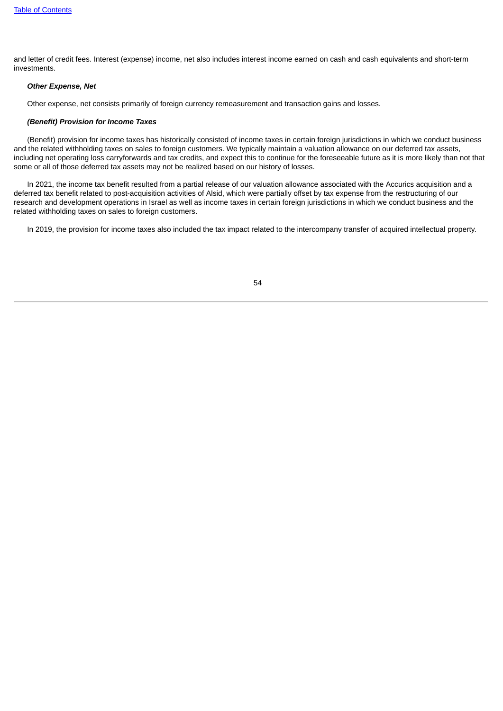and letter of credit fees. Interest (expense) income, net also includes interest income earned on cash and cash equivalents and short-term investments.

## *Other Expense, Net*

Other expense, net consists primarily of foreign currency remeasurement and transaction gains and losses.

## *(Benefit) Provision for Income Taxes*

(Benefit) provision for income taxes has historically consisted of income taxes in certain foreign jurisdictions in which we conduct business and the related withholding taxes on sales to foreign customers. We typically maintain a valuation allowance on our deferred tax assets, including net operating loss carryforwards and tax credits, and expect this to continue for the foreseeable future as it is more likely than not that some or all of those deferred tax assets may not be realized based on our history of losses.

In 2021, the income tax benefit resulted from a partial release of our valuation allowance associated with the Accurics acquisition and a deferred tax benefit related to post-acquisition activities of Alsid, which were partially offset by tax expense from the restructuring of our research and development operations in Israel as well as income taxes in certain foreign jurisdictions in which we conduct business and the related withholding taxes on sales to foreign customers.

In 2019, the provision for income taxes also included the tax impact related to the intercompany transfer of acquired intellectual property.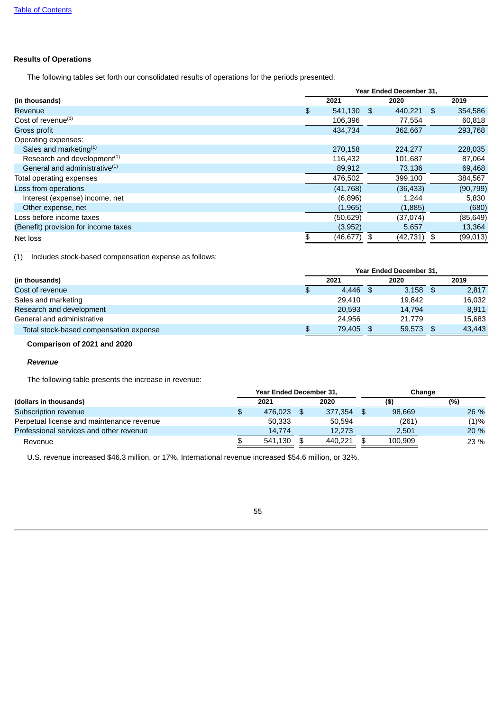# **Results of Operations**

The following tables set forth our consolidated results of operations for the periods presented:

|                                           |                 | Year Ended December 31. |                 |
|-------------------------------------------|-----------------|-------------------------|-----------------|
| (in thousands)                            | 2021            | 2020                    | 2019            |
| Revenue                                   | \$<br>541,130   | \$<br>440.221           | \$<br>354,586   |
| Cost of revenue <sup>(1)</sup>            | 106,396         | 77.554                  | 60,818          |
| Gross profit                              | 434.734         | 362.667                 | 293.768         |
| Operating expenses:                       |                 |                         |                 |
| Sales and marketing $(1)$                 | 270,158         | 224,277                 | 228,035         |
| Research and development <sup>(1)</sup>   | 116,432         | 101,687                 | 87,064          |
| General and administrative <sup>(1)</sup> | 89,912          | 73,136                  | 69,468          |
| Total operating expenses                  | 476,502         | 399.100                 | 384,567         |
| Loss from operations                      | (41,768)        | (36, 433)               | (90, 799)       |
| Interest (expense) income, net            | (6,896)         | 1,244                   | 5,830           |
| Other expense, net                        | (1,965)         | (1,885)                 | (680)           |
| Loss before income taxes                  | (50, 629)       | (37,074)                | (85, 649)       |
| (Benefit) provision for income taxes      | (3,952)         | 5,657                   | 13,364          |
| Net loss                                  | \$<br>(46, 677) | \$<br>(42, 731)         | \$<br>(99, 013) |

 $\overline{u_1}$  Includes stock-based compensation expense as follows:

|                                        | Year Ended December 31. |            |  |            |  |        |  |  |  |
|----------------------------------------|-------------------------|------------|--|------------|--|--------|--|--|--|
| (in thousands)                         |                         | 2021       |  | 2020       |  | 2019   |  |  |  |
| Cost of revenue                        | \$                      | $4.446$ \$ |  | $3,158$ \$ |  | 2,817  |  |  |  |
| Sales and marketing                    |                         | 29.410     |  | 19.842     |  | 16,032 |  |  |  |
| Research and development               |                         | 20.593     |  | 14.794     |  | 8.911  |  |  |  |
| General and administrative             |                         | 24.956     |  | 21,779     |  | 15,683 |  |  |  |
| Total stock-based compensation expense | \$.                     | 79.405     |  | 59.573     |  | 43.443 |  |  |  |

# **Comparison of 2021 and 2020**

## *Revenue*

The following table presents the increase in revenue:

|                                           |  | Year Ended December 31, |         | Change |         |         |  |
|-------------------------------------------|--|-------------------------|---------|--------|---------|---------|--|
| (dollars in thousands)                    |  | 2021                    | 2020    |        | (\$)    | (%)     |  |
| Subscription revenue                      |  | 476.023                 | 377.354 |        | 98,669  | 26 %    |  |
| Perpetual license and maintenance revenue |  | 50,333                  | 50,594  |        | (261)   | $(1)\%$ |  |
| Professional services and other revenue   |  | 14.774                  | 12.273  |        | 2,501   | 20 %    |  |
| Revenue                                   |  | 541.130                 | 440.221 |        | 100.909 | 23 %    |  |

U.S. revenue increased \$46.3 million, or 17%. International revenue increased \$54.6 million, or 32%.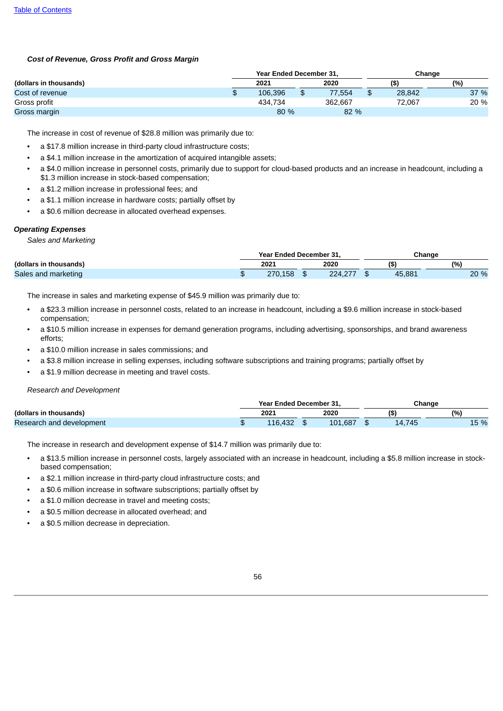# *Cost of Revenue, Gross Profit and Gross Margin*

|                        | <b>Year Ended December 31.</b> |         |              | Change |      |  |
|------------------------|--------------------------------|---------|--------------|--------|------|--|
| (dollars in thousands) | 2021                           | 2020    |              | (\$'   | (%)  |  |
| Cost of revenue        | 106.396                        | 77.554  | $\mathbf{f}$ | 28,842 | 37 % |  |
| Gross profit           | 434.734                        | 362.667 |              | 72.067 | 20 % |  |
| Gross margin           | 80 %                           | 82 %    |              |        |      |  |

The increase in cost of revenue of \$28.8 million was primarily due to:

- a \$17.8 million increase in third-party cloud infrastructure costs;
- a \$4.1 million increase in the amortization of acquired intangible assets;
- a \$4.0 million increase in personnel costs, primarily due to support for cloud-based products and an increase in headcount, including a \$1.3 million increase in stock-based compensation;
- a \$1.2 million increase in professional fees; and
- a \$1.1 million increase in hardware costs; partially offset by
- a \$0.6 million decrease in allocated overhead expenses.

# *Operating Expenses*

*Sales and Marketing*

|                        | Year Ended December 31. |         |  | Change |        |      |  |
|------------------------|-------------------------|---------|--|--------|--------|------|--|
| (dollars in thousands) |                         | 2021    |  | 2020   |        | (96) |  |
| Sales and marketing    |                         | 270.158 |  | 224.2  | 45,881 | 20 % |  |

The increase in sales and marketing expense of \$45.9 million was primarily due to:

- a \$23.3 million increase in personnel costs, related to an increase in headcount, including a \$9.6 million increase in stock-based compensation;
- a \$10.5 million increase in expenses for demand generation programs, including advertising, sponsorships, and brand awareness efforts;
- a \$10.0 million increase in sales commissions; and
- a \$3.8 million increase in selling expenses, including software subscriptions and training programs; partially offset by
- a \$1.9 million decrease in meeting and travel costs.

*Research and Development*

|                          | Year Ended December 31. |         |  |            | Chanɑe |        |      |  |
|--------------------------|-------------------------|---------|--|------------|--------|--------|------|--|
| (dollars in thousands)   |                         | 2021    |  | 2020       |        |        | (%)  |  |
| Research and development |                         | 116.432 |  | 101.687 \$ |        | 14.745 | 15 % |  |

The increase in research and development expense of \$14.7 million was primarily due to:

- a \$13.5 million increase in personnel costs, largely associated with an increase in headcount, including a \$5.8 million increase in stockbased compensation;
- a \$2.1 million increase in third-party cloud infrastructure costs; and
- a \$0.6 million increase in software subscriptions; partially offset by
- a \$1.0 million decrease in travel and meeting costs;
- a \$0.5 million decrease in allocated overhead; and
- a \$0.5 million decrease in depreciation.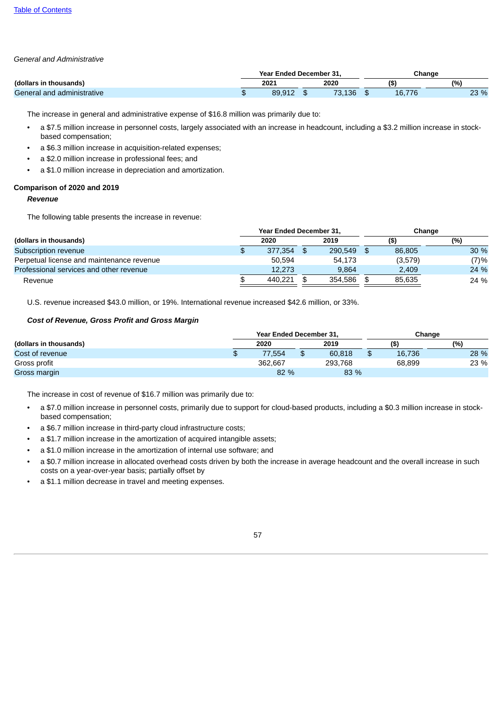# *General and Administrative*

|                            | Year Ended December 31. |        |  |        |  | Chanɑe      |            |  |
|----------------------------|-------------------------|--------|--|--------|--|-------------|------------|--|
| (dollars in thousands)     |                         | 2021   |  | 2020   |  |             | (96)       |  |
| General and administrative |                         | 89.912 |  | /3.136 |  | .776<br>16. | 23 %<br>دے |  |

The increase in general and administrative expense of \$16.8 million was primarily due to:

- a \$7.5 million increase in personnel costs, largely associated with an increase in headcount, including a \$3.2 million increase in stockbased compensation;
- a \$6.3 million increase in acquisition-related expenses;
- a \$2.0 million increase in professional fees; and
- a \$1.0 million increase in depreciation and amortization.

## **Comparison of 2020 and 2019**

# *Revenue*

The following table presents the increase in revenue:

|                                           |  | Year Ended December 31, |      |         | Change |         |      |  |
|-------------------------------------------|--|-------------------------|------|---------|--------|---------|------|--|
| (dollars in thousands)                    |  | 2020                    |      | 2019    |        | (\$)    | (%)  |  |
| Subscription revenue                      |  | 377.354                 | - \$ | 290,549 |        | 86,805  | 30%  |  |
| Perpetual license and maintenance revenue |  | 50.594                  |      | 54.173  |        | (3,579) | (7)% |  |
| Professional services and other revenue   |  | 12.273                  |      | 9.864   |        | 2.409   | 24 % |  |
| Revenue                                   |  | 440.221                 |      | 354.586 |        | 85,635  | 24 % |  |

U.S. revenue increased \$43.0 million, or 19%. International revenue increased \$42.6 million, or 33%.

## *Cost of Revenue, Gross Profit and Gross Margin*

|                        | Year Ended December 31. |    |         |    | Change |      |  |
|------------------------|-------------------------|----|---------|----|--------|------|--|
| (dollars in thousands) | 2020                    |    | 2019    |    | (\$    | (%)  |  |
| Cost of revenue        | 77.554                  | ᠊ᡮ | 60.818  | \$ | 16.736 | 28 % |  |
| Gross profit           | 362.667                 |    | 293.768 |    | 68.899 | 23 % |  |
| Gross margin           | 82 %                    |    | 83 %    |    |        |      |  |

The increase in cost of revenue of \$16.7 million was primarily due to:

- a \$7.0 million increase in personnel costs, primarily due to support for cloud-based products, including a \$0.3 million increase in stockbased compensation;
- a \$6.7 million increase in third-party cloud infrastructure costs;
- a \$1.7 million increase in the amortization of acquired intangible assets;
- a \$1.0 million increase in the amortization of internal use software; and
- a \$0.7 million increase in allocated overhead costs driven by both the increase in average headcount and the overall increase in such costs on a year-over-year basis; partially offset by
- a \$1.1 million decrease in travel and meeting expenses.

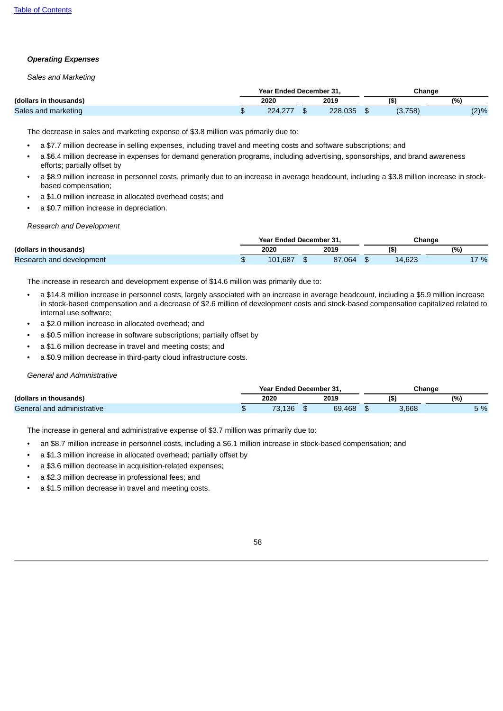# *Operating Expenses*

*Sales and Marketing*

|                        | <b>Year Ended December 31.</b> |      |    |      | Change |                 |      |
|------------------------|--------------------------------|------|----|------|--------|-----------------|------|
| (dollars in thousands) |                                | 2020 |    | 2019 | (\$`   |                 | (%)  |
| Sales and marketing    |                                | 22A  | ۰D | ิกวร | ۰D     | 758)<br>$\cdot$ | (2)% |

The decrease in sales and marketing expense of \$3.8 million was primarily due to:

- a \$7.7 million decrease in selling expenses, including travel and meeting costs and software subscriptions; and
- a \$6.4 million decrease in expenses for demand generation programs, including advertising, sponsorships, and brand awareness efforts; partially offset by
- a \$8.9 million increase in personnel costs, primarily due to an increase in average headcount, including a \$3.8 million increase in stockbased compensation;
- a \$1.0 million increase in allocated overhead costs; and
- a \$0.7 million increase in depreciation.

*Research and Development*

|                          | <b>Year Ended December 31.</b> |         |  |      |      | Change |        |  |
|--------------------------|--------------------------------|---------|--|------|------|--------|--------|--|
| (dollars in thousands)   |                                | 2020    |  | 2019 | (\$` |        | (%)    |  |
| Research and development |                                | 101.687 |  | .064 | ۰D   | 14,623 | $17\%$ |  |

The increase in research and development expense of \$14.6 million was primarily due to:

- a \$14.8 million increase in personnel costs, largely associated with an increase in average headcount, including a \$5.9 million increase in stock-based compensation and a decrease of \$2.6 million of development costs and stock-based compensation capitalized related to internal use software;
- a \$2.0 million increase in allocated overhead; and
- a \$0.5 million increase in software subscriptions; partially offset by
- a \$1.6 million decrease in travel and meeting costs; and
- a \$0.9 million decrease in third-party cloud infrastructure costs.

# *General and Administrative*

|                            | <b>Year Ended December 31.</b> |                     |  |                |      | Chanɑe |                  |  |
|----------------------------|--------------------------------|---------------------|--|----------------|------|--------|------------------|--|
| (dollars in thousands)     |                                | 2020                |  | 2019           | (\$` |        | (96)             |  |
| General and administrative |                                | 136<br>$70^{\circ}$ |  | .468<br>$\sim$ |      | 3,668  | $\overline{5}$ % |  |

The increase in general and administrative expense of \$3.7 million was primarily due to:

- an \$8.7 million increase in personnel costs, including a \$6.1 million increase in stock-based compensation; and
- a \$1.3 million increase in allocated overhead; partially offset by
- a \$3.6 million decrease in acquisition-related expenses;
- a \$2.3 million decrease in professional fees; and
- a \$1.5 million decrease in travel and meeting costs.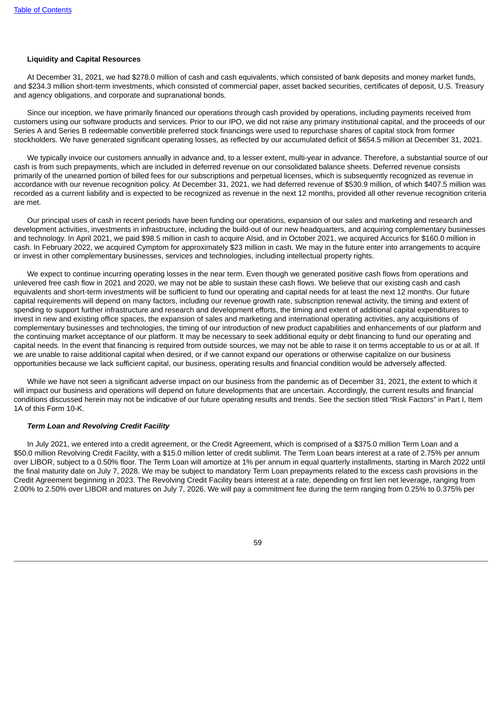### **Liquidity and Capital Resources**

At December 31, 2021, we had \$278.0 million of cash and cash equivalents, which consisted of bank deposits and money market funds, and \$234.3 million short-term investments, which consisted of commercial paper, asset backed securities, certificates of deposit, U.S. Treasury and agency obligations, and corporate and supranational bonds.

Since our inception, we have primarily financed our operations through cash provided by operations, including payments received from customers using our software products and services. Prior to our IPO, we did not raise any primary institutional capital, and the proceeds of our Series A and Series B redeemable convertible preferred stock financings were used to repurchase shares of capital stock from former stockholders. We have generated significant operating losses, as reflected by our accumulated deficit of \$654.5 million at December 31, 2021.

We typically invoice our customers annually in advance and, to a lesser extent, multi-year in advance. Therefore, a substantial source of our cash is from such prepayments, which are included in deferred revenue on our consolidated balance sheets. Deferred revenue consists primarily of the unearned portion of billed fees for our subscriptions and perpetual licenses, which is subsequently recognized as revenue in accordance with our revenue recognition policy. At December 31, 2021, we had deferred revenue of \$530.9 million, of which \$407.5 million was recorded as a current liability and is expected to be recognized as revenue in the next 12 months, provided all other revenue recognition criteria are met.

Our principal uses of cash in recent periods have been funding our operations, expansion of our sales and marketing and research and development activities, investments in infrastructure, including the build-out of our new headquarters, and acquiring complementary businesses and technology. In April 2021, we paid \$98.5 million in cash to acquire Alsid, and in October 2021, we acquired Accurics for \$160.0 million in cash. In February 2022, we acquired Cymptom for approximately \$23 million in cash. We may in the future enter into arrangements to acquire or invest in other complementary businesses, services and technologies, including intellectual property rights.

We expect to continue incurring operating losses in the near term. Even though we generated positive cash flows from operations and unlevered free cash flow in 2021 and 2020, we may not be able to sustain these cash flows. We believe that our existing cash and cash equivalents and short-term investments will be sufficient to fund our operating and capital needs for at least the next 12 months. Our future capital requirements will depend on many factors, including our revenue growth rate, subscription renewal activity, the timing and extent of spending to support further infrastructure and research and development efforts, the timing and extent of additional capital expenditures to invest in new and existing office spaces, the expansion of sales and marketing and international operating activities, any acquisitions of complementary businesses and technologies, the timing of our introduction of new product capabilities and enhancements of our platform and the continuing market acceptance of our platform. It may be necessary to seek additional equity or debt financing to fund our operating and capital needs. In the event that financing is required from outside sources, we may not be able to raise it on terms acceptable to us or at all. If we are unable to raise additional capital when desired, or if we cannot expand our operations or otherwise capitalize on our business opportunities because we lack sufficient capital, our business, operating results and financial condition would be adversely affected.

While we have not seen a significant adverse impact on our business from the pandemic as of December 31, 2021, the extent to which it will impact our business and operations will depend on future developments that are uncertain. Accordingly, the current results and financial conditions discussed herein may not be indicative of our future operating results and trends. See the section titled "Risk Factors" in Part I, Item 1A of this Form 10-K.

#### *Term Loan and Revolving Credit Facility*

In July 2021, we entered into a credit agreement, or the Credit Agreement, which is comprised of a \$375.0 million Term Loan and a \$50.0 million Revolving Credit Facility, with a \$15.0 million letter of credit sublimit. The Term Loan bears interest at a rate of 2.75% per annum over LIBOR, subject to a 0.50% floor. The Term Loan will amortize at 1% per annum in equal quarterly installments, starting in March 2022 until the final maturity date on July 7, 2028. We may be subject to mandatory Term Loan prepayments related to the excess cash provisions in the Credit Agreement beginning in 2023. The Revolving Credit Facility bears interest at a rate, depending on first lien net leverage, ranging from 2.00% to 2.50% over LIBOR and matures on July 7, 2026. We will pay a commitment fee during the term ranging from 0.25% to 0.375% per

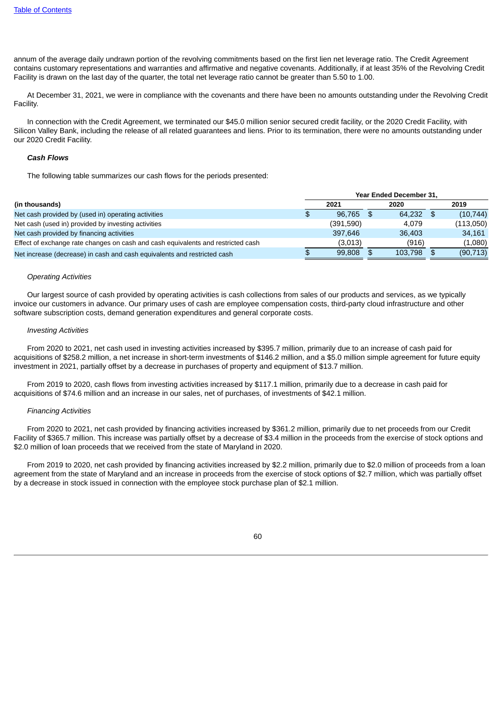annum of the average daily undrawn portion of the revolving commitments based on the first lien net leverage ratio. The Credit Agreement contains customary representations and warranties and affirmative and negative covenants. Additionally, if at least 35% of the Revolving Credit Facility is drawn on the last day of the quarter, the total net leverage ratio cannot be greater than 5.50 to 1.00.

At December 31, 2021, we were in compliance with the covenants and there have been no amounts outstanding under the Revolving Credit Facility.

In connection with the Credit Agreement, we terminated our \$45.0 million senior secured credit facility, or the 2020 Credit Facility, with Silicon Valley Bank, including the release of all related guarantees and liens. Prior to its termination, there were no amounts outstanding under our 2020 Credit Facility.

## *Cash Flows*

The following table summarizes our cash flows for the periods presented:

|                                                                                  | <b>Year Ended December 31.</b> |           |  |           |  |           |  |  |  |
|----------------------------------------------------------------------------------|--------------------------------|-----------|--|-----------|--|-----------|--|--|--|
| (in thousands)                                                                   |                                | 2021      |  | 2020      |  | 2019      |  |  |  |
| Net cash provided by (used in) operating activities                              | \$                             | 96.765 \$ |  | 64.232 \$ |  | (10, 744) |  |  |  |
| Net cash (used in) provided by investing activities                              |                                | (391.590) |  | 4.079     |  | (113,050) |  |  |  |
| Net cash provided by financing activities                                        |                                | 397.646   |  | 36,403    |  | 34.161    |  |  |  |
| Effect of exchange rate changes on cash and cash equivalents and restricted cash |                                | (3,013)   |  | (916)     |  | (1,080)   |  |  |  |
| Net increase (decrease) in cash and cash equivalents and restricted cash         |                                | 99,808    |  | 103,798   |  | (90, 713) |  |  |  |

#### *Operating Activities*

Our largest source of cash provided by operating activities is cash collections from sales of our products and services, as we typically invoice our customers in advance. Our primary uses of cash are employee compensation costs, third-party cloud infrastructure and other software subscription costs, demand generation expenditures and general corporate costs.

## *Investing Activities*

From 2020 to 2021, net cash used in investing activities increased by \$395.7 million, primarily due to an increase of cash paid for acquisitions of \$258.2 million, a net increase in short-term investments of \$146.2 million, and a \$5.0 million simple agreement for future equity investment in 2021, partially offset by a decrease in purchases of property and equipment of \$13.7 million.

From 2019 to 2020, cash flows from investing activities increased by \$117.1 million, primarily due to a decrease in cash paid for acquisitions of \$74.6 million and an increase in our sales, net of purchases, of investments of \$42.1 million.

#### *Financing Activities*

From 2020 to 2021, net cash provided by financing activities increased by \$361.2 million, primarily due to net proceeds from our Credit Facility of \$365.7 million. This increase was partially offset by a decrease of \$3.4 million in the proceeds from the exercise of stock options and \$2.0 million of loan proceeds that we received from the state of Maryland in 2020.

From 2019 to 2020, net cash provided by financing activities increased by \$2.2 million, primarily due to \$2.0 million of proceeds from a loan agreement from the state of Maryland and an increase in proceeds from the exercise of stock options of \$2.7 million, which was partially offset by a decrease in stock issued in connection with the employee stock purchase plan of \$2.1 million.

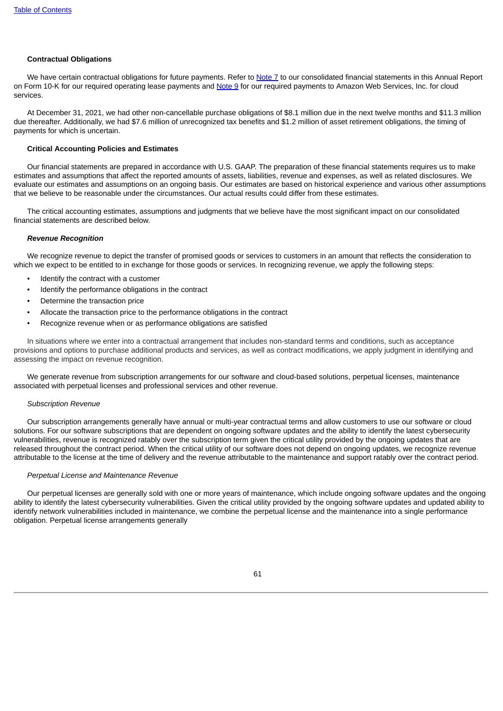## **Contractual Obligations**

We have certain contractual obligations for future payments. Refer to [Note](#page-87-0) [7](#page-87-0) to our consolidated financial statements in this Annual Report on Form 10-K for our required operating lease payments and [Note](#page-89-0) [9](#page-89-0) for our required payments to Amazon Web Services, Inc. for cloud services.

At December 31, 2021, we had other non-cancellable purchase obligations of \$8.1 million due in the next twelve months and \$11.3 million due thereafter. Additionally, we had \$7.6 million of unrecognized tax benefits and \$1.2 million of asset retirement obligations, the timing of payments for which is uncertain.

#### **Critical Accounting Policies and Estimates**

Our financial statements are prepared in accordance with U.S. GAAP. The preparation of these financial statements requires us to make estimates and assumptions that affect the reported amounts of assets, liabilities, revenue and expenses, as well as related disclosures. We evaluate our estimates and assumptions on an ongoing basis. Our estimates are based on historical experience and various other assumptions that we believe to be reasonable under the circumstances. Our actual results could differ from these estimates.

The critical accounting estimates, assumptions and judgments that we believe have the most significant impact on our consolidated financial statements are described below.

### *Revenue Recognition*

We recognize revenue to depict the transfer of promised goods or services to customers in an amount that reflects the consideration to which we expect to be entitled to in exchange for those goods or services. In recognizing revenue, we apply the following steps:

- Identify the contract with a customer
- Identify the performance obligations in the contract
- Determine the transaction price
- Allocate the transaction price to the performance obligations in the contract
- Recognize revenue when or as performance obligations are satisfied

In situations where we enter into a contractual arrangement that includes non-standard terms and conditions, such as acceptance provisions and options to purchase additional products and services, as well as contract modifications, we apply judgment in identifying and assessing the impact on revenue recognition.

We generate revenue from subscription arrangements for our software and cloud-based solutions, perpetual licenses, maintenance associated with perpetual licenses and professional services and other revenue.

#### *Subscription Revenue*

Our subscription arrangements generally have annual or multi-year contractual terms and allow customers to use our software or cloud solutions. For our software subscriptions that are dependent on ongoing software updates and the ability to identify the latest cybersecurity vulnerabilities, revenue is recognized ratably over the subscription term given the critical utility provided by the ongoing updates that are released throughout the contract period. When the critical utility of our software does not depend on ongoing updates, we recognize revenue attributable to the license at the time of delivery and the revenue attributable to the maintenance and support ratably over the contract period.

#### *Perpetual License and Maintenance Revenue*

Our perpetual licenses are generally sold with one or more years of maintenance, which include ongoing software updates and the ongoing ability to identify the latest cybersecurity vulnerabilities. Given the critical utility provided by the ongoing software updates and updated ability to identify network vulnerabilities included in maintenance, we combine the perpetual license and the maintenance into a single performance obligation. Perpetual license arrangements generally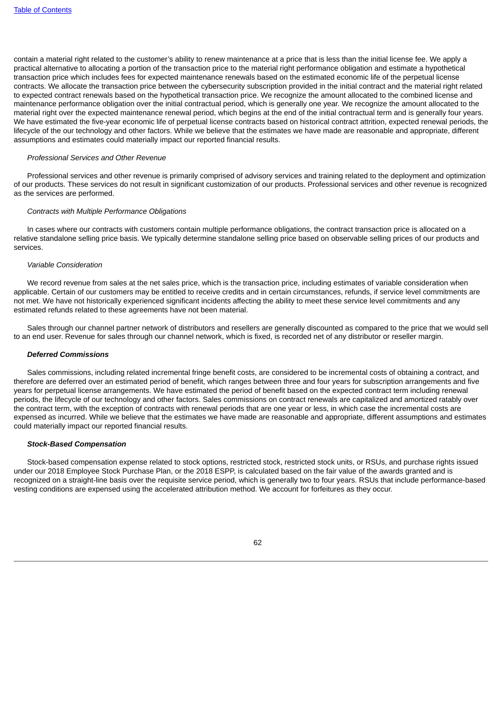contain a material right related to the customer's ability to renew maintenance at a price that is less than the initial license fee. We apply a practical alternative to allocating a portion of the transaction price to the material right performance obligation and estimate a hypothetical transaction price which includes fees for expected maintenance renewals based on the estimated economic life of the perpetual license contracts. We allocate the transaction price between the cybersecurity subscription provided in the initial contract and the material right related to expected contract renewals based on the hypothetical transaction price. We recognize the amount allocated to the combined license and maintenance performance obligation over the initial contractual period, which is generally one year. We recognize the amount allocated to the material right over the expected maintenance renewal period, which begins at the end of the initial contractual term and is generally four years. We have estimated the five-year economic life of perpetual license contracts based on historical contract attrition, expected renewal periods, the lifecycle of the our technology and other factors. While we believe that the estimates we have made are reasonable and appropriate, different assumptions and estimates could materially impact our reported financial results.

#### *Professional Services and Other Revenue*

Professional services and other revenue is primarily comprised of advisory services and training related to the deployment and optimization of our products. These services do not result in significant customization of our products. Professional services and other revenue is recognized as the services are performed.

#### *Contracts with Multiple Performance Obligations*

In cases where our contracts with customers contain multiple performance obligations, the contract transaction price is allocated on a relative standalone selling price basis. We typically determine standalone selling price based on observable selling prices of our products and services.

### *Variable Consideration*

We record revenue from sales at the net sales price, which is the transaction price, including estimates of variable consideration when applicable. Certain of our customers may be entitled to receive credits and in certain circumstances, refunds, if service level commitments are not met. We have not historically experienced significant incidents affecting the ability to meet these service level commitments and any estimated refunds related to these agreements have not been material.

Sales through our channel partner network of distributors and resellers are generally discounted as compared to the price that we would sell to an end user. Revenue for sales through our channel network, which is fixed, is recorded net of any distributor or reseller margin.

#### *Deferred Commissions*

Sales commissions, including related incremental fringe benefit costs, are considered to be incremental costs of obtaining a contract, and therefore are deferred over an estimated period of benefit, which ranges between three and four years for subscription arrangements and five years for perpetual license arrangements. We have estimated the period of benefit based on the expected contract term including renewal periods, the lifecycle of our technology and other factors. Sales commissions on contract renewals are capitalized and amortized ratably over the contract term, with the exception of contracts with renewal periods that are one year or less, in which case the incremental costs are expensed as incurred. While we believe that the estimates we have made are reasonable and appropriate, different assumptions and estimates could materially impact our reported financial results.

#### *Stock-Based Compensation*

Stock-based compensation expense related to stock options, restricted stock, restricted stock units, or RSUs, and purchase rights issued under our 2018 Employee Stock Purchase Plan, or the 2018 ESPP, is calculated based on the fair value of the awards granted and is recognized on a straight-line basis over the requisite service period, which is generally two to four years. RSUs that include performance-based vesting conditions are expensed using the accelerated attribution method. We account for forfeitures as they occur.

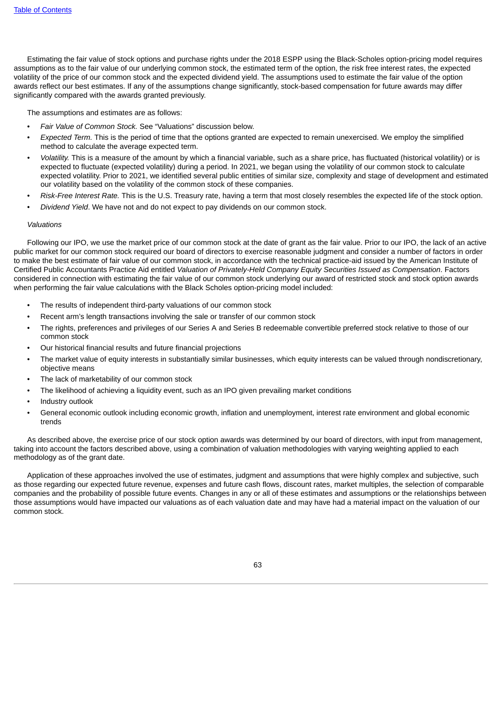Estimating the fair value of stock options and purchase rights under the 2018 ESPP using the Black-Scholes option-pricing model requires assumptions as to the fair value of our underlying common stock, the estimated term of the option, the risk free interest rates, the expected volatility of the price of our common stock and the expected dividend yield. The assumptions used to estimate the fair value of the option awards reflect our best estimates. If any of the assumptions change significantly, stock-based compensation for future awards may differ significantly compared with the awards granted previously.

The assumptions and estimates are as follows:

- *Fair Value of Common Stock.* See "Valuations" discussion below.
- *Expected Term.* This is the period of time that the options granted are expected to remain unexercised. We employ the simplified method to calculate the average expected term.
- *• Volatility.* This is a measure of the amount by which a financial variable, such as a share price, has fluctuated (historical volatility) or is expected to fluctuate (expected volatility) during a period. In 2021, we began using the volatility of our common stock to calculate expected volatility. Prior to 2021, we identified several public entities of similar size, complexity and stage of development and estimated our volatility based on the volatility of the common stock of these companies.
- *Risk-Free Interest Rate.* This is the U.S. Treasury rate, having a term that most closely resembles the expected life of the stock option.
- *Dividend Yield*. We have not and do not expect to pay dividends on our common stock.

#### *Valuations*

Following our IPO, we use the market price of our common stock at the date of grant as the fair value. Prior to our IPO, the lack of an active public market for our common stock required our board of directors to exercise reasonable judgment and consider a number of factors in order to make the best estimate of fair value of our common stock, in accordance with the technical practice-aid issued by the American Institute of Certified Public Accountants Practice Aid entitled *Valuation of Privately-Held Company Equity Securities Issued as Compensation*. Factors considered in connection with estimating the fair value of our common stock underlying our award of restricted stock and stock option awards when performing the fair value calculations with the Black Scholes option-pricing model included:

- The results of independent third-party valuations of our common stock
- Recent arm's length transactions involving the sale or transfer of our common stock
- The rights, preferences and privileges of our Series A and Series B redeemable convertible preferred stock relative to those of our common stock
- Our historical financial results and future financial projections
- The market value of equity interests in substantially similar businesses, which equity interests can be valued through nondiscretionary, objective means
- The lack of marketability of our common stock
- The likelihood of achieving a liquidity event, such as an IPO given prevailing market conditions
- Industry outlook
- General economic outlook including economic growth, inflation and unemployment, interest rate environment and global economic trends

As described above, the exercise price of our stock option awards was determined by our board of directors, with input from management, taking into account the factors described above, using a combination of valuation methodologies with varying weighting applied to each methodology as of the grant date.

Application of these approaches involved the use of estimates, judgment and assumptions that were highly complex and subjective, such as those regarding our expected future revenue, expenses and future cash flows, discount rates, market multiples, the selection of comparable companies and the probability of possible future events. Changes in any or all of these estimates and assumptions or the relationships between those assumptions would have impacted our valuations as of each valuation date and may have had a material impact on the valuation of our common stock.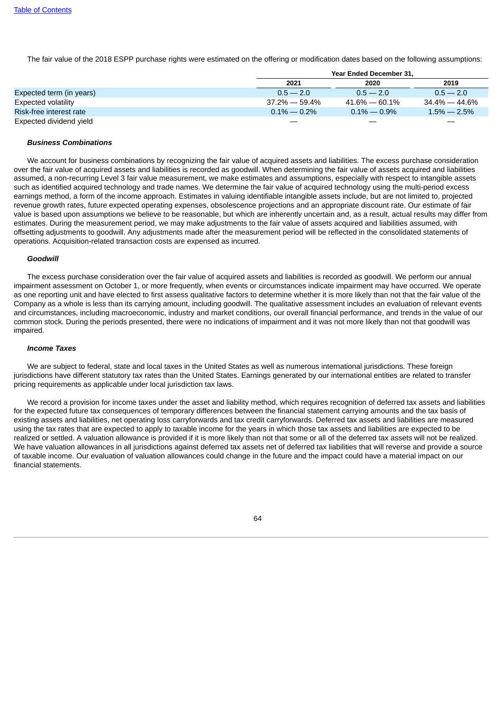The fair value of the 2018 ESPP purchase rights were estimated on the offering or modification dates based on the following assumptions:

|                          |                   | Year Ended December 31. |                   |  |  |
|--------------------------|-------------------|-------------------------|-------------------|--|--|
|                          | 2021              | 2020                    | 2019              |  |  |
| Expected term (in years) | $0.5 - 2.0$       | $0.5 - 2.0$             | $0.5 - 2.0$       |  |  |
| Expected volatility      | $37.2\% - 59.4\%$ | $41.6\% - 60.1\%$       | $34.4\% - 44.6\%$ |  |  |
| Risk-free interest rate  | $0.1\% - 0.2\%$   | $0.1\% - 0.9\%$         | $1.5\% - 2.5\%$   |  |  |
| Expected dividend yield  |                   |                         |                   |  |  |

#### *Business Combinations*

We account for business combinations by recognizing the fair value of acquired assets and liabilities. The excess purchase consideration over the fair value of acquired assets and liabilities is recorded as goodwill. When determining the fair value of assets acquired and liabilities assumed, a non-recurring Level 3 fair value measurement, we make estimates and assumptions, especially with respect to intangible assets such as identified acquired technology and trade names. We determine the fair value of acquired technology using the multi-period excess earnings method, a form of the income approach. Estimates in valuing identifiable intangible assets include, but are not limited to, projected revenue growth rates, future expected operating expenses, obsolescence projections and an appropriate discount rate. Our estimate of fair value is based upon assumptions we believe to be reasonable, but which are inherently uncertain and, as a result, actual results may differ from estimates. During the measurement period, we may make adjustments to the fair value of assets acquired and liabilities assumed, with offsetting adjustments to goodwill. Any adjustments made after the measurement period will be reflected in the consolidated statements of operations. Acquisition-related transaction costs are expensed as incurred.

#### *Goodwill*

The excess purchase consideration over the fair value of acquired assets and liabilities is recorded as goodwill. We perform our annual impairment assessment on October 1, or more frequently, when events or circumstances indicate impairment may have occurred. We operate as one reporting unit and have elected to first assess qualitative factors to determine whether it is more likely than not that the fair value of the Company as a whole is less than its carrying amount, including goodwill. The qualitative assessment includes an evaluation of relevant events and circumstances, including macroeconomic, industry and market conditions, our overall financial performance, and trends in the value of our common stock. During the periods presented, there were no indications of impairment and it was not more likely than not that goodwill was impaired.

## *Income Taxes*

We are subject to federal, state and local taxes in the United States as well as numerous international jurisdictions. These foreign jurisdictions have different statutory tax rates than the United States. Earnings generated by our international entities are related to transfer pricing requirements as applicable under local jurisdiction tax laws.

We record a provision for income taxes under the asset and liability method, which requires recognition of deferred tax assets and liabilities for the expected future tax consequences of temporary differences between the financial statement carrying amounts and the tax basis of existing assets and liabilities, net operating loss carryforwards and tax credit carryforwards. Deferred tax assets and liabilities are measured using the tax rates that are expected to apply to taxable income for the years in which those tax assets and liabilities are expected to be realized or settled. A valuation allowance is provided if it is more likely than not that some or all of the deferred tax assets will not be realized. We have valuation allowances in all jurisdictions against deferred tax assets net of deferred tax liabilities that will reverse and provide a source of taxable income. Our evaluation of valuation allowances could change in the future and the impact could have a material impact on our financial statements.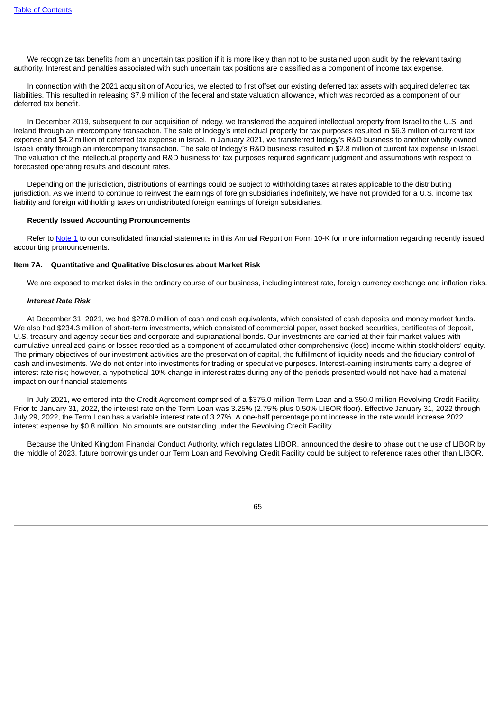We recognize tax benefits from an uncertain tax position if it is more likely than not to be sustained upon audit by the relevant taxing authority. Interest and penalties associated with such uncertain tax positions are classified as a component of income tax expense.

In connection with the 2021 acquisition of Accurics, we elected to first offset our existing deferred tax assets with acquired deferred tax liabilities. This resulted in releasing \$7.9 million of the federal and state valuation allowance, which was recorded as a component of our deferred tax benefit.

In December 2019, subsequent to our acquisition of Indegy, we transferred the acquired intellectual property from Israel to the U.S. and Ireland through an intercompany transaction. The sale of Indegy's intellectual property for tax purposes resulted in \$6.3 million of current tax expense and \$4.2 million of deferred tax expense in Israel. In January 2021, we transferred Indegy's R&D business to another wholly owned Israeli entity through an intercompany transaction. The sale of Indegy's R&D business resulted in \$2.8 million of current tax expense in Israel. The valuation of the intellectual property and R&D business for tax purposes required significant judgment and assumptions with respect to forecasted operating results and discount rates.

Depending on the jurisdiction, distributions of earnings could be subject to withholding taxes at rates applicable to the distributing jurisdiction. As we intend to continue to reinvest the earnings of foreign subsidiaries indefinitely, we have not provided for a U.S. income tax liability and foreign withholding taxes on undistributed foreign earnings of foreign subsidiaries.

## **Recently Issued Accounting Pronouncements**

Refer to [Note](#page-76-0) 1 to our consolidated financial statements in this Annual Report on Form 10-K for more information regarding recently issued accounting pronouncements.

### **Item 7A. Quantitative and Qualitative Disclosures about Market Risk**

We are exposed to market risks in the ordinary course of our business, including interest rate, foreign currency exchange and inflation risks.

## *Interest Rate Risk*

At December 31, 2021, we had \$278.0 million of cash and cash equivalents, which consisted of cash deposits and money market funds. We also had \$234.3 million of short-term investments, which consisted of commercial paper, asset backed securities, certificates of deposit, U.S. treasury and agency securities and corporate and supranational bonds. Our investments are carried at their fair market values with cumulative unrealized gains or losses recorded as a component of accumulated other comprehensive (loss) income within stockholders' equity. The primary objectives of our investment activities are the preservation of capital, the fulfillment of liquidity needs and the fiduciary control of cash and investments. We do not enter into investments for trading or speculative purposes. Interest-earning instruments carry a degree of interest rate risk; however, a hypothetical 10% change in interest rates during any of the periods presented would not have had a material impact on our financial statements.

In July 2021, we entered into the Credit Agreement comprised of a \$375.0 million Term Loan and a \$50.0 million Revolving Credit Facility. Prior to January 31, 2022, the interest rate on the Term Loan was 3.25% (2.75% plus 0.50% LIBOR floor). Effective January 31, 2022 through July 29, 2022, the Term Loan has a variable interest rate of 3.27%. A one-half percentage point increase in the rate would increase 2022 interest expense by \$0.8 million. No amounts are outstanding under the Revolving Credit Facility.

Because the United Kingdom Financial Conduct Authority, which regulates LIBOR, announced the desire to phase out the use of LIBOR by the middle of 2023, future borrowings under our Term Loan and Revolving Credit Facility could be subject to reference rates other than LIBOR.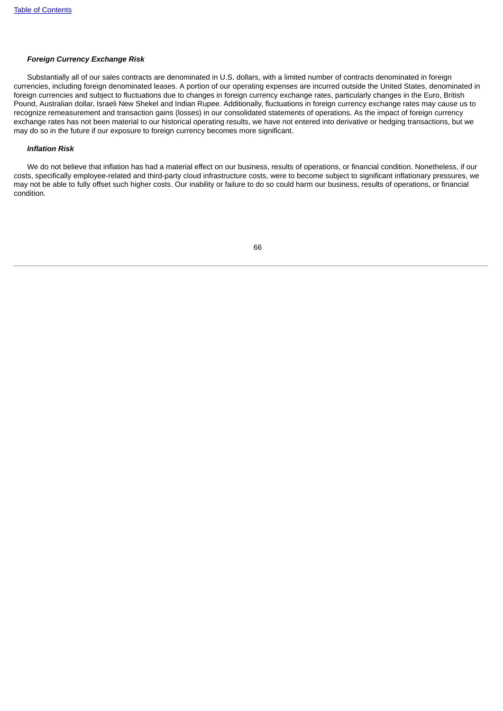# *Foreign Currency Exchange Risk*

Substantially all of our sales contracts are denominated in U.S. dollars, with a limited number of contracts denominated in foreign currencies, including foreign denominated leases. A portion of our operating expenses are incurred outside the United States, denominated in foreign currencies and subject to fluctuations due to changes in foreign currency exchange rates, particularly changes in the Euro, British Pound, Australian dollar, Israeli New Shekel and Indian Rupee. Additionally, fluctuations in foreign currency exchange rates may cause us to recognize remeasurement and transaction gains (losses) in our consolidated statements of operations. As the impact of foreign currency exchange rates has not been material to our historical operating results, we have not entered into derivative or hedging transactions, but we may do so in the future if our exposure to foreign currency becomes more significant.

## *Inflation Risk*

We do not believe that inflation has had a material effect on our business, results of operations, or financial condition. Nonetheless, if our costs, specifically employee-related and third-party cloud infrastructure costs, were to become subject to significant inflationary pressures, we may not be able to fully offset such higher costs. Our inability or failure to do so could harm our business, results of operations, or financial condition.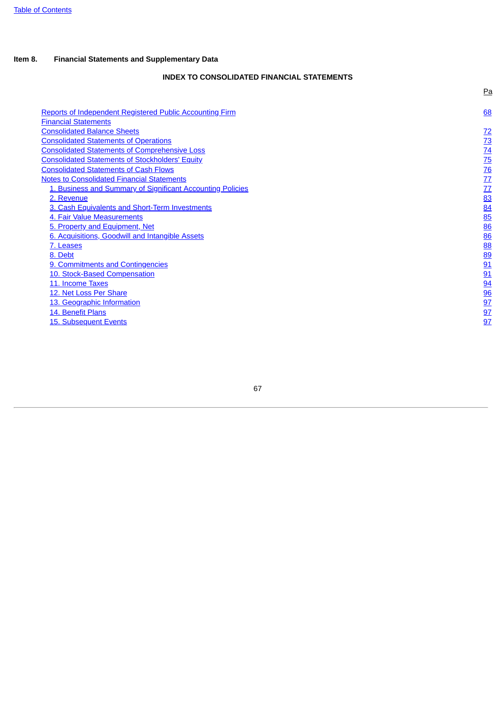# **Item 8. Financial Statements and Supplementary Data**

# **INDEX TO CONSOLIDATED FINANCIAL STATEMENTS**

<span id="page-66-0"></span>

|                                                            | Pa              |
|------------------------------------------------------------|-----------------|
| Reports of Independent Registered Public Accounting Firm   | 68              |
| <b>Financial Statements</b>                                |                 |
| <b>Consolidated Balance Sheets</b>                         | <u>72</u>       |
| <b>Consolidated Statements of Operations</b>               | <u>73</u>       |
| <b>Consolidated Statements of Comprehensive Loss</b>       | $\overline{74}$ |
| <b>Consolidated Statements of Stockholders' Equity</b>     | 75              |
| <b>Consolidated Statements of Cash Flows</b>               | $\overline{76}$ |
| <b>Notes to Consolidated Financial Statements</b>          | 77              |
| 1. Business and Summary of Significant Accounting Policies | $\overline{77}$ |
| 2. Revenue                                                 | 83              |
| 3. Cash Equivalents and Short-Term Investments             | 84              |
| 4. Fair Value Measurements                                 | 85              |
| 5. Property and Equipment, Net                             | 86              |
| 6. Acquisitions, Goodwill and Intangible Assets            | <u>86</u>       |
| 7. Leases                                                  | 88              |
| 8. Debt                                                    | 89              |
| 9. Commitments and Contingencies                           | 91              |
| 10. Stock-Based Compensation                               | 91              |
| 11. Income Taxes                                           | 94              |
| 12. Net Loss Per Share                                     | $\overline{96}$ |
| 13. Geographic Information                                 | 97              |
| 14. Benefit Plans                                          | 97              |
| 15. Subsequent Events                                      | 97              |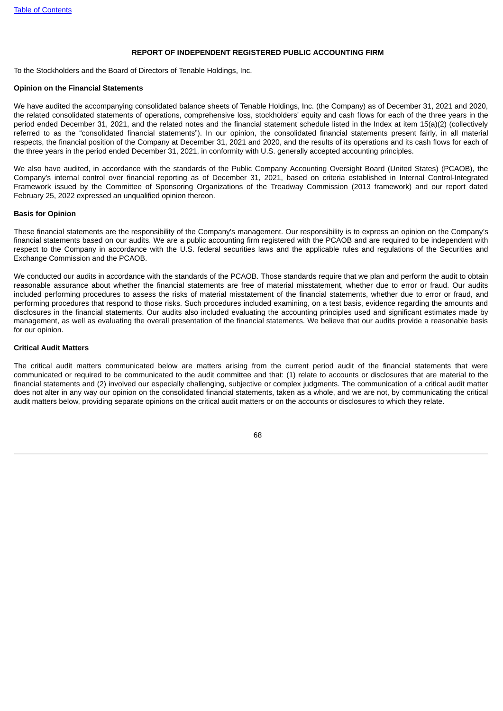### **REPORT OF INDEPENDENT REGISTERED PUBLIC ACCOUNTING FIRM**

To the Stockholders and the Board of Directors of Tenable Holdings, Inc.

## **Opinion on the Financial Statements**

We have audited the accompanying consolidated balance sheets of Tenable Holdings, Inc. (the Company) as of December 31, 2021 and 2020, the related consolidated statements of operations, comprehensive loss, stockholders' equity and cash flows for each of the three years in the period ended December 31, 2021, and the related notes and the financial statement schedule listed in the Index at item 15(a)(2) (collectively referred to as the "consolidated financial statements"). In our opinion, the consolidated financial statements present fairly, in all material respects, the financial position of the Company at December 31, 2021 and 2020, and the results of its operations and its cash flows for each of the three years in the period ended December 31, 2021, in conformity with U.S. generally accepted accounting principles.

We also have audited, in accordance with the standards of the Public Company Accounting Oversight Board (United States) (PCAOB), the Company's internal control over financial reporting as of December 31, 2021, based on criteria established in Internal Control-Integrated Framework issued by the Committee of Sponsoring Organizations of the Treadway Commission (2013 framework) and our report dated February 25, 2022 expressed an unqualified opinion thereon.

## **Basis for Opinion**

These financial statements are the responsibility of the Company's management. Our responsibility is to express an opinion on the Company's financial statements based on our audits. We are a public accounting firm registered with the PCAOB and are required to be independent with respect to the Company in accordance with the U.S. federal securities laws and the applicable rules and regulations of the Securities and Exchange Commission and the PCAOB.

We conducted our audits in accordance with the standards of the PCAOB. Those standards require that we plan and perform the audit to obtain reasonable assurance about whether the financial statements are free of material misstatement, whether due to error or fraud. Our audits included performing procedures to assess the risks of material misstatement of the financial statements, whether due to error or fraud, and performing procedures that respond to those risks. Such procedures included examining, on a test basis, evidence regarding the amounts and disclosures in the financial statements. Our audits also included evaluating the accounting principles used and significant estimates made by management, as well as evaluating the overall presentation of the financial statements. We believe that our audits provide a reasonable basis for our opinion.

## **Critical Audit Matters**

The critical audit matters communicated below are matters arising from the current period audit of the financial statements that were communicated or required to be communicated to the audit committee and that: (1) relate to accounts or disclosures that are material to the financial statements and (2) involved our especially challenging, subjective or complex judgments. The communication of a critical audit matter does not alter in any way our opinion on the consolidated financial statements, taken as a whole, and we are not, by communicating the critical audit matters below, providing separate opinions on the critical audit matters or on the accounts or disclosures to which they relate.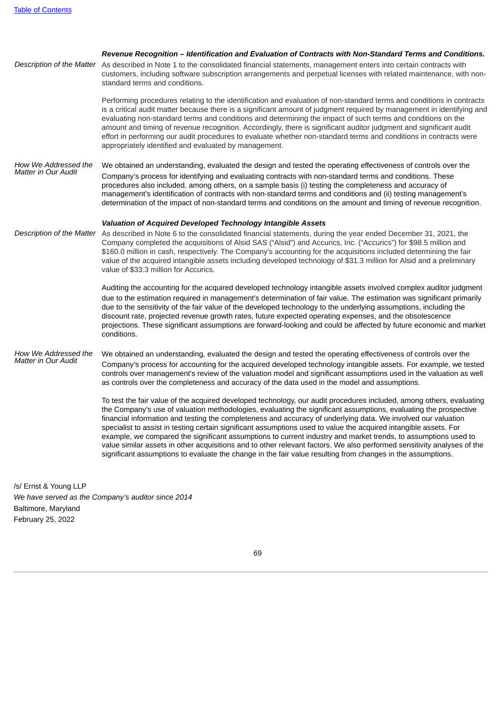| Description of the Matter                          | Revenue Recognition - Identification and Evaluation of Contracts with Non-Standard Terms and Conditions.<br>As described in Note 1 to the consolidated financial statements, management enters into certain contracts with<br>customers, including software subscription arrangements and perpetual licenses with related maintenance, with non-<br>standard terms and conditions.                                                                                                                                                                                                                                                                                                                                                                                                                                                         |
|----------------------------------------------------|--------------------------------------------------------------------------------------------------------------------------------------------------------------------------------------------------------------------------------------------------------------------------------------------------------------------------------------------------------------------------------------------------------------------------------------------------------------------------------------------------------------------------------------------------------------------------------------------------------------------------------------------------------------------------------------------------------------------------------------------------------------------------------------------------------------------------------------------|
|                                                    | Performing procedures relating to the identification and evaluation of non-standard terms and conditions in contracts<br>is a critical audit matter because there is a significant amount of judgment required by management in identifying and<br>evaluating non-standard terms and conditions and determining the impact of such terms and conditions on the<br>amount and timing of revenue recognition. Accordingly, there is significant auditor judgment and significant audit<br>effort in performing our audit procedures to evaluate whether non-standard terms and conditions in contracts were<br>appropriately identified and evaluated by management.                                                                                                                                                                         |
| How We Addressed the<br>Matter in Our Audit        | We obtained an understanding, evaluated the design and tested the operating effectiveness of controls over the<br>Company's process for identifying and evaluating contracts with non-standard terms and conditions. These<br>procedures also included, among others, on a sample basis (i) testing the completeness and accuracy of<br>management's identification of contracts with non-standard terms and conditions and (ii) testing management's<br>determination of the impact of non-standard terms and conditions on the amount and timing of revenue recognition.                                                                                                                                                                                                                                                                 |
|                                                    | Valuation of Acquired Developed Technology Intangible Assets                                                                                                                                                                                                                                                                                                                                                                                                                                                                                                                                                                                                                                                                                                                                                                               |
| Description of the Matter                          | As described in Note 6 to the consolidated financial statements, during the year ended December 31, 2021, the<br>Company completed the acquisitions of Alsid SAS ("Alsid") and Accurics, Inc. ("Accurics") for \$98.5 million and<br>\$160.0 million in cash, respectively. The Company's accounting for the acquisitions included determining the fair<br>value of the acquired intangible assets including developed technology of \$31.3 million for Alsid and a preliminary<br>value of \$33.3 million for Accurics.                                                                                                                                                                                                                                                                                                                   |
|                                                    | Auditing the accounting for the acquired developed technology intangible assets involved complex auditor judgment<br>due to the estimation required in management's determination of fair value. The estimation was significant primarily<br>due to the sensitivity of the fair value of the developed technology to the underlying assumptions, including the<br>discount rate, projected revenue growth rates, future expected operating expenses, and the obsolescence<br>projections. These significant assumptions are forward-looking and could be affected by future economic and market<br>conditions.                                                                                                                                                                                                                             |
| How We Addressed the<br><b>Matter in Our Audit</b> | We obtained an understanding, evaluated the design and tested the operating effectiveness of controls over the<br>Company's process for accounting for the acquired developed technology intangible assets. For example, we tested<br>controls over management's review of the valuation model and significant assumptions used in the valuation as well<br>as controls over the completeness and accuracy of the data used in the model and assumptions.                                                                                                                                                                                                                                                                                                                                                                                  |
|                                                    | To test the fair value of the acquired developed technology, our audit procedures included, among others, evaluating<br>the Company's use of valuation methodologies, evaluating the significant assumptions, evaluating the prospective<br>financial information and testing the completeness and accuracy of underlying data. We involved our valuation<br>specialist to assist in testing certain significant assumptions used to value the acquired intangible assets. For<br>example, we compared the significant assumptions to current industry and market trends, to assumptions used to<br>value similar assets in other acquisitions and to other relevant factors. We also performed sensitivity analyses of the<br>significant assumptions to evaluate the change in the fair value resulting from changes in the assumptions. |
| /s/ Ernst & Young LLP                              |                                                                                                                                                                                                                                                                                                                                                                                                                                                                                                                                                                                                                                                                                                                                                                                                                                            |

*We have served as the Company's auditor since 2014* Baltimore, Maryland February 25, 2022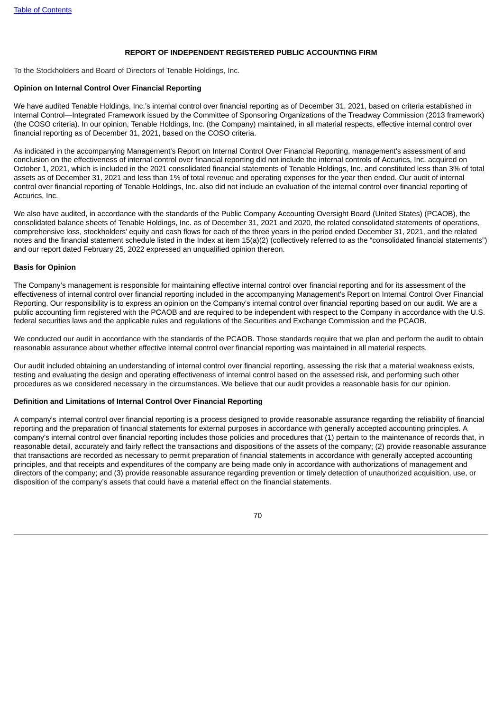## **REPORT OF INDEPENDENT REGISTERED PUBLIC ACCOUNTING FIRM**

To the Stockholders and Board of Directors of Tenable Holdings, Inc.

# **Opinion on Internal Control Over Financial Reporting**

We have audited Tenable Holdings, Inc.'s internal control over financial reporting as of December 31, 2021, based on criteria established in Internal Control—Integrated Framework issued by the Committee of Sponsoring Organizations of the Treadway Commission (2013 framework) (the COSO criteria). In our opinion, Tenable Holdings, Inc. (the Company) maintained, in all material respects, effective internal control over financial reporting as of December 31, 2021, based on the COSO criteria.

As indicated in the accompanying Management's Report on Internal Control Over Financial Reporting, management's assessment of and conclusion on the effectiveness of internal control over financial reporting did not include the internal controls of Accurics, Inc. acquired on October 1, 2021, which is included in the 2021 consolidated financial statements of Tenable Holdings, Inc. and constituted less than 3% of total assets as of December 31, 2021 and less than 1% of total revenue and operating expenses for the year then ended. Our audit of internal control over financial reporting of Tenable Holdings, Inc. also did not include an evaluation of the internal control over financial reporting of Accurics, Inc.

We also have audited, in accordance with the standards of the Public Company Accounting Oversight Board (United States) (PCAOB), the consolidated balance sheets of Tenable Holdings, Inc. as of December 31, 2021 and 2020, the related consolidated statements of operations, comprehensive loss, stockholders' equity and cash flows for each of the three years in the period ended December 31, 2021, and the related notes and the financial statement schedule listed in the Index at item 15(a)(2) (collectively referred to as the "consolidated financial statements") and our report dated February 25, 2022 expressed an unqualified opinion thereon.

#### **Basis for Opinion**

The Company's management is responsible for maintaining effective internal control over financial reporting and for its assessment of the effectiveness of internal control over financial reporting included in the accompanying Management's Report on Internal Control Over Financial Reporting. Our responsibility is to express an opinion on the Company's internal control over financial reporting based on our audit. We are a public accounting firm registered with the PCAOB and are required to be independent with respect to the Company in accordance with the U.S. federal securities laws and the applicable rules and regulations of the Securities and Exchange Commission and the PCAOB.

We conducted our audit in accordance with the standards of the PCAOB. Those standards require that we plan and perform the audit to obtain reasonable assurance about whether effective internal control over financial reporting was maintained in all material respects.

Our audit included obtaining an understanding of internal control over financial reporting, assessing the risk that a material weakness exists, testing and evaluating the design and operating effectiveness of internal control based on the assessed risk, and performing such other procedures as we considered necessary in the circumstances. We believe that our audit provides a reasonable basis for our opinion.

### **Definition and Limitations of Internal Control Over Financial Reporting**

A company's internal control over financial reporting is a process designed to provide reasonable assurance regarding the reliability of financial reporting and the preparation of financial statements for external purposes in accordance with generally accepted accounting principles. A company's internal control over financial reporting includes those policies and procedures that (1) pertain to the maintenance of records that, in reasonable detail, accurately and fairly reflect the transactions and dispositions of the assets of the company; (2) provide reasonable assurance that transactions are recorded as necessary to permit preparation of financial statements in accordance with generally accepted accounting principles, and that receipts and expenditures of the company are being made only in accordance with authorizations of management and directors of the company; and (3) provide reasonable assurance regarding prevention or timely detection of unauthorized acquisition, use, or disposition of the company's assets that could have a material effect on the financial statements.

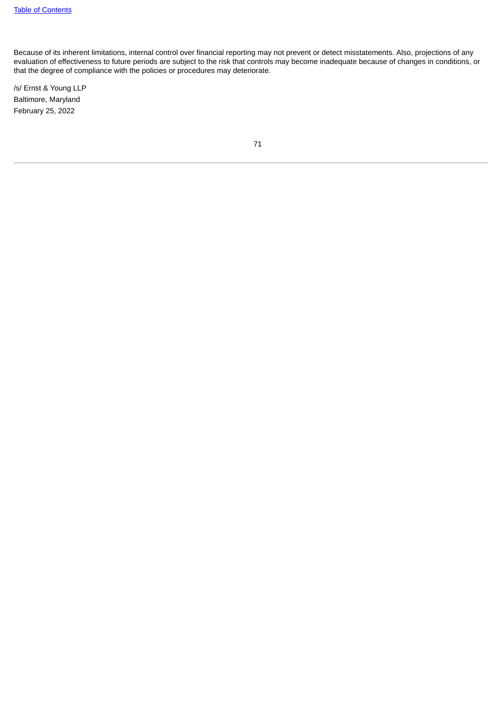Because of its inherent limitations, internal control over financial reporting may not prevent or detect misstatements. Also, projections of any evaluation of effectiveness to future periods are subject to the risk that controls may become inadequate because of changes in conditions, or that the degree of compliance with the policies or procedures may deteriorate.

<span id="page-70-0"></span>/s/ Ernst & Young LLP Baltimore, Maryland February 25, 2022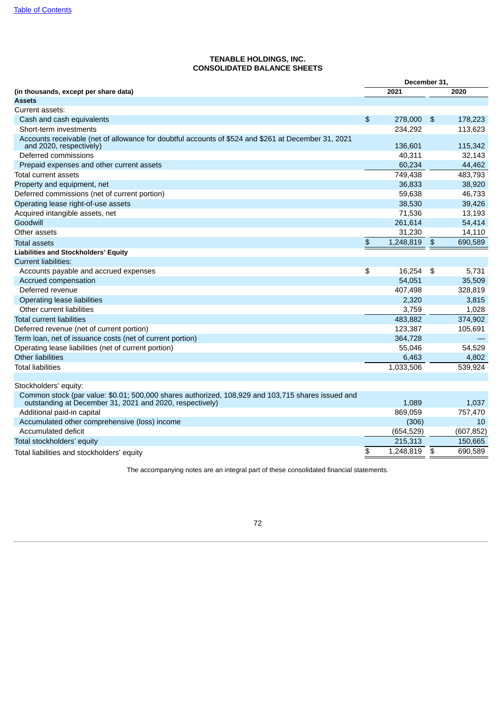# **TENABLE HOLDINGS, INC. CONSOLIDATED BALANCE SHEETS**

|                                                                                                                                                               |    | December 31, |    |            |
|---------------------------------------------------------------------------------------------------------------------------------------------------------------|----|--------------|----|------------|
| (in thousands, except per share data)                                                                                                                         |    | 2021         |    | 2020       |
| <b>Assets</b>                                                                                                                                                 |    |              |    |            |
| Current assets:                                                                                                                                               |    |              |    |            |
| Cash and cash equivalents                                                                                                                                     | \$ | 278,000 \$   |    | 178,223    |
| Short-term investments                                                                                                                                        |    | 234,292      |    | 113,623    |
| Accounts receivable (net of allowance for doubtful accounts of \$524 and \$261 at December 31, 2021<br>and 2020, respectively)                                |    | 136,601      |    | 115,342    |
| Deferred commissions                                                                                                                                          |    | 40,311       |    | 32,143     |
| Prepaid expenses and other current assets                                                                                                                     |    | 60,234       |    | 44,462     |
| <b>Total current assets</b>                                                                                                                                   |    | 749,438      |    | 483,793    |
| Property and equipment, net                                                                                                                                   |    | 36,833       |    | 38,920     |
| Deferred commissions (net of current portion)                                                                                                                 |    | 59,638       |    | 46,733     |
| Operating lease right-of-use assets                                                                                                                           |    | 38,530       |    | 39,426     |
| Acquired intangible assets, net                                                                                                                               |    | 71,536       |    | 13,193     |
| Goodwill                                                                                                                                                      |    | 261,614      |    | 54,414     |
| Other assets                                                                                                                                                  |    | 31,230       |    | 14,110     |
| <b>Total assets</b>                                                                                                                                           | \$ | 1,248,819    | \$ | 690,589    |
| <b>Liabilities and Stockholders' Equity</b>                                                                                                                   |    |              |    |            |
| <b>Current liabilities:</b>                                                                                                                                   |    |              |    |            |
| Accounts payable and accrued expenses                                                                                                                         | \$ | 16,254       | \$ | 5,731      |
| Accrued compensation                                                                                                                                          |    | 54,051       |    | 35,509     |
| Deferred revenue                                                                                                                                              |    | 407,498      |    | 328,819    |
| Operating lease liabilities                                                                                                                                   |    | 2,320        |    | 3,815      |
| Other current liabilities                                                                                                                                     |    | 3,759        |    | 1,028      |
| <b>Total current liabilities</b>                                                                                                                              |    | 483,882      |    | 374,902    |
| Deferred revenue (net of current portion)                                                                                                                     |    | 123.387      |    | 105,691    |
| Term loan, net of issuance costs (net of current portion)                                                                                                     |    | 364,728      |    |            |
| Operating lease liabilities (net of current portion)                                                                                                          |    | 55,046       |    | 54,529     |
| <b>Other liabilities</b>                                                                                                                                      |    | 6,463        |    | 4,802      |
| <b>Total liabilities</b>                                                                                                                                      |    | 1,033,506    |    | 539,924    |
|                                                                                                                                                               |    |              |    |            |
| Stockholders' equity:                                                                                                                                         |    |              |    |            |
| Common stock (par value: \$0.01; 500,000 shares authorized, 108,929 and 103,715 shares issued and<br>outstanding at December 31, 2021 and 2020, respectively) |    | 1,089        |    | 1,037      |
| Additional paid-in capital                                                                                                                                    |    | 869,059      |    | 757,470    |
| Accumulated other comprehensive (loss) income                                                                                                                 |    | (306)        |    | 10         |
| <b>Accumulated deficit</b>                                                                                                                                    |    | (654, 529)   |    | (607, 852) |
| Total stockholders' equity                                                                                                                                    |    | 215,313      |    | 150,665    |
| Total liabilities and stockholders' equity                                                                                                                    | \$ | 1,248,819    | \$ | 690,589    |

<span id="page-71-0"></span>The accompanying notes are an integral part of these consolidated financial statements.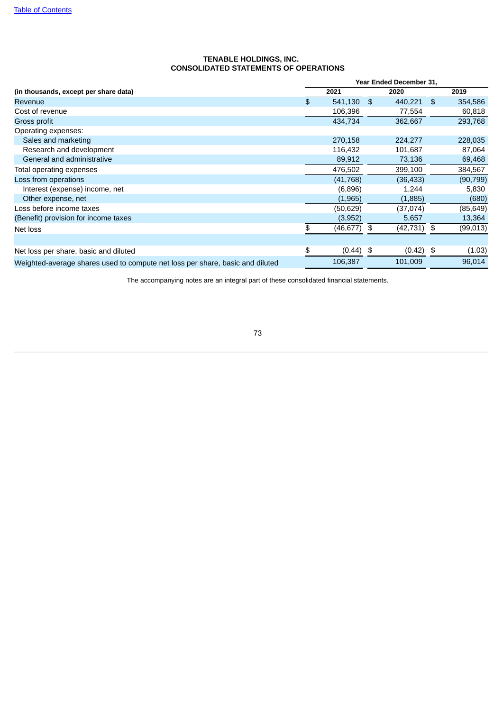# **TENABLE HOLDINGS, INC. CONSOLIDATED STATEMENTS OF OPERATIONS**

|                                                                               | Year Ended December 31, |           |    |           |    |           |  |
|-------------------------------------------------------------------------------|-------------------------|-----------|----|-----------|----|-----------|--|
| (in thousands, except per share data)                                         |                         | 2021      |    | 2020      |    | 2019      |  |
| Revenue                                                                       | \$                      | 541,130   | \$ | 440,221   | \$ | 354,586   |  |
| Cost of revenue                                                               |                         | 106,396   |    | 77,554    |    | 60,818    |  |
| Gross profit                                                                  |                         | 434,734   |    | 362,667   |    | 293,768   |  |
| Operating expenses:                                                           |                         |           |    |           |    |           |  |
| Sales and marketing                                                           |                         | 270,158   |    | 224,277   |    | 228,035   |  |
| Research and development                                                      |                         | 116,432   |    | 101,687   |    | 87,064    |  |
| General and administrative                                                    |                         | 89,912    |    | 73,136    |    | 69,468    |  |
| Total operating expenses                                                      |                         | 476,502   |    | 399,100   |    | 384,567   |  |
| Loss from operations                                                          |                         | (41,768)  |    | (36, 433) |    | (90, 799) |  |
| Interest (expense) income, net                                                |                         | (6,896)   |    | 1,244     |    | 5,830     |  |
| Other expense, net                                                            |                         | (1,965)   |    | (1,885)   |    | (680)     |  |
| Loss before income taxes                                                      |                         | (50, 629) |    | (37,074)  |    | (85, 649) |  |
| (Benefit) provision for income taxes                                          |                         | (3,952)   |    | 5,657     |    | 13,364    |  |
| Net loss                                                                      | \$                      | (46,677)  | \$ | (42, 731) | \$ | (99, 013) |  |
|                                                                               |                         |           |    |           |    |           |  |
| Net loss per share, basic and diluted                                         | \$                      | (0.44)    | \$ | (0.42)    | \$ | (1.03)    |  |
| Weighted-average shares used to compute net loss per share, basic and diluted |                         | 106,387   |    | 101,009   |    | 96,014    |  |

The accompanying notes are an integral part of these consolidated financial statements.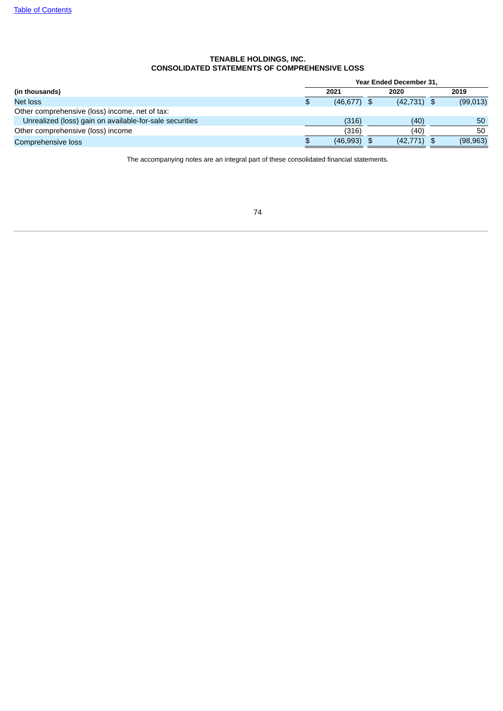# **TENABLE HOLDINGS, INC. CONSOLIDATED STATEMENTS OF COMPREHENSIVE LOSS**

|                                                         | <b>Year Ended December 31.</b> |                |  |                |  |           |  |  |
|---------------------------------------------------------|--------------------------------|----------------|--|----------------|--|-----------|--|--|
| (in thousands)                                          | 2020<br>2021                   |                |  |                |  | 2019      |  |  |
| Net loss                                                | \$                             | $(46, 677)$ \$ |  | $(42,731)$ \$  |  | (99, 013) |  |  |
| Other comprehensive (loss) income, net of tax:          |                                |                |  |                |  |           |  |  |
| Unrealized (loss) gain on available-for-sale securities |                                | (316)          |  | (40)           |  | 50        |  |  |
| Other comprehensive (loss) income                       |                                | (316)          |  | (40)           |  | 50        |  |  |
| Comprehensive loss                                      |                                | (46,993)       |  | $(42, 771)$ \$ |  | (98, 963) |  |  |

The accompanying notes are an integral part of these consolidated financial statements.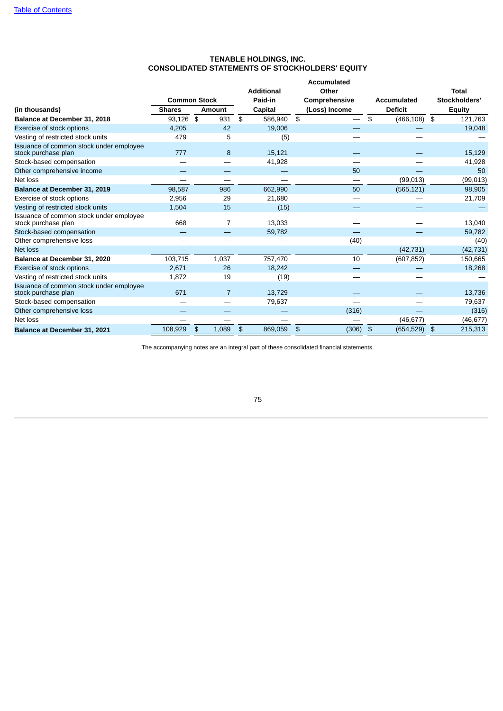## **TENABLE HOLDINGS, INC. CONSOLIDATED STATEMENTS OF STOCKHOLDERS' EQUITY**

|                                                                |               | <b>Common Stock</b>    |                | <b>Additional</b><br>Paid-in |                | Accumulated<br>Other<br>Comprehensive |               | Accumulated    | <b>Total</b><br>Stockholders' |
|----------------------------------------------------------------|---------------|------------------------|----------------|------------------------------|----------------|---------------------------------------|---------------|----------------|-------------------------------|
| (in thousands)                                                 | <b>Shares</b> | <b>Amount</b>          |                | Capital                      |                | (Loss) Income                         |               | <b>Deficit</b> | <b>Equity</b>                 |
| Balance at December 31, 2018                                   | 93,126 \$     |                        | 931            | \$<br>586,940                | $\mathfrak{s}$ |                                       | \$            | (466, 108)     | \$<br>121,763                 |
| Exercise of stock options                                      | 4,205         |                        | 42             | 19,006                       |                |                                       |               |                | 19,048                        |
| Vesting of restricted stock units                              | 479           |                        | 5              | (5)                          |                |                                       |               |                |                               |
| Issuance of common stock under employee<br>stock purchase plan | 777           |                        | 8              | 15,121                       |                |                                       |               |                | 15,129                        |
| Stock-based compensation                                       |               |                        |                | 41,928                       |                |                                       |               |                | 41,928                        |
| Other comprehensive income                                     |               |                        |                |                              |                | 50                                    |               |                | 50                            |
| Net loss                                                       |               |                        |                |                              |                | <u>است.</u>                           |               | (99, 013)      | (99, 013)                     |
| Balance at December 31, 2019                                   | 98,587        |                        | 986            | 662,990                      |                | 50                                    |               | (565, 121)     | 98,905                        |
| Exercise of stock options                                      | 2,956         |                        | 29             | 21,680                       |                |                                       |               |                | 21,709                        |
| Vesting of restricted stock units                              | 1,504         |                        | 15             | (15)                         |                |                                       |               |                |                               |
| Issuance of common stock under employee<br>stock purchase plan | 668           |                        | $\overline{7}$ | 13,033                       |                |                                       |               |                | 13,040                        |
| Stock-based compensation                                       |               |                        |                | 59,782                       |                |                                       |               |                | 59,782                        |
| Other comprehensive loss                                       |               |                        |                |                              |                | (40)                                  |               |                | (40)                          |
| Net loss                                                       |               |                        |                |                              |                |                                       |               | (42, 731)      | (42, 731)                     |
| Balance at December 31, 2020                                   | 103,715       | 1,037                  |                | 757,470                      |                | 10                                    |               | (607, 852)     | 150,665                       |
| Exercise of stock options                                      | 2,671         |                        | 26             | 18,242                       |                |                                       |               |                | 18,268                        |
| Vesting of restricted stock units                              | 1,872         |                        | 19             | (19)                         |                |                                       |               |                |                               |
| Issuance of common stock under employee<br>stock purchase plan | 671           |                        | $\overline{7}$ | 13.729                       |                |                                       |               |                | 13,736                        |
| Stock-based compensation                                       |               |                        |                | 79,637                       |                |                                       |               |                | 79,637                        |
| Other comprehensive loss                                       |               |                        |                |                              |                | (316)                                 |               |                | (316)                         |
| Net loss                                                       |               |                        |                |                              |                |                                       |               | (46, 677)      | (46, 677)                     |
| Balance at December 31, 2021                                   | 108,929       | 1,089<br>$\frac{4}{5}$ |                | \$<br>869,059                | $\frac{2}{3}$  | (306)                                 | $\frac{2}{3}$ | (654, 529)     | \$<br>215,313                 |

The accompanying notes are an integral part of these consolidated financial statements.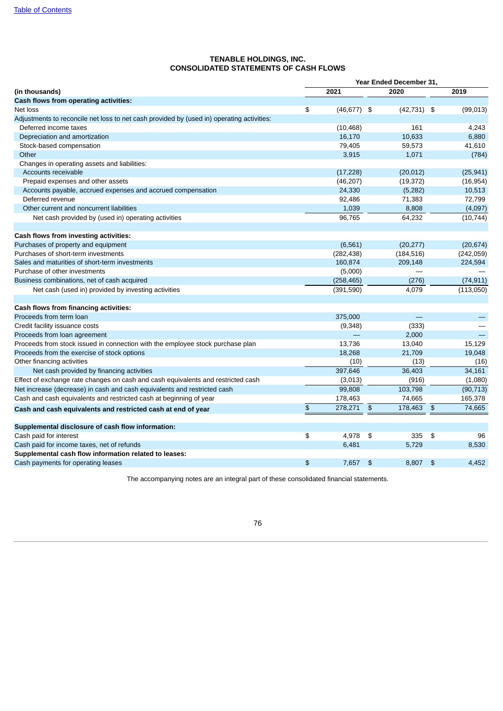# **TENABLE HOLDINGS, INC. CONSOLIDATED STATEMENTS OF CASH FLOWS**

|                                                                                           | Year Ended December 31, |                |               |                |                           |           |  |  |  |
|-------------------------------------------------------------------------------------------|-------------------------|----------------|---------------|----------------|---------------------------|-----------|--|--|--|
| (in thousands)                                                                            |                         | 2021           |               | 2020           |                           | 2019      |  |  |  |
| Cash flows from operating activities:                                                     |                         |                |               |                |                           |           |  |  |  |
| Net loss                                                                                  | \$                      | $(46, 677)$ \$ |               | $(42, 731)$ \$ |                           | (99, 013) |  |  |  |
| Adjustments to reconcile net loss to net cash provided by (used in) operating activities: |                         |                |               |                |                           |           |  |  |  |
| Deferred income taxes                                                                     |                         | (10, 468)      |               | 161            |                           | 4,243     |  |  |  |
| Depreciation and amortization                                                             |                         | 16,170         |               | 10,633         |                           | 6,880     |  |  |  |
| Stock-based compensation                                                                  |                         | 79,405         |               | 59,573         |                           | 41,610    |  |  |  |
| Other                                                                                     |                         | 3,915          |               | 1,071          |                           | (784)     |  |  |  |
| Changes in operating assets and liabilities:                                              |                         |                |               |                |                           |           |  |  |  |
| Accounts receivable                                                                       |                         | (17, 228)      |               | (20, 012)      |                           | (25, 941) |  |  |  |
| Prepaid expenses and other assets                                                         |                         | (46, 207)      |               | (19, 372)      |                           | (16, 954) |  |  |  |
| Accounts payable, accrued expenses and accrued compensation                               |                         | 24,330         |               | (5,282)        |                           | 10,513    |  |  |  |
| Deferred revenue                                                                          |                         | 92,486         |               | 71,383         |                           | 72,799    |  |  |  |
| Other current and noncurrent liabilities                                                  |                         | 1,039          |               | 8,808          |                           | (4,097)   |  |  |  |
| Net cash provided by (used in) operating activities                                       |                         | 96,765         |               | 64,232         |                           | (10, 744) |  |  |  |
|                                                                                           |                         |                |               |                |                           |           |  |  |  |
| Cash flows from investing activities:                                                     |                         |                |               |                |                           |           |  |  |  |
| Purchases of property and equipment                                                       |                         | (6, 561)       |               | (20, 277)      |                           | (20, 674) |  |  |  |
| Purchases of short-term investments                                                       |                         | (282, 438)     |               | (184, 516)     |                           | (242,059) |  |  |  |
| Sales and maturities of short-term investments                                            |                         | 160,874        |               | 209,148        |                           | 224,594   |  |  |  |
| Purchase of other investments                                                             |                         | (5,000)        |               |                |                           |           |  |  |  |
| Business combinations, net of cash acquired                                               |                         | (258, 465)     |               | (276)          |                           | (74, 911) |  |  |  |
| Net cash (used in) provided by investing activities                                       |                         | (391, 590)     |               | 4,079          |                           | (113,050) |  |  |  |
|                                                                                           |                         |                |               |                |                           |           |  |  |  |
| Cash flows from financing activities:                                                     |                         |                |               |                |                           |           |  |  |  |
| Proceeds from term loan                                                                   |                         | 375,000        |               |                |                           |           |  |  |  |
| Credit facility issuance costs                                                            |                         | (9,348)        |               | (333)          |                           |           |  |  |  |
| Proceeds from loan agreement                                                              |                         |                |               | 2,000          |                           |           |  |  |  |
| Proceeds from stock issued in connection with the employee stock purchase plan            |                         | 13,736         |               | 13,040         |                           | 15,129    |  |  |  |
| Proceeds from the exercise of stock options                                               |                         | 18,268         |               | 21,709         |                           | 19,048    |  |  |  |
| Other financing activities                                                                |                         | (10)           |               | (13)           |                           | (16)      |  |  |  |
| Net cash provided by financing activities                                                 |                         | 397,646        |               | 36,403         |                           | 34,161    |  |  |  |
| Effect of exchange rate changes on cash and cash equivalents and restricted cash          |                         | (3,013)        |               | (916)          |                           | (1,080)   |  |  |  |
| Net increase (decrease) in cash and cash equivalents and restricted cash                  |                         | 99,808         |               | 103,798        |                           | (90, 713) |  |  |  |
| Cash and cash equivalents and restricted cash at beginning of year                        |                         | 178,463        |               | 74,665         |                           | 165,378   |  |  |  |
| Cash and cash equivalents and restricted cash at end of year                              | $\frac{4}{5}$           | 278,271        | $\frac{2}{3}$ | 178,463        | $\boldsymbol{\mathsf{D}}$ | 74,665    |  |  |  |
|                                                                                           |                         |                |               |                |                           |           |  |  |  |
| Supplemental disclosure of cash flow information:                                         |                         |                |               |                |                           |           |  |  |  |
| Cash paid for interest                                                                    | \$                      | 4,978          | \$            | 335            | \$                        | 96        |  |  |  |
| Cash paid for income taxes, net of refunds                                                |                         | 6,481          |               | 5.729          |                           | 8,530     |  |  |  |
| Supplemental cash flow information related to leases:                                     |                         |                |               |                |                           |           |  |  |  |
| Cash payments for operating leases                                                        | $\frac{1}{2}$           | 7,657          | $\frac{4}{5}$ | 8.807          | $\mathfrak{F}$            | 4.452     |  |  |  |

The accompanying notes are an integral part of these consolidated financial statements.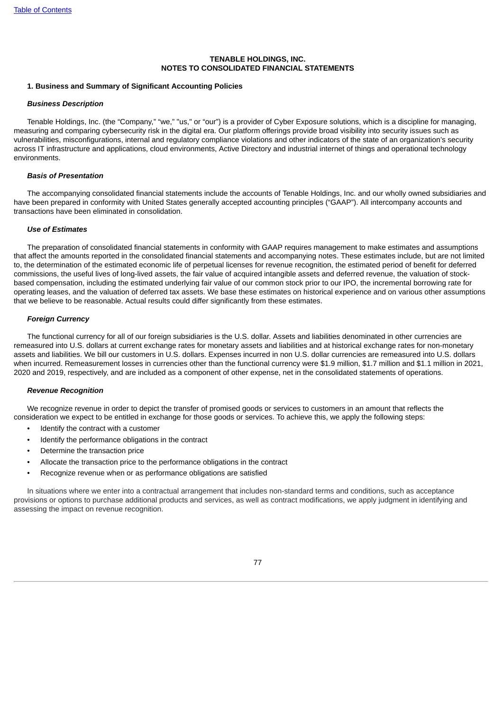# **TENABLE HOLDINGS, INC. NOTES TO CONSOLIDATED FINANCIAL STATEMENTS**

## **1. Business and Summary of Significant Accounting Policies**

#### *Business Description*

Tenable Holdings, Inc. (the "Company," "we," "us," or "our") is a provider of Cyber Exposure solutions, which is a discipline for managing, measuring and comparing cybersecurity risk in the digital era. Our platform offerings provide broad visibility into security issues such as vulnerabilities, misconfigurations, internal and regulatory compliance violations and other indicators of the state of an organization's security across IT infrastructure and applications, cloud environments, Active Directory and industrial internet of things and operational technology environments.

## *Basis of Presentation*

The accompanying consolidated financial statements include the accounts of Tenable Holdings, Inc. and our wholly owned subsidiaries and have been prepared in conformity with United States generally accepted accounting principles ("GAAP"). All intercompany accounts and transactions have been eliminated in consolidation.

#### *Use of Estimates*

The preparation of consolidated financial statements in conformity with GAAP requires management to make estimates and assumptions that affect the amounts reported in the consolidated financial statements and accompanying notes. These estimates include, but are not limited to, the determination of the estimated economic life of perpetual licenses for revenue recognition, the estimated period of benefit for deferred commissions, the useful lives of long-lived assets, the fair value of acquired intangible assets and deferred revenue, the valuation of stockbased compensation, including the estimated underlying fair value of our common stock prior to our IPO, the incremental borrowing rate for operating leases, and the valuation of deferred tax assets. We base these estimates on historical experience and on various other assumptions that we believe to be reasonable. Actual results could differ significantly from these estimates.

## *Foreign Currency*

The functional currency for all of our foreign subsidiaries is the U.S. dollar. Assets and liabilities denominated in other currencies are remeasured into U.S. dollars at current exchange rates for monetary assets and liabilities and at historical exchange rates for non-monetary assets and liabilities. We bill our customers in U.S. dollars. Expenses incurred in non U.S. dollar currencies are remeasured into U.S. dollars when incurred. Remeasurement losses in currencies other than the functional currency were \$1.9 million, \$1.7 million and \$1.1 million in 2021, 2020 and 2019, respectively, and are included as a component of other expense, net in the consolidated statements of operations.

#### *Revenue Recognition*

We recognize revenue in order to depict the transfer of promised goods or services to customers in an amount that reflects the consideration we expect to be entitled in exchange for those goods or services. To achieve this, we apply the following steps:

- Identify the contract with a customer
- Identify the performance obligations in the contract
- Determine the transaction price
- Allocate the transaction price to the performance obligations in the contract
- Recognize revenue when or as performance obligations are satisfied

In situations where we enter into a contractual arrangement that includes non-standard terms and conditions, such as acceptance provisions or options to purchase additional products and services, as well as contract modifications, we apply judgment in identifying and assessing the impact on revenue recognition.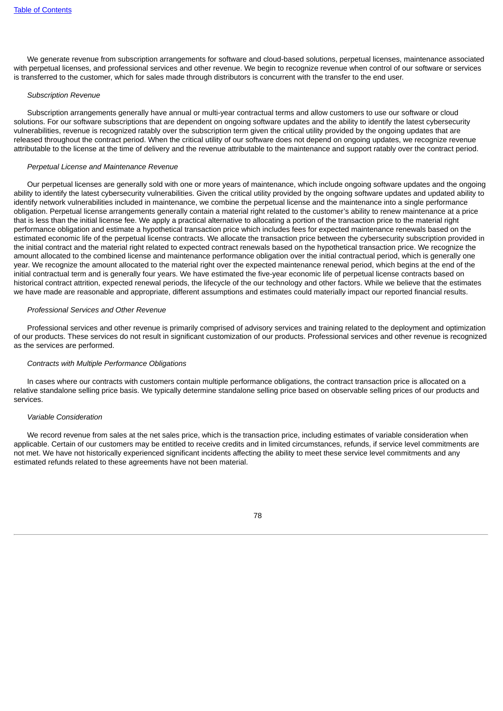We generate revenue from subscription arrangements for software and cloud-based solutions, perpetual licenses, maintenance associated with perpetual licenses, and professional services and other revenue. We begin to recognize revenue when control of our software or services is transferred to the customer, which for sales made through distributors is concurrent with the transfer to the end user.

#### *Subscription Revenue*

Subscription arrangements generally have annual or multi-year contractual terms and allow customers to use our software or cloud solutions. For our software subscriptions that are dependent on ongoing software updates and the ability to identify the latest cybersecurity vulnerabilities, revenue is recognized ratably over the subscription term given the critical utility provided by the ongoing updates that are released throughout the contract period. When the critical utility of our software does not depend on ongoing updates, we recognize revenue attributable to the license at the time of delivery and the revenue attributable to the maintenance and support ratably over the contract period.

#### *Perpetual License and Maintenance Revenue*

Our perpetual licenses are generally sold with one or more years of maintenance, which include ongoing software updates and the ongoing ability to identify the latest cybersecurity vulnerabilities. Given the critical utility provided by the ongoing software updates and updated ability to identify network vulnerabilities included in maintenance, we combine the perpetual license and the maintenance into a single performance obligation. Perpetual license arrangements generally contain a material right related to the customer's ability to renew maintenance at a price that is less than the initial license fee. We apply a practical alternative to allocating a portion of the transaction price to the material right performance obligation and estimate a hypothetical transaction price which includes fees for expected maintenance renewals based on the estimated economic life of the perpetual license contracts. We allocate the transaction price between the cybersecurity subscription provided in the initial contract and the material right related to expected contract renewals based on the hypothetical transaction price. We recognize the amount allocated to the combined license and maintenance performance obligation over the initial contractual period, which is generally one year. We recognize the amount allocated to the material right over the expected maintenance renewal period, which begins at the end of the initial contractual term and is generally four years. We have estimated the five-year economic life of perpetual license contracts based on historical contract attrition, expected renewal periods, the lifecycle of the our technology and other factors. While we believe that the estimates we have made are reasonable and appropriate, different assumptions and estimates could materially impact our reported financial results.

#### *Professional Services and Other Revenue*

Professional services and other revenue is primarily comprised of advisory services and training related to the deployment and optimization of our products. These services do not result in significant customization of our products. Professional services and other revenue is recognized as the services are performed.

## *Contracts with Multiple Performance Obligations*

In cases where our contracts with customers contain multiple performance obligations, the contract transaction price is allocated on a relative standalone selling price basis. We typically determine standalone selling price based on observable selling prices of our products and services.

#### *Variable Consideration*

We record revenue from sales at the net sales price, which is the transaction price, including estimates of variable consideration when applicable. Certain of our customers may be entitled to receive credits and in limited circumstances, refunds, if service level commitments are not met. We have not historically experienced significant incidents affecting the ability to meet these service level commitments and any estimated refunds related to these agreements have not been material.

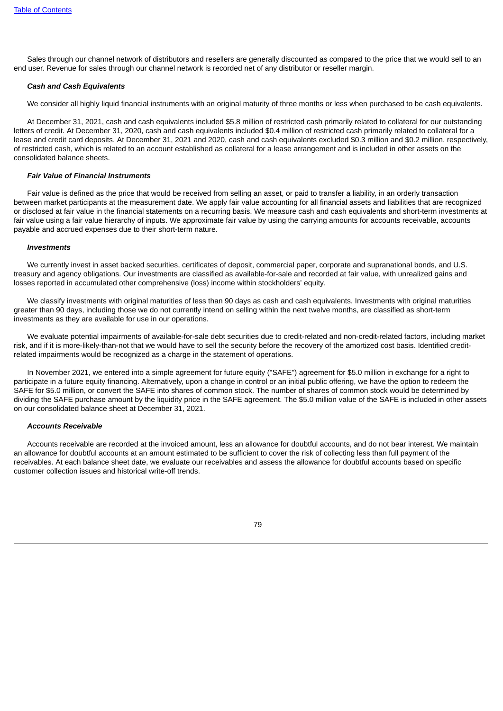Sales through our channel network of distributors and resellers are generally discounted as compared to the price that we would sell to an end user. Revenue for sales through our channel network is recorded net of any distributor or reseller margin.

## *Cash and Cash Equivalents*

We consider all highly liquid financial instruments with an original maturity of three months or less when purchased to be cash equivalents.

At December 31, 2021, cash and cash equivalents included \$5.8 million of restricted cash primarily related to collateral for our outstanding letters of credit. At December 31, 2020, cash and cash equivalents included \$0.4 million of restricted cash primarily related to collateral for a lease and credit card deposits. At December 31, 2021 and 2020, cash and cash equivalents excluded \$0.3 million and \$0.2 million, respectively, of restricted cash, which is related to an account established as collateral for a lease arrangement and is included in other assets on the consolidated balance sheets.

## *Fair Value of Financial Instruments*

Fair value is defined as the price that would be received from selling an asset, or paid to transfer a liability, in an orderly transaction between market participants at the measurement date. We apply fair value accounting for all financial assets and liabilities that are recognized or disclosed at fair value in the financial statements on a recurring basis. We measure cash and cash equivalents and short-term investments at fair value using a fair value hierarchy of inputs. We approximate fair value by using the carrying amounts for accounts receivable, accounts payable and accrued expenses due to their short-term nature.

#### *Investments*

We currently invest in asset backed securities, certificates of deposit, commercial paper, corporate and supranational bonds, and U.S. treasury and agency obligations. Our investments are classified as available-for-sale and recorded at fair value, with unrealized gains and losses reported in accumulated other comprehensive (loss) income within stockholders' equity.

We classify investments with original maturities of less than 90 days as cash and cash equivalents. Investments with original maturities greater than 90 days, including those we do not currently intend on selling within the next twelve months, are classified as short-term investments as they are available for use in our operations.

We evaluate potential impairments of available-for-sale debt securities due to credit-related and non-credit-related factors, including market risk, and if it is more-likely-than-not that we would have to sell the security before the recovery of the amortized cost basis. Identified creditrelated impairments would be recognized as a charge in the statement of operations.

In November 2021, we entered into a simple agreement for future equity ("SAFE") agreement for \$5.0 million in exchange for a right to participate in a future equity financing. Alternatively, upon a change in control or an initial public offering, we have the option to redeem the SAFE for \$5.0 million, or convert the SAFE into shares of common stock. The number of shares of common stock would be determined by dividing the SAFE purchase amount by the liquidity price in the SAFE agreement. The \$5.0 million value of the SAFE is included in other assets on our consolidated balance sheet at December 31, 2021.

#### *Accounts Receivable*

Accounts receivable are recorded at the invoiced amount, less an allowance for doubtful accounts, and do not bear interest. We maintain an allowance for doubtful accounts at an amount estimated to be sufficient to cover the risk of collecting less than full payment of the receivables. At each balance sheet date, we evaluate our receivables and assess the allowance for doubtful accounts based on specific customer collection issues and historical write-off trends.

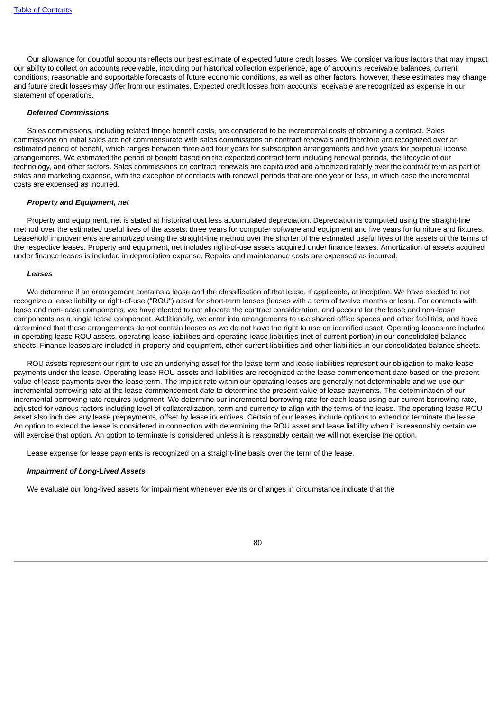Our allowance for doubtful accounts reflects our best estimate of expected future credit losses. We consider various factors that may impact our ability to collect on accounts receivable, including our historical collection experience, age of accounts receivable balances, current conditions, reasonable and supportable forecasts of future economic conditions, as well as other factors, however, these estimates may change and future credit losses may differ from our estimates. Expected credit losses from accounts receivable are recognized as expense in our statement of operations.

#### *Deferred Commissions*

Sales commissions, including related fringe benefit costs, are considered to be incremental costs of obtaining a contract. Sales commissions on initial sales are not commensurate with sales commissions on contract renewals and therefore are recognized over an estimated period of benefit, which ranges between three and four years for subscription arrangements and five years for perpetual license arrangements. We estimated the period of benefit based on the expected contract term including renewal periods, the lifecycle of our technology, and other factors. Sales commissions on contract renewals are capitalized and amortized ratably over the contract term as part of sales and marketing expense, with the exception of contracts with renewal periods that are one year or less, in which case the incremental costs are expensed as incurred.

## *Property and Equipment, net*

Property and equipment, net is stated at historical cost less accumulated depreciation. Depreciation is computed using the straight-line method over the estimated useful lives of the assets: three years for computer software and equipment and five years for furniture and fixtures. Leasehold improvements are amortized using the straight-line method over the shorter of the estimated useful lives of the assets or the terms of the respective leases. Property and equipment, net includes right-of-use assets acquired under finance leases. Amortization of assets acquired under finance leases is included in depreciation expense. Repairs and maintenance costs are expensed as incurred.

#### *Leases*

We determine if an arrangement contains a lease and the classification of that lease, if applicable, at inception. We have elected to not recognize a lease liability or right-of-use ("ROU") asset for short-term leases (leases with a term of twelve months or less). For contracts with lease and non-lease components, we have elected to not allocate the contract consideration, and account for the lease and non-lease components as a single lease component. Additionally, we enter into arrangements to use shared office spaces and other facilities, and have determined that these arrangements do not contain leases as we do not have the right to use an identified asset. Operating leases are included in operating lease ROU assets, operating lease liabilities and operating lease liabilities (net of current portion) in our consolidated balance sheets. Finance leases are included in property and equipment, other current liabilities and other liabilities in our consolidated balance sheets.

ROU assets represent our right to use an underlying asset for the lease term and lease liabilities represent our obligation to make lease payments under the lease. Operating lease ROU assets and liabilities are recognized at the lease commencement date based on the present value of lease payments over the lease term. The implicit rate within our operating leases are generally not determinable and we use our incremental borrowing rate at the lease commencement date to determine the present value of lease payments. The determination of our incremental borrowing rate requires judgment. We determine our incremental borrowing rate for each lease using our current borrowing rate, adjusted for various factors including level of collateralization, term and currency to align with the terms of the lease. The operating lease ROU asset also includes any lease prepayments, offset by lease incentives. Certain of our leases include options to extend or terminate the lease. An option to extend the lease is considered in connection with determining the ROU asset and lease liability when it is reasonably certain we will exercise that option. An option to terminate is considered unless it is reasonably certain we will not exercise the option.

Lease expense for lease payments is recognized on a straight-line basis over the term of the lease.

#### *Impairment of Long-Lived Assets*

We evaluate our long-lived assets for impairment whenever events or changes in circumstance indicate that the

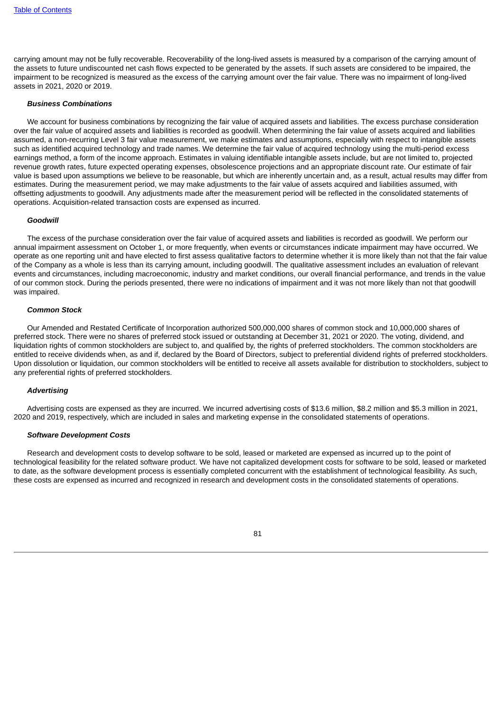carrying amount may not be fully recoverable. Recoverability of the long-lived assets is measured by a comparison of the carrying amount of the assets to future undiscounted net cash flows expected to be generated by the assets. If such assets are considered to be impaired, the impairment to be recognized is measured as the excess of the carrying amount over the fair value. There was no impairment of long-lived assets in 2021, 2020 or 2019.

#### *Business Combinations*

We account for business combinations by recognizing the fair value of acquired assets and liabilities. The excess purchase consideration over the fair value of acquired assets and liabilities is recorded as goodwill. When determining the fair value of assets acquired and liabilities assumed, a non-recurring Level 3 fair value measurement, we make estimates and assumptions, especially with respect to intangible assets such as identified acquired technology and trade names. We determine the fair value of acquired technology using the multi-period excess earnings method, a form of the income approach. Estimates in valuing identifiable intangible assets include, but are not limited to, projected revenue growth rates, future expected operating expenses, obsolescence projections and an appropriate discount rate. Our estimate of fair value is based upon assumptions we believe to be reasonable, but which are inherently uncertain and, as a result, actual results may differ from estimates. During the measurement period, we may make adjustments to the fair value of assets acquired and liabilities assumed, with offsetting adjustments to goodwill. Any adjustments made after the measurement period will be reflected in the consolidated statements of operations. Acquisition-related transaction costs are expensed as incurred.

#### *Goodwill*

The excess of the purchase consideration over the fair value of acquired assets and liabilities is recorded as goodwill. We perform our annual impairment assessment on October 1, or more frequently, when events or circumstances indicate impairment may have occurred. We operate as one reporting unit and have elected to first assess qualitative factors to determine whether it is more likely than not that the fair value of the Company as a whole is less than its carrying amount, including goodwill. The qualitative assessment includes an evaluation of relevant events and circumstances, including macroeconomic, industry and market conditions, our overall financial performance, and trends in the value of our common stock. During the periods presented, there were no indications of impairment and it was not more likely than not that goodwill was impaired.

#### *Common Stock*

Our Amended and Restated Certificate of Incorporation authorized 500,000,000 shares of common stock and 10,000,000 shares of preferred stock. There were no shares of preferred stock issued or outstanding at December 31, 2021 or 2020. The voting, dividend, and liquidation rights of common stockholders are subject to, and qualified by, the rights of preferred stockholders. The common stockholders are entitled to receive dividends when, as and if, declared by the Board of Directors, subject to preferential dividend rights of preferred stockholders. Upon dissolution or liquidation, our common stockholders will be entitled to receive all assets available for distribution to stockholders, subject to any preferential rights of preferred stockholders.

#### *Advertising*

Advertising costs are expensed as they are incurred. We incurred advertising costs of \$13.6 million, \$8.2 million and \$5.3 million in 2021, 2020 and 2019, respectively, which are included in sales and marketing expense in the consolidated statements of operations.

#### *Software Development Costs*

Research and development costs to develop software to be sold, leased or marketed are expensed as incurred up to the point of technological feasibility for the related software product. We have not capitalized development costs for software to be sold, leased or marketed to date, as the software development process is essentially completed concurrent with the establishment of technological feasibility. As such, these costs are expensed as incurred and recognized in research and development costs in the consolidated statements of operations.

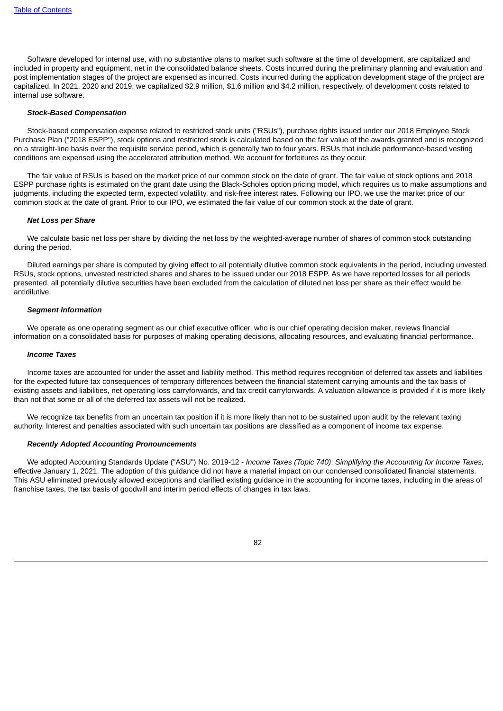Software developed for internal use, with no substantive plans to market such software at the time of development, are capitalized and included in property and equipment, net in the consolidated balance sheets. Costs incurred during the preliminary planning and evaluation and post implementation stages of the project are expensed as incurred. Costs incurred during the application development stage of the project are capitalized. In 2021, 2020 and 2019, we capitalized \$2.9 million, \$1.6 million and \$4.2 million, respectively, of development costs related to internal use software.

#### *Stock-Based Compensation*

Stock-based compensation expense related to restricted stock units ("RSUs"), purchase rights issued under our 2018 Employee Stock Purchase Plan ("2018 ESPP"), stock options and restricted stock is calculated based on the fair value of the awards granted and is recognized on a straight-line basis over the requisite service period, which is generally two to four years. RSUs that include performance-based vesting conditions are expensed using the accelerated attribution method. We account for forfeitures as they occur.

The fair value of RSUs is based on the market price of our common stock on the date of grant. The fair value of stock options and 2018 ESPP purchase rights is estimated on the grant date using the Black-Scholes option pricing model, which requires us to make assumptions and judgments, including the expected term, expected volatility, and risk-free interest rates. Following our IPO, we use the market price of our common stock at the date of grant. Prior to our IPO, we estimated the fair value of our common stock at the date of grant.

#### *Net Loss per Share*

We calculate basic net loss per share by dividing the net loss by the weighted-average number of shares of common stock outstanding during the period.

Diluted earnings per share is computed by giving effect to all potentially dilutive common stock equivalents in the period, including unvested RSUs, stock options, unvested restricted shares and shares to be issued under our 2018 ESPP. As we have reported losses for all periods presented, all potentially dilutive securities have been excluded from the calculation of diluted net loss per share as their effect would be antidilutive.

#### *Segment Information*

We operate as one operating segment as our chief executive officer, who is our chief operating decision maker, reviews financial information on a consolidated basis for purposes of making operating decisions, allocating resources, and evaluating financial performance.

#### *Income Taxes*

Income taxes are accounted for under the asset and liability method. This method requires recognition of deferred tax assets and liabilities for the expected future tax consequences of temporary differences between the financial statement carrying amounts and the tax basis of existing assets and liabilities, net operating loss carryforwards, and tax credit carryforwards. A valuation allowance is provided if it is more likely than not that some or all of the deferred tax assets will not be realized.

We recognize tax benefits from an uncertain tax position if it is more likely than not to be sustained upon audit by the relevant taxing authority. Interest and penalties associated with such uncertain tax positions are classified as a component of income tax expense.

# *Recently Adopted Accounting Pronouncements*

We adopted Accounting Standards Update ("ASU") No. 2019-12 - *Income Taxes (Topic 740)*: *Simplifying the Accounting for Income Taxes,* effective January 1, 2021. The adoption of this guidance did not have a material impact on our condensed consolidated financial statements. This ASU eliminated previously allowed exceptions and clarified existing guidance in the accounting for income taxes, including in the areas of franchise taxes, the tax basis of goodwill and interim period effects of changes in tax laws.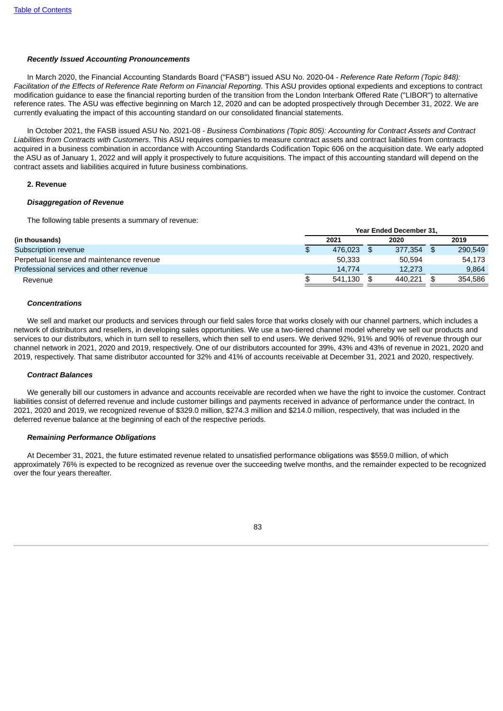## *Recently Issued Accounting Pronouncements*

In March 2020, the Financial Accounting Standards Board ("FASB") issued ASU No. 2020-04 - *Reference Rate Reform (Topic 848): Facilitation of the Effects of Reference Rate Reform on Financial Reporting*. This ASU provides optional expedients and exceptions to contract modification guidance to ease the financial reporting burden of the transition from the London Interbank Offered Rate ("LIBOR") to alternative reference rates. The ASU was effective beginning on March 12, 2020 and can be adopted prospectively through December 31, 2022. We are currently evaluating the impact of this accounting standard on our consolidated financial statements.

In October 2021, the FASB issued ASU No. 2021-08 - *Business Combinations (Topic 805): Accounting for Contract Assets and Contract Liabilities from Contracts with Customers*. This ASU requires companies to measure contract assets and contract liabilities from contracts acquired in a business combination in accordance with Accounting Standards Codification Topic 606 on the acquisition date. We early adopted the ASU as of January 1, 2022 and will apply it prospectively to future acquisitions. The impact of this accounting standard will depend on the contract assets and liabilities acquired in future business combinations.

## **2. Revenue**

## *Disaggregation of Revenue*

The following table presents a summary of revenue:

|                                           | Year Ended December 31. |  |         |  |         |  |  |  |  |  |
|-------------------------------------------|-------------------------|--|---------|--|---------|--|--|--|--|--|
| (in thousands)                            | 2021                    |  | 2020    |  | 2019    |  |  |  |  |  |
| Subscription revenue                      | 476.023                 |  | 377.354 |  | 290.549 |  |  |  |  |  |
| Perpetual license and maintenance revenue | 50.333                  |  | 50.594  |  | 54.173  |  |  |  |  |  |
| Professional services and other revenue   | 14.774                  |  | 12.273  |  | 9.864   |  |  |  |  |  |
| Revenue                                   | 541.130                 |  | 440.221 |  | 354.586 |  |  |  |  |  |

#### *Concentrations*

We sell and market our products and services through our field sales force that works closely with our channel partners, which includes a network of distributors and resellers, in developing sales opportunities. We use a two-tiered channel model whereby we sell our products and services to our distributors, which in turn sell to resellers, which then sell to end users. We derived 92%, 91% and 90% of revenue through our channel network in 2021, 2020 and 2019, respectively. One of our distributors accounted for 39%, 43% and 43% of revenue in 2021, 2020 and 2019, respectively. That same distributor accounted for 32% and 41% of accounts receivable at December 31, 2021 and 2020, respectively.

## *Contract Balances*

We generally bill our customers in advance and accounts receivable are recorded when we have the right to invoice the customer. Contract liabilities consist of deferred revenue and include customer billings and payments received in advance of performance under the contract. In 2021, 2020 and 2019, we recognized revenue of \$329.0 million, \$274.3 million and \$214.0 million, respectively, that was included in the deferred revenue balance at the beginning of each of the respective periods.

#### *Remaining Performance Obligations*

At December 31, 2021, the future estimated revenue related to unsatisfied performance obligations was \$559.0 million, of which approximately 76% is expected to be recognized as revenue over the succeeding twelve months, and the remainder expected to be recognized over the four years thereafter.

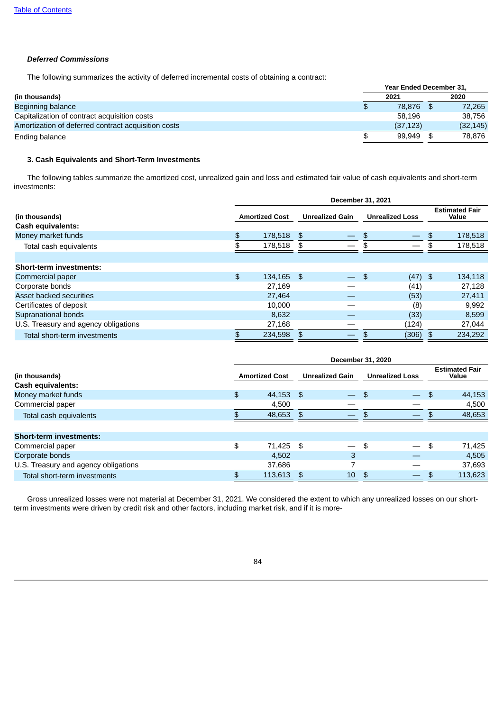# *Deferred Commissions*

The following summarizes the activity of deferred incremental costs of obtaining a contract:

|                                                     | <b>Year Ended December 31.</b> |           |  |           |  |  |  |  |
|-----------------------------------------------------|--------------------------------|-----------|--|-----------|--|--|--|--|
| (in thousands)                                      |                                | 2021      |  | 2020      |  |  |  |  |
| Beginning balance                                   | Ф                              | 78.876 \$ |  | 72.265    |  |  |  |  |
| Capitalization of contract acquisition costs        |                                | 58.196    |  | 38.756    |  |  |  |  |
| Amortization of deferred contract acquisition costs |                                | (37, 123) |  | (32, 145) |  |  |  |  |
| Ending balance                                      |                                | 99.949    |  | 78.876    |  |  |  |  |
|                                                     |                                |           |  |           |  |  |  |  |

# **3. Cash Equivalents and Short-Term Investments**

The following tables summarize the amortized cost, unrealized gain and loss and estimated fair value of cash equivalents and short-term investments:

|                                      | December 31, 2021     |            |                        |                   |                        |           |                                |         |  |  |
|--------------------------------------|-----------------------|------------|------------------------|-------------------|------------------------|-----------|--------------------------------|---------|--|--|
| (in thousands)                       | <b>Amortized Cost</b> |            | <b>Unrealized Gain</b> |                   | <b>Unrealized Loss</b> |           | <b>Estimated Fair</b><br>Value |         |  |  |
| <b>Cash equivalents:</b>             |                       |            |                        |                   |                        |           |                                |         |  |  |
| Money market funds                   | \$                    | 178,518    | \$                     | $\qquad \qquad -$ | \$                     |           | \$.                            | 178,518 |  |  |
| Total cash equivalents               |                       | 178,518    | \$                     |                   |                        |           | \$                             | 178,518 |  |  |
|                                      |                       |            |                        |                   |                        |           |                                |         |  |  |
| <b>Short-term investments:</b>       |                       |            |                        |                   |                        |           |                                |         |  |  |
| Commercial paper                     | \$                    | 134,165 \$ |                        | $-$ \$            |                        | $(47)$ \$ |                                | 134,118 |  |  |
| Corporate bonds                      |                       | 27.169     |                        |                   |                        | (41)      |                                | 27,128  |  |  |
| Asset backed securities              |                       | 27.464     |                        |                   |                        | (53)      |                                | 27,411  |  |  |
| Certificates of deposit              |                       | 10.000     |                        |                   |                        | (8)       |                                | 9,992   |  |  |
| Supranational bonds                  |                       | 8,632      |                        |                   |                        | (33)      |                                | 8,599   |  |  |
| U.S. Treasury and agency obligations |                       | 27,168     |                        |                   |                        | (124)     |                                | 27,044  |  |  |
| Total short-term investments         |                       | 234,598    | \$                     |                   |                        | (306)     | $\sqrt{3}$                     | 234.292 |  |  |

|                                      | December 31, 2020                               |           |    |                        |    |                          |                                |         |  |  |  |
|--------------------------------------|-------------------------------------------------|-----------|----|------------------------|----|--------------------------|--------------------------------|---------|--|--|--|
| (in thousands)<br>Cash equivalents:  | <b>Unrealized Gain</b><br><b>Amortized Cost</b> |           |    | <b>Unrealized Loss</b> |    |                          | <b>Estimated Fair</b><br>Value |         |  |  |  |
| Money market funds                   | \$                                              | 44,153 \$ |    |                        | \$ |                          | -\$                            | 44,153  |  |  |  |
| Commercial paper                     |                                                 | 4,500     |    |                        |    |                          |                                | 4,500   |  |  |  |
| Total cash equivalents               |                                                 | 48,653 \$ |    |                        | \$ | $\overline{\phantom{0}}$ | \$                             | 48,653  |  |  |  |
|                                      |                                                 |           |    |                        |    |                          |                                |         |  |  |  |
| <b>Short-term investments:</b>       |                                                 |           |    |                        |    |                          |                                |         |  |  |  |
| Commercial paper                     | \$                                              | 71,425 \$ |    |                        | \$ | — \$                     |                                | 71,425  |  |  |  |
| Corporate bonds                      |                                                 | 4.502     |    | 3                      |    |                          |                                | 4.505   |  |  |  |
| U.S. Treasury and agency obligations |                                                 | 37,686    |    |                        |    |                          |                                | 37,693  |  |  |  |
| Total short-term investments         |                                                 | 113,613   | \$ | 10                     | \$ |                          |                                | 113,623 |  |  |  |

Gross unrealized losses were not material at December 31, 2021. We considered the extent to which any unrealized losses on our shortterm investments were driven by credit risk and other factors, including market risk, and if it is more-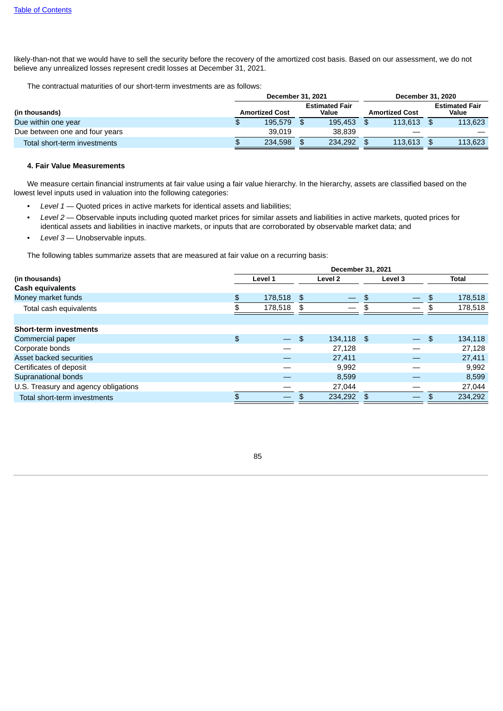likely-than-not that we would have to sell the security before the recovery of the amortized cost basis. Based on our assessment, we do not believe any unrealized losses represent credit losses at December 31, 2021.

The contractual maturities of our short-term investments are as follows:

|                                | December 31, 2021 |                       |  |                                |                       |      | <b>December 31, 2020</b>       |  |
|--------------------------------|-------------------|-----------------------|--|--------------------------------|-----------------------|------|--------------------------------|--|
| (in thousands)                 |                   | <b>Amortized Cost</b> |  | <b>Estimated Fair</b><br>Value | <b>Amortized Cost</b> |      | <b>Estimated Fair</b><br>Value |  |
| Due within one year            |                   | 195.579               |  | 195.453                        | 113.613               | - \$ | 113.623                        |  |
| Due between one and four years |                   | 39.019                |  | 38.839                         | _                     |      |                                |  |
| Total short-term investments   |                   | 234,598               |  | 234.292                        | 113.613               | - \$ | 113,623                        |  |

#### **4. Fair Value Measurements**

We measure certain financial instruments at fair value using a fair value hierarchy. In the hierarchy, assets are classified based on the lowest level inputs used in valuation into the following categories:

- *Level 1* Quoted prices in active markets for identical assets and liabilities;
- *Level 2* Observable inputs including quoted market prices for similar assets and liabilities in active markets, quoted prices for identical assets and liabilities in inactive markets, or inputs that are corroborated by observable market data; and
- *Level 3* Unobservable inputs.

The following tables summarize assets that are measured at fair value on a recurring basis:

|                                      | December 31, 2021 |         |         |            |         |  |           |              |  |
|--------------------------------------|-------------------|---------|---------|------------|---------|--|-----------|--------------|--|
| (in thousands)                       | Level 1           |         | Level 2 |            | Level 3 |  |           | <b>Total</b> |  |
| <b>Cash equivalents</b>              |                   |         |         |            |         |  |           |              |  |
| Money market funds                   | \$                | 178,518 | \$      | —          |         |  |           | 178,518      |  |
| Total cash equivalents               |                   | 178.518 | \$      |            |         |  |           | 178,518      |  |
|                                      |                   |         |         |            |         |  |           |              |  |
| <b>Short-term investments</b>        |                   |         |         |            |         |  |           |              |  |
| Commercial paper                     | \$                |         | \$      | 134,118 \$ |         |  | $\sim$ \$ | 134,118      |  |
| Corporate bonds                      |                   |         |         | 27.128     |         |  |           | 27.128       |  |
| Asset backed securities              |                   |         |         | 27,411     |         |  |           | 27,411       |  |
| Certificates of deposit              |                   |         |         | 9.992      |         |  |           | 9,992        |  |
| Supranational bonds                  |                   |         |         | 8.599      |         |  |           | 8,599        |  |
| U.S. Treasury and agency obligations |                   |         |         | 27,044     |         |  |           | 27,044       |  |
| Total short-term investments         |                   |         |         | 234,292    | - \$    |  |           | 234.292      |  |

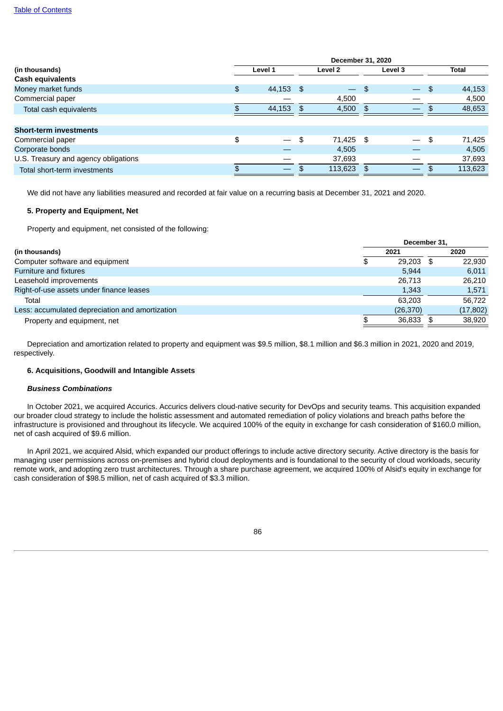|                                      | December 31, 2020 |                                 |     |               |      |                          |      |              |  |  |
|--------------------------------------|-------------------|---------------------------------|-----|---------------|------|--------------------------|------|--------------|--|--|
| (in thousands)                       |                   | Level 1                         |     | Level 2       |      | Level 3                  |      | <b>Total</b> |  |  |
| <b>Cash equivalents</b>              |                   |                                 |     |               |      |                          |      |              |  |  |
| Money market funds                   | \$                | 44,153                          | -\$ | $\frac{1}{2}$ | ්    | $\overline{\phantom{0}}$ | \$   | 44,153       |  |  |
| Commercial paper                     |                   |                                 |     | 4,500         |      |                          |      | 4,500        |  |  |
| Total cash equivalents               |                   | 44,153                          | \$. | 4,500         | -\$  | —                        | \$   | 48,653       |  |  |
|                                      |                   |                                 |     |               |      |                          |      |              |  |  |
| <b>Short-term investments</b>        |                   |                                 |     |               |      |                          |      |              |  |  |
| Commercial paper                     | \$                | $\overbrace{\phantom{1232211}}$ | \$  | 71,425        | - \$ | $\overline{\phantom{0}}$ | - \$ | 71,425       |  |  |
| Corporate bonds                      |                   |                                 |     | 4,505         |      |                          |      | 4,505        |  |  |
| U.S. Treasury and agency obligations |                   |                                 |     | 37,693        |      |                          |      | 37,693       |  |  |
| Total short-term investments         |                   |                                 |     | 113,623       | \$   |                          |      | 113,623      |  |  |

We did not have any liabilities measured and recorded at fair value on a recurring basis at December 31, 2021 and 2020.

## **5. Property and Equipment, Net**

Property and equipment, net consisted of the following:

|                                                 | December 31. |             |  |           |  |  |  |
|-------------------------------------------------|--------------|-------------|--|-----------|--|--|--|
| (in thousands)                                  |              | 2021        |  | 2020      |  |  |  |
| Computer software and equipment                 | \$           | 29.203 \$   |  | 22.930    |  |  |  |
| <b>Furniture and fixtures</b>                   |              | 5.944       |  | 6.011     |  |  |  |
| Leasehold improvements                          |              | 26.713      |  | 26.210    |  |  |  |
| Right-of-use assets under finance leases        |              | 1,343       |  | 1,571     |  |  |  |
| Total                                           |              | 63.203      |  | 56.722    |  |  |  |
| Less: accumulated depreciation and amortization |              | (26, 370)   |  | (17, 802) |  |  |  |
| Property and equipment, net                     |              | $36.833$ \$ |  | 38,920    |  |  |  |

Depreciation and amortization related to property and equipment was \$9.5 million, \$8.1 million and \$6.3 million in 2021, 2020 and 2019, respectively.

#### **6. Acquisitions, Goodwill and Intangible Assets**

#### *Business Combinations*

In October 2021, we acquired Accurics. Accurics delivers cloud-native security for DevOps and security teams. This acquisition expanded our broader cloud strategy to include the holistic assessment and automated remediation of policy violations and breach paths before the infrastructure is provisioned and throughout its lifecycle. We acquired 100% of the equity in exchange for cash consideration of \$160.0 million, net of cash acquired of \$9.6 million.

In April 2021, we acquired Alsid, which expanded our product offerings to include active directory security. Active directory is the basis for managing user permissions across on-premises and hybrid cloud deployments and is foundational to the security of cloud workloads, security remote work, and adopting zero trust architectures. Through a share purchase agreement, we acquired 100% of Alsid's equity in exchange for cash consideration of \$98.5 million, net of cash acquired of \$3.3 million.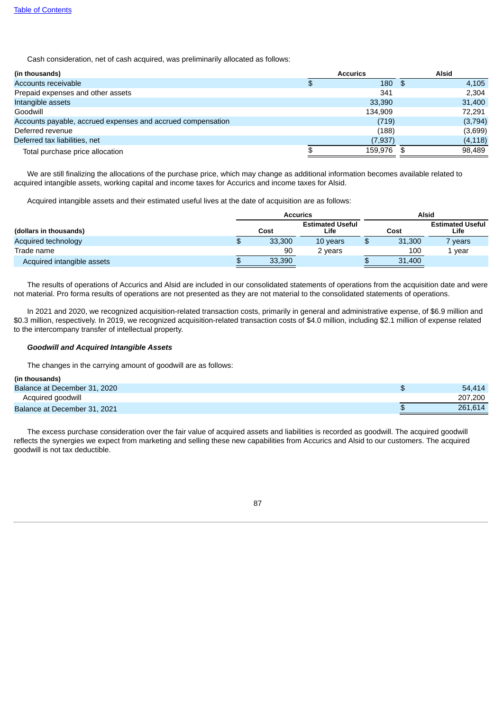Cash consideration, net of cash acquired, was preliminarily allocated as follows:

| (in thousands)                                              | <b>Accurics</b> |     | Alsid    |
|-------------------------------------------------------------|-----------------|-----|----------|
| Accounts receivable                                         | \$<br>180       | -\$ | 4,105    |
| Prepaid expenses and other assets                           | 341             |     | 2.304    |
| Intangible assets                                           | 33,390          |     | 31,400   |
| Goodwill                                                    | 134.909         |     | 72.291   |
| Accounts payable, accrued expenses and accrued compensation | (719)           |     | (3,794)  |
| Deferred revenue                                            | (188)           |     | (3,699)  |
| Deferred tax liabilities, net                               | (7.937)         |     | (4, 118) |
| Total purchase price allocation                             | 159.976         |     | 98.489   |

We are still finalizing the allocations of the purchase price, which may change as additional information becomes available related to acquired intangible assets, working capital and income taxes for Accurics and income taxes for Alsid.

Acquired intangible assets and their estimated useful lives at the date of acquisition are as follows:

|                            | <b>Accurics</b> |        |                                 | Alsid |        |                                 |  |  |
|----------------------------|-----------------|--------|---------------------------------|-------|--------|---------------------------------|--|--|
| (dollars in thousands)     | Cost            |        | <b>Estimated Useful</b><br>Life |       | Cost   | <b>Estimated Useful</b><br>Life |  |  |
| Acquired technology        | ۰               | 33,300 | 10 years                        | ⊕     | 31,300 | vears <sup>1</sup>              |  |  |
| Trade name                 |                 | 90     | 2 vears                         |       | 100    | 1 year                          |  |  |
| Acquired intangible assets |                 | 33,390 |                                 |       | 31,400 |                                 |  |  |

The results of operations of Accurics and Alsid are included in our consolidated statements of operations from the acquisition date and were not material. Pro forma results of operations are not presented as they are not material to the consolidated statements of operations.

In 2021 and 2020, we recognized acquisition-related transaction costs, primarily in general and administrative expense, of \$6.9 million and \$0.3 million, respectively. In 2019, we recognized acquisition-related transaction costs of \$4.0 million, including \$2.1 million of expense related to the intercompany transfer of intellectual property.

#### *Goodwill and Acquired Intangible Assets*

The changes in the carrying amount of goodwill are as follows:

| (in thousands)               |         |
|------------------------------|---------|
| Balance at December 31, 2020 | 54.414  |
| Acquired goodwill            | 207.200 |
| Balance at December 31, 2021 | 261.614 |

The excess purchase consideration over the fair value of acquired assets and liabilities is recorded as goodwill. The acquired goodwill reflects the synergies we expect from marketing and selling these new capabilities from Accurics and Alsid to our customers. The acquired goodwill is not tax deductible.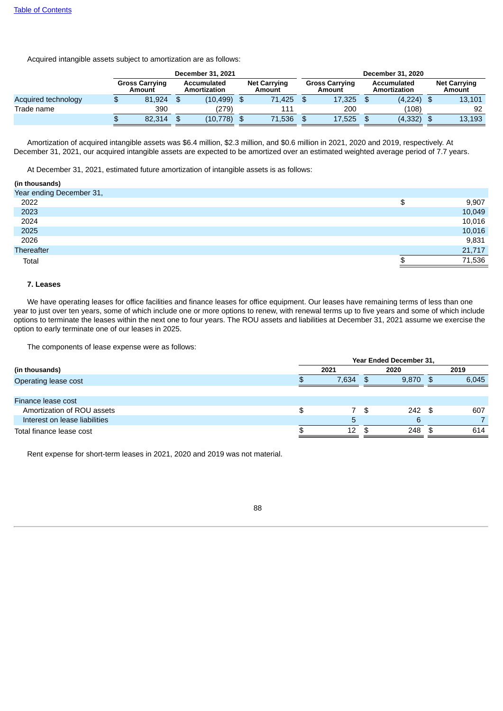Acquired intangible assets subject to amortization are as follows:

|                     | December 31, 2021               |    |                                    |  | December 31, 2020             |                                 |        |                             |          |                               |        |
|---------------------|---------------------------------|----|------------------------------------|--|-------------------------------|---------------------------------|--------|-----------------------------|----------|-------------------------------|--------|
|                     | <b>Gross Carrying</b><br>Amount |    | <b>Accumulated</b><br>Amortization |  | <b>Net Carrying</b><br>Amount | <b>Gross Carrying</b><br>Amount |        | Accumulated<br>Amortization |          | <b>Net Carrying</b><br>Amount |        |
| Acquired technology | \$<br>81.924                    | \$ | (10.499)                           |  | 71.425                        |                                 | 17.325 |                             | (4,224)  |                               | 13.101 |
| Trade name          | 390                             |    | (279)                              |  | 111                           |                                 | 200    |                             | (108)    |                               | 92     |
|                     | \$<br>82.314                    |    | (10, 778)                          |  | 71.536                        |                                 | 17.525 |                             | (4, 332) |                               | 13.193 |

Amortization of acquired intangible assets was \$6.4 million, \$2.3 million, and \$0.6 million in 2021, 2020 and 2019, respectively. At December 31, 2021, our acquired intangible assets are expected to be amortized over an estimated weighted average period of 7.7 years.

At December 31, 2021, estimated future amortization of intangible assets is as follows:

| (in thousands)           |             |
|--------------------------|-------------|
| Year ending December 31, |             |
| 2022                     | \$<br>9,907 |
| 2023                     | 10,049      |
| 2024                     | 10,016      |
| 2025                     | 10,016      |
| 2026                     | 9,831       |
| <b>Thereafter</b>        | 21,717      |
| Total                    | 71,536      |
|                          |             |

## **7. Leases**

We have operating leases for office facilities and finance leases for office equipment. Our leases have remaining terms of less than one year to just over ten years, some of which include one or more options to renew, with renewal terms up to five years and some of which include options to terminate the leases within the next one to four years. The ROU assets and liabilities at December 31, 2021 assume we exercise the option to early terminate one of our leases in 2025.

The components of lease expense were as follows:

|                               | Year Ended December 31, |       |      |                  |      |       |
|-------------------------------|-------------------------|-------|------|------------------|------|-------|
| (in thousands)                |                         | 2021  |      | 2020             |      | 2019  |
| Operating lease cost          |                         | 7.634 | - 35 | 9.870            | - \$ | 6.045 |
|                               |                         |       |      |                  |      |       |
| Finance lease cost            |                         |       |      |                  |      |       |
| Amortization of ROU assets    | \$                      | 7\$   |      | $242 \text{ } $$ |      | 607   |
| Interest on lease liabilities |                         |       |      |                  |      |       |
| Total finance lease cost      |                         | 12    |      | 248              | - \$ | 614   |
|                               |                         |       |      |                  |      |       |

Rent expense for short-term leases in 2021, 2020 and 2019 was not material.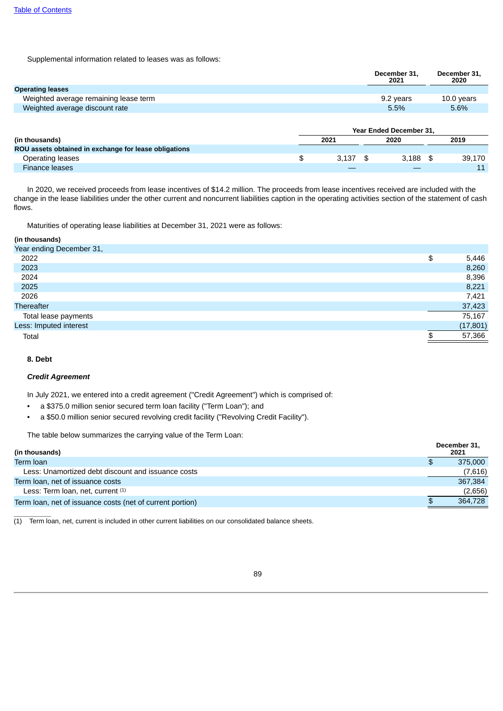Supplemental information related to leases was as follows:

|                                                       |                         |      | December 31.<br>2021 |  | December 31,<br>2020 |  |
|-------------------------------------------------------|-------------------------|------|----------------------|--|----------------------|--|
| <b>Operating leases</b>                               |                         |      |                      |  |                      |  |
| Weighted average remaining lease term                 |                         |      | 9.2 years            |  | $10.0$ years         |  |
| Weighted average discount rate                        |                         |      | 5.5%                 |  | 5.6%                 |  |
|                                                       | Year Ended December 31, |      |                      |  |                      |  |
| (in thousands)                                        | 2021                    |      | 2020                 |  | 2019                 |  |
| ROU assets obtained in exchange for lease obligations |                         |      |                      |  |                      |  |
| Operating leases                                      | \$<br>3.137             | - \$ | $3,188$ \$           |  | 39.170               |  |
| <b>Finance leases</b>                                 |                         |      |                      |  | 11                   |  |

In 2020, we received proceeds from lease incentives of \$14.2 million. The proceeds from lease incentives received are included with the change in the lease liabilities under the other current and noncurrent liabilities caption in the operating activities section of the statement of cash flows.

Maturities of operating lease liabilities at December 31, 2021 were as follows:

## **(in thousands)**

| Year ending December 31, |             |
|--------------------------|-------------|
| 2022                     | \$<br>5,446 |
| 2023                     | 8,260       |
| 2024                     | 8,396       |
| 2025                     | 8,221       |
| 2026                     | 7,421       |
| Thereafter               | 37,423      |
| Total lease payments     | 75,167      |
| Less: Imputed interest   | (17, 801)   |
| Total                    | 57,366      |
|                          |             |

# **8. Debt**

 $\mathcal{L}=\mathcal{L}$ 

## *Credit Agreement*

In July 2021, we entered into a credit agreement ("Credit Agreement") which is comprised of:

- a \$375.0 million senior secured term loan facility ("Term Loan"); and
- a \$50.0 million senior secured revolving credit facility ("Revolving Credit Facility").

The table below summarizes the carrying value of the Term Loan:

| December 31,<br>2021 |
|----------------------|
| \$<br>375,000        |
| (7,616)              |
| 367.384              |
| (2,656)              |
| 364,728              |
|                      |

 $(1)$  Term loan, net, current is included in other current liabilities on our consolidated balance sheets.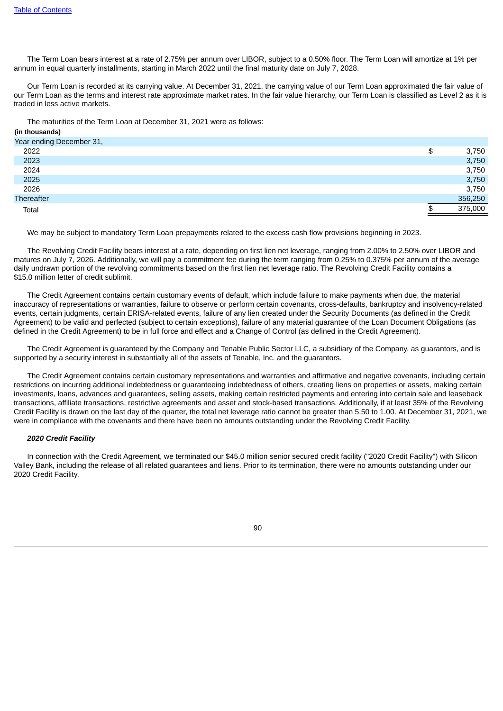The Term Loan bears interest at a rate of 2.75% per annum over LIBOR, subject to a 0.50% floor. The Term Loan will amortize at 1% per annum in equal quarterly installments, starting in March 2022 until the final maturity date on July 7, 2028.

Our Term Loan is recorded at its carrying value. At December 31, 2021, the carrying value of our Term Loan approximated the fair value of our Term Loan as the terms and interest rate approximate market rates. In the fair value hierarchy, our Term Loan is classified as Level 2 as it is traded in less active markets.

The maturities of the Term Loan at December 31, 2021 were as follows:

| (in thousands)           |             |
|--------------------------|-------------|
| Year ending December 31, |             |
| 2022                     | \$<br>3,750 |
| 2023                     | 3,750       |
| 2024                     | 3,750       |
| 2025                     | 3,750       |
| 2026                     | 3,750       |
| <b>Thereafter</b>        | 356,250     |
| Total                    | 375,000     |
|                          |             |

We may be subject to mandatory Term Loan prepayments related to the excess cash flow provisions beginning in 2023.

The Revolving Credit Facility bears interest at a rate, depending on first lien net leverage, ranging from 2.00% to 2.50% over LIBOR and matures on July 7, 2026. Additionally, we will pay a commitment fee during the term ranging from 0.25% to 0.375% per annum of the average daily undrawn portion of the revolving commitments based on the first lien net leverage ratio. The Revolving Credit Facility contains a \$15.0 million letter of credit sublimit.

The Credit Agreement contains certain customary events of default, which include failure to make payments when due, the material inaccuracy of representations or warranties, failure to observe or perform certain covenants, cross-defaults, bankruptcy and insolvency-related events, certain judgments, certain ERISA-related events, failure of any lien created under the Security Documents (as defined in the Credit Agreement) to be valid and perfected (subject to certain exceptions), failure of any material guarantee of the Loan Document Obligations (as defined in the Credit Agreement) to be in full force and effect and a Change of Control (as defined in the Credit Agreement).

The Credit Agreement is guaranteed by the Company and Tenable Public Sector LLC, a subsidiary of the Company, as guarantors, and is supported by a security interest in substantially all of the assets of Tenable, Inc. and the guarantors.

The Credit Agreement contains certain customary representations and warranties and affirmative and negative covenants, including certain restrictions on incurring additional indebtedness or guaranteeing indebtedness of others, creating liens on properties or assets, making certain investments, loans, advances and guarantees, selling assets, making certain restricted payments and entering into certain sale and leaseback transactions, affiliate transactions, restrictive agreements and asset and stock-based transactions. Additionally, if at least 35% of the Revolving Credit Facility is drawn on the last day of the quarter, the total net leverage ratio cannot be greater than 5.50 to 1.00. At December 31, 2021, we were in compliance with the covenants and there have been no amounts outstanding under the Revolving Credit Facility.

## *2020 Credit Facility*

In connection with the Credit Agreement, we terminated our \$45.0 million senior secured credit facility ("2020 Credit Facility") with Silicon Valley Bank, including the release of all related guarantees and liens. Prior to its termination, there were no amounts outstanding under our 2020 Credit Facility.

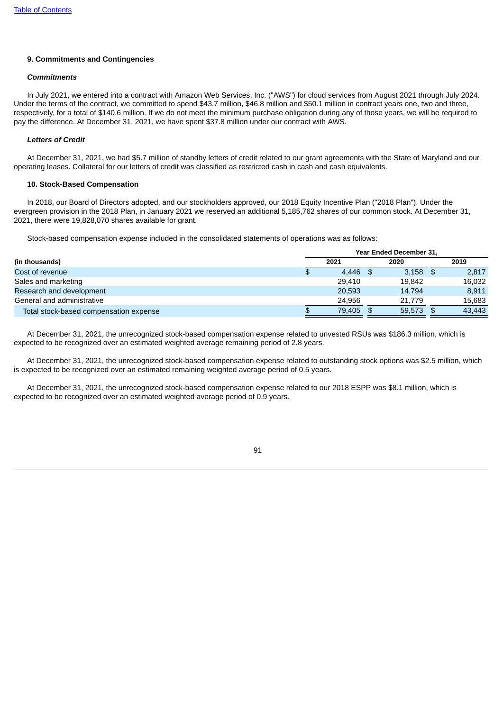# **9. Commitments and Contingencies**

## *Commitments*

In July 2021, we entered into a contract with Amazon Web Services, Inc. ("AWS") for cloud services from August 2021 through July 2024. Under the terms of the contract, we committed to spend \$43.7 million, \$46.8 million and \$50.1 million in contract years one, two and three, respectively, for a total of \$140.6 million. If we do not meet the minimum purchase obligation during any of those years, we will be required to pay the difference. At December 31, 2021, we have spent \$37.8 million under our contract with AWS.

## *Letters of Credit*

At December 31, 2021, we had \$5.7 million of standby letters of credit related to our grant agreements with the State of Maryland and our operating leases. Collateral for our letters of credit was classified as restricted cash in cash and cash equivalents.

## **10. Stock-Based Compensation**

In 2018, our Board of Directors adopted, and our stockholders approved, our 2018 Equity Incentive Plan ("2018 Plan"). Under the evergreen provision in the 2018 Plan, in January 2021 we reserved an additional 5,185,762 shares of our common stock. At December 31, 2021, there were 19,828,070 shares available for grant.

Stock-based compensation expense included in the consolidated statements of operations was as follows:

|                                        | <b>Year Ended December 31.</b> |            |  |            |  |        |
|----------------------------------------|--------------------------------|------------|--|------------|--|--------|
| (in thousands)                         |                                | 2021       |  | 2020       |  | 2019   |
| Cost of revenue                        | \$                             | $4.446$ \$ |  | $3.158$ \$ |  | 2,817  |
| Sales and marketing                    |                                | 29.410     |  | 19.842     |  | 16,032 |
| Research and development               |                                | 20.593     |  | 14.794     |  | 8,911  |
| General and administrative             |                                | 24.956     |  | 21.779     |  | 15.683 |
| Total stock-based compensation expense | \$.                            | 79.405     |  | 59.573     |  | 43,443 |

At December 31, 2021, the unrecognized stock-based compensation expense related to unvested RSUs was \$186.3 million, which is expected to be recognized over an estimated weighted average remaining period of 2.8 years.

At December 31, 2021, the unrecognized stock-based compensation expense related to outstanding stock options was \$2.5 million, which is expected to be recognized over an estimated remaining weighted average period of 0.5 years.

At December 31, 2021, the unrecognized stock-based compensation expense related to our 2018 ESPP was \$8.1 million, which is expected to be recognized over an estimated weighted average period of 0.9 years.

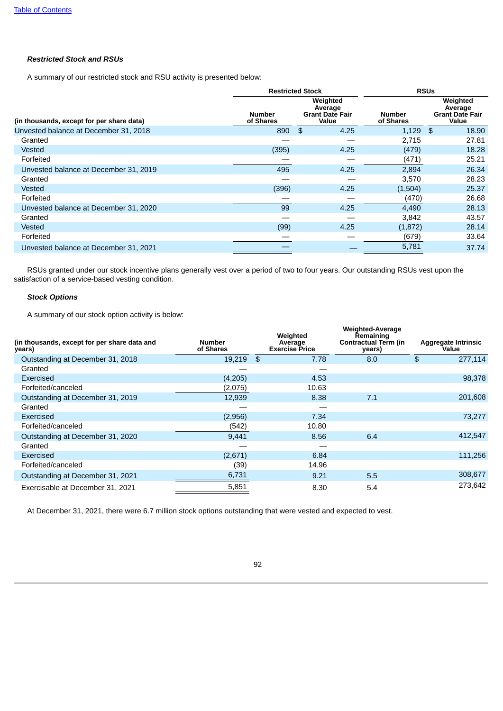# *Restricted Stock and RSUs*

A summary of our restricted stock and RSU activity is presented below:

|                                           |                            | <b>Restricted Stock</b>                                | <b>RSUs</b>                |                                                        |  |  |  |
|-------------------------------------------|----------------------------|--------------------------------------------------------|----------------------------|--------------------------------------------------------|--|--|--|
| (in thousands, except for per share data) | <b>Number</b><br>of Shares | Weighted<br>Average<br><b>Grant Date Fair</b><br>Value | <b>Number</b><br>of Shares | Weighted<br>Average<br><b>Grant Date Fair</b><br>Value |  |  |  |
| Unvested balance at December 31, 2018     | 890                        | \$<br>4.25                                             | 1,129                      | \$<br>18.90                                            |  |  |  |
| Granted                                   |                            |                                                        | 2,715                      | 27.81                                                  |  |  |  |
| Vested                                    | (395)                      | 4.25                                                   | (479)                      | 18.28                                                  |  |  |  |
| Forfeited                                 |                            |                                                        | (471)                      | 25.21                                                  |  |  |  |
| Unvested balance at December 31, 2019     | 495                        | 4.25                                                   | 2,894                      | 26.34                                                  |  |  |  |
| Granted                                   |                            |                                                        | 3,570                      | 28.23                                                  |  |  |  |
| Vested                                    | (396)                      | 4.25                                                   | (1,504)                    | 25.37                                                  |  |  |  |
| Forfeited                                 |                            |                                                        | (470)                      | 26.68                                                  |  |  |  |
| Unvested balance at December 31, 2020     | 99                         | 4.25                                                   | 4,490                      | 28.13                                                  |  |  |  |
| Granted                                   |                            |                                                        | 3,842                      | 43.57                                                  |  |  |  |
| Vested                                    | (99)                       | 4.25                                                   | (1, 872)                   | 28.14                                                  |  |  |  |
| Forfeited                                 |                            |                                                        | (679)                      | 33.64                                                  |  |  |  |
| Unvested balance at December 31, 2021     |                            |                                                        | 5,781                      | 37.74                                                  |  |  |  |

RSUs granted under our stock incentive plans generally vest over a period of two to four years. Our outstanding RSUs vest upon the satisfaction of a service-based vesting condition.

# *Stock Options*

A summary of our stock option activity is below:

| (in thousands, except for per share data and<br>years) | <b>Number</b><br>of Shares | Weighted<br>Average<br><b>Exercise Price</b> | <b>Weighted-Average</b><br>Remaining<br><b>Contractual Term (in</b><br>years) | <b>Aggregate Intrinsic</b><br>Value |
|--------------------------------------------------------|----------------------------|----------------------------------------------|-------------------------------------------------------------------------------|-------------------------------------|
| Outstanding at December 31, 2018                       | 19,219 \$                  | 7.78                                         | 8.0                                                                           | \$<br>277,114                       |
| Granted                                                |                            |                                              |                                                                               |                                     |
| Exercised                                              | (4,205)                    | 4.53                                         |                                                                               | 98.378                              |
| Forfeited/canceled                                     | (2,075)                    | 10.63                                        |                                                                               |                                     |
| Outstanding at December 31, 2019                       | 12,939                     | 8.38                                         | 7.1                                                                           | 201,608                             |
| Granted                                                |                            |                                              |                                                                               |                                     |
| Exercised                                              | (2,956)                    | 7.34                                         |                                                                               | 73,277                              |
| Forfeited/canceled                                     | (542)                      | 10.80                                        |                                                                               |                                     |
| Outstanding at December 31, 2020                       | 9,441                      | 8.56                                         | 6.4                                                                           | 412,547                             |
| Granted                                                |                            |                                              |                                                                               |                                     |
| Exercised                                              | (2,671)                    | 6.84                                         |                                                                               | 111.256                             |
| Forfeited/canceled                                     | (39)                       | 14.96                                        |                                                                               |                                     |
| Outstanding at December 31, 2021                       | 6,731                      | 9.21                                         | 5.5                                                                           | 308,677                             |
| Exercisable at December 31, 2021                       | 5,851                      | 8.30                                         | 5.4                                                                           | 273,642                             |
|                                                        |                            |                                              |                                                                               |                                     |

At December 31, 2021, there were 6.7 million stock options outstanding that were vested and expected to vest.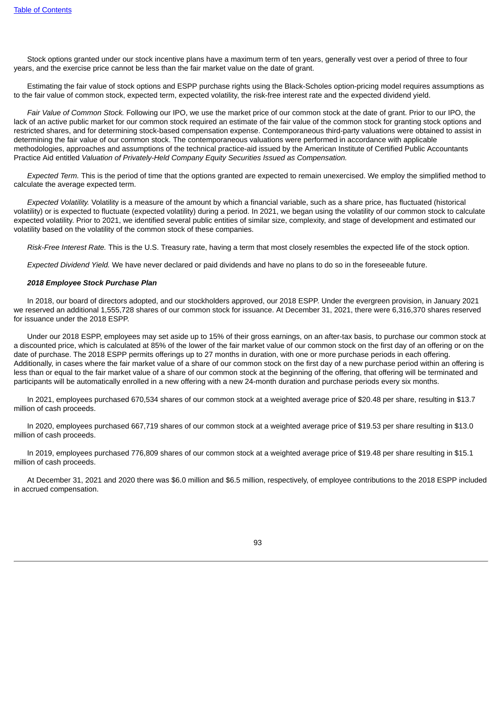Stock options granted under our stock incentive plans have a maximum term of ten years, generally vest over a period of three to four years, and the exercise price cannot be less than the fair market value on the date of grant.

Estimating the fair value of stock options and ESPP purchase rights using the Black-Scholes option-pricing model requires assumptions as to the fair value of common stock, expected term, expected volatility, the risk-free interest rate and the expected dividend yield.

*Fair Value of Common Stock.* Following our IPO, we use the market price of our common stock at the date of grant. Prior to our IPO, the lack of an active public market for our common stock required an estimate of the fair value of the common stock for granting stock options and restricted shares, and for determining stock-based compensation expense. Contemporaneous third-party valuations were obtained to assist in determining the fair value of our common stock. The contemporaneous valuations were performed in accordance with applicable methodologies, approaches and assumptions of the technical practice-aid issued by the American Institute of Certified Public Accountants Practice Aid entitled *Valuation of Privately-Held Company Equity Securities Issued as Compensation.*

*Expected Term.* This is the period of time that the options granted are expected to remain unexercised. We employ the simplified method to calculate the average expected term.

*Expected Volatility.* Volatility is a measure of the amount by which a financial variable, such as a share price, has fluctuated (historical volatility) or is expected to fluctuate (expected volatility) during a period. In 2021, we began using the volatility of our common stock to calculate expected volatility. Prior to 2021, we identified several public entities of similar size, complexity, and stage of development and estimated our volatility based on the volatility of the common stock of these companies.

*Risk-Free Interest Rate.* This is the U.S. Treasury rate, having a term that most closely resembles the expected life of the stock option.

*Expected Dividend Yield.* We have never declared or paid dividends and have no plans to do so in the foreseeable future.

## *2018 Employee Stock Purchase Plan*

In 2018, our board of directors adopted, and our stockholders approved, our 2018 ESPP. Under the evergreen provision, in January 2021 we reserved an additional 1,555,728 shares of our common stock for issuance. At December 31, 2021, there were 6,316,370 shares reserved for issuance under the 2018 ESPP.

Under our 2018 ESPP, employees may set aside up to 15% of their gross earnings, on an after-tax basis, to purchase our common stock at a discounted price, which is calculated at 85% of the lower of the fair market value of our common stock on the first day of an offering or on the date of purchase. The 2018 ESPP permits offerings up to 27 months in duration, with one or more purchase periods in each offering. Additionally, in cases where the fair market value of a share of our common stock on the first day of a new purchase period within an offering is less than or equal to the fair market value of a share of our common stock at the beginning of the offering, that offering will be terminated and participants will be automatically enrolled in a new offering with a new 24-month duration and purchase periods every six months.

In 2021, employees purchased 670,534 shares of our common stock at a weighted average price of \$20.48 per share, resulting in \$13.7 million of cash proceeds.

In 2020, employees purchased 667,719 shares of our common stock at a weighted average price of \$19.53 per share resulting in \$13.0 million of cash proceeds.

In 2019, employees purchased 776,809 shares of our common stock at a weighted average price of \$19.48 per share resulting in \$15.1 million of cash proceeds.

At December 31, 2021 and 2020 there was \$6.0 million and \$6.5 million, respectively, of employee contributions to the 2018 ESPP included in accrued compensation.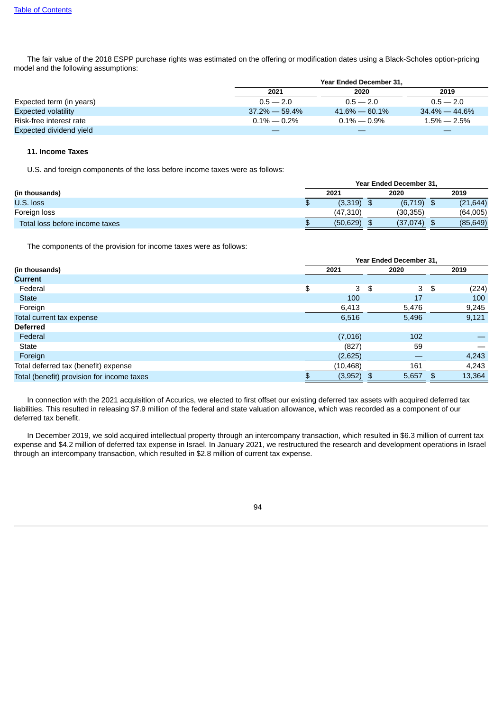The fair value of the 2018 ESPP purchase rights was estimated on the offering or modification dates using a Black-Scholes option-pricing model and the following assumptions:

|                            |                   | Year Ended December 31. |                   |  |  |  |  |
|----------------------------|-------------------|-------------------------|-------------------|--|--|--|--|
|                            | 2021              | 2020                    | 2019              |  |  |  |  |
| Expected term (in years)   | $0.5 - 2.0$       | $0.5 - 2.0$             | $0.5 - 2.0$       |  |  |  |  |
| <b>Expected volatility</b> | $37.2\% - 59.4\%$ | $41.6\% - 60.1\%$       | $34.4\% - 44.6\%$ |  |  |  |  |
| Risk-free interest rate    | $0.1\% - 0.2\%$   | $0.1\% - 0.9\%$         | $1.5\% - 2.5\%$   |  |  |  |  |
| Expected dividend yield    |                   |                         |                   |  |  |  |  |

# **11. Income Taxes**

U.S. and foreign components of the loss before income taxes were as follows:

|                                | <b>Year Ended December 31.</b> |           |      |           |  |           |  |  |
|--------------------------------|--------------------------------|-----------|------|-----------|--|-----------|--|--|
| (in thousands)                 |                                | 2021      | 2020 |           |  | 2019      |  |  |
| U.S. loss                      | \$                             | (3,319)   |      | (6, 719)  |  | (21, 644) |  |  |
| Foreign loss                   |                                | (47, 310) |      | (30, 355) |  | (64,005)  |  |  |
| Total loss before income taxes | \$                             | (50, 629) |      | (37,074)  |  | (85, 649) |  |  |

The components of the provision for income taxes were as follows:

|                                            | Year Ended December 31, |              |              |  |  |  |  |  |
|--------------------------------------------|-------------------------|--------------|--------------|--|--|--|--|--|
| (in thousands)                             | 2021                    | 2020         | 2019         |  |  |  |  |  |
| <b>Current</b>                             |                         |              |              |  |  |  |  |  |
| Federal                                    | \$<br>3                 | \$<br>3      | (224)<br>\$  |  |  |  |  |  |
| <b>State</b>                               | 100                     | 17           | 100          |  |  |  |  |  |
| Foreign                                    | 6,413                   | 5,476        | 9,245        |  |  |  |  |  |
| Total current tax expense                  | 6,516                   | 5,496        | 9,121        |  |  |  |  |  |
| <b>Deferred</b>                            |                         |              |              |  |  |  |  |  |
| Federal                                    | (7,016)                 | 102          |              |  |  |  |  |  |
| <b>State</b>                               | (827)                   | 59           |              |  |  |  |  |  |
| Foreign                                    | (2,625)                 |              | 4,243        |  |  |  |  |  |
| Total deferred tax (benefit) expense       | (10, 468)               | 161          | 4,243        |  |  |  |  |  |
| Total (benefit) provision for income taxes | (3,952)                 | 5,657<br>-\$ | 13,364<br>\$ |  |  |  |  |  |

In connection with the 2021 acquisition of Accurics, we elected to first offset our existing deferred tax assets with acquired deferred tax liabilities. This resulted in releasing \$7.9 million of the federal and state valuation allowance, which was recorded as a component of our deferred tax benefit.

In December 2019, we sold acquired intellectual property through an intercompany transaction, which resulted in \$6.3 million of current tax expense and \$4.2 million of deferred tax expense in Israel. In January 2021, we restructured the research and development operations in Israel through an intercompany transaction, which resulted in \$2.8 million of current tax expense.

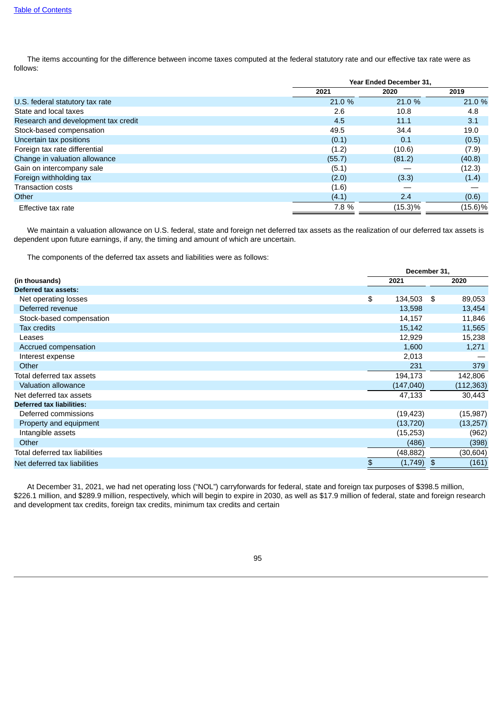The items accounting for the difference between income taxes computed at the federal statutory rate and our effective tax rate were as follows:

|                                     | Year Ended December 31, |            |            |  |  |
|-------------------------------------|-------------------------|------------|------------|--|--|
|                                     | 2021                    | 2020       | 2019       |  |  |
| U.S. federal statutory tax rate     | 21.0 %                  | 21.0 %     | 21.0 %     |  |  |
| State and local taxes               | 2.6                     | 10.8       | 4.8        |  |  |
| Research and development tax credit | 4.5                     | 11.1       | 3.1        |  |  |
| Stock-based compensation            | 49.5                    | 34.4       | 19.0       |  |  |
| Uncertain tax positions             | (0.1)                   | 0.1        | (0.5)      |  |  |
| Foreign tax rate differential       | (1.2)                   | (10.6)     | (7.9)      |  |  |
| Change in valuation allowance       | (55.7)                  | (81.2)     | (40.8)     |  |  |
| Gain on intercompany sale           | (5.1)                   |            | (12.3)     |  |  |
| Foreign withholding tax             | (2.0)                   | (3.3)      | (1.4)      |  |  |
| <b>Transaction costs</b>            | (1.6)                   |            |            |  |  |
| Other                               | (4.1)                   | 2.4        | (0.6)      |  |  |
| Effective tax rate                  | 7.8 %                   | $(15.3)\%$ | $(15.6)\%$ |  |  |

We maintain a valuation allowance on U.S. federal, state and foreign net deferred tax assets as the realization of our deferred tax assets is dependent upon future earnings, if any, the timing and amount of which are uncertain.

The components of the deferred tax assets and liabilities were as follows:

|                                  | December 31, |            |    |            |  |
|----------------------------------|--------------|------------|----|------------|--|
| (in thousands)                   |              | 2021       |    | 2020       |  |
| Deferred tax assets:             |              |            |    |            |  |
| Net operating losses             | \$           | 134,503    | \$ | 89,053     |  |
| Deferred revenue                 |              | 13,598     |    | 13,454     |  |
| Stock-based compensation         |              | 14,157     |    | 11,846     |  |
| Tax credits                      |              | 15,142     |    | 11,565     |  |
| Leases                           |              | 12,929     |    | 15,238     |  |
| Accrued compensation             |              | 1,600      |    | 1,271      |  |
| Interest expense                 |              | 2,013      |    |            |  |
| Other                            |              | 231        |    | 379        |  |
| Total deferred tax assets        |              | 194,173    |    | 142,806    |  |
| <b>Valuation allowance</b>       |              | (147, 040) |    | (112, 363) |  |
| Net deferred tax assets          |              | 47,133     |    | 30,443     |  |
| <b>Deferred tax liabilities:</b> |              |            |    |            |  |
| Deferred commissions             |              | (19, 423)  |    | (15, 987)  |  |
| Property and equipment           |              | (13, 720)  |    | (13, 257)  |  |
| Intangible assets                |              | (15, 253)  |    | (962)      |  |
| Other                            |              | (486)      |    | (398)      |  |
| Total deferred tax liabilities   |              | (48, 882)  |    | (30, 604)  |  |
| Net deferred tax liabilities     | \$           | (1,749)    | \$ | (161)      |  |

At December 31, 2021, we had net operating loss ("NOL") carryforwards for federal, state and foreign tax purposes of \$398.5 million, \$226.1 million, and \$289.9 million, respectively, which will begin to expire in 2030, as well as \$17.9 million of federal, state and foreign research and development tax credits, foreign tax credits, minimum tax credits and certain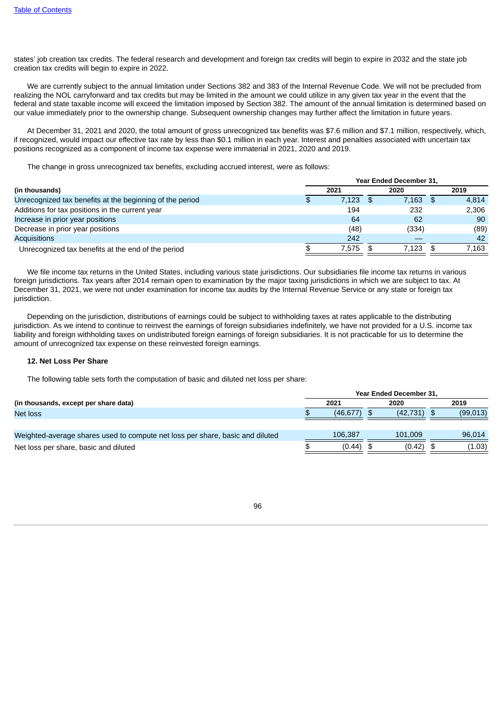states' job creation tax credits. The federal research and development and foreign tax credits will begin to expire in 2032 and the state job creation tax credits will begin to expire in 2022.

We are currently subject to the annual limitation under Sections 382 and 383 of the Internal Revenue Code. We will not be precluded from realizing the NOL carryforward and tax credits but may be limited in the amount we could utilize in any given tax year in the event that the federal and state taxable income will exceed the limitation imposed by Section 382. The amount of the annual limitation is determined based on our value immediately prior to the ownership change. Subsequent ownership changes may further affect the limitation in future years.

At December 31, 2021 and 2020, the total amount of gross unrecognized tax benefits was \$7.6 million and \$7.1 million, respectively, which, if recognized, would impact our effective tax rate by less than \$0.1 million in each year. Interest and penalties associated with uncertain tax positions recognized as a component of income tax expense were immaterial in 2021, 2020 and 2019.

The change in gross unrecognized tax benefits, excluding accrued interest, were as follows:

|                                                          | Year Ended December 31, |       |  |            |  |       |
|----------------------------------------------------------|-------------------------|-------|--|------------|--|-------|
| (in thousands)                                           |                         | 2021  |  | 2020       |  | 2019  |
| Unrecognized tax benefits at the beginning of the period | \$                      | 7,123 |  | $7,163$ \$ |  | 4,814 |
| Additions for tax positions in the current year          |                         | 194   |  | 232        |  | 2,306 |
| Increase in prior year positions                         |                         | 64    |  | 62         |  | 90    |
| Decrease in prior year positions                         |                         | (48)  |  | (334)      |  | (89)  |
| <b>Acquisitions</b>                                      |                         | 242   |  |            |  | 42    |
| Unrecognized tax benefits at the end of the period       |                         | 7.575 |  | 7.123      |  | 7.163 |

We file income tax returns in the United States, including various state jurisdictions. Our subsidiaries file income tax returns in various foreign jurisdictions. Tax years after 2014 remain open to examination by the major taxing jurisdictions in which we are subject to tax. At December 31, 2021, we were not under examination for income tax audits by the Internal Revenue Service or any state or foreign tax jurisdiction.

Depending on the jurisdiction, distributions of earnings could be subject to withholding taxes at rates applicable to the distributing jurisdiction. As we intend to continue to reinvest the earnings of foreign subsidiaries indefinitely, we have not provided for a U.S. income tax liability and foreign withholding taxes on undistributed foreign earnings of foreign subsidiaries. It is not practicable for us to determine the amount of unrecognized tax expense on these reinvested foreign earnings.

#### **12. Net Loss Per Share**

The following table sets forth the computation of basic and diluted net loss per share:

| <b>Year Ended December 31.</b> |          |  |          |      |           |  |  |
|--------------------------------|----------|--|----------|------|-----------|--|--|
|                                | 2021     |  | 2020     | 2019 |           |  |  |
|                                | (46.677) |  | (42.731) |      | (99, 013) |  |  |
|                                |          |  |          |      |           |  |  |
|                                | 106.387  |  | 101.009  |      | 96.014    |  |  |
|                                | (0.44)   |  | (0.42)   |      | (1.03)    |  |  |
|                                |          |  |          |      |           |  |  |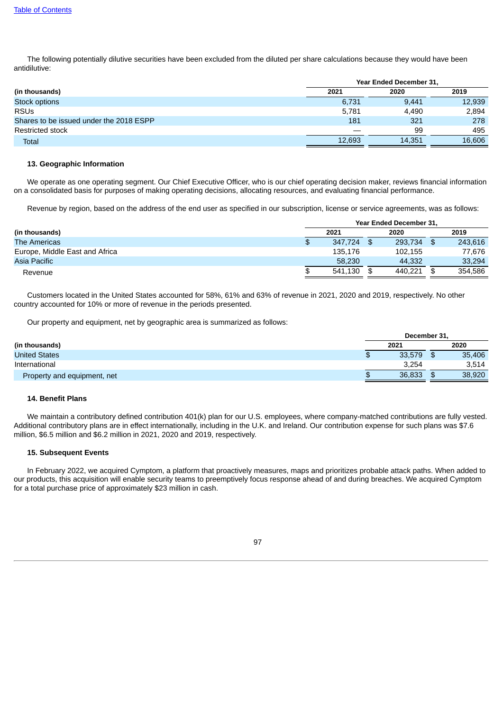The following potentially dilutive securities have been excluded from the diluted per share calculations because they would have been antidilutive:

|                                         |        | Year Ended December 31, |        |  |  |  |  |
|-----------------------------------------|--------|-------------------------|--------|--|--|--|--|
| (in thousands)                          | 2021   | 2020                    | 2019   |  |  |  |  |
| Stock options                           | 6,731  | 9.441                   | 12,939 |  |  |  |  |
| <b>RSUs</b>                             | 5.781  | 4.490                   | 2,894  |  |  |  |  |
| Shares to be issued under the 2018 ESPP | 181    | 321                     | 278    |  |  |  |  |
| Restricted stock                        |        | 99                      | 495    |  |  |  |  |
| Total                                   | 12,693 | 14,351                  | 16,606 |  |  |  |  |

#### **13. Geographic Information**

We operate as one operating segment. Our Chief Executive Officer, who is our chief operating decision maker, reviews financial information on a consolidated basis for purposes of making operating decisions, allocating resources, and evaluating financial performance.

Revenue by region, based on the address of the end user as specified in our subscription, license or service agreements, was as follows:

|                                | <b>Year Ended December 31.</b> |         |  |         |      |         |  |  |      |  |  |
|--------------------------------|--------------------------------|---------|--|---------|------|---------|--|--|------|--|--|
| (in thousands)                 | 2021<br>2020                   |         |  |         |      |         |  |  | 2019 |  |  |
| The Americas                   | \$                             | 347.724 |  | 293.734 | - \$ | 243.616 |  |  |      |  |  |
| Europe, Middle East and Africa |                                | 135.176 |  | 102.155 |      | 77.676  |  |  |      |  |  |
| Asia Pacific                   |                                | 58,230  |  | 44.332  |      | 33,294  |  |  |      |  |  |
| Revenue                        | \$                             | 541.130 |  | 440.221 |      | 354,586 |  |  |      |  |  |

Customers located in the United States accounted for 58%, 61% and 63% of revenue in 2021, 2020 and 2019, respectively. No other country accounted for 10% or more of revenue in the periods presented.

Our property and equipment, net by geographic area is summarized as follows:

|                             | December 31. |        |  |        |  |  |  |
|-----------------------------|--------------|--------|--|--------|--|--|--|
| (in thousands)              |              | 2021   |  | 2020   |  |  |  |
| <b>United States</b>        | Ф            | 33,579 |  | 35,406 |  |  |  |
| International               |              | 3,254  |  | 3,514  |  |  |  |
| Property and equipment, net | \$           | 36,833 |  | 38,920 |  |  |  |

#### **14. Benefit Plans**

We maintain a contributory defined contribution 401(k) plan for our U.S. employees, where company-matched contributions are fully vested. Additional contributory plans are in effect internationally, including in the U.K. and Ireland. Our contribution expense for such plans was \$7.6 million, \$6.5 million and \$6.2 million in 2021, 2020 and 2019, respectively.

## **15. Subsequent Events**

In February 2022, we acquired Cymptom, a platform that proactively measures, maps and prioritizes probable attack paths. When added to our products, this acquisition will enable security teams to preemptively focus response ahead of and during breaches. We acquired Cymptom for a total purchase price of approximately \$23 million in cash.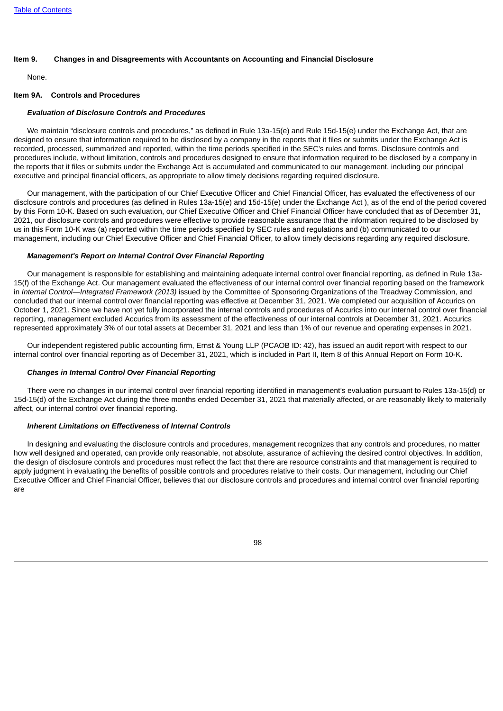## **Item 9. Changes in and Disagreements with Accountants on Accounting and Financial Disclosure**

None.

#### **Item 9A. Controls and Procedures**

#### *Evaluation of Disclosure Controls and Procedures*

We maintain "disclosure controls and procedures," as defined in Rule 13a-15(e) and Rule 15d-15(e) under the Exchange Act, that are designed to ensure that information required to be disclosed by a company in the reports that it files or submits under the Exchange Act is recorded, processed, summarized and reported, within the time periods specified in the SEC's rules and forms. Disclosure controls and procedures include, without limitation, controls and procedures designed to ensure that information required to be disclosed by a company in the reports that it files or submits under the Exchange Act is accumulated and communicated to our management, including our principal executive and principal financial officers, as appropriate to allow timely decisions regarding required disclosure.

Our management, with the participation of our Chief Executive Officer and Chief Financial Officer, has evaluated the effectiveness of our disclosure controls and procedures (as defined in Rules 13a-15(e) and 15d-15(e) under the Exchange Act ), as of the end of the period covered by this Form 10-K. Based on such evaluation, our Chief Executive Officer and Chief Financial Officer have concluded that as of December 31, 2021, our disclosure controls and procedures were effective to provide reasonable assurance that the information required to be disclosed by us in this Form 10-K was (a) reported within the time periods specified by SEC rules and regulations and (b) communicated to our management, including our Chief Executive Officer and Chief Financial Officer, to allow timely decisions regarding any required disclosure.

## *Management's Report on Internal Control Over Financial Reporting*

Our management is responsible for establishing and maintaining adequate internal control over financial reporting, as defined in Rule 13a-15(f) of the Exchange Act. Our management evaluated the effectiveness of our internal control over financial reporting based on the framework in *Internal Control—Integrated Framework (2013)* issued by the Committee of Sponsoring Organizations of the Treadway Commission, and concluded that our internal control over financial reporting was effective at December 31, 2021. We completed our acquisition of Accurics on October 1, 2021. Since we have not yet fully incorporated the internal controls and procedures of Accurics into our internal control over financial reporting, management excluded Accurics from its assessment of the effectiveness of our internal controls at December 31, 2021. Accurics represented approximately 3% of our total assets at December 31, 2021 and less than 1% of our revenue and operating expenses in 2021.

Our independent registered public accounting firm, Ernst & Young LLP (PCAOB ID: 42), has issued an audit report with respect to our internal control over financial reporting as of December 31, 2021, which is included in Part II, Item 8 of this Annual Report on Form 10-K.

#### *Changes in Internal Control Over Financial Reporting*

There were no changes in our internal control over financial reporting identified in management's evaluation pursuant to Rules 13a-15(d) or 15d-15(d) of the Exchange Act during the three months ended December 31, 2021 that materially affected, or are reasonably likely to materially affect, our internal control over financial reporting.

#### *Inherent Limitations on Effectiveness of Internal Controls*

In designing and evaluating the disclosure controls and procedures, management recognizes that any controls and procedures, no matter how well designed and operated, can provide only reasonable, not absolute, assurance of achieving the desired control objectives. In addition, the design of disclosure controls and procedures must reflect the fact that there are resource constraints and that management is required to apply judgment in evaluating the benefits of possible controls and procedures relative to their costs. Our management, including our Chief Executive Officer and Chief Financial Officer, believes that our disclosure controls and procedures and internal control over financial reporting are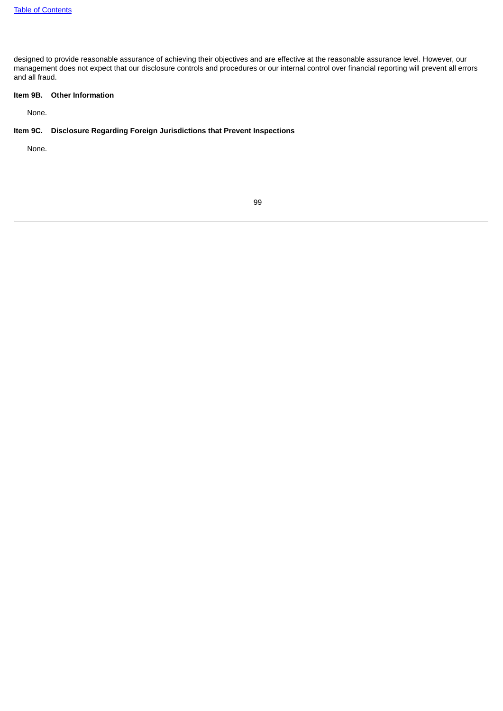designed to provide reasonable assurance of achieving their objectives and are effective at the reasonable assurance level. However, our management does not expect that our disclosure controls and procedures or our internal control over financial reporting will prevent all errors and all fraud.

## **Item 9B. Other Information**

None.

# **Item 9C. Disclosure Regarding Foreign Jurisdictions that Prevent Inspections**

None.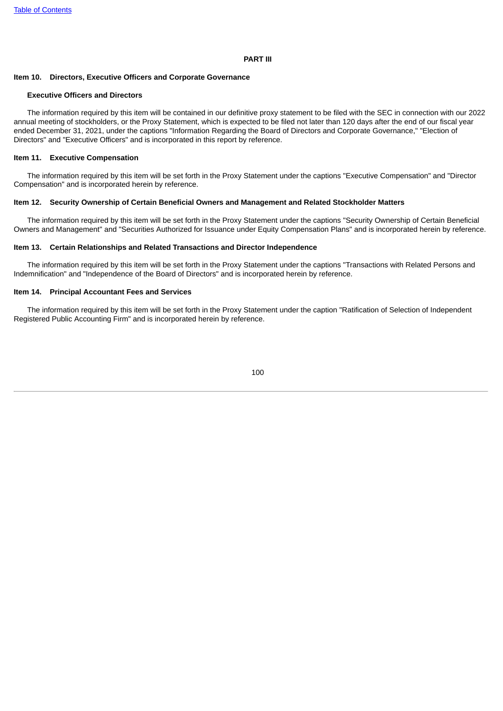## **PART III**

## **Item 10. Directors, Executive Officers and Corporate Governance**

#### **Executive Officers and Directors**

The information required by this item will be contained in our definitive proxy statement to be filed with the SEC in connection with our 2022 annual meeting of stockholders, or the Proxy Statement, which is expected to be filed not later than 120 days after the end of our fiscal year ended December 31, 2021, under the captions "Information Regarding the Board of Directors and Corporate Governance," "Election of Directors" and "Executive Officers" and is incorporated in this report by reference.

## **Item 11. Executive Compensation**

The information required by this item will be set forth in the Proxy Statement under the captions "Executive Compensation" and "Director Compensation" and is incorporated herein by reference.

## **Item 12. Security Ownership of Certain Beneficial Owners and Management and Related Stockholder Matters**

The information required by this item will be set forth in the Proxy Statement under the captions "Security Ownership of Certain Beneficial Owners and Management" and "Securities Authorized for Issuance under Equity Compensation Plans" and is incorporated herein by reference.

## **Item 13. Certain Relationships and Related Transactions and Director Independence**

The information required by this item will be set forth in the Proxy Statement under the captions "Transactions with Related Persons and Indemnification" and "Independence of the Board of Directors" and is incorporated herein by reference.

# **Item 14. Principal Accountant Fees and Services**

The information required by this item will be set forth in the Proxy Statement under the caption "Ratification of Selection of Independent Registered Public Accounting Firm" and is incorporated herein by reference.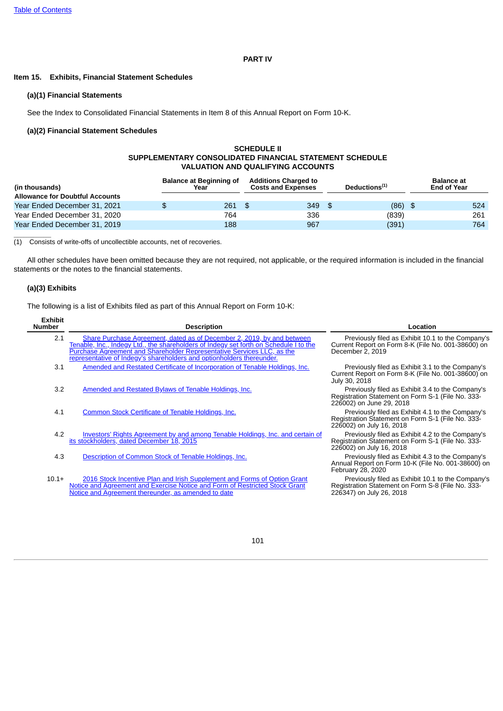## **PART IV**

# **Item 15. Exhibits, Financial Statement Schedules**

## **(a)(1) Financial Statements**

See the Index to Consolidated Financial Statements in Item 8 of this Annual Report on Form 10-K.

# **(a)(2) Financial Statement Schedules**

## **SCHEDULE II SUPPLEMENTARY CONSOLIDATED FINANCIAL STATEMENT SCHEDULE VALUATION AND QUALIFYING ACCOUNTS**

| (in thousands)                         | <b>Balance at Beginning of</b><br>Year | <b>Additions Charged to</b><br><b>Costs and Expenses</b> |          |  | Deductions <sup>(1)</sup> | <b>Balance at</b><br><b>End of Year</b> |
|----------------------------------------|----------------------------------------|----------------------------------------------------------|----------|--|---------------------------|-----------------------------------------|
| <b>Allowance for Doubtful Accounts</b> |                                        |                                                          |          |  |                           |                                         |
| Year Ended December 31, 2021           | 261S                                   |                                                          | $349$ \$ |  | $(86)$ \$                 | 524                                     |
| Year Ended December 31, 2020           | 764                                    |                                                          | 336      |  | (839)                     | 261                                     |
| Year Ended December 31, 2019           | 188                                    |                                                          | 967      |  | (391)                     | 764                                     |

\_\_\_\_\_\_\_\_\_\_\_\_\_\_\_ (1) Consists of write-offs of uncollectible accounts, net of recoveries.

All other schedules have been omitted because they are not required, not applicable, or the required information is included in the financial statements or the notes to the financial statements.

# **(a)(3) Exhibits**

The following is a list of Exhibits filed as part of this Annual Report on Form 10-K:

| <b>Exhibit</b><br><b>Number</b> | <b>Description</b>                                                                                                                                                                                                                                                                                                        | Location                                                                                                                           |
|---------------------------------|---------------------------------------------------------------------------------------------------------------------------------------------------------------------------------------------------------------------------------------------------------------------------------------------------------------------------|------------------------------------------------------------------------------------------------------------------------------------|
| 2.1                             | Share Purchase Agreement, dated as of December 2, 2019, by and between<br><u>Tenable, Inc., Indegy Ltd., the shareholders of Indegy set forth on Schedule I to the</u><br>Purchase Agreement and Shareholder Representative Services LLC, as the<br>representative of Indegy's shareholders and optionholders thereunder. | Previously filed as Exhibit 10.1 to the Company's<br>Current Report on Form 8-K (File No. 001-38600) on<br>December 2, 2019        |
| 3.1                             | Amended and Restated Certificate of Incorporation of Tenable Holdings, Inc.                                                                                                                                                                                                                                               | Previously filed as Exhibit 3.1 to the Company's<br>Current Report on Form 8-K (File No. 001-38600) on<br>July 30, 2018            |
| 3.2                             | Amended and Restated Bylaws of Tenable Holdings, Inc.                                                                                                                                                                                                                                                                     | Previously filed as Exhibit 3.4 to the Company's<br>Registration Statement on Form S-1 (File No. 333-<br>226002) on June 29, 2018  |
| 4.1                             | Common Stock Certificate of Tenable Holdings, Inc.                                                                                                                                                                                                                                                                        | Previously filed as Exhibit 4.1 to the Company's<br>Registration Statement on Form S-1 (File No. 333-<br>226002) on July 16, 2018  |
| 4.2                             | <u>Investors' Rights Agreement by and among Tenable Holdings, Inc. and certain of</u><br>its stockholders, dated December 18, 2015                                                                                                                                                                                        | Previously filed as Exhibit 4.2 to the Company's<br>Registration Statement on Form S-1 (File No. 333-<br>226002) on July 16, 2018  |
| 4.3                             | Description of Common Stock of Tenable Holdings, Inc.                                                                                                                                                                                                                                                                     | Previously filed as Exhibit 4.3 to the Company's<br>Annual Report on Form 10-K (File No. 001-38600) on<br>February 28, 2020        |
| $10.1+$                         | 2016 Stock Incentive Plan and Irish Supplement and Forms of Option Grant<br>Notice and Agreement and Exercise Notice and Form of Restricted Stock Grant<br>Notice and Agreement thereunder, as amended to date                                                                                                            | Previously filed as Exhibit 10.1 to the Company's<br>Registration Statement on Form S-8 (File No. 333-<br>226347) on July 26, 2018 |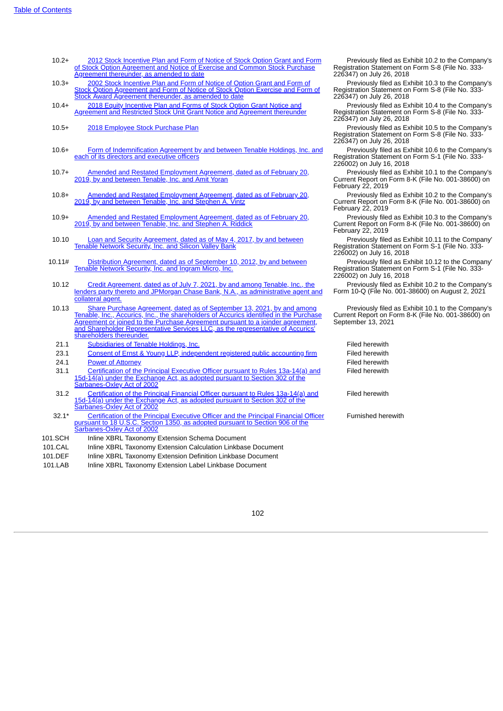- 10.2+ 2012 Stock Incentive Plan and Form of Notice of Stock Option Grant and Form [of Stock Option Agreement and Notice of Exercise and Common Stock Purchase](http://www.sec.gov/Archives/edgar/data/1660280/000119312518226924/d494510dex102.htm) Agreement thereunder, as amended to date
- 10.3+ 2002 Stock Incentive Plan and Form of Notice of Option Grant and Form of [Stock Option Agreement and Form of Notice of Stock Option Exercise and Form of](http://www.sec.gov/Archives/edgar/data/1660280/000119312518226924/d494510dex103.htm) Stock Award Agreement thereunder, as amended to date
- 10.4+ 2018 Equity Incentive Plan and Forms of Stock Option Grant Notice and [Agreement and Restricted Stock Unit Grant Notice and Agreement thereunder](http://www.sec.gov/Archives/edgar/data/1660280/000119312518226924/d494510dex104.htm)

- 10.6+ [Form of Indemnification Agreement by and between Tenable Holdings, Inc. and](http://www.sec.gov/Archives/edgar/data/0001660280/000119312518209705/d548092dex106.htm) each of its directors and executive officers
- 10.7+ [Amended and Restated Employment Agreement, dated as of February 20,](http://www.sec.gov/Archives/edgar/data/1660280/000166028019000005/yoranamendedandrestatedemp.htm) 2019, by and between Tenable, Inc. and Amit Yoran
- 10.8+ [Amended and Restated Employment Agreement, dated as of February 20,](http://www.sec.gov/Archives/edgar/data/1660280/000166028019000005/vintz-amendedandrestatedem.htm) 2019, by and between Tenable, Inc. and Stephen A. Vintz
- 10.9+ [Amended and Restated Employment Agreement, dated as of February 20,](http://www.sec.gov/Archives/edgar/data/1660280/000166028019000005/riddick-amendedandrestated.htm) 2019, by and between Tenable, Inc. and Stephen A. Riddick
- 10.10 [Loan and Security Agreement, dated as of May 4, 2017, by and between](http://www.sec.gov/Archives/edgar/data/0001660280/000119312518209705/d548092dex1011.htm) Tenable Network Security, Inc. and Silicon Valley Bank
- 10.11# [Distribution Agreement, dated as of September 10, 2012, by and between](http://www.sec.gov/Archives/edgar/data/0001660280/000119312518209705/d548092dex1012.htm) Tenable Network Security, Inc. and Ingram Micro, Inc.
- 10.12 Credit Agreement, dated as of July 7, 2021, by and among Tenable, Inc., the [lenders party thereto and JPMorgan Chase Bank, N.A., as administrative agent and](http://www.sec.gov/Archives/edgar/data/1660280/000166028021000127/tenable-creditagreement.htm) collateral agent.
- 10.13 Share Purchase Agreement, dated as of September 13, 2021, by and among [Tenable, Inc., Accurics, Inc., the shareholders of Accurics identified in the Purchase](https://www.sec.gov/Archives/edgar/data/1660280/000166028021000150/ex101.htm) Agreement or joined to the Purchase Agreement pursuant to a joinder agreement, and Shareholder Representative Services LLC, as the representative of Accurics' Shareholder Representative Services LLC, as the representative of Accurics' shareholders thereunder.
- 21.1 [Subsidiaries of Tenable Holdings, Inc.](#page-105-0) **Filed herewith** Filed herewith
- 23.1 [Consent of Ernst & Young LLP, independent registered public accounting firm](#page-106-0) Filed herewith
- 24.1 [Power of Attorney](#page-103-0) **Filed herewith**  $\blacksquare$
- 31.1 [Certification of the Principal Executive Officer pursuant to Rules 13a-14\(a\) and](#page-107-0) 15d-14(a) under the Exchange Act, as adopted pursuant to Section 302 of the Sarbanes-Oxley Act of 2002
- 31.2 Certification of the Principal Financial Officer pursuant to Rules 13a-14(a) and [15d-14\(a\) under the Exchange Act, as adopted pursuant to Section 302 of the](#page-108-0) Sarbanes-Oxley Act of 2002
- 32.1\* [Certification of the Principal Executive Officer and the Principal Financial Officer](#page-109-0) pursuant to 18 U.S.C. Section 1350, as adopted pursuant to Section 906 of the Sarbanes-Oxley Act of 2002
- 101.SCH Inline XBRL Taxonomy Extension Schema Document
- 101.CAL Inline XBRL Taxonomy Extension Calculation Linkbase Document
- 101.DEF Inline XBRL Taxonomy Extension Definition Linkbase Document
- 101.LAB Inline XBRL Taxonomy Extension Label Linkbase Document

Previously filed as Exhibit 10.2 to the Company's Registration Statement on Form S-8 (File No. 333- 226347) on July 26, 2018

Previously filed as Exhibit 10.3 to the Company's Registration Statement on Form S-8 (File No. 333- 226347) on July 26, 2018

Previously filed as Exhibit 10.4 to the Company's Registration Statement on Form S-8 (File No. 333- 226347) on July 26, 2018

10.5+ [2018 Employee Stock Purchase Plan](http://www.sec.gov/Archives/edgar/data/1660280/000119312518226924/d494510dex105.htm) Previously filed as Exhibit 10.5 to the Company's Registration Statement on Form S-8 (File No. 333- 226347) on July 26, 2018

> Previously filed as Exhibit 10.6 to the Company's Registration Statement on Form S-1 (File No. 333- 226002) on July 16, 2018

> Previously filed as Exhibit 10.1 to the Company's Current Report on Form 8-K (File No. 001-38600) on February 22, 2019

> Previously filed as Exhibit 10.2 to the Company's Current Report on Form 8-K (File No. 001-38600) on February 22, 2019

> Previously filed as Exhibit 10.3 to the Company's Current Report on Form 8-K (File No. 001-38600) on February 22, 2019

> Previously filed as Exhibit 10.11 to the Company' Registration Statement on Form S-1 (File No. 333- 226002) on July 16, 2018

> Previously filed as Exhibit 10.12 to the Company' Registration Statement on Form S-1 (File No. 333- 226002) on July 16, 2018

> Previously filed as Exhibit 10.2 to the Company's Form 10-Q (File No. 001-38600) on August 2, 2021

> Previously filed as Exhibit 10.1 to the Company's Current Report on Form 8-K (File No. 001-38600) on September 13, 2021

Filed herewith

Filed herewith

Furnished herewith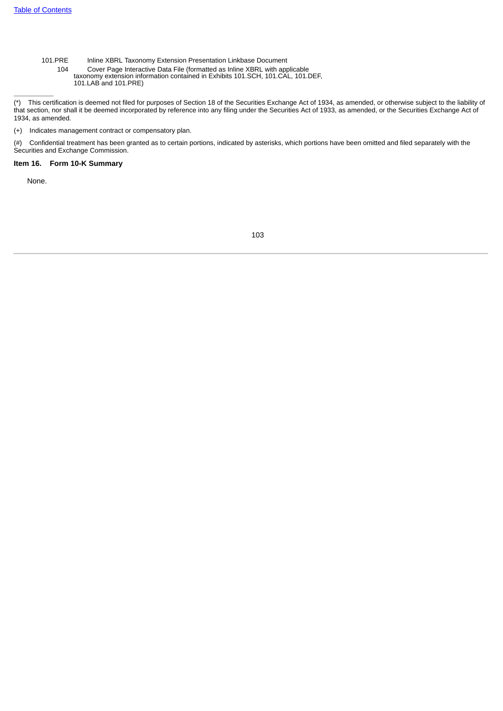101.PRE Inline XBRL Taxonomy Extension Presentation Linkbase Document

104 Cover Page Interactive Data File (formatted as Inline XBRL with applicable taxonomy extension information contained in Exhibits 101.SCH, 101.CAL, 101.DEF, 101.LAB and 101.PRE)

(\*) This certification is deemed not filed for purposes of Section 18 of the Securities Exchange Act of 1934, as amended, or otherwise subject to the liability of that section, nor shall it be deemed incorporated by reference into any filing under the Securities Act of 1933, as amended, or the Securities Exchange Act of 1934, as amended.

(+) Indicates management contract or compensatory plan.

(#) Confidential treatment has been granted as to certain portions, indicated by asterisks, which portions have been omitted and filed separately with the Securities and Exchange Commission.

## **Item 16. Form 10-K Summary**

None.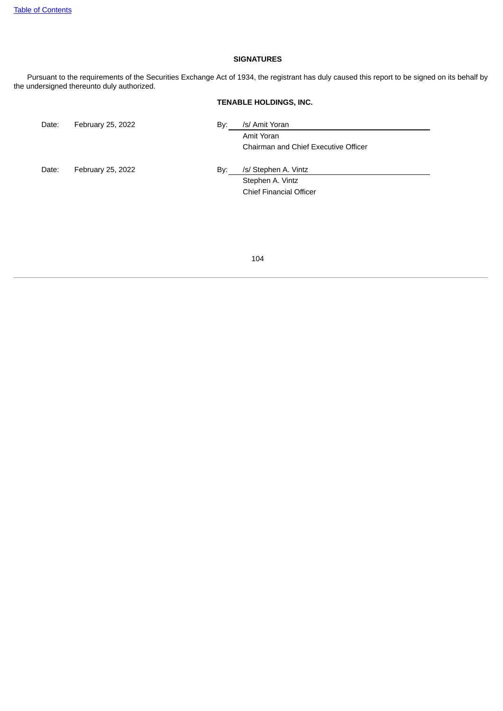## **SIGNATURES**

Pursuant to the requirements of the Securities Exchange Act of 1934, the registrant has duly caused this report to be signed on its behalf by the undersigned thereunto duly authorized.

# **TENABLE HOLDINGS, INC.**

<span id="page-103-0"></span>

| Date: | February 25, 2022 | By: | /s/ Amit Yoran                              |
|-------|-------------------|-----|---------------------------------------------|
|       |                   |     | Amit Yoran                                  |
|       |                   |     | <b>Chairman and Chief Executive Officer</b> |
| Date: | February 25, 2022 | By: | /s/ Stephen A. Vintz                        |
|       |                   |     | Stephen A. Vintz                            |
|       |                   |     | <b>Chief Financial Officer</b>              |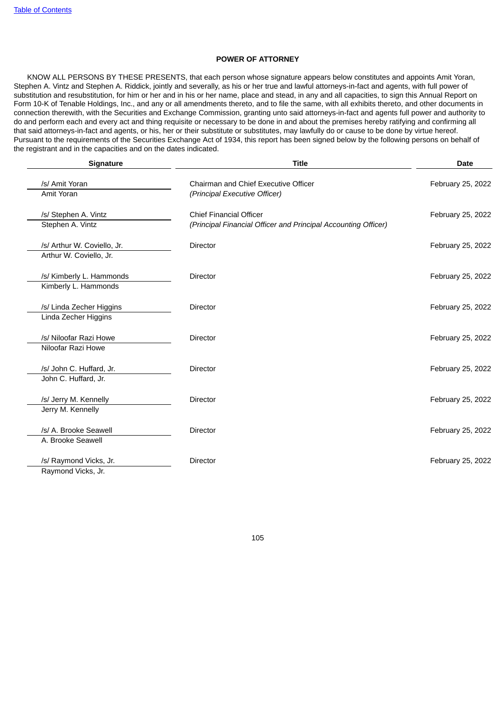# **POWER OF ATTORNEY**

KNOW ALL PERSONS BY THESE PRESENTS, that each person whose signature appears below constitutes and appoints Amit Yoran, Stephen A. Vintz and Stephen A. Riddick, jointly and severally, as his or her true and lawful attorneys-in-fact and agents, with full power of substitution and resubstitution, for him or her and in his or her name, place and stead, in any and all capacities, to sign this Annual Report on Form 10-K of Tenable Holdings, Inc., and any or all amendments thereto, and to file the same, with all exhibits thereto, and other documents in connection therewith, with the Securities and Exchange Commission, granting unto said attorneys-in-fact and agents full power and authority to do and perform each and every act and thing requisite or necessary to be done in and about the premises hereby ratifying and confirming all that said attorneys-in-fact and agents, or his, her or their substitute or substitutes, may lawfully do or cause to be done by virtue hereof. Pursuant to the requirements of the Securities Exchange Act of 1934, this report has been signed below by the following persons on behalf of the registrant and in the capacities and on the dates indicated.

| Signature                   | <b>Title</b>                                                   | <b>Date</b>       |
|-----------------------------|----------------------------------------------------------------|-------------------|
| /s/ Amit Yoran              | Chairman and Chief Executive Officer                           | February 25, 2022 |
| Amit Yoran                  | (Principal Executive Officer)                                  |                   |
| /s/ Stephen A. Vintz        | <b>Chief Financial Officer</b>                                 | February 25, 2022 |
| Stephen A. Vintz            | (Principal Financial Officer and Principal Accounting Officer) |                   |
| /s/ Arthur W. Coviello, Jr. | Director                                                       | February 25, 2022 |
| Arthur W. Coviello, Jr.     |                                                                |                   |
| /s/ Kimberly L. Hammonds    | <b>Director</b>                                                | February 25, 2022 |
| Kimberly L. Hammonds        |                                                                |                   |
| /s/ Linda Zecher Higgins    | <b>Director</b>                                                | February 25, 2022 |
| Linda Zecher Higgins        |                                                                |                   |
| /s/ Niloofar Razi Howe      | <b>Director</b>                                                | February 25, 2022 |
| Niloofar Razi Howe          |                                                                |                   |
| /s/ John C. Huffard, Jr.    | <b>Director</b>                                                | February 25, 2022 |
| John C. Huffard, Jr.        |                                                                |                   |
| /s/ Jerry M. Kennelly       | <b>Director</b>                                                | February 25, 2022 |
| Jerry M. Kennelly           |                                                                |                   |
| /s/ A. Brooke Seawell       | <b>Director</b>                                                | February 25, 2022 |
| A. Brooke Seawell           |                                                                |                   |
| /s/ Raymond Vicks, Jr.      | <b>Director</b>                                                | February 25, 2022 |
| Raymond Vicks, Jr.          |                                                                |                   |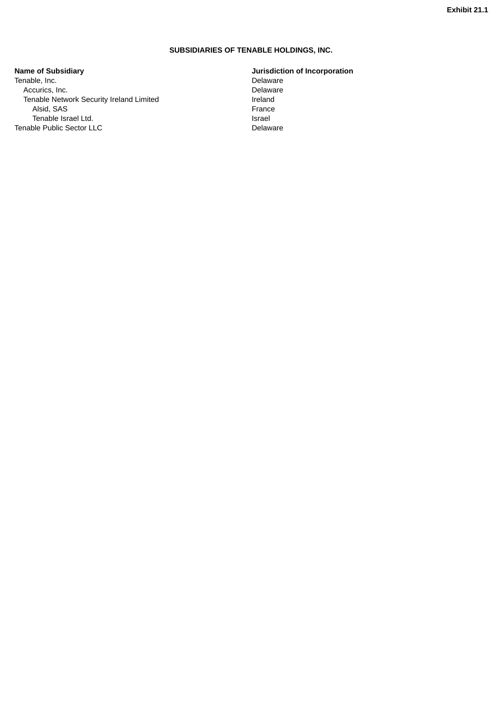# **SUBSIDIARIES OF TENABLE HOLDINGS, INC.**

# <span id="page-105-0"></span>**Name of Subsidiary Jurisdiction of Incorporation**

Tenable, Inc. **Delaware** Accurics, Inc.<br>
Tenable Network Security Ireland Limited<br>
Tenable Network Security Ireland Limited Tenable Network Security Ireland Limited<br>Alsid. SAS France Alsid, SAS France<br>Tenable Israel Ltd. The Second State of the State State Israel Tenable Israel Ltd. Tenable Public Sector LLC **Canadian Contract Contract Contract Contract Contract Contract Contract Contract Contract Contract Contract Contract Contract Contract Contract Contract Contract Contract Contract Contract Contra**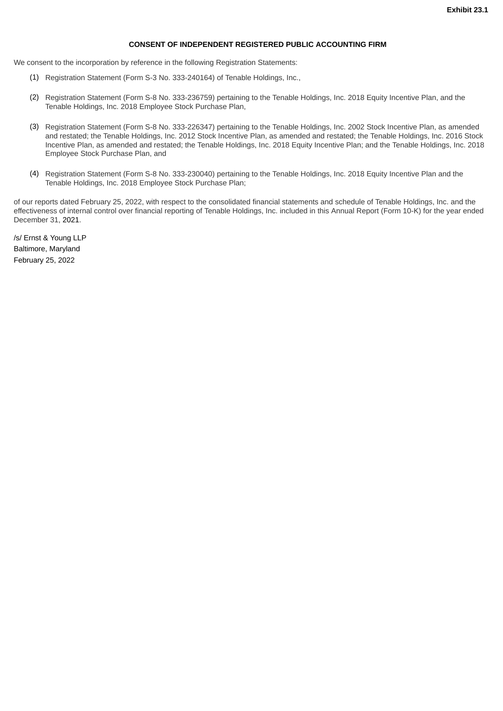# **CONSENT OF INDEPENDENT REGISTERED PUBLIC ACCOUNTING FIRM**

<span id="page-106-0"></span>We consent to the incorporation by reference in the following Registration Statements:

- (1) Registration Statement (Form S-3 No. 333-240164) of Tenable Holdings, Inc.,
- (2) Registration Statement (Form S-8 No. 333-236759) pertaining to the Tenable Holdings, Inc. 2018 Equity Incentive Plan, and the Tenable Holdings, Inc. 2018 Employee Stock Purchase Plan,
- (3) Registration Statement (Form S-8 No. 333-226347) pertaining to the Tenable Holdings, Inc. 2002 Stock Incentive Plan, as amended and restated; the Tenable Holdings, Inc. 2012 Stock Incentive Plan, as amended and restated; the Tenable Holdings, Inc. 2016 Stock Incentive Plan, as amended and restated; the Tenable Holdings, Inc. 2018 Equity Incentive Plan; and the Tenable Holdings, Inc. 2018 Employee Stock Purchase Plan, and
- (4) Registration Statement (Form S-8 No. 333-230040) pertaining to the Tenable Holdings, Inc. 2018 Equity Incentive Plan and the Tenable Holdings, Inc. 2018 Employee Stock Purchase Plan;

of our reports dated February 25, 2022, with respect to the consolidated financial statements and schedule of Tenable Holdings, Inc. and the effectiveness of internal control over financial reporting of Tenable Holdings, Inc. included in this Annual Report (Form 10-K) for the year ended December 31, 2021.

/s/ Ernst & Young LLP Baltimore, Maryland February 25, 2022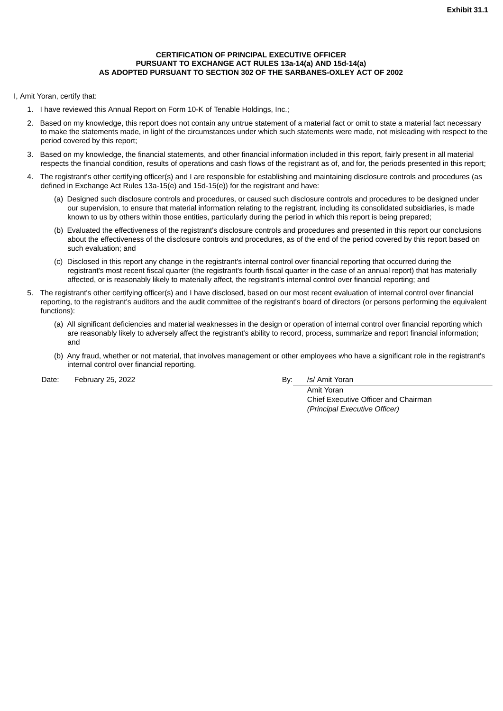## **CERTIFICATION OF PRINCIPAL EXECUTIVE OFFICER PURSUANT TO EXCHANGE ACT RULES 13a-14(a) AND 15d-14(a) AS ADOPTED PURSUANT TO SECTION 302 OF THE SARBANES-OXLEY ACT OF 2002**

## <span id="page-107-0"></span>I, Amit Yoran, certify that:

- 1. I have reviewed this Annual Report on Form 10-K of Tenable Holdings, Inc.;
- 2. Based on my knowledge, this report does not contain any untrue statement of a material fact or omit to state a material fact necessary to make the statements made, in light of the circumstances under which such statements were made, not misleading with respect to the period covered by this report;
- 3. Based on my knowledge, the financial statements, and other financial information included in this report, fairly present in all material respects the financial condition, results of operations and cash flows of the registrant as of, and for, the periods presented in this report;
- 4. The registrant's other certifying officer(s) and I are responsible for establishing and maintaining disclosure controls and procedures (as defined in Exchange Act Rules 13a-15(e) and 15d-15(e)) for the registrant and have:
	- (a) Designed such disclosure controls and procedures, or caused such disclosure controls and procedures to be designed under our supervision, to ensure that material information relating to the registrant, including its consolidated subsidiaries, is made known to us by others within those entities, particularly during the period in which this report is being prepared;
	- (b) Evaluated the effectiveness of the registrant's disclosure controls and procedures and presented in this report our conclusions about the effectiveness of the disclosure controls and procedures, as of the end of the period covered by this report based on such evaluation; and
	- (c) Disclosed in this report any change in the registrant's internal control over financial reporting that occurred during the registrant's most recent fiscal quarter (the registrant's fourth fiscal quarter in the case of an annual report) that has materially affected, or is reasonably likely to materially affect, the registrant's internal control over financial reporting; and
- 5. The registrant's other certifying officer(s) and I have disclosed, based on our most recent evaluation of internal control over financial reporting, to the registrant's auditors and the audit committee of the registrant's board of directors (or persons performing the equivalent functions):
	- (a) All significant deficiencies and material weaknesses in the design or operation of internal control over financial reporting which are reasonably likely to adversely affect the registrant's ability to record, process, summarize and report financial information; and
	- (b) Any fraud, whether or not material, that involves management or other employees who have a significant role in the registrant's internal control over financial reporting.

Date: February 25, 2022 **By:** By: /s/ Amit Yoran

Amit Yoran Chief Executive Officer and Chairman *(Principal Executive Officer)*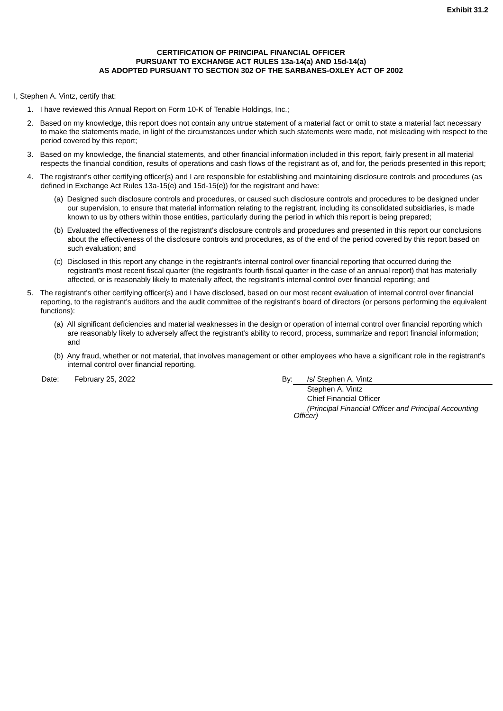## **CERTIFICATION OF PRINCIPAL FINANCIAL OFFICER PURSUANT TO EXCHANGE ACT RULES 13a-14(a) AND 15d-14(a) AS ADOPTED PURSUANT TO SECTION 302 OF THE SARBANES-OXLEY ACT OF 2002**

## I, Stephen A. Vintz, certify that:

- 1. I have reviewed this Annual Report on Form 10-K of Tenable Holdings, Inc.;
- 2. Based on my knowledge, this report does not contain any untrue statement of a material fact or omit to state a material fact necessary to make the statements made, in light of the circumstances under which such statements were made, not misleading with respect to the period covered by this report;
- 3. Based on my knowledge, the financial statements, and other financial information included in this report, fairly present in all material respects the financial condition, results of operations and cash flows of the registrant as of, and for, the periods presented in this report;
- 4. The registrant's other certifying officer(s) and I are responsible for establishing and maintaining disclosure controls and procedures (as defined in Exchange Act Rules 13a-15(e) and 15d-15(e)) for the registrant and have:
	- (a) Designed such disclosure controls and procedures, or caused such disclosure controls and procedures to be designed under our supervision, to ensure that material information relating to the registrant, including its consolidated subsidiaries, is made known to us by others within those entities, particularly during the period in which this report is being prepared;
	- (b) Evaluated the effectiveness of the registrant's disclosure controls and procedures and presented in this report our conclusions about the effectiveness of the disclosure controls and procedures, as of the end of the period covered by this report based on such evaluation; and
	- (c) Disclosed in this report any change in the registrant's internal control over financial reporting that occurred during the registrant's most recent fiscal quarter (the registrant's fourth fiscal quarter in the case of an annual report) that has materially affected, or is reasonably likely to materially affect, the registrant's internal control over financial reporting; and
- 5. The registrant's other certifying officer(s) and I have disclosed, based on our most recent evaluation of internal control over financial reporting, to the registrant's auditors and the audit committee of the registrant's board of directors (or persons performing the equivalent functions):
	- (a) All significant deficiencies and material weaknesses in the design or operation of internal control over financial reporting which are reasonably likely to adversely affect the registrant's ability to record, process, summarize and report financial information; and
	- (b) Any fraud, whether or not material, that involves management or other employees who have a significant role in the registrant's internal control over financial reporting.

Date: February 25, 2022 **By:** *By: /s/ Stephen A. Vintz* 

Stephen A. Vintz Chief Financial Officer *(Principal Financial Officer and Principal Accounting Officer)*